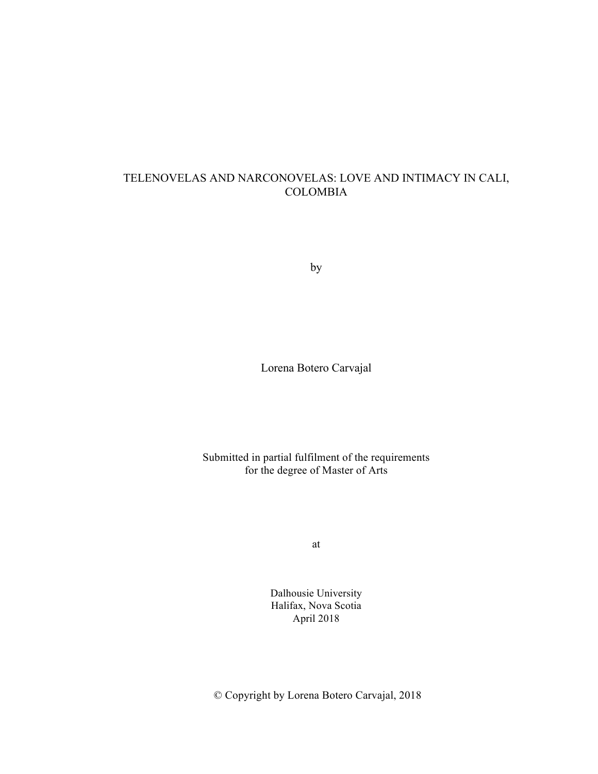# TELENOVELAS AND NARCONOVELAS: LOVE AND INTIMACY IN CALI, COLOMBIA

by

Lorena Botero Carvajal

Submitted in partial fulfilment of the requirements for the degree of Master of Arts

at

Dalhousie University Halifax, Nova Scotia April 2018

© Copyright by Lorena Botero Carvajal, 2018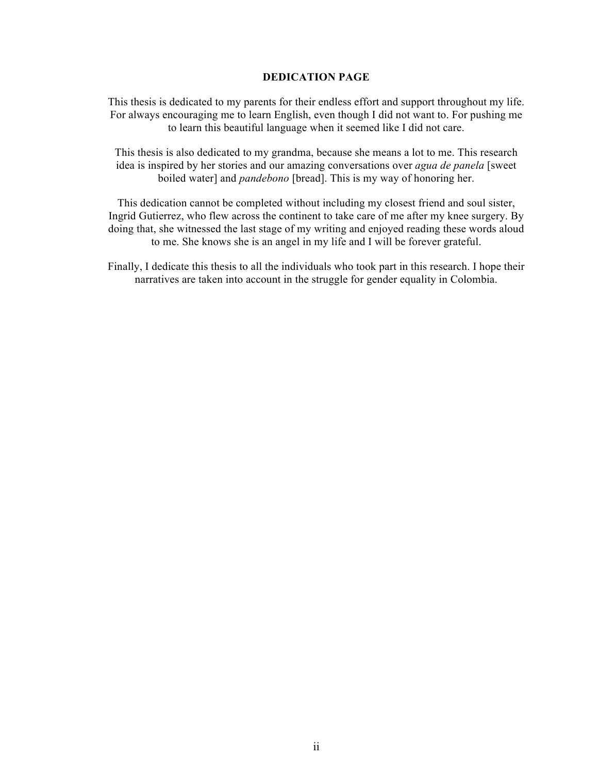### **DEDICATION PAGE**

This thesis is dedicated to my parents for their endless effort and support throughout my life. For always encouraging me to learn English, even though I did not want to. For pushing me to learn this beautiful language when it seemed like I did not care.

This thesis is also dedicated to my grandma, because she means a lot to me. This research idea is inspired by her stories and our amazing conversations over *agua de panela* [sweet boiled water] and *pandebono* [bread]. This is my way of honoring her.

This dedication cannot be completed without including my closest friend and soul sister, Ingrid Gutierrez, who flew across the continent to take care of me after my knee surgery. By doing that, she witnessed the last stage of my writing and enjoyed reading these words aloud to me. She knows she is an angel in my life and I will be forever grateful.

Finally, I dedicate this thesis to all the individuals who took part in this research. I hope their narratives are taken into account in the struggle for gender equality in Colombia.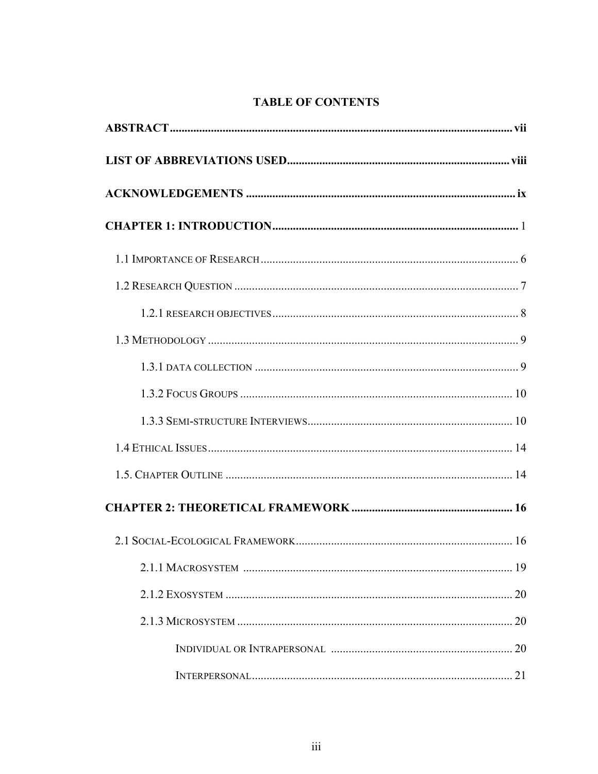# **TABLE OF CONTENTS**

| 20 |
|----|
|    |
|    |
|    |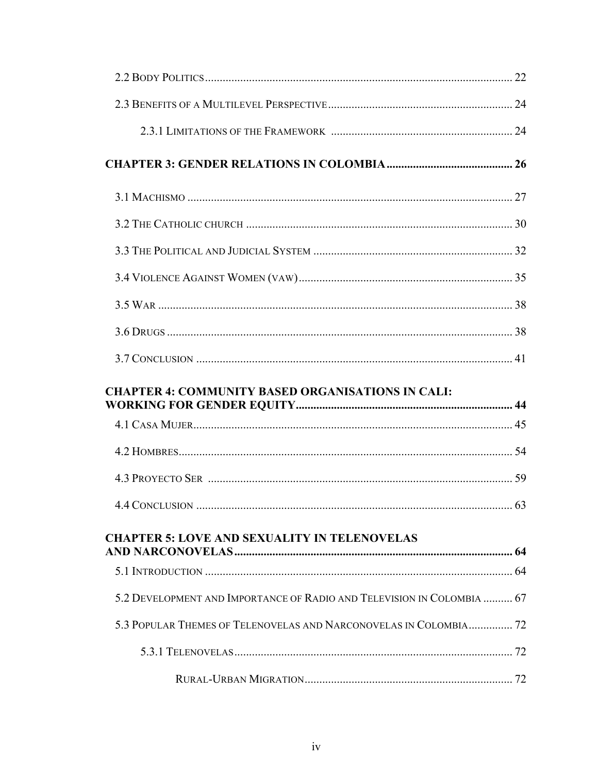| <b>CHAPTER 4: COMMUNITY BASED ORGANISATIONS IN CALI:</b>               |  |
|------------------------------------------------------------------------|--|
|                                                                        |  |
|                                                                        |  |
|                                                                        |  |
|                                                                        |  |
|                                                                        |  |
| <b>CHAPTER 5: LOVE AND SEXUALITY IN TELENOVELAS</b>                    |  |
|                                                                        |  |
|                                                                        |  |
| 5.2 DEVELOPMENT AND IMPORTANCE OF RADIO AND TELEVISION IN COLOMBIA  67 |  |
| 5.3 POPULAR THEMES OF TELENOVELAS AND NARCONOVELAS IN COLOMBIA 72      |  |
|                                                                        |  |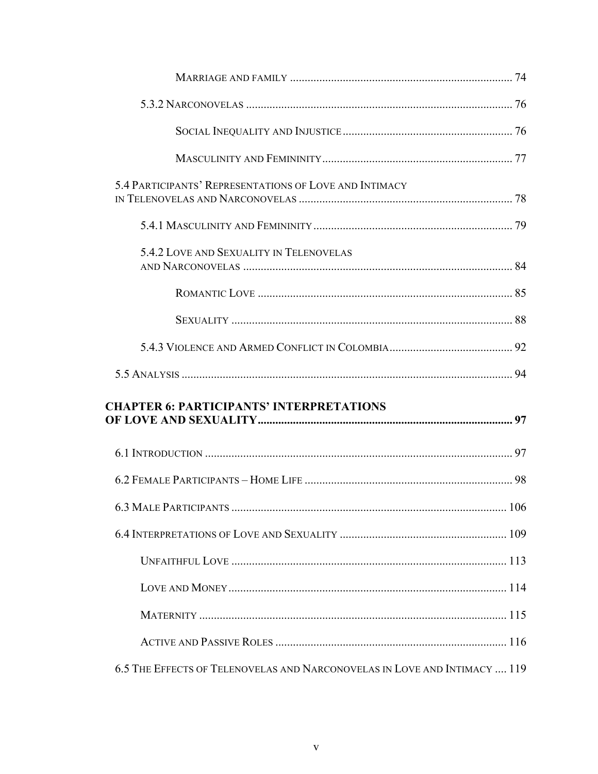| 5.4 PARTICIPANTS' REPRESENTATIONS OF LOVE AND INTIMACY |  |
|--------------------------------------------------------|--|
|                                                        |  |
| 5.4.2 LOVE AND SEXUALITY IN TELENOVELAS                |  |
|                                                        |  |
|                                                        |  |
|                                                        |  |
|                                                        |  |
|                                                        |  |
| <b>CHAPTER 6: PARTICIPANTS' INTERPRETATIONS</b>        |  |
|                                                        |  |
|                                                        |  |
|                                                        |  |
|                                                        |  |
|                                                        |  |
|                                                        |  |
|                                                        |  |
|                                                        |  |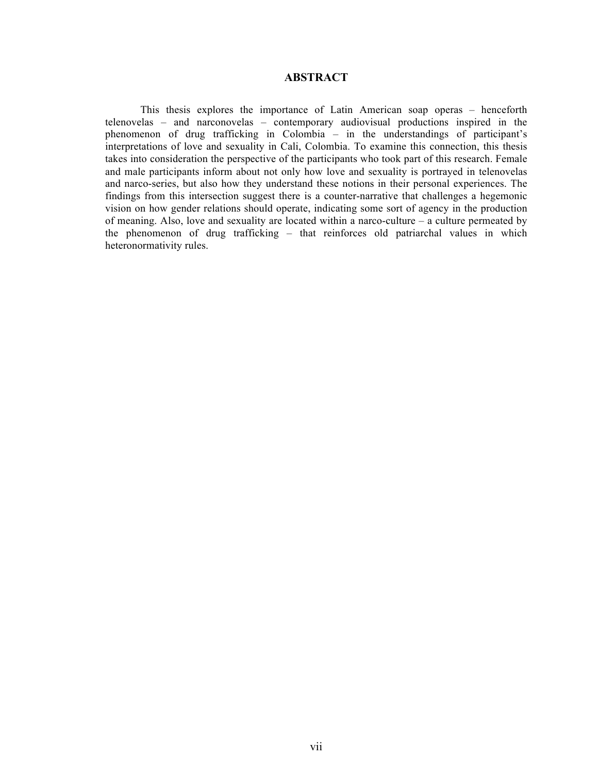### **ABSTRACT**

This thesis explores the importance of Latin American soap operas – henceforth telenovelas – and narconovelas – contemporary audiovisual productions inspired in the phenomenon of drug trafficking in Colombia – in the understandings of participant's interpretations of love and sexuality in Cali, Colombia. To examine this connection, this thesis takes into consideration the perspective of the participants who took part of this research. Female and male participants inform about not only how love and sexuality is portrayed in telenovelas and narco-series, but also how they understand these notions in their personal experiences. The findings from this intersection suggest there is a counter-narrative that challenges a hegemonic vision on how gender relations should operate, indicating some sort of agency in the production of meaning. Also, love and sexuality are located within a narco-culture – a culture permeated by the phenomenon of drug trafficking – that reinforces old patriarchal values in which heteronormativity rules.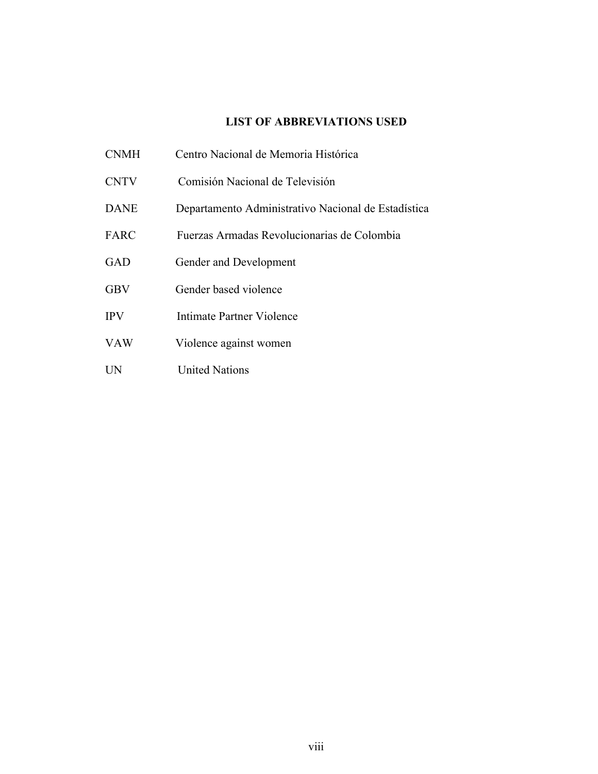# **LIST OF ABBREVIATIONS USED**

- CNMH Centro Nacional de Memoria Histórica
- CNTV Comisión Nacional de Televisión
- DANE Departamento Administrativo Nacional de Estadística
- FARC Fuerzas Armadas Revolucionarias de Colombia
- GAD Gender and Development
- GBV Gender based violence
- IPV Intimate Partner Violence
- VAW Violence against women
- UN United Nations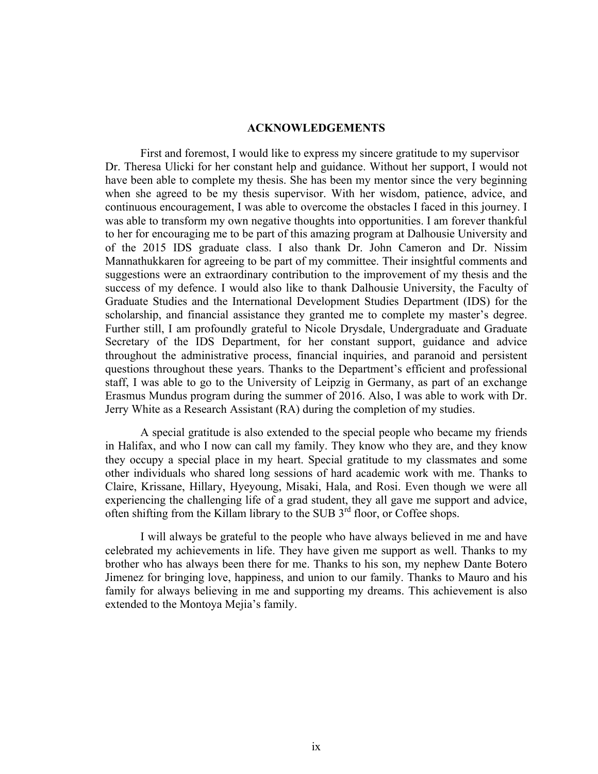### **ACKNOWLEDGEMENTS**

First and foremost, I would like to express my sincere gratitude to my supervisor Dr. Theresa Ulicki for her constant help and guidance. Without her support, I would not have been able to complete my thesis. She has been my mentor since the very beginning when she agreed to be my thesis supervisor. With her wisdom, patience, advice, and continuous encouragement, I was able to overcome the obstacles I faced in this journey. I was able to transform my own negative thoughts into opportunities. I am forever thankful to her for encouraging me to be part of this amazing program at Dalhousie University and of the 2015 IDS graduate class. I also thank Dr. John Cameron and Dr. Nissim Mannathukkaren for agreeing to be part of my committee. Their insightful comments and suggestions were an extraordinary contribution to the improvement of my thesis and the success of my defence. I would also like to thank Dalhousie University, the Faculty of Graduate Studies and the International Development Studies Department (IDS) for the scholarship, and financial assistance they granted me to complete my master's degree. Further still, I am profoundly grateful to Nicole Drysdale, Undergraduate and Graduate Secretary of the IDS Department, for her constant support, guidance and advice throughout the administrative process, financial inquiries, and paranoid and persistent questions throughout these years. Thanks to the Department's efficient and professional staff, I was able to go to the University of Leipzig in Germany, as part of an exchange Erasmus Mundus program during the summer of 2016. Also, I was able to work with Dr. Jerry White as a Research Assistant (RA) during the completion of my studies.

A special gratitude is also extended to the special people who became my friends in Halifax, and who I now can call my family. They know who they are, and they know they occupy a special place in my heart. Special gratitude to my classmates and some other individuals who shared long sessions of hard academic work with me. Thanks to Claire, Krissane, Hillary, Hyeyoung, Misaki, Hala, and Rosi. Even though we were all experiencing the challenging life of a grad student, they all gave me support and advice, often shifting from the Killam library to the SUB  $3^{rd}$  floor, or Coffee shops.

I will always be grateful to the people who have always believed in me and have celebrated my achievements in life. They have given me support as well. Thanks to my brother who has always been there for me. Thanks to his son, my nephew Dante Botero Jimenez for bringing love, happiness, and union to our family. Thanks to Mauro and his family for always believing in me and supporting my dreams. This achievement is also extended to the Montoya Mejia's family.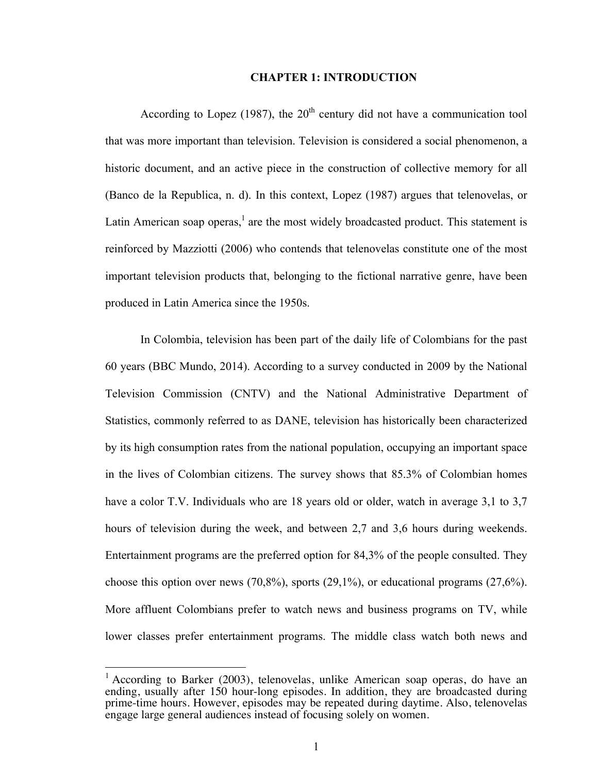### **CHAPTER 1: INTRODUCTION**

According to Lopez (1987), the  $20<sup>th</sup>$  century did not have a communication tool that was more important than television. Television is considered a social phenomenon, a historic document, and an active piece in the construction of collective memory for all (Banco de la Republica, n. d). In this context, Lopez (1987) argues that telenovelas, or Latin American soap operas, $<sup>1</sup>$  are the most widely broadcasted product. This statement is</sup> reinforced by Mazziotti (2006) who contends that telenovelas constitute one of the most important television products that, belonging to the fictional narrative genre, have been produced in Latin America since the 1950s.

In Colombia, television has been part of the daily life of Colombians for the past 60 years (BBC Mundo, 2014). According to a survey conducted in 2009 by the National Television Commission (CNTV) and the National Administrative Department of Statistics, commonly referred to as DANE, television has historically been characterized by its high consumption rates from the national population, occupying an important space in the lives of Colombian citizens. The survey shows that 85.3% of Colombian homes have a color T.V. Individuals who are 18 years old or older, watch in average 3,1 to 3,7 hours of television during the week, and between 2,7 and 3,6 hours during weekends. Entertainment programs are the preferred option for 84,3% of the people consulted. They choose this option over news (70,8%), sports (29,1%), or educational programs (27,6%). More affluent Colombians prefer to watch news and business programs on TV, while lower classes prefer entertainment programs. The middle class watch both news and

<sup>&</sup>lt;sup>1</sup> According to Barker (2003), telenovelas, unlike American soap operas, do have an ending, usually after 150 hour-long episodes. In addition, they are broadcasted during prime-time hours. However, episodes may be repeated during daytime. Also, telenovelas engage large general audiences instead of focusing solely on women.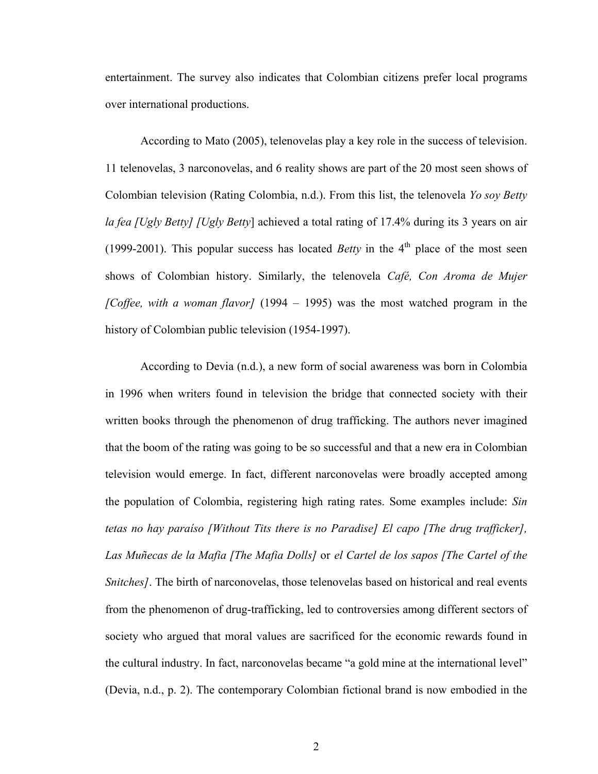entertainment. The survey also indicates that Colombian citizens prefer local programs over international productions.

According to Mato (2005), telenovelas play a key role in the success of television. 11 telenovelas, 3 narconovelas, and 6 reality shows are part of the 20 most seen shows of Colombian television (Rating Colombia, n.d.). From this list, the telenovela *Yo soy Betty la fea [Ugly Betty] [Ugly Betty*] achieved a total rating of 17.4% during its 3 years on air (1999-2001). This popular success has located *Betty* in the  $4<sup>th</sup>$  place of the most seen shows of Colombian history. Similarly, the telenovela *Café, Con Aroma de Mujer [Coffee, with a woman flavor]* (1994 – 1995) was the most watched program in the history of Colombian public television (1954-1997).

According to Devia (n.d.), a new form of social awareness was born in Colombia in 1996 when writers found in television the bridge that connected society with their written books through the phenomenon of drug trafficking. The authors never imagined that the boom of the rating was going to be so successful and that a new era in Colombian television would emerge. In fact, different narconovelas were broadly accepted among the population of Colombia, registering high rating rates. Some examples include: *Sin tetas no hay paraíso [Without Tits there is no Paradise] El capo [The drug trafficker], Las Muñecas de la Mafia [The Mafia Dolls]* or *el Cartel de los sapos [The Cartel of the Snitches]*. The birth of narconovelas, those telenovelas based on historical and real events from the phenomenon of drug-trafficking, led to controversies among different sectors of society who argued that moral values are sacrificed for the economic rewards found in the cultural industry. In fact, narconovelas became "a gold mine at the international level" (Devia, n.d., p. 2). The contemporary Colombian fictional brand is now embodied in the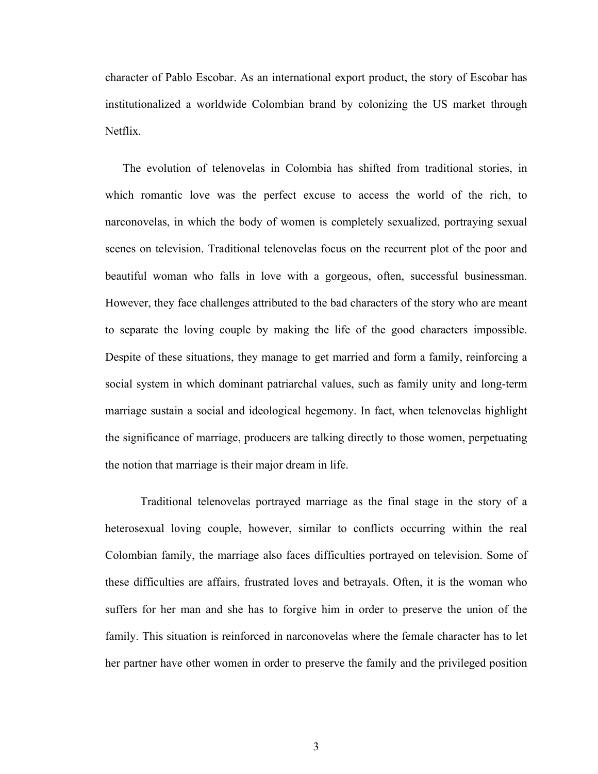character of Pablo Escobar. As an international export product, the story of Escobar has institutionalized a worldwide Colombian brand by colonizing the US market through Netflix.

The evolution of telenovelas in Colombia has shifted from traditional stories, in which romantic love was the perfect excuse to access the world of the rich, to narconovelas, in which the body of women is completely sexualized, portraying sexual scenes on television. Traditional telenovelas focus on the recurrent plot of the poor and beautiful woman who falls in love with a gorgeous, often, successful businessman. However, they face challenges attributed to the bad characters of the story who are meant to separate the loving couple by making the life of the good characters impossible. Despite of these situations, they manage to get married and form a family, reinforcing a social system in which dominant patriarchal values, such as family unity and long-term marriage sustain a social and ideological hegemony. In fact, when telenovelas highlight the significance of marriage, producers are talking directly to those women, perpetuating the notion that marriage is their major dream in life.

Traditional telenovelas portrayed marriage as the final stage in the story of a heterosexual loving couple, however, similar to conflicts occurring within the real Colombian family, the marriage also faces difficulties portrayed on television. Some of these difficulties are affairs, frustrated loves and betrayals. Often, it is the woman who suffers for her man and she has to forgive him in order to preserve the union of the family. This situation is reinforced in narconovelas where the female character has to let her partner have other women in order to preserve the family and the privileged position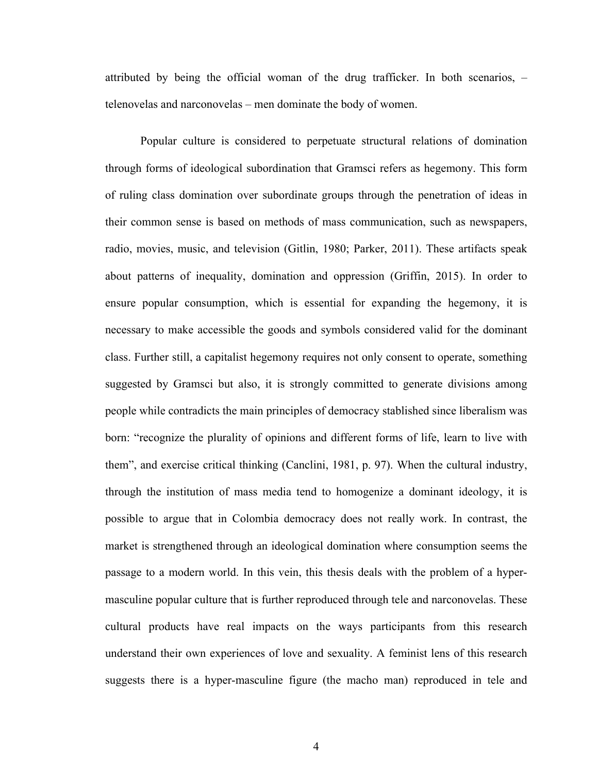attributed by being the official woman of the drug trafficker. In both scenarios, – telenovelas and narconovelas – men dominate the body of women.

Popular culture is considered to perpetuate structural relations of domination through forms of ideological subordination that Gramsci refers as hegemony. This form of ruling class domination over subordinate groups through the penetration of ideas in their common sense is based on methods of mass communication, such as newspapers, radio, movies, music, and television (Gitlin, 1980; Parker, 2011). These artifacts speak about patterns of inequality, domination and oppression (Griffin, 2015). In order to ensure popular consumption, which is essential for expanding the hegemony, it is necessary to make accessible the goods and symbols considered valid for the dominant class. Further still, a capitalist hegemony requires not only consent to operate, something suggested by Gramsci but also, it is strongly committed to generate divisions among people while contradicts the main principles of democracy stablished since liberalism was born: "recognize the plurality of opinions and different forms of life, learn to live with them", and exercise critical thinking (Canclini, 1981, p. 97). When the cultural industry, through the institution of mass media tend to homogenize a dominant ideology, it is possible to argue that in Colombia democracy does not really work. In contrast, the market is strengthened through an ideological domination where consumption seems the passage to a modern world. In this vein, this thesis deals with the problem of a hypermasculine popular culture that is further reproduced through tele and narconovelas. These cultural products have real impacts on the ways participants from this research understand their own experiences of love and sexuality. A feminist lens of this research suggests there is a hyper-masculine figure (the macho man) reproduced in tele and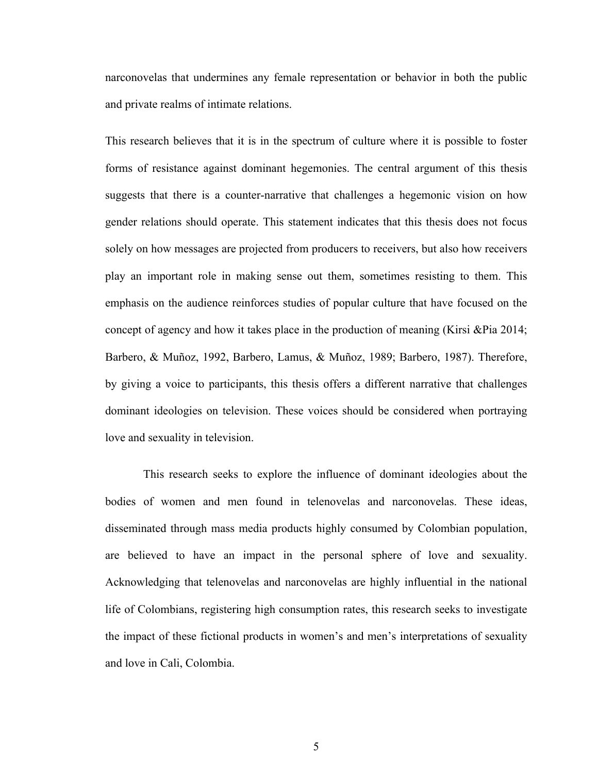narconovelas that undermines any female representation or behavior in both the public and private realms of intimate relations.

This research believes that it is in the spectrum of culture where it is possible to foster forms of resistance against dominant hegemonies. The central argument of this thesis suggests that there is a counter-narrative that challenges a hegemonic vision on how gender relations should operate. This statement indicates that this thesis does not focus solely on how messages are projected from producers to receivers, but also how receivers play an important role in making sense out them, sometimes resisting to them. This emphasis on the audience reinforces studies of popular culture that have focused on the concept of agency and how it takes place in the production of meaning (Kirsi &Pia 2014; Barbero, & Muñoz, 1992, Barbero, Lamus, & Muñoz, 1989; Barbero, 1987). Therefore, by giving a voice to participants, this thesis offers a different narrative that challenges dominant ideologies on television. These voices should be considered when portraying love and sexuality in television.

This research seeks to explore the influence of dominant ideologies about the bodies of women and men found in telenovelas and narconovelas. These ideas, disseminated through mass media products highly consumed by Colombian population, are believed to have an impact in the personal sphere of love and sexuality. Acknowledging that telenovelas and narconovelas are highly influential in the national life of Colombians, registering high consumption rates, this research seeks to investigate the impact of these fictional products in women's and men's interpretations of sexuality and love in Cali, Colombia.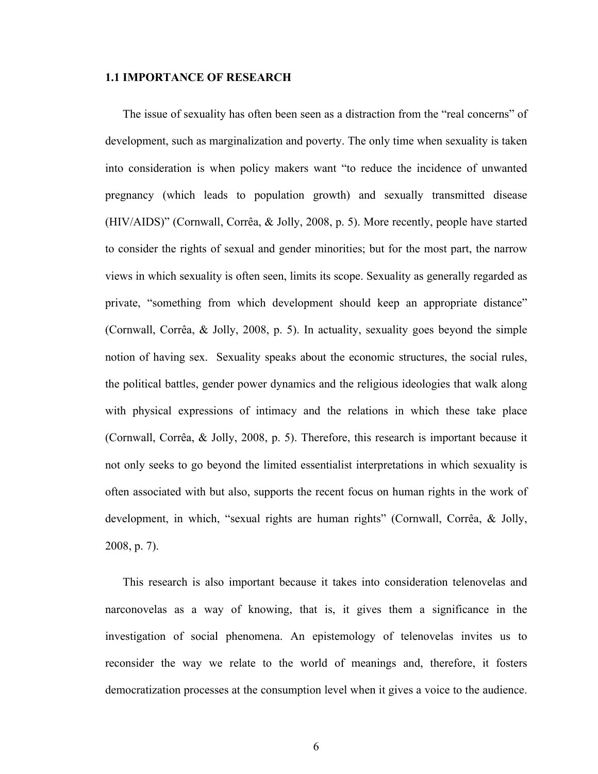### **1.1 IMPORTANCE OF RESEARCH**

The issue of sexuality has often been seen as a distraction from the "real concerns" of development, such as marginalization and poverty. The only time when sexuality is taken into consideration is when policy makers want "to reduce the incidence of unwanted pregnancy (which leads to population growth) and sexually transmitted disease (HIV/AIDS)" (Cornwall, Corrêa, & Jolly, 2008, p. 5). More recently, people have started to consider the rights of sexual and gender minorities; but for the most part, the narrow views in which sexuality is often seen, limits its scope. Sexuality as generally regarded as private, "something from which development should keep an appropriate distance" (Cornwall, Corrêa, & Jolly, 2008, p. 5). In actuality, sexuality goes beyond the simple notion of having sex. Sexuality speaks about the economic structures, the social rules, the political battles, gender power dynamics and the religious ideologies that walk along with physical expressions of intimacy and the relations in which these take place (Cornwall, Corrêa, & Jolly, 2008, p. 5). Therefore, this research is important because it not only seeks to go beyond the limited essentialist interpretations in which sexuality is often associated with but also, supports the recent focus on human rights in the work of development, in which, "sexual rights are human rights" (Cornwall, Corrêa, & Jolly, 2008, p. 7).

This research is also important because it takes into consideration telenovelas and narconovelas as a way of knowing, that is, it gives them a significance in the investigation of social phenomena. An epistemology of telenovelas invites us to reconsider the way we relate to the world of meanings and, therefore, it fosters democratization processes at the consumption level when it gives a voice to the audience.

6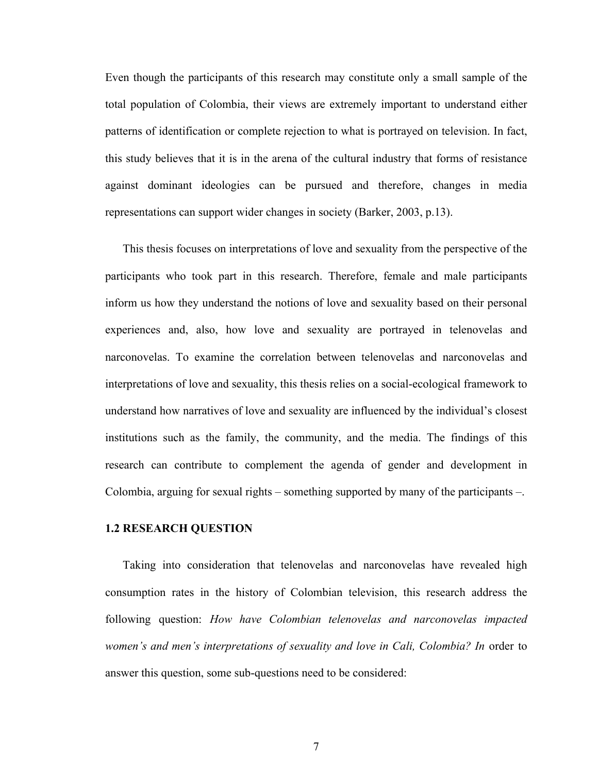Even though the participants of this research may constitute only a small sample of the total population of Colombia, their views are extremely important to understand either patterns of identification or complete rejection to what is portrayed on television. In fact, this study believes that it is in the arena of the cultural industry that forms of resistance against dominant ideologies can be pursued and therefore, changes in media representations can support wider changes in society (Barker, 2003, p.13).

This thesis focuses on interpretations of love and sexuality from the perspective of the participants who took part in this research. Therefore, female and male participants inform us how they understand the notions of love and sexuality based on their personal experiences and, also, how love and sexuality are portrayed in telenovelas and narconovelas. To examine the correlation between telenovelas and narconovelas and interpretations of love and sexuality, this thesis relies on a social-ecological framework to understand how narratives of love and sexuality are influenced by the individual's closest institutions such as the family, the community, and the media. The findings of this research can contribute to complement the agenda of gender and development in Colombia, arguing for sexual rights – something supported by many of the participants –.

### **1.2 RESEARCH QUESTION**

Taking into consideration that telenovelas and narconovelas have revealed high consumption rates in the history of Colombian television, this research address the following question: *How have Colombian telenovelas and narconovelas impacted women's and men's interpretations of sexuality and love in Cali, Colombia? In* order to answer this question, some sub-questions need to be considered: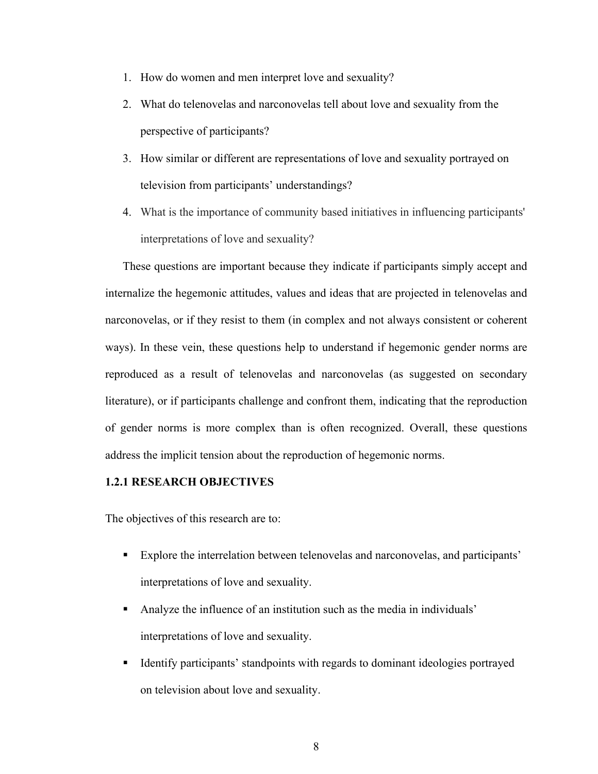- 1. How do women and men interpret love and sexuality?
- 2. What do telenovelas and narconovelas tell about love and sexuality from the perspective of participants?
- 3. How similar or different are representations of love and sexuality portrayed on television from participants' understandings?
- 4. What is the importance of community based initiatives in influencing participants' interpretations of love and sexuality?

These questions are important because they indicate if participants simply accept and internalize the hegemonic attitudes, values and ideas that are projected in telenovelas and narconovelas, or if they resist to them (in complex and not always consistent or coherent ways). In these vein, these questions help to understand if hegemonic gender norms are reproduced as a result of telenovelas and narconovelas (as suggested on secondary literature), or if participants challenge and confront them, indicating that the reproduction of gender norms is more complex than is often recognized. Overall, these questions address the implicit tension about the reproduction of hegemonic norms.

# **1.2.1 RESEARCH OBJECTIVES**

The objectives of this research are to:

- ! Explore the interrelation between telenovelas and narconovelas, and participants' interpretations of love and sexuality.
- ! Analyze the influence of an institution such as the media in individuals' interpretations of love and sexuality.
- ! Identify participants' standpoints with regards to dominant ideologies portrayed on television about love and sexuality.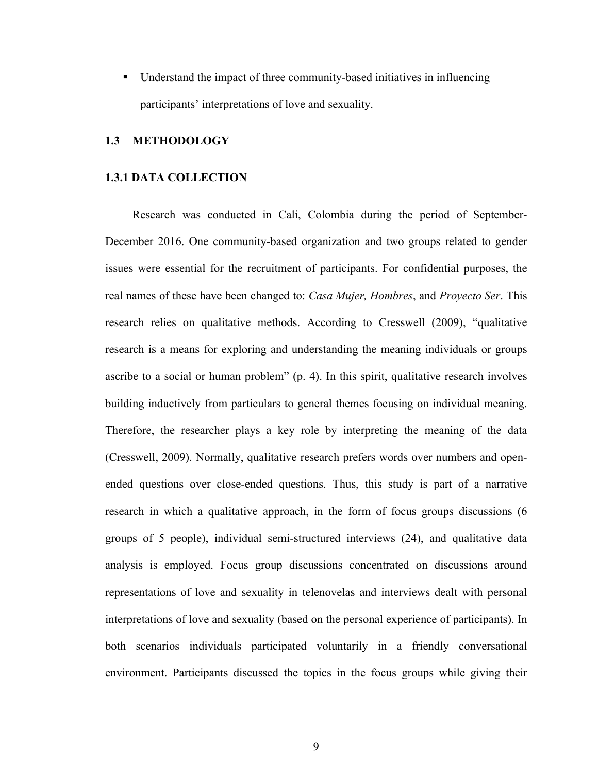! Understand the impact of three community-based initiatives in influencing participants' interpretations of love and sexuality.

# **1.3 METHODOLOGY**

### **1.3.1 DATA COLLECTION**

Research was conducted in Cali, Colombia during the period of September-December 2016. One community-based organization and two groups related to gender issues were essential for the recruitment of participants. For confidential purposes, the real names of these have been changed to: *Casa Mujer, Hombres*, and *Proyecto Ser*. This research relies on qualitative methods. According to Cresswell (2009), "qualitative research is a means for exploring and understanding the meaning individuals or groups ascribe to a social or human problem" (p. 4). In this spirit, qualitative research involves building inductively from particulars to general themes focusing on individual meaning. Therefore, the researcher plays a key role by interpreting the meaning of the data (Cresswell, 2009). Normally, qualitative research prefers words over numbers and openended questions over close-ended questions. Thus, this study is part of a narrative research in which a qualitative approach, in the form of focus groups discussions (6 groups of 5 people), individual semi-structured interviews (24), and qualitative data analysis is employed. Focus group discussions concentrated on discussions around representations of love and sexuality in telenovelas and interviews dealt with personal interpretations of love and sexuality (based on the personal experience of participants). In both scenarios individuals participated voluntarily in a friendly conversational environment. Participants discussed the topics in the focus groups while giving their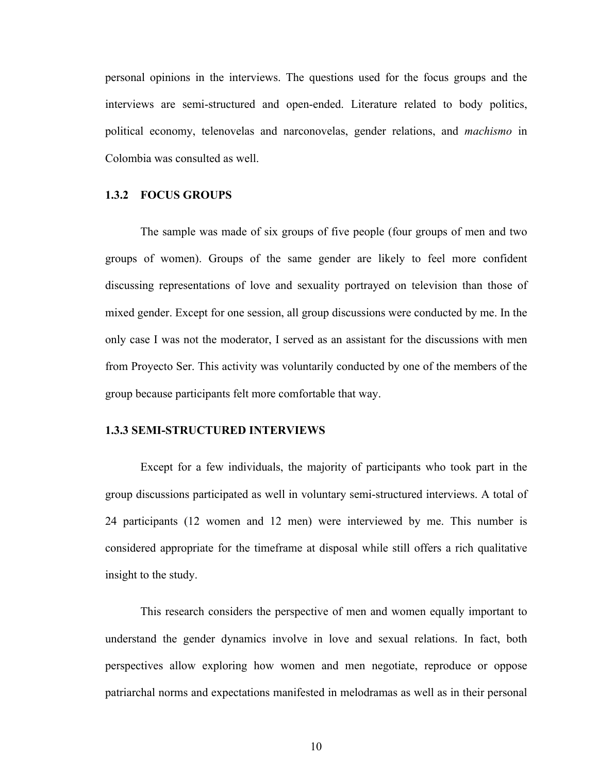personal opinions in the interviews. The questions used for the focus groups and the interviews are semi-structured and open-ended. Literature related to body politics, political economy, telenovelas and narconovelas, gender relations, and *machismo* in Colombia was consulted as well.

# **1.3.2 FOCUS GROUPS**

The sample was made of six groups of five people (four groups of men and two groups of women). Groups of the same gender are likely to feel more confident discussing representations of love and sexuality portrayed on television than those of mixed gender. Except for one session, all group discussions were conducted by me. In the only case I was not the moderator, I served as an assistant for the discussions with men from Proyecto Ser. This activity was voluntarily conducted by one of the members of the group because participants felt more comfortable that way.

## **1.3.3 SEMI-STRUCTURED INTERVIEWS**

Except for a few individuals, the majority of participants who took part in the group discussions participated as well in voluntary semi-structured interviews. A total of 24 participants (12 women and 12 men) were interviewed by me. This number is considered appropriate for the timeframe at disposal while still offers a rich qualitative insight to the study.

This research considers the perspective of men and women equally important to understand the gender dynamics involve in love and sexual relations. In fact, both perspectives allow exploring how women and men negotiate, reproduce or oppose patriarchal norms and expectations manifested in melodramas as well as in their personal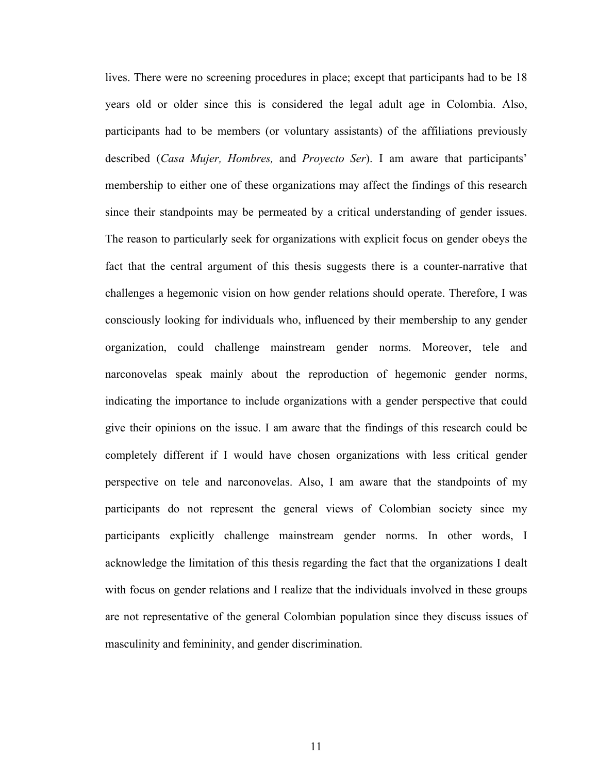lives. There were no screening procedures in place; except that participants had to be 18 years old or older since this is considered the legal adult age in Colombia. Also, participants had to be members (or voluntary assistants) of the affiliations previously described (*Casa Mujer, Hombres,* and *Proyecto Ser*). I am aware that participants' membership to either one of these organizations may affect the findings of this research since their standpoints may be permeated by a critical understanding of gender issues. The reason to particularly seek for organizations with explicit focus on gender obeys the fact that the central argument of this thesis suggests there is a counter-narrative that challenges a hegemonic vision on how gender relations should operate. Therefore, I was consciously looking for individuals who, influenced by their membership to any gender organization, could challenge mainstream gender norms. Moreover, tele and narconovelas speak mainly about the reproduction of hegemonic gender norms, indicating the importance to include organizations with a gender perspective that could give their opinions on the issue. I am aware that the findings of this research could be completely different if I would have chosen organizations with less critical gender perspective on tele and narconovelas. Also, I am aware that the standpoints of my participants do not represent the general views of Colombian society since my participants explicitly challenge mainstream gender norms. In other words, I acknowledge the limitation of this thesis regarding the fact that the organizations I dealt with focus on gender relations and I realize that the individuals involved in these groups are not representative of the general Colombian population since they discuss issues of masculinity and femininity, and gender discrimination.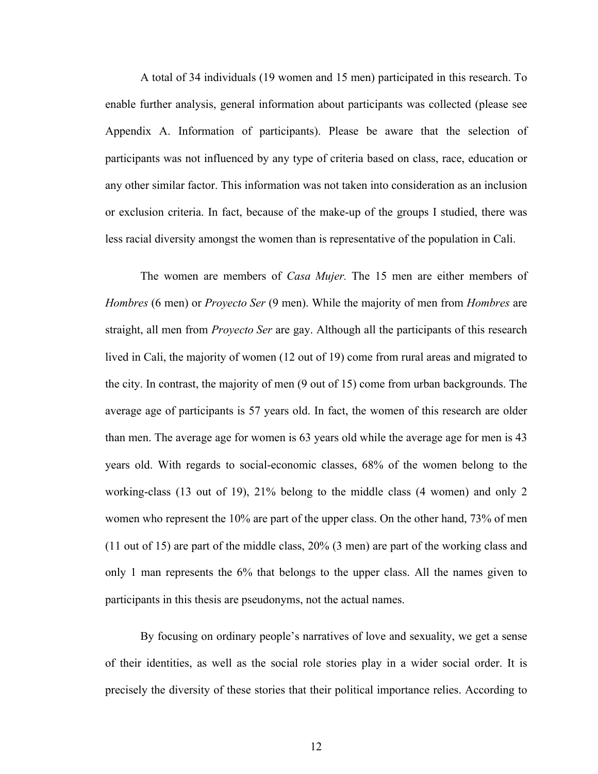A total of 34 individuals (19 women and 15 men) participated in this research. To enable further analysis, general information about participants was collected (please see Appendix A. Information of participants). Please be aware that the selection of participants was not influenced by any type of criteria based on class, race, education or any other similar factor. This information was not taken into consideration as an inclusion or exclusion criteria. In fact, because of the make-up of the groups I studied, there was less racial diversity amongst the women than is representative of the population in Cali.

The women are members of *Casa Mujer.* The 15 men are either members of *Hombres* (6 men) or *Proyecto Ser* (9 men). While the majority of men from *Hombres* are straight, all men from *Proyecto Ser* are gay. Although all the participants of this research lived in Cali, the majority of women (12 out of 19) come from rural areas and migrated to the city. In contrast, the majority of men (9 out of 15) come from urban backgrounds. The average age of participants is 57 years old. In fact, the women of this research are older than men. The average age for women is 63 years old while the average age for men is 43 years old. With regards to social-economic classes, 68% of the women belong to the working-class (13 out of 19), 21% belong to the middle class (4 women) and only 2 women who represent the 10% are part of the upper class. On the other hand, 73% of men (11 out of 15) are part of the middle class, 20% (3 men) are part of the working class and only 1 man represents the 6% that belongs to the upper class. All the names given to participants in this thesis are pseudonyms, not the actual names.

By focusing on ordinary people's narratives of love and sexuality, we get a sense of their identities, as well as the social role stories play in a wider social order. It is precisely the diversity of these stories that their political importance relies. According to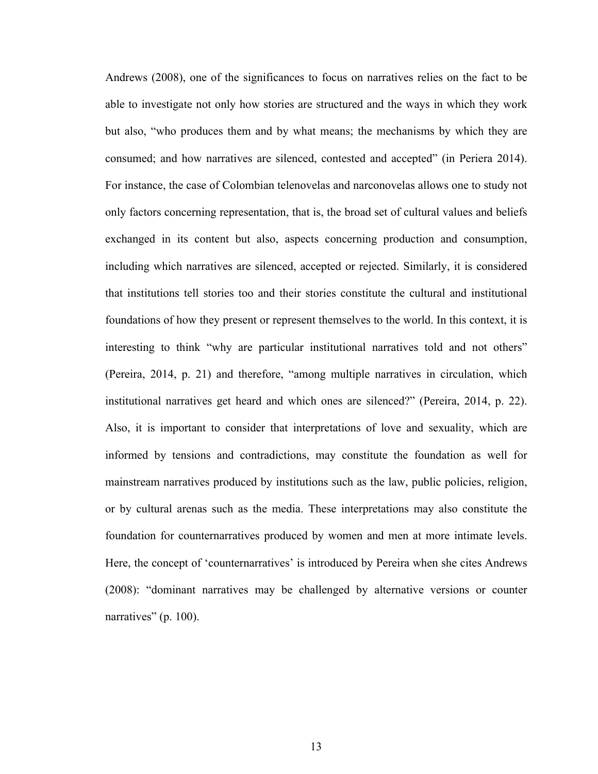Andrews (2008), one of the significances to focus on narratives relies on the fact to be able to investigate not only how stories are structured and the ways in which they work but also, "who produces them and by what means; the mechanisms by which they are consumed; and how narratives are silenced, contested and accepted" (in Periera 2014). For instance, the case of Colombian telenovelas and narconovelas allows one to study not only factors concerning representation, that is, the broad set of cultural values and beliefs exchanged in its content but also, aspects concerning production and consumption, including which narratives are silenced, accepted or rejected. Similarly, it is considered that institutions tell stories too and their stories constitute the cultural and institutional foundations of how they present or represent themselves to the world. In this context, it is interesting to think "why are particular institutional narratives told and not others" (Pereira, 2014, p. 21) and therefore, "among multiple narratives in circulation, which institutional narratives get heard and which ones are silenced?" (Pereira, 2014, p. 22). Also, it is important to consider that interpretations of love and sexuality, which are informed by tensions and contradictions, may constitute the foundation as well for mainstream narratives produced by institutions such as the law, public policies, religion, or by cultural arenas such as the media. These interpretations may also constitute the foundation for counternarratives produced by women and men at more intimate levels. Here, the concept of 'counternarratives' is introduced by Pereira when she cites Andrews (2008): "dominant narratives may be challenged by alternative versions or counter narratives" (p. 100).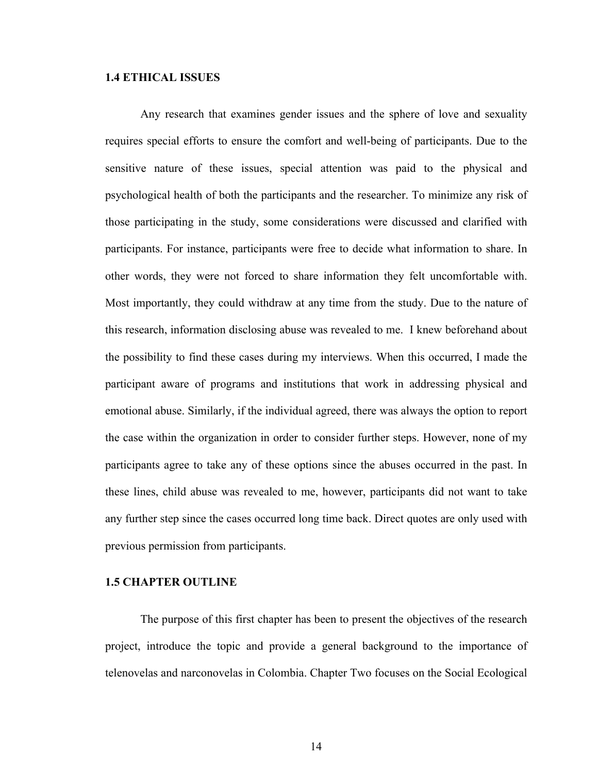### **1.4 ETHICAL ISSUES**

Any research that examines gender issues and the sphere of love and sexuality requires special efforts to ensure the comfort and well-being of participants. Due to the sensitive nature of these issues, special attention was paid to the physical and psychological health of both the participants and the researcher. To minimize any risk of those participating in the study, some considerations were discussed and clarified with participants. For instance, participants were free to decide what information to share. In other words, they were not forced to share information they felt uncomfortable with. Most importantly, they could withdraw at any time from the study. Due to the nature of this research, information disclosing abuse was revealed to me. I knew beforehand about the possibility to find these cases during my interviews. When this occurred, I made the participant aware of programs and institutions that work in addressing physical and emotional abuse. Similarly, if the individual agreed, there was always the option to report the case within the organization in order to consider further steps. However, none of my participants agree to take any of these options since the abuses occurred in the past. In these lines, child abuse was revealed to me, however, participants did not want to take any further step since the cases occurred long time back. Direct quotes are only used with previous permission from participants.

# **1.5 CHAPTER OUTLINE**

The purpose of this first chapter has been to present the objectives of the research project, introduce the topic and provide a general background to the importance of telenovelas and narconovelas in Colombia. Chapter Two focuses on the Social Ecological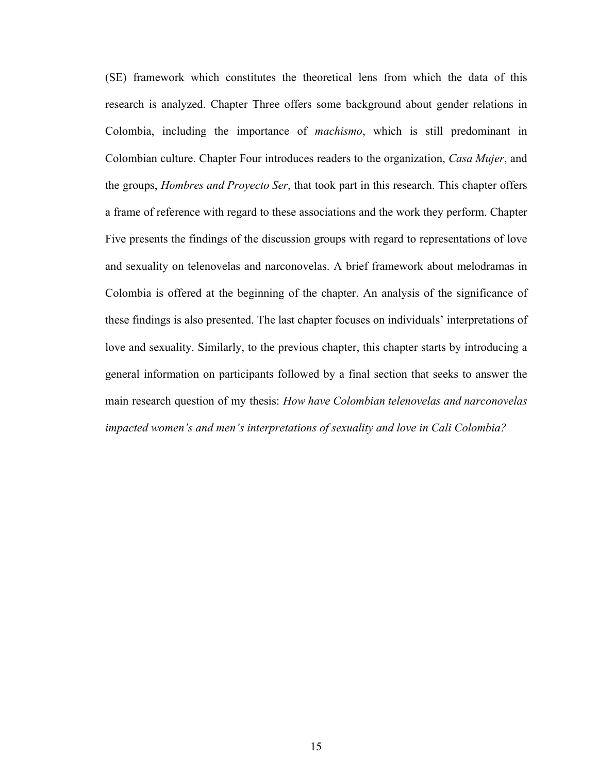(SE) framework which constitutes the theoretical lens from which the data of this research is analyzed. Chapter Three offers some background about gender relations in Colombia, including the importance of *machismo*, which is still predominant in Colombian culture. Chapter Four introduces readers to the organization, *Casa Mujer*, and the groups, *Hombres and Proyecto Ser*, that took part in this research. This chapter offers a frame of reference with regard to these associations and the work they perform. Chapter Five presents the findings of the discussion groups with regard to representations of love and sexuality on telenovelas and narconovelas. A brief framework about melodramas in Colombia is offered at the beginning of the chapter. An analysis of the significance of these findings is also presented. The last chapter focuses on individuals' interpretations of love and sexuality. Similarly, to the previous chapter, this chapter starts by introducing a general information on participants followed by a final section that seeks to answer the main research question of my thesis: *How have Colombian telenovelas and narconovelas impacted women's and men's interpretations of sexuality and love in Cali Colombia?*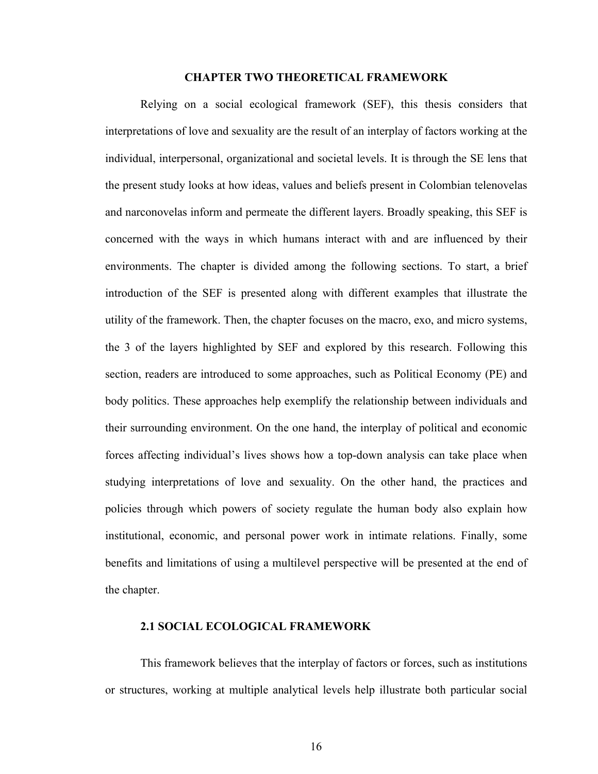#### **CHAPTER TWO THEORETICAL FRAMEWORK**

Relying on a social ecological framework (SEF), this thesis considers that interpretations of love and sexuality are the result of an interplay of factors working at the individual, interpersonal, organizational and societal levels. It is through the SE lens that the present study looks at how ideas, values and beliefs present in Colombian telenovelas and narconovelas inform and permeate the different layers. Broadly speaking, this SEF is concerned with the ways in which humans interact with and are influenced by their environments. The chapter is divided among the following sections. To start, a brief introduction of the SEF is presented along with different examples that illustrate the utility of the framework. Then, the chapter focuses on the macro, exo, and micro systems, the 3 of the layers highlighted by SEF and explored by this research. Following this section, readers are introduced to some approaches, such as Political Economy (PE) and body politics. These approaches help exemplify the relationship between individuals and their surrounding environment. On the one hand, the interplay of political and economic forces affecting individual's lives shows how a top-down analysis can take place when studying interpretations of love and sexuality. On the other hand, the practices and policies through which powers of society regulate the human body also explain how institutional, economic, and personal power work in intimate relations. Finally, some benefits and limitations of using a multilevel perspective will be presented at the end of the chapter.

### **2.1 SOCIAL ECOLOGICAL FRAMEWORK**

This framework believes that the interplay of factors or forces, such as institutions or structures, working at multiple analytical levels help illustrate both particular social

16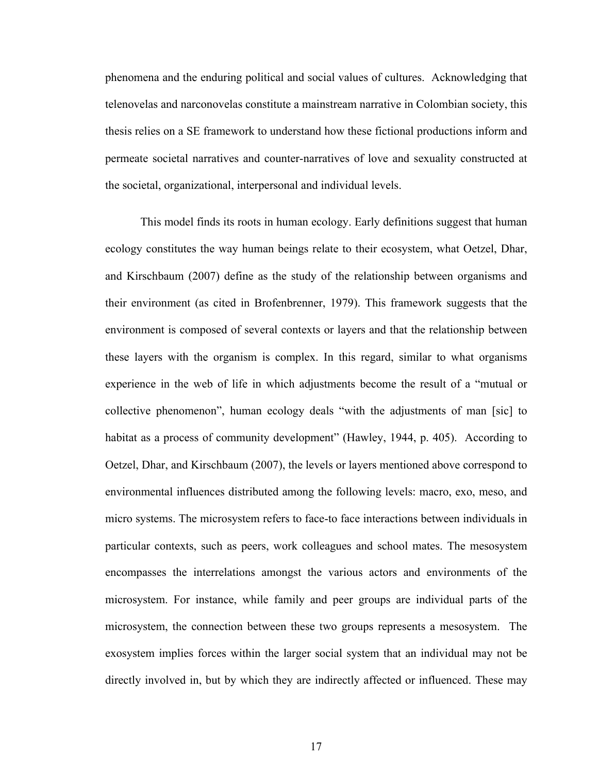phenomena and the enduring political and social values of cultures. Acknowledging that telenovelas and narconovelas constitute a mainstream narrative in Colombian society, this thesis relies on a SE framework to understand how these fictional productions inform and permeate societal narratives and counter-narratives of love and sexuality constructed at the societal, organizational, interpersonal and individual levels.

This model finds its roots in human ecology. Early definitions suggest that human ecology constitutes the way human beings relate to their ecosystem, what Oetzel, Dhar, and Kirschbaum (2007) define as the study of the relationship between organisms and their environment (as cited in Brofenbrenner, 1979). This framework suggests that the environment is composed of several contexts or layers and that the relationship between these layers with the organism is complex. In this regard, similar to what organisms experience in the web of life in which adjustments become the result of a "mutual or collective phenomenon", human ecology deals "with the adjustments of man [sic] to habitat as a process of community development" (Hawley, 1944, p. 405). According to Oetzel, Dhar, and Kirschbaum (2007), the levels or layers mentioned above correspond to environmental influences distributed among the following levels: macro, exo, meso, and micro systems. The microsystem refers to face-to face interactions between individuals in particular contexts, such as peers, work colleagues and school mates. The mesosystem encompasses the interrelations amongst the various actors and environments of the microsystem. For instance, while family and peer groups are individual parts of the microsystem, the connection between these two groups represents a mesosystem. The exosystem implies forces within the larger social system that an individual may not be directly involved in, but by which they are indirectly affected or influenced. These may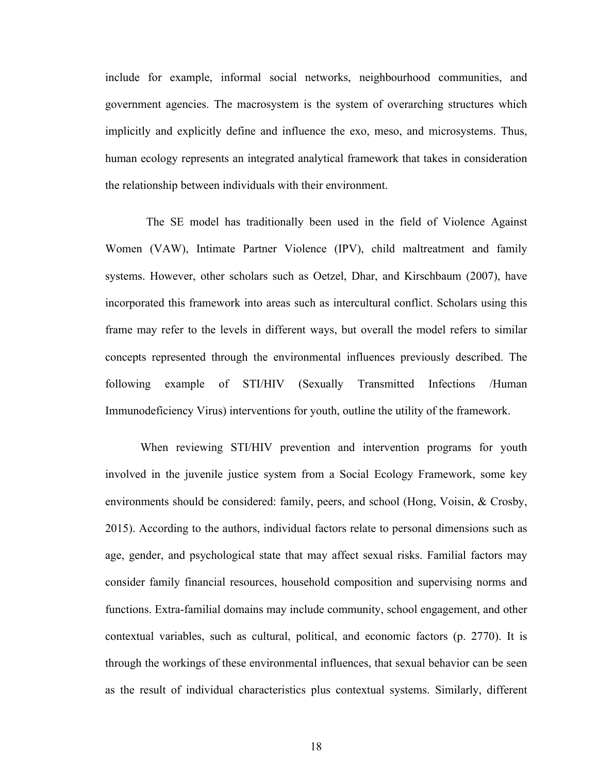include for example, informal social networks, neighbourhood communities, and government agencies. The macrosystem is the system of overarching structures which implicitly and explicitly define and influence the exo, meso, and microsystems. Thus, human ecology represents an integrated analytical framework that takes in consideration the relationship between individuals with their environment.

 The SE model has traditionally been used in the field of Violence Against Women (VAW), Intimate Partner Violence (IPV), child maltreatment and family systems. However, other scholars such as Oetzel, Dhar, and Kirschbaum (2007), have incorporated this framework into areas such as intercultural conflict. Scholars using this frame may refer to the levels in different ways, but overall the model refers to similar concepts represented through the environmental influences previously described. The following example of STI/HIV (Sexually Transmitted Infections /Human Immunodeficiency Virus) interventions for youth, outline the utility of the framework.

When reviewing STI/HIV prevention and intervention programs for youth involved in the juvenile justice system from a Social Ecology Framework, some key environments should be considered: family, peers, and school (Hong, Voisin, & Crosby, 2015). According to the authors, individual factors relate to personal dimensions such as age, gender, and psychological state that may affect sexual risks. Familial factors may consider family financial resources, household composition and supervising norms and functions. Extra-familial domains may include community, school engagement, and other contextual variables, such as cultural, political, and economic factors (p. 2770). It is through the workings of these environmental influences, that sexual behavior can be seen as the result of individual characteristics plus contextual systems. Similarly, different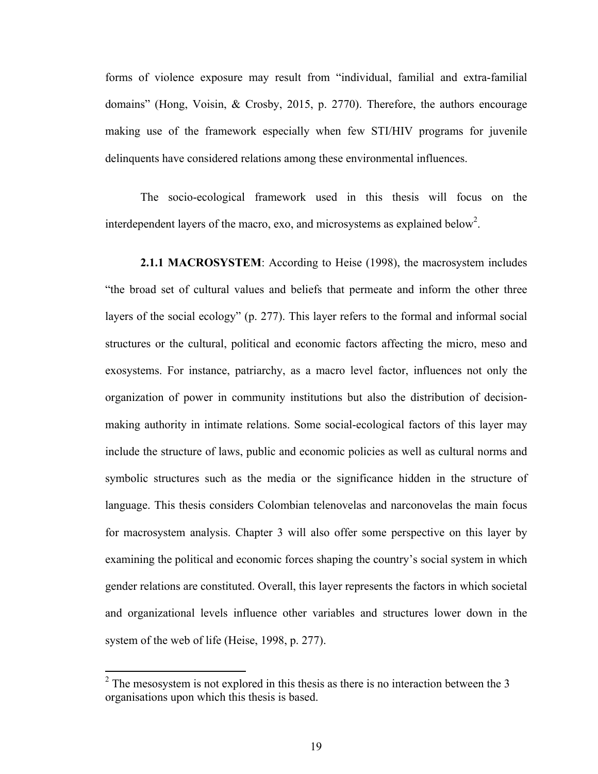forms of violence exposure may result from "individual, familial and extra-familial domains" (Hong, Voisin, & Crosby, 2015, p. 2770). Therefore, the authors encourage making use of the framework especially when few STI/HIV programs for juvenile delinquents have considered relations among these environmental influences.

The socio-ecological framework used in this thesis will focus on the interdependent layers of the macro, exo, and microsystems as explained below<sup>2</sup>.

**2.1.1 MACROSYSTEM**: According to Heise (1998), the macrosystem includes "the broad set of cultural values and beliefs that permeate and inform the other three layers of the social ecology" (p. 277). This layer refers to the formal and informal social structures or the cultural, political and economic factors affecting the micro, meso and exosystems. For instance, patriarchy, as a macro level factor, influences not only the organization of power in community institutions but also the distribution of decisionmaking authority in intimate relations. Some social-ecological factors of this layer may include the structure of laws, public and economic policies as well as cultural norms and symbolic structures such as the media or the significance hidden in the structure of language. This thesis considers Colombian telenovelas and narconovelas the main focus for macrosystem analysis. Chapter 3 will also offer some perspective on this layer by examining the political and economic forces shaping the country's social system in which gender relations are constituted. Overall, this layer represents the factors in which societal and organizational levels influence other variables and structures lower down in the system of the web of life (Heise, 1998, p. 277).

 $2^2$  The mesosystem is not explored in this thesis as there is no interaction between the 3 organisations upon which this thesis is based.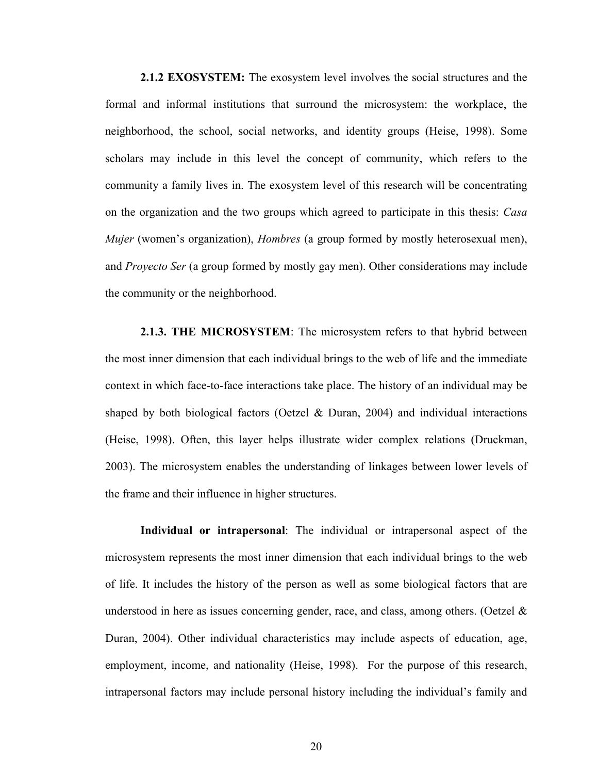**2.1.2 EXOSYSTEM:** The exosystem level involves the social structures and the formal and informal institutions that surround the microsystem: the workplace, the neighborhood, the school, social networks, and identity groups (Heise, 1998). Some scholars may include in this level the concept of community, which refers to the community a family lives in. The exosystem level of this research will be concentrating on the organization and the two groups which agreed to participate in this thesis: *Casa Mujer* (women's organization), *Hombres* (a group formed by mostly heterosexual men), and *Proyecto Ser* (a group formed by mostly gay men). Other considerations may include the community or the neighborhood.

**2.1.3. THE MICROSYSTEM**: The microsystem refers to that hybrid between the most inner dimension that each individual brings to the web of life and the immediate context in which face-to-face interactions take place. The history of an individual may be shaped by both biological factors (Oetzel  $\&$  Duran, 2004) and individual interactions (Heise, 1998). Often, this layer helps illustrate wider complex relations (Druckman, 2003). The microsystem enables the understanding of linkages between lower levels of the frame and their influence in higher structures.

**Individual or intrapersonal**: The individual or intrapersonal aspect of the microsystem represents the most inner dimension that each individual brings to the web of life. It includes the history of the person as well as some biological factors that are understood in here as issues concerning gender, race, and class, among others. (Oetzel  $\&$ Duran, 2004). Other individual characteristics may include aspects of education, age, employment, income, and nationality (Heise, 1998). For the purpose of this research, intrapersonal factors may include personal history including the individual's family and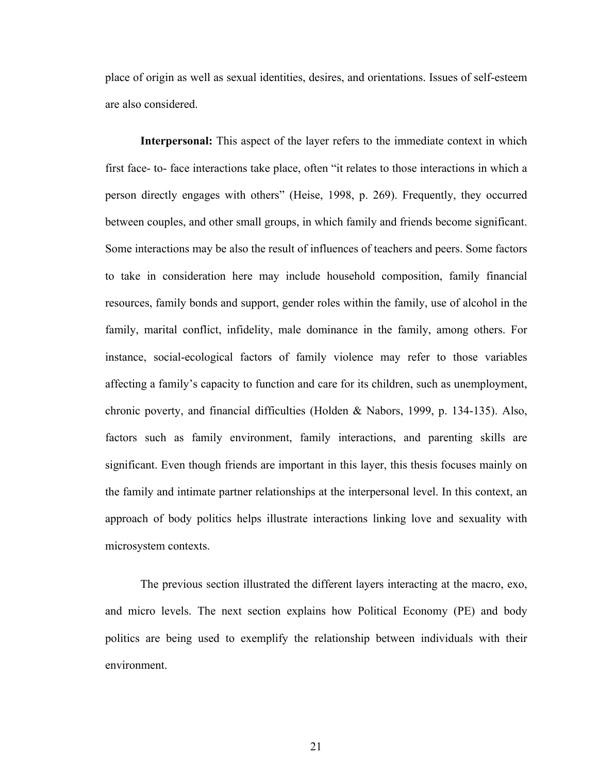place of origin as well as sexual identities, desires, and orientations. Issues of self-esteem are also considered.

**Interpersonal:** This aspect of the layer refers to the immediate context in which first face- to- face interactions take place, often "it relates to those interactions in which a person directly engages with others" (Heise, 1998, p. 269). Frequently, they occurred between couples, and other small groups, in which family and friends become significant. Some interactions may be also the result of influences of teachers and peers. Some factors to take in consideration here may include household composition, family financial resources, family bonds and support, gender roles within the family, use of alcohol in the family, marital conflict, infidelity, male dominance in the family, among others. For instance, social-ecological factors of family violence may refer to those variables affecting a family's capacity to function and care for its children, such as unemployment, chronic poverty, and financial difficulties (Holden & Nabors, 1999, p. 134-135). Also, factors such as family environment, family interactions, and parenting skills are significant. Even though friends are important in this layer, this thesis focuses mainly on the family and intimate partner relationships at the interpersonal level. In this context, an approach of body politics helps illustrate interactions linking love and sexuality with microsystem contexts.

The previous section illustrated the different layers interacting at the macro, exo, and micro levels. The next section explains how Political Economy (PE) and body politics are being used to exemplify the relationship between individuals with their environment.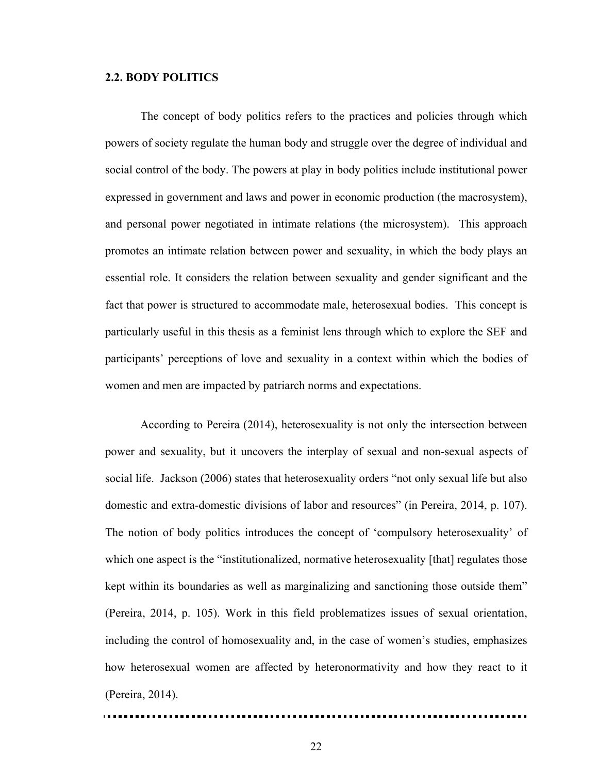### **2.2. BODY POLITICS**

The concept of body politics refers to the practices and policies through which powers of society regulate the human body and struggle over the degree of individual and social control of the body. The powers at play in body politics include institutional power expressed in government and laws and power in economic production (the macrosystem), and personal power negotiated in intimate relations (the microsystem). This approach promotes an intimate relation between power and sexuality, in which the body plays an essential role. It considers the relation between sexuality and gender significant and the fact that power is structured to accommodate male, heterosexual bodies. This concept is particularly useful in this thesis as a feminist lens through which to explore the SEF and participants' perceptions of love and sexuality in a context within which the bodies of women and men are impacted by patriarch norms and expectations.

According to Pereira (2014), heterosexuality is not only the intersection between power and sexuality, but it uncovers the interplay of sexual and non-sexual aspects of social life. Jackson (2006) states that heterosexuality orders "not only sexual life but also domestic and extra-domestic divisions of labor and resources" (in Pereira, 2014, p. 107). The notion of body politics introduces the concept of 'compulsory heterosexuality' of which one aspect is the "institutionalized, normative heterosexuality [that] regulates those kept within its boundaries as well as marginalizing and sanctioning those outside them" (Pereira, 2014, p. 105). Work in this field problematizes issues of sexual orientation, including the control of homosexuality and, in the case of women's studies, emphasizes how heterosexual women are affected by heteronormativity and how they react to it (Pereira, 2014).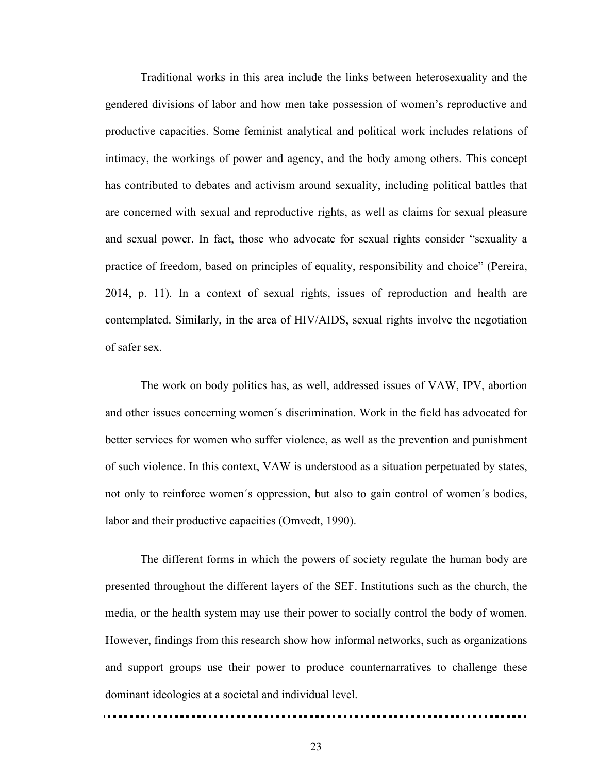Traditional works in this area include the links between heterosexuality and the gendered divisions of labor and how men take possession of women's reproductive and productive capacities. Some feminist analytical and political work includes relations of intimacy, the workings of power and agency, and the body among others. This concept has contributed to debates and activism around sexuality, including political battles that are concerned with sexual and reproductive rights, as well as claims for sexual pleasure and sexual power. In fact, those who advocate for sexual rights consider "sexuality a practice of freedom, based on principles of equality, responsibility and choice" (Pereira, 2014, p. 11). In a context of sexual rights, issues of reproduction and health are contemplated. Similarly, in the area of HIV/AIDS, sexual rights involve the negotiation of safer sex.

The work on body politics has, as well, addressed issues of VAW, IPV, abortion and other issues concerning women´s discrimination. Work in the field has advocated for better services for women who suffer violence, as well as the prevention and punishment of such violence. In this context, VAW is understood as a situation perpetuated by states, not only to reinforce women´s oppression, but also to gain control of women´s bodies, labor and their productive capacities (Omvedt, 1990).

The different forms in which the powers of society regulate the human body are presented throughout the different layers of the SEF. Institutions such as the church, the media, or the health system may use their power to socially control the body of women. However, findings from this research show how informal networks, such as organizations and support groups use their power to produce counternarratives to challenge these dominant ideologies at a societal and individual level.

23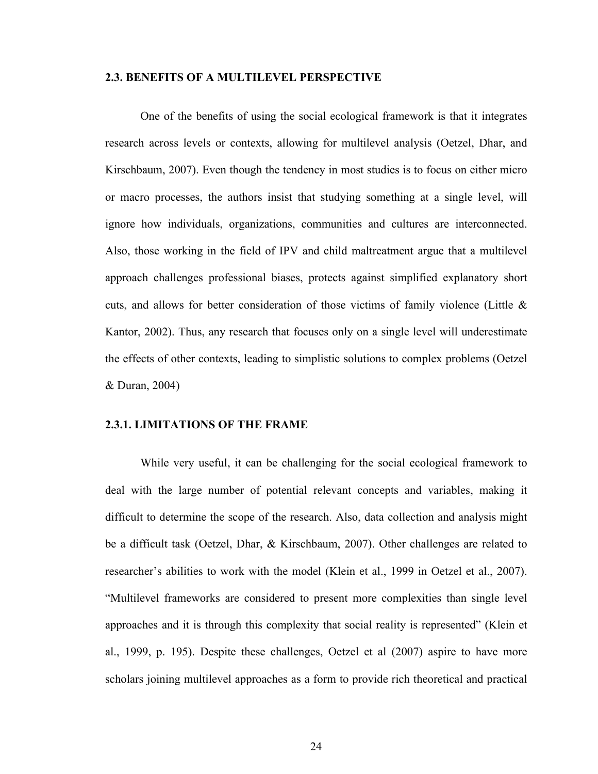### **2.3. BENEFITS OF A MULTILEVEL PERSPECTIVE**

One of the benefits of using the social ecological framework is that it integrates research across levels or contexts, allowing for multilevel analysis (Oetzel, Dhar, and Kirschbaum, 2007). Even though the tendency in most studies is to focus on either micro or macro processes, the authors insist that studying something at a single level, will ignore how individuals, organizations, communities and cultures are interconnected. Also, those working in the field of IPV and child maltreatment argue that a multilevel approach challenges professional biases, protects against simplified explanatory short cuts, and allows for better consideration of those victims of family violence (Little  $\&$ Kantor, 2002). Thus, any research that focuses only on a single level will underestimate the effects of other contexts, leading to simplistic solutions to complex problems (Oetzel & Duran, 2004)

#### **2.3.1. LIMITATIONS OF THE FRAME**

While very useful, it can be challenging for the social ecological framework to deal with the large number of potential relevant concepts and variables, making it difficult to determine the scope of the research. Also, data collection and analysis might be a difficult task (Oetzel, Dhar, & Kirschbaum, 2007). Other challenges are related to researcher's abilities to work with the model (Klein et al., 1999 in Oetzel et al., 2007). "Multilevel frameworks are considered to present more complexities than single level approaches and it is through this complexity that social reality is represented" (Klein et al., 1999, p. 195). Despite these challenges, Oetzel et al (2007) aspire to have more scholars joining multilevel approaches as a form to provide rich theoretical and practical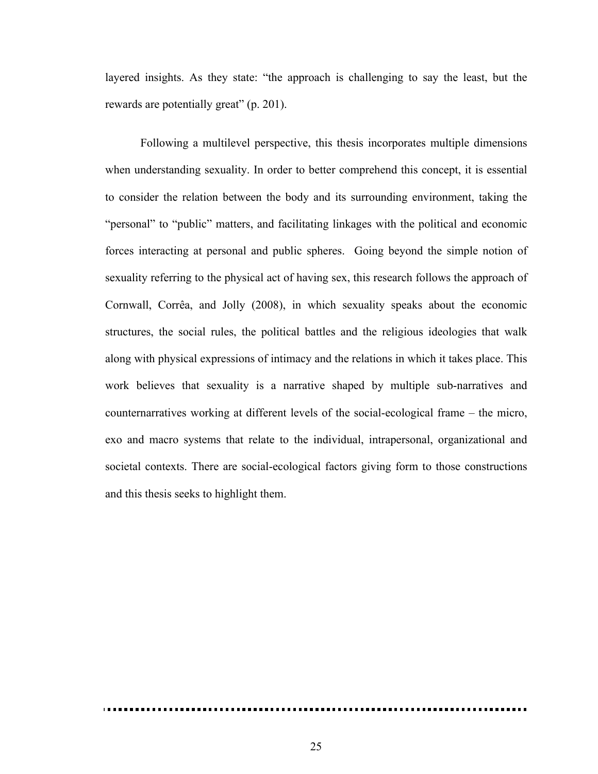layered insights. As they state: "the approach is challenging to say the least, but the rewards are potentially great" (p. 201).

Following a multilevel perspective, this thesis incorporates multiple dimensions when understanding sexuality. In order to better comprehend this concept, it is essential to consider the relation between the body and its surrounding environment, taking the "personal" to "public" matters, and facilitating linkages with the political and economic forces interacting at personal and public spheres. Going beyond the simple notion of sexuality referring to the physical act of having sex, this research follows the approach of Cornwall, Corrêa, and Jolly (2008), in which sexuality speaks about the economic structures, the social rules, the political battles and the religious ideologies that walk along with physical expressions of intimacy and the relations in which it takes place. This work believes that sexuality is a narrative shaped by multiple sub-narratives and counternarratives working at different levels of the social-ecological frame – the micro, exo and macro systems that relate to the individual, intrapersonal, organizational and societal contexts. There are social-ecological factors giving form to those constructions and this thesis seeks to highlight them.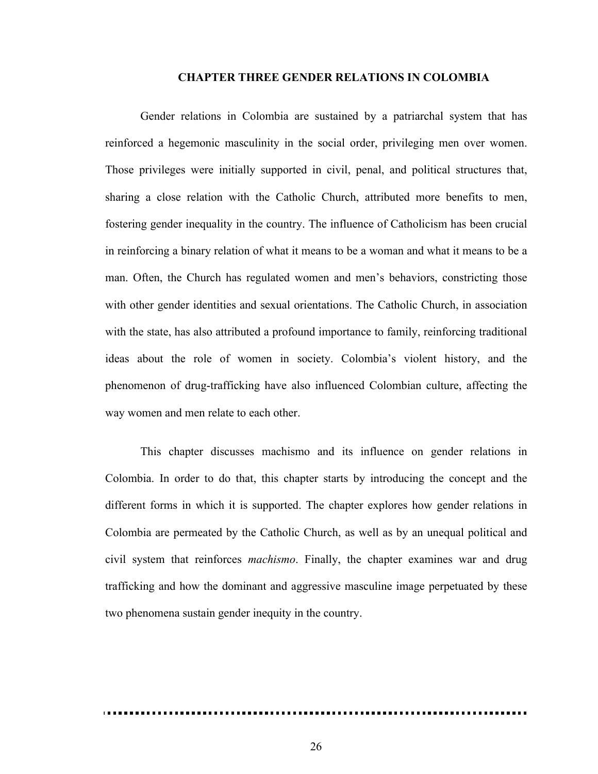#### **CHAPTER THREE GENDER RELATIONS IN COLOMBIA**

Gender relations in Colombia are sustained by a patriarchal system that has reinforced a hegemonic masculinity in the social order, privileging men over women. Those privileges were initially supported in civil, penal, and political structures that, sharing a close relation with the Catholic Church, attributed more benefits to men, fostering gender inequality in the country. The influence of Catholicism has been crucial in reinforcing a binary relation of what it means to be a woman and what it means to be a man. Often, the Church has regulated women and men's behaviors, constricting those with other gender identities and sexual orientations. The Catholic Church, in association with the state, has also attributed a profound importance to family, reinforcing traditional ideas about the role of women in society. Colombia's violent history, and the phenomenon of drug-trafficking have also influenced Colombian culture, affecting the way women and men relate to each other.

This chapter discusses machismo and its influence on gender relations in Colombia. In order to do that, this chapter starts by introducing the concept and the different forms in which it is supported. The chapter explores how gender relations in Colombia are permeated by the Catholic Church, as well as by an unequal political and civil system that reinforces *machismo*. Finally, the chapter examines war and drug trafficking and how the dominant and aggressive masculine image perpetuated by these two phenomena sustain gender inequity in the country.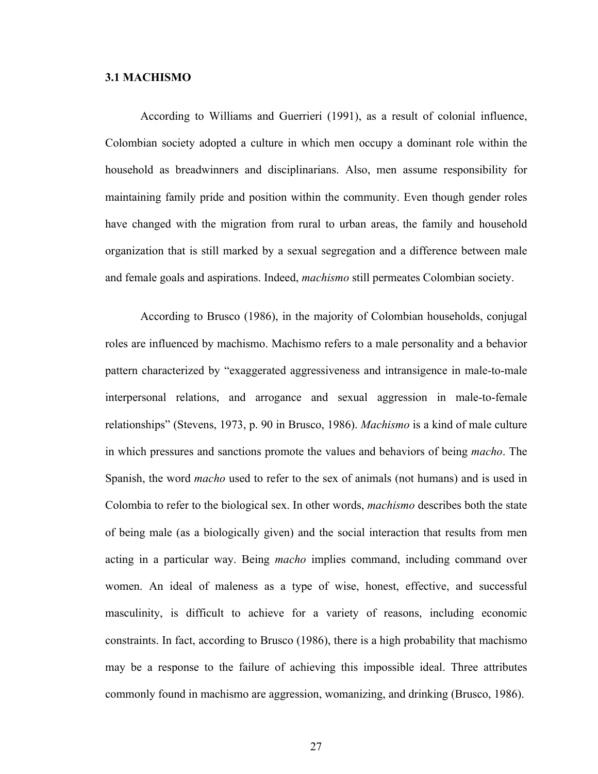### **3.1 MACHISMO**

According to Williams and Guerrieri (1991), as a result of colonial influence, Colombian society adopted a culture in which men occupy a dominant role within the household as breadwinners and disciplinarians. Also, men assume responsibility for maintaining family pride and position within the community. Even though gender roles have changed with the migration from rural to urban areas, the family and household organization that is still marked by a sexual segregation and a difference between male and female goals and aspirations. Indeed, *machismo* still permeates Colombian society.

According to Brusco (1986), in the majority of Colombian households, conjugal roles are influenced by machismo. Machismo refers to a male personality and a behavior pattern characterized by "exaggerated aggressiveness and intransigence in male-to-male interpersonal relations, and arrogance and sexual aggression in male-to-female relationships" (Stevens, 1973, p. 90 in Brusco, 1986). *Machismo* is a kind of male culture in which pressures and sanctions promote the values and behaviors of being *macho*. The Spanish, the word *macho* used to refer to the sex of animals (not humans) and is used in Colombia to refer to the biological sex. In other words, *machismo* describes both the state of being male (as a biologically given) and the social interaction that results from men acting in a particular way. Being *macho* implies command, including command over women. An ideal of maleness as a type of wise, honest, effective, and successful masculinity, is difficult to achieve for a variety of reasons, including economic constraints. In fact, according to Brusco (1986), there is a high probability that machismo may be a response to the failure of achieving this impossible ideal. Three attributes commonly found in machismo are aggression, womanizing, and drinking (Brusco, 1986).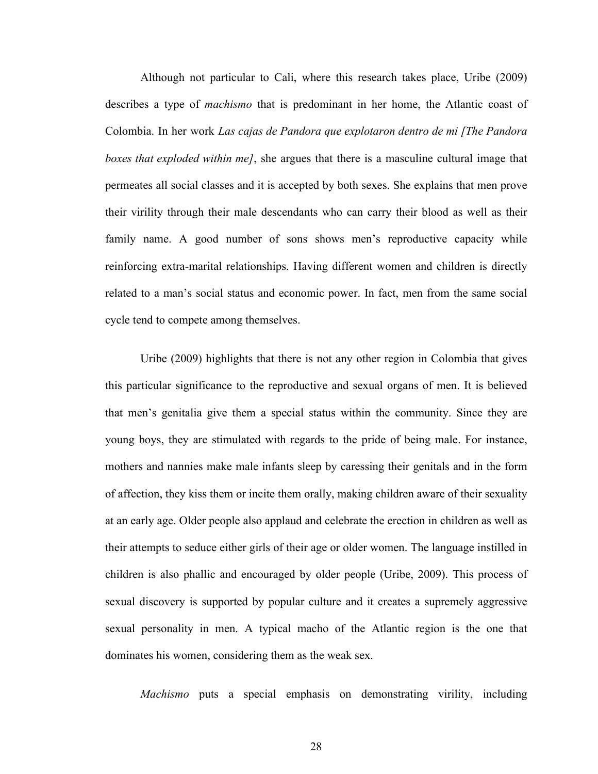Although not particular to Cali, where this research takes place, Uribe (2009) describes a type of *machismo* that is predominant in her home, the Atlantic coast of Colombia. In her work *Las cajas de Pandora que explotaron dentro de mi [The Pandora boxes that exploded within me]*, she argues that there is a masculine cultural image that permeates all social classes and it is accepted by both sexes. She explains that men prove their virility through their male descendants who can carry their blood as well as their family name. A good number of sons shows men's reproductive capacity while reinforcing extra-marital relationships. Having different women and children is directly related to a man's social status and economic power. In fact, men from the same social cycle tend to compete among themselves.

Uribe (2009) highlights that there is not any other region in Colombia that gives this particular significance to the reproductive and sexual organs of men. It is believed that men's genitalia give them a special status within the community. Since they are young boys, they are stimulated with regards to the pride of being male. For instance, mothers and nannies make male infants sleep by caressing their genitals and in the form of affection, they kiss them or incite them orally, making children aware of their sexuality at an early age. Older people also applaud and celebrate the erection in children as well as their attempts to seduce either girls of their age or older women. The language instilled in children is also phallic and encouraged by older people (Uribe, 2009). This process of sexual discovery is supported by popular culture and it creates a supremely aggressive sexual personality in men. A typical macho of the Atlantic region is the one that dominates his women, considering them as the weak sex.

*Machismo* puts a special emphasis on demonstrating virility, including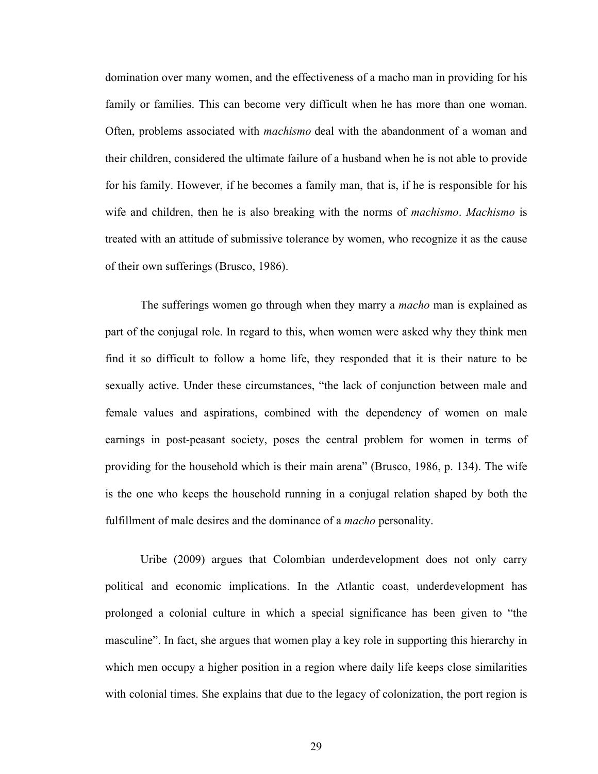domination over many women, and the effectiveness of a macho man in providing for his family or families. This can become very difficult when he has more than one woman. Often, problems associated with *machismo* deal with the abandonment of a woman and their children, considered the ultimate failure of a husband when he is not able to provide for his family. However, if he becomes a family man, that is, if he is responsible for his wife and children, then he is also breaking with the norms of *machismo*. *Machismo* is treated with an attitude of submissive tolerance by women, who recognize it as the cause of their own sufferings (Brusco, 1986).

The sufferings women go through when they marry a *macho* man is explained as part of the conjugal role. In regard to this, when women were asked why they think men find it so difficult to follow a home life, they responded that it is their nature to be sexually active. Under these circumstances, "the lack of conjunction between male and female values and aspirations, combined with the dependency of women on male earnings in post-peasant society, poses the central problem for women in terms of providing for the household which is their main arena" (Brusco, 1986, p. 134). The wife is the one who keeps the household running in a conjugal relation shaped by both the fulfillment of male desires and the dominance of a *macho* personality.

Uribe (2009) argues that Colombian underdevelopment does not only carry political and economic implications. In the Atlantic coast, underdevelopment has prolonged a colonial culture in which a special significance has been given to "the masculine". In fact, she argues that women play a key role in supporting this hierarchy in which men occupy a higher position in a region where daily life keeps close similarities with colonial times. She explains that due to the legacy of colonization, the port region is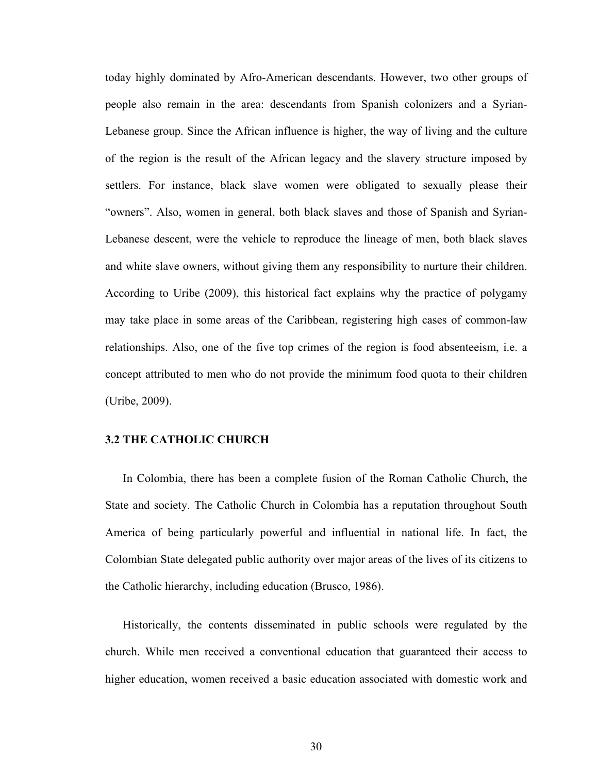today highly dominated by Afro-American descendants. However, two other groups of people also remain in the area: descendants from Spanish colonizers and a Syrian-Lebanese group. Since the African influence is higher, the way of living and the culture of the region is the result of the African legacy and the slavery structure imposed by settlers. For instance, black slave women were obligated to sexually please their "owners". Also, women in general, both black slaves and those of Spanish and Syrian-Lebanese descent, were the vehicle to reproduce the lineage of men, both black slaves and white slave owners, without giving them any responsibility to nurture their children. According to Uribe (2009), this historical fact explains why the practice of polygamy may take place in some areas of the Caribbean, registering high cases of common-law relationships. Also, one of the five top crimes of the region is food absenteeism, i.e. a concept attributed to men who do not provide the minimum food quota to their children (Uribe, 2009).

### **3.2 THE CATHOLIC CHURCH**

In Colombia, there has been a complete fusion of the Roman Catholic Church, the State and society. The Catholic Church in Colombia has a reputation throughout South America of being particularly powerful and influential in national life. In fact, the Colombian State delegated public authority over major areas of the lives of its citizens to the Catholic hierarchy, including education (Brusco, 1986).

Historically, the contents disseminated in public schools were regulated by the church. While men received a conventional education that guaranteed their access to higher education, women received a basic education associated with domestic work and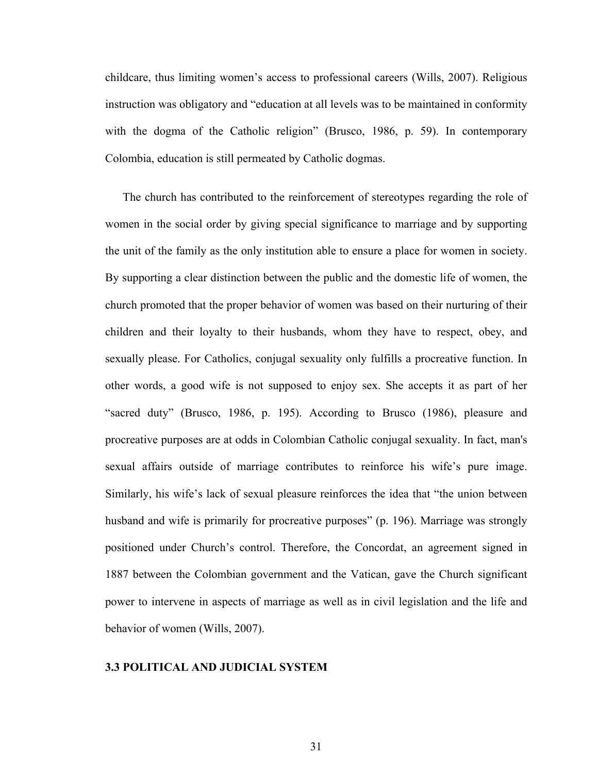childcare, thus limiting women's access to professional careers (Wills, 2007). Religious instruction was obligatory and "education at all levels was to be maintained in conformity with the dogma of the Catholic religion" (Brusco, 1986, p. 59). In contemporary Colombia, education is still permeated by Catholic dogmas.

The church has contributed to the reinforcement of stereotypes regarding the role of women in the social order by giving special significance to marriage and by supporting the unit of the family as the only institution able to ensure a place for women in society. By supporting a clear distinction between the public and the domestic life of women, the church promoted that the proper behavior of women was based on their nurturing of their children and their loyalty to their husbands, whom they have to respect, obey, and sexually please. For Catholics, conjugal sexuality only fulfills a procreative function. In other words, a good wife is not supposed to enjoy sex. She accepts it as part of her "sacred duty" (Brusco, 1986, p. 195). According to Brusco (1986), pleasure and procreative purposes are at odds in Colombian Catholic conjugal sexuality. In fact, man's sexual affairs outside of marriage contributes to reinforce his wife's pure image. Similarly, his wife's lack of sexual pleasure reinforces the idea that "the union between husband and wife is primarily for procreative purposes" (p. 196). Marriage was strongly positioned under Church's control. Therefore, the Concordat, an agreement signed in 1887 between the Colombian government and the Vatican, gave the Church significant power to intervene in aspects of marriage as well as in civil legislation and the life and behavior of women (Wills, 2007).

## **3.3 POLITICAL AND JUDICIAL SYSTEM**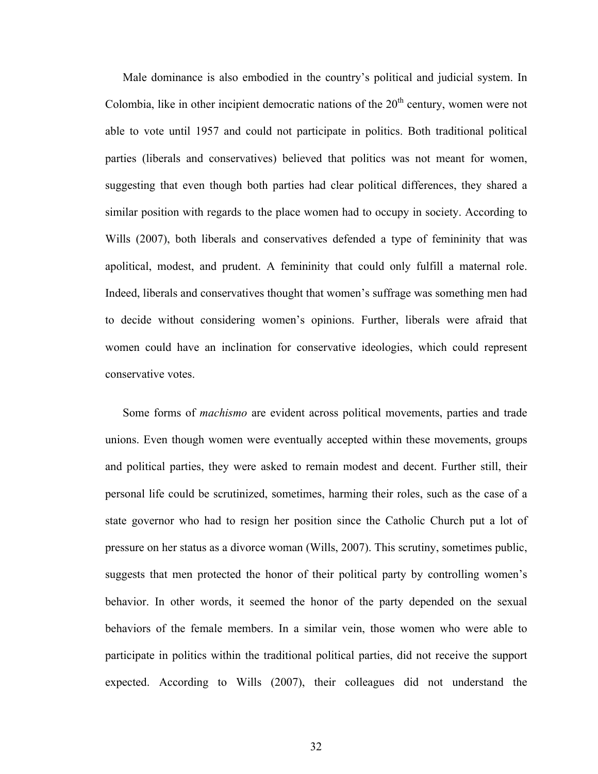Male dominance is also embodied in the country's political and judicial system. In Colombia, like in other incipient democratic nations of the  $20<sup>th</sup>$  century, women were not able to vote until 1957 and could not participate in politics. Both traditional political parties (liberals and conservatives) believed that politics was not meant for women, suggesting that even though both parties had clear political differences, they shared a similar position with regards to the place women had to occupy in society. According to Wills (2007), both liberals and conservatives defended a type of femininity that was apolitical, modest, and prudent. A femininity that could only fulfill a maternal role. Indeed, liberals and conservatives thought that women's suffrage was something men had to decide without considering women's opinions. Further, liberals were afraid that women could have an inclination for conservative ideologies, which could represent conservative votes.

Some forms of *machismo* are evident across political movements, parties and trade unions. Even though women were eventually accepted within these movements, groups and political parties, they were asked to remain modest and decent. Further still, their personal life could be scrutinized, sometimes, harming their roles, such as the case of a state governor who had to resign her position since the Catholic Church put a lot of pressure on her status as a divorce woman (Wills, 2007). This scrutiny, sometimes public, suggests that men protected the honor of their political party by controlling women's behavior. In other words, it seemed the honor of the party depended on the sexual behaviors of the female members. In a similar vein, those women who were able to participate in politics within the traditional political parties, did not receive the support expected. According to Wills (2007), their colleagues did not understand the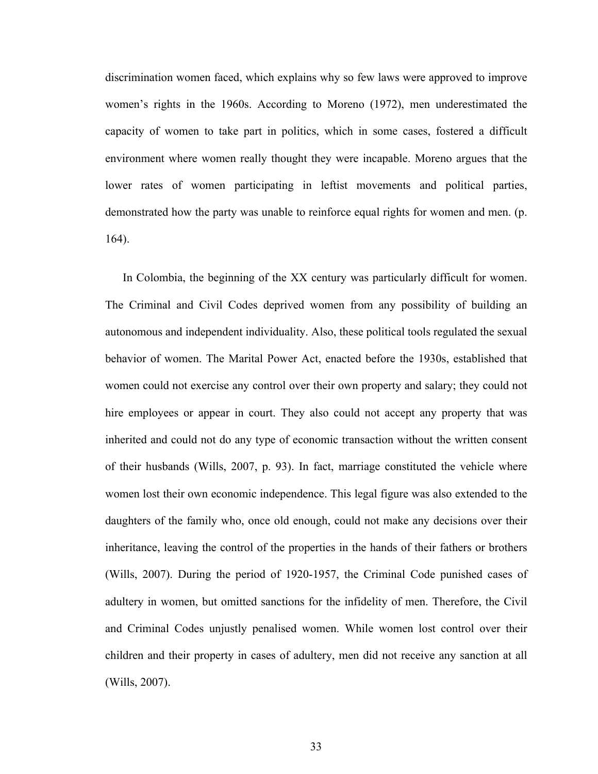discrimination women faced, which explains why so few laws were approved to improve women's rights in the 1960s. According to Moreno (1972), men underestimated the capacity of women to take part in politics, which in some cases, fostered a difficult environment where women really thought they were incapable. Moreno argues that the lower rates of women participating in leftist movements and political parties, demonstrated how the party was unable to reinforce equal rights for women and men. (p. 164).

In Colombia, the beginning of the XX century was particularly difficult for women. The Criminal and Civil Codes deprived women from any possibility of building an autonomous and independent individuality. Also, these political tools regulated the sexual behavior of women. The Marital Power Act, enacted before the 1930s, established that women could not exercise any control over their own property and salary; they could not hire employees or appear in court. They also could not accept any property that was inherited and could not do any type of economic transaction without the written consent of their husbands (Wills, 2007, p. 93). In fact, marriage constituted the vehicle where women lost their own economic independence. This legal figure was also extended to the daughters of the family who, once old enough, could not make any decisions over their inheritance, leaving the control of the properties in the hands of their fathers or brothers (Wills, 2007). During the period of 1920-1957, the Criminal Code punished cases of adultery in women, but omitted sanctions for the infidelity of men. Therefore, the Civil and Criminal Codes unjustly penalised women. While women lost control over their children and their property in cases of adultery, men did not receive any sanction at all (Wills, 2007).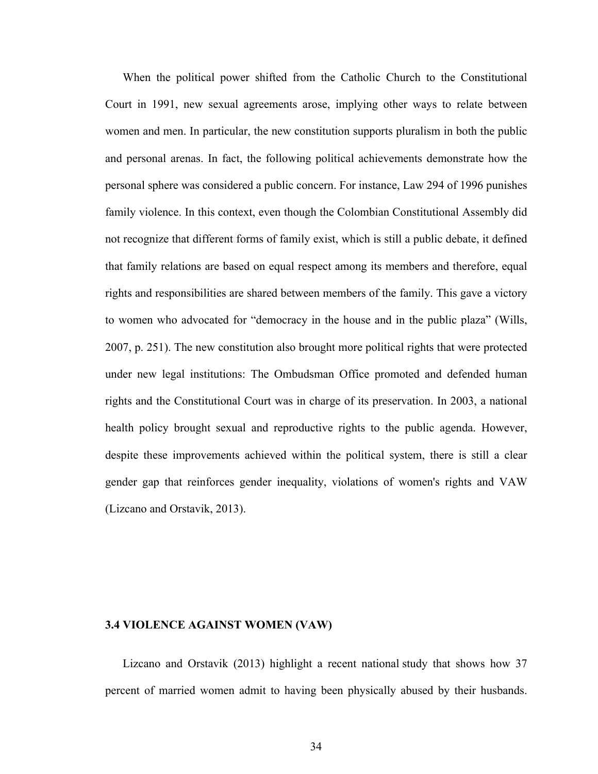When the political power shifted from the Catholic Church to the Constitutional Court in 1991, new sexual agreements arose, implying other ways to relate between women and men. In particular, the new constitution supports pluralism in both the public and personal arenas. In fact, the following political achievements demonstrate how the personal sphere was considered a public concern. For instance, Law 294 of 1996 punishes family violence. In this context, even though the Colombian Constitutional Assembly did not recognize that different forms of family exist, which is still a public debate, it defined that family relations are based on equal respect among its members and therefore, equal rights and responsibilities are shared between members of the family. This gave a victory to women who advocated for "democracy in the house and in the public plaza" (Wills, 2007, p. 251). The new constitution also brought more political rights that were protected under new legal institutions: The Ombudsman Office promoted and defended human rights and the Constitutional Court was in charge of its preservation. In 2003, a national health policy brought sexual and reproductive rights to the public agenda. However, despite these improvements achieved within the political system, there is still a clear gender gap that reinforces gender inequality, violations of women's rights and VAW (Lizcano and Orstavik, 2013).

### **3.4 VIOLENCE AGAINST WOMEN (VAW)**

Lizcano and Orstavik (2013) highlight a recent national study that shows how 37 percent of married women admit to having been physically abused by their husbands.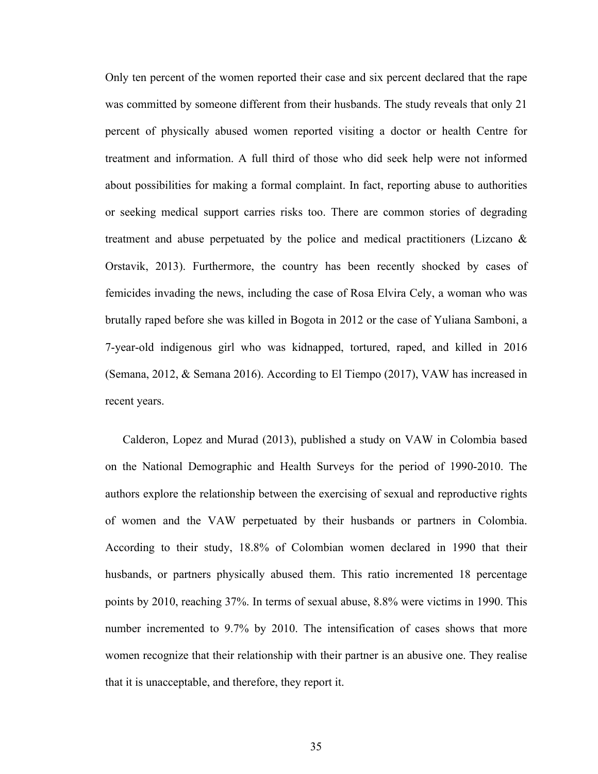Only ten percent of the women reported their case and six percent declared that the rape was committed by someone different from their husbands. The study reveals that only 21 percent of physically abused women reported visiting a doctor or health Centre for treatment and information. A full third of those who did seek help were not informed about possibilities for making a formal complaint. In fact, reporting abuse to authorities or seeking medical support carries risks too. There are common stories of degrading treatment and abuse perpetuated by the police and medical practitioners (Lizcano  $\&$ Orstavik, 2013). Furthermore, the country has been recently shocked by cases of femicides invading the news, including the case of Rosa Elvira Cely, a woman who was brutally raped before she was killed in Bogota in 2012 or the case of Yuliana Samboni, a 7-year-old indigenous girl who was kidnapped, tortured, raped, and killed in 2016 (Semana, 2012, & Semana 2016). According to El Tiempo (2017), VAW has increased in recent years.

Calderon, Lopez and Murad (2013), published a study on VAW in Colombia based on the National Demographic and Health Surveys for the period of 1990-2010. The authors explore the relationship between the exercising of sexual and reproductive rights of women and the VAW perpetuated by their husbands or partners in Colombia. According to their study, 18.8% of Colombian women declared in 1990 that their husbands, or partners physically abused them. This ratio incremented 18 percentage points by 2010, reaching 37%. In terms of sexual abuse, 8.8% were victims in 1990. This number incremented to 9.7% by 2010. The intensification of cases shows that more women recognize that their relationship with their partner is an abusive one. They realise that it is unacceptable, and therefore, they report it.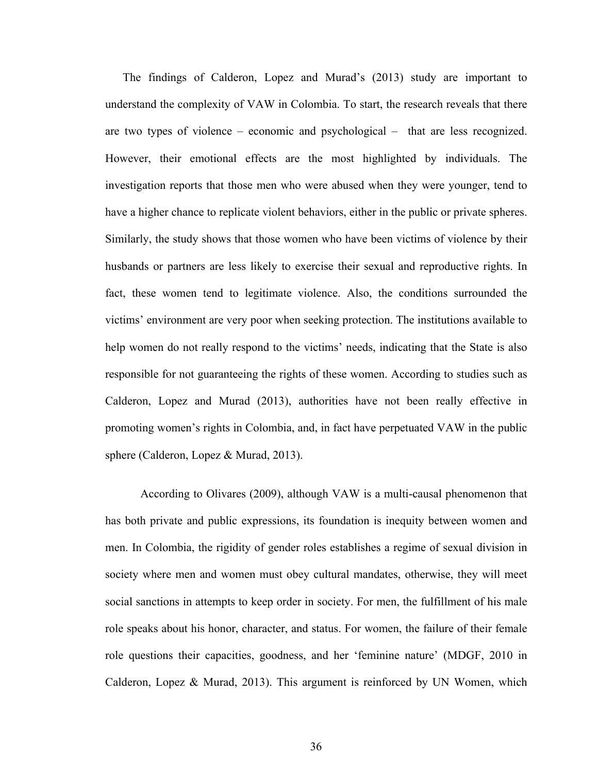The findings of Calderon, Lopez and Murad's (2013) study are important to understand the complexity of VAW in Colombia. To start, the research reveals that there are two types of violence – economic and psychological – that are less recognized. However, their emotional effects are the most highlighted by individuals. The investigation reports that those men who were abused when they were younger, tend to have a higher chance to replicate violent behaviors, either in the public or private spheres. Similarly, the study shows that those women who have been victims of violence by their husbands or partners are less likely to exercise their sexual and reproductive rights. In fact, these women tend to legitimate violence. Also, the conditions surrounded the victims' environment are very poor when seeking protection. The institutions available to help women do not really respond to the victims' needs, indicating that the State is also responsible for not guaranteeing the rights of these women. According to studies such as Calderon, Lopez and Murad (2013), authorities have not been really effective in promoting women's rights in Colombia, and, in fact have perpetuated VAW in the public sphere (Calderon, Lopez & Murad, 2013).

According to Olivares (2009), although VAW is a multi-causal phenomenon that has both private and public expressions, its foundation is inequity between women and men. In Colombia, the rigidity of gender roles establishes a regime of sexual division in society where men and women must obey cultural mandates, otherwise, they will meet social sanctions in attempts to keep order in society. For men, the fulfillment of his male role speaks about his honor, character, and status. For women, the failure of their female role questions their capacities, goodness, and her 'feminine nature' (MDGF, 2010 in Calderon, Lopez & Murad, 2013). This argument is reinforced by UN Women, which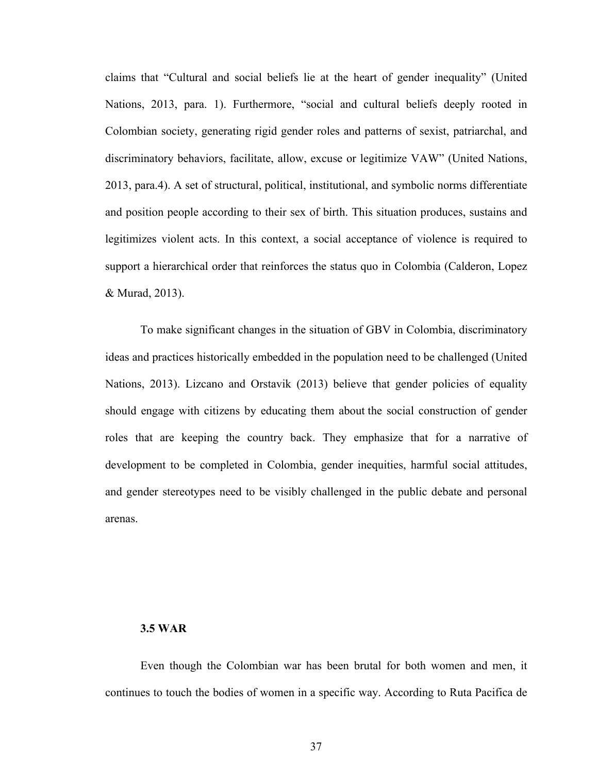claims that "Cultural and social beliefs lie at the heart of gender inequality" (United Nations, 2013, para. 1). Furthermore, "social and cultural beliefs deeply rooted in Colombian society, generating rigid gender roles and patterns of sexist, patriarchal, and discriminatory behaviors, facilitate, allow, excuse or legitimize VAW" (United Nations, 2013, para.4). A set of structural, political, institutional, and symbolic norms differentiate and position people according to their sex of birth. This situation produces, sustains and legitimizes violent acts. In this context, a social acceptance of violence is required to support a hierarchical order that reinforces the status quo in Colombia (Calderon, Lopez & Murad, 2013).

To make significant changes in the situation of GBV in Colombia, discriminatory ideas and practices historically embedded in the population need to be challenged (United Nations, 2013). Lizcano and Orstavik (2013) believe that gender policies of equality should engage with citizens by educating them about the social construction of gender roles that are keeping the country back. They emphasize that for a narrative of development to be completed in Colombia, gender inequities, harmful social attitudes, and gender stereotypes need to be visibly challenged in the public debate and personal arenas.

### **3.5 WAR**

Even though the Colombian war has been brutal for both women and men, it continues to touch the bodies of women in a specific way. According to Ruta Pacifica de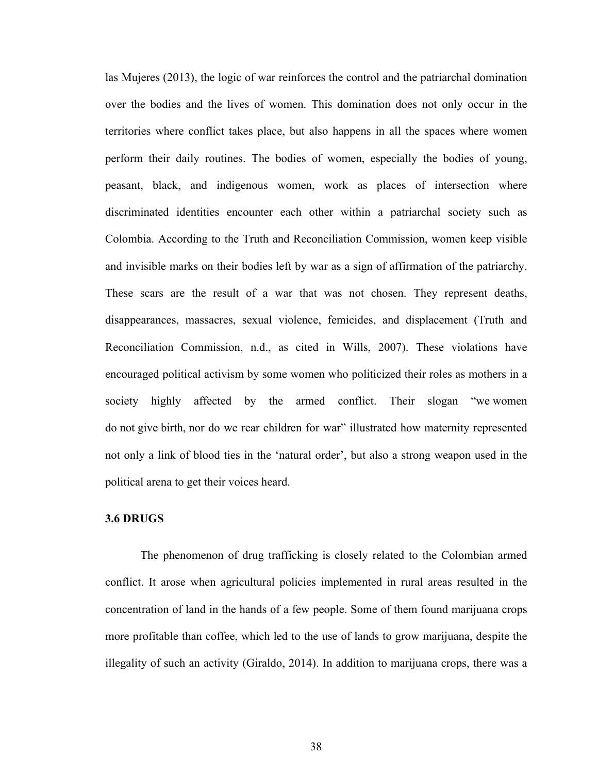las Mujeres (2013), the logic of war reinforces the control and the patriarchal domination over the bodies and the lives of women. This domination does not only occur in the territories where conflict takes place, but also happens in all the spaces where women perform their daily routines. The bodies of women, especially the bodies of young, peasant, black, and indigenous women, work as places of intersection where discriminated identities encounter each other within a patriarchal society such as Colombia. According to the Truth and Reconciliation Commission, women keep visible and invisible marks on their bodies left by war as a sign of affirmation of the patriarchy. These scars are the result of a war that was not chosen. They represent deaths, disappearances, massacres, sexual violence, femicides, and displacement (Truth and Reconciliation Commission, n.d., as cited in Wills, 2007). These violations have encouraged political activism by some women who politicized their roles as mothers in a society highly affected by the armed conflict. Their slogan "we women do not give birth, nor do we rear children for war" illustrated how maternity represented not only a link of blood ties in the 'natural order', but also a strong weapon used in the political arena to get their voices heard.

### **3.6 DRUGS**

The phenomenon of drug trafficking is closely related to the Colombian armed conflict. It arose when agricultural policies implemented in rural areas resulted in the concentration of land in the hands of a few people. Some of them found marijuana crops more profitable than coffee, which led to the use of lands to grow marijuana, despite the illegality of such an activity (Giraldo, 2014). In addition to marijuana crops, there was a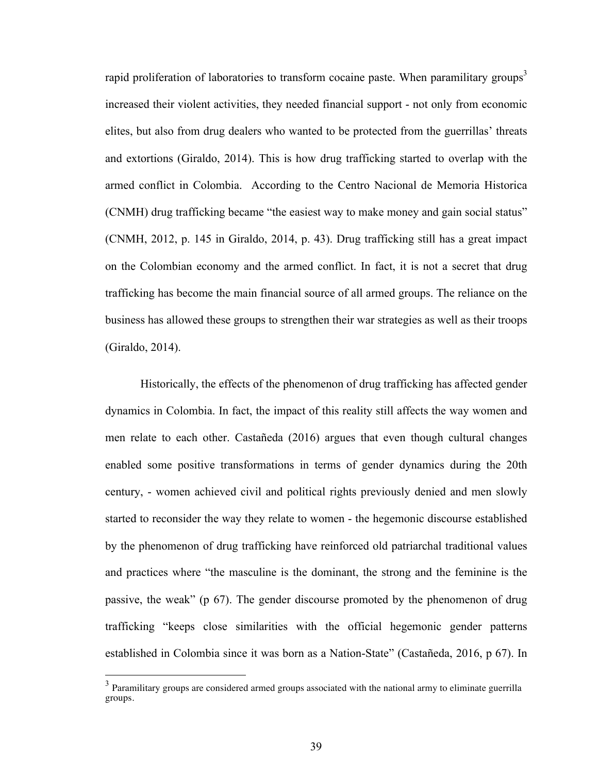rapid proliferation of laboratories to transform cocaine paste. When paramilitary groups<sup>3</sup> increased their violent activities, they needed financial support - not only from economic elites, but also from drug dealers who wanted to be protected from the guerrillas' threats and extortions (Giraldo, 2014). This is how drug trafficking started to overlap with the armed conflict in Colombia. According to the Centro Nacional de Memoria Historica (CNMH) drug trafficking became "the easiest way to make money and gain social status" (CNMH, 2012, p. 145 in Giraldo, 2014, p. 43). Drug trafficking still has a great impact on the Colombian economy and the armed conflict. In fact, it is not a secret that drug trafficking has become the main financial source of all armed groups. The reliance on the business has allowed these groups to strengthen their war strategies as well as their troops (Giraldo, 2014).

Historically, the effects of the phenomenon of drug trafficking has affected gender dynamics in Colombia. In fact, the impact of this reality still affects the way women and men relate to each other. Castañeda (2016) argues that even though cultural changes enabled some positive transformations in terms of gender dynamics during the 20th century, - women achieved civil and political rights previously denied and men slowly started to reconsider the way they relate to women - the hegemonic discourse established by the phenomenon of drug trafficking have reinforced old patriarchal traditional values and practices where "the masculine is the dominant, the strong and the feminine is the passive, the weak" (p 67). The gender discourse promoted by the phenomenon of drug trafficking "keeps close similarities with the official hegemonic gender patterns established in Colombia since it was born as a Nation-State" (Castañeda, 2016, p 67). In

<sup>&</sup>lt;sup>3</sup> Paramilitary groups are considered armed groups associated with the national army to eliminate guerrilla groups.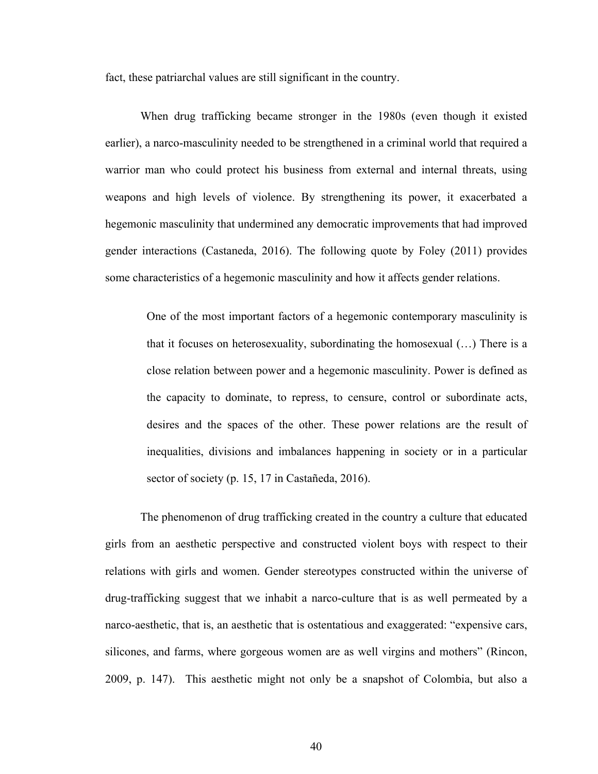fact, these patriarchal values are still significant in the country.

When drug trafficking became stronger in the 1980s (even though it existed earlier), a narco-masculinity needed to be strengthened in a criminal world that required a warrior man who could protect his business from external and internal threats, using weapons and high levels of violence. By strengthening its power, it exacerbated a hegemonic masculinity that undermined any democratic improvements that had improved gender interactions (Castaneda, 2016). The following quote by Foley (2011) provides some characteristics of a hegemonic masculinity and how it affects gender relations.

One of the most important factors of a hegemonic contemporary masculinity is that it focuses on heterosexuality, subordinating the homosexual (…) There is a close relation between power and a hegemonic masculinity. Power is defined as the capacity to dominate, to repress, to censure, control or subordinate acts, desires and the spaces of the other. These power relations are the result of inequalities, divisions and imbalances happening in society or in a particular sector of society (p. 15, 17 in Castañeda, 2016).

The phenomenon of drug trafficking created in the country a culture that educated girls from an aesthetic perspective and constructed violent boys with respect to their relations with girls and women. Gender stereotypes constructed within the universe of drug-trafficking suggest that we inhabit a narco-culture that is as well permeated by a narco-aesthetic, that is, an aesthetic that is ostentatious and exaggerated: "expensive cars, silicones, and farms, where gorgeous women are as well virgins and mothers" (Rincon, 2009, p. 147). This aesthetic might not only be a snapshot of Colombia, but also a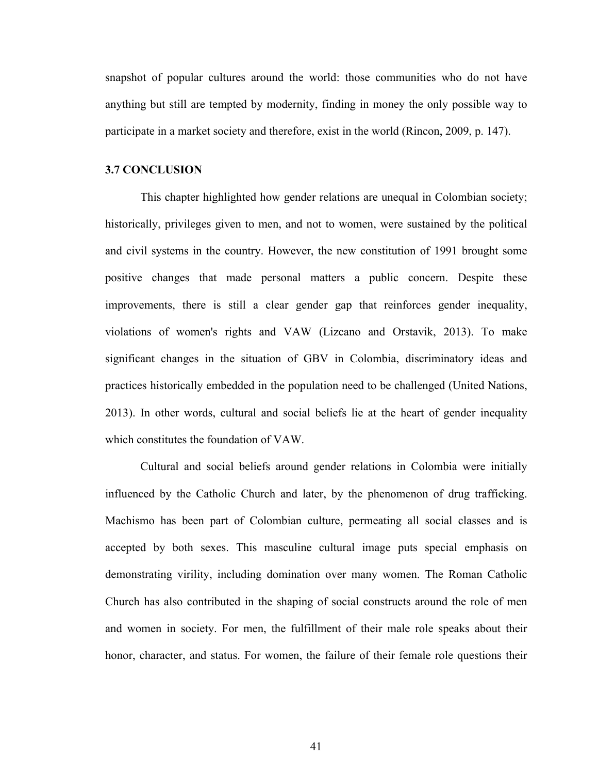snapshot of popular cultures around the world: those communities who do not have anything but still are tempted by modernity, finding in money the only possible way to participate in a market society and therefore, exist in the world (Rincon, 2009, p. 147).

#### **3.7 CONCLUSION**

This chapter highlighted how gender relations are unequal in Colombian society; historically, privileges given to men, and not to women, were sustained by the political and civil systems in the country. However, the new constitution of 1991 brought some positive changes that made personal matters a public concern. Despite these improvements, there is still a clear gender gap that reinforces gender inequality, violations of women's rights and VAW (Lizcano and Orstavik, 2013). To make significant changes in the situation of GBV in Colombia, discriminatory ideas and practices historically embedded in the population need to be challenged (United Nations, 2013). In other words, cultural and social beliefs lie at the heart of gender inequality which constitutes the foundation of VAW.

Cultural and social beliefs around gender relations in Colombia were initially influenced by the Catholic Church and later, by the phenomenon of drug trafficking. Machismo has been part of Colombian culture, permeating all social classes and is accepted by both sexes. This masculine cultural image puts special emphasis on demonstrating virility, including domination over many women. The Roman Catholic Church has also contributed in the shaping of social constructs around the role of men and women in society. For men, the fulfillment of their male role speaks about their honor, character, and status. For women, the failure of their female role questions their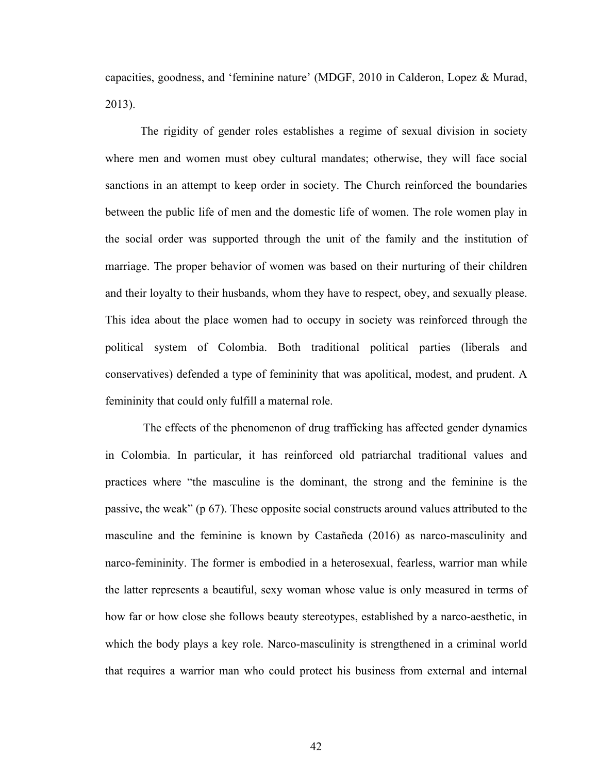capacities, goodness, and 'feminine nature' (MDGF, 2010 in Calderon, Lopez & Murad, 2013).

The rigidity of gender roles establishes a regime of sexual division in society where men and women must obey cultural mandates; otherwise, they will face social sanctions in an attempt to keep order in society. The Church reinforced the boundaries between the public life of men and the domestic life of women. The role women play in the social order was supported through the unit of the family and the institution of marriage. The proper behavior of women was based on their nurturing of their children and their loyalty to their husbands, whom they have to respect, obey, and sexually please. This idea about the place women had to occupy in society was reinforced through the political system of Colombia. Both traditional political parties (liberals and conservatives) defended a type of femininity that was apolitical, modest, and prudent. A femininity that could only fulfill a maternal role.

The effects of the phenomenon of drug trafficking has affected gender dynamics in Colombia. In particular, it has reinforced old patriarchal traditional values and practices where "the masculine is the dominant, the strong and the feminine is the passive, the weak" (p 67). These opposite social constructs around values attributed to the masculine and the feminine is known by Castañeda (2016) as narco-masculinity and narco-femininity. The former is embodied in a heterosexual, fearless, warrior man while the latter represents a beautiful, sexy woman whose value is only measured in terms of how far or how close she follows beauty stereotypes, established by a narco-aesthetic, in which the body plays a key role. Narco-masculinity is strengthened in a criminal world that requires a warrior man who could protect his business from external and internal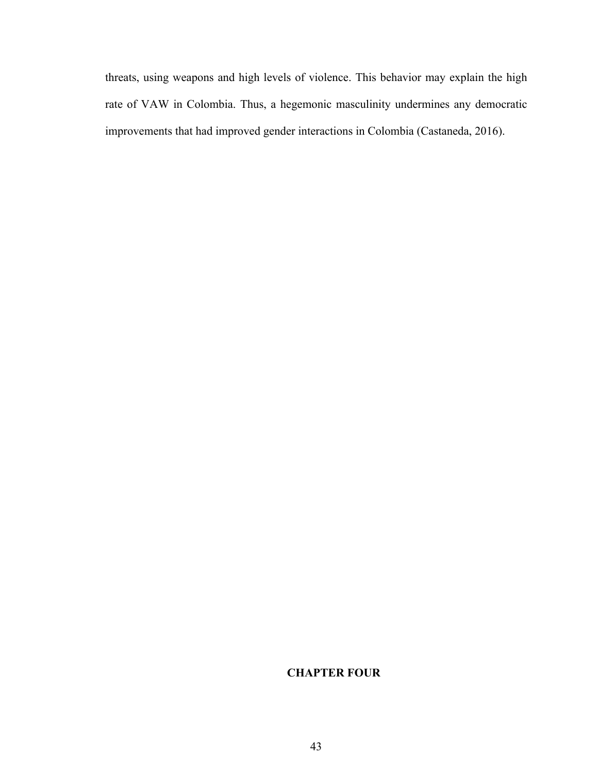threats, using weapons and high levels of violence. This behavior may explain the high rate of VAW in Colombia. Thus, a hegemonic masculinity undermines any democratic improvements that had improved gender interactions in Colombia (Castaneda, 2016).

# **CHAPTER FOUR**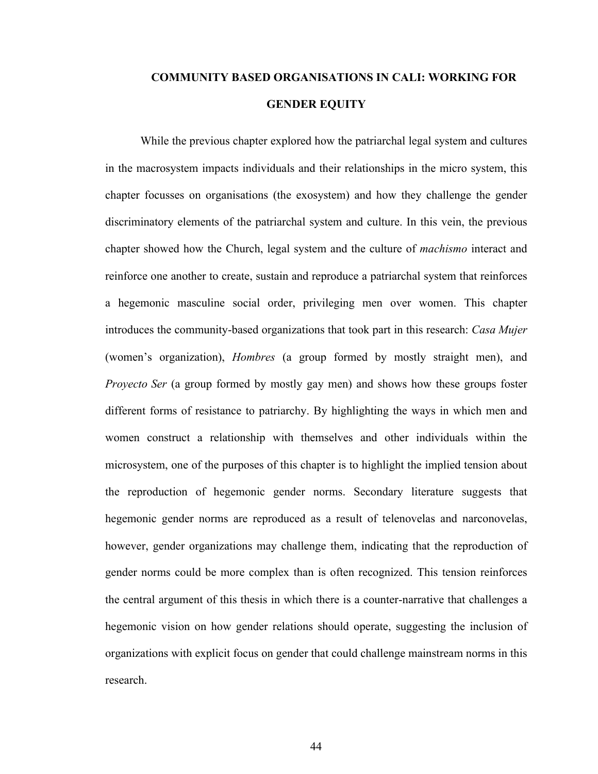# **COMMUNITY BASED ORGANISATIONS IN CALI: WORKING FOR GENDER EQUITY**

While the previous chapter explored how the patriarchal legal system and cultures in the macrosystem impacts individuals and their relationships in the micro system, this chapter focusses on organisations (the exosystem) and how they challenge the gender discriminatory elements of the patriarchal system and culture. In this vein, the previous chapter showed how the Church, legal system and the culture of *machismo* interact and reinforce one another to create, sustain and reproduce a patriarchal system that reinforces a hegemonic masculine social order, privileging men over women. This chapter introduces the community-based organizations that took part in this research: *Casa Mujer* (women's organization), *Hombres* (a group formed by mostly straight men), and *Proyecto Ser* (a group formed by mostly gay men) and shows how these groups foster different forms of resistance to patriarchy. By highlighting the ways in which men and women construct a relationship with themselves and other individuals within the microsystem, one of the purposes of this chapter is to highlight the implied tension about the reproduction of hegemonic gender norms. Secondary literature suggests that hegemonic gender norms are reproduced as a result of telenovelas and narconovelas, however, gender organizations may challenge them, indicating that the reproduction of gender norms could be more complex than is often recognized. This tension reinforces the central argument of this thesis in which there is a counter-narrative that challenges a hegemonic vision on how gender relations should operate, suggesting the inclusion of organizations with explicit focus on gender that could challenge mainstream norms in this research.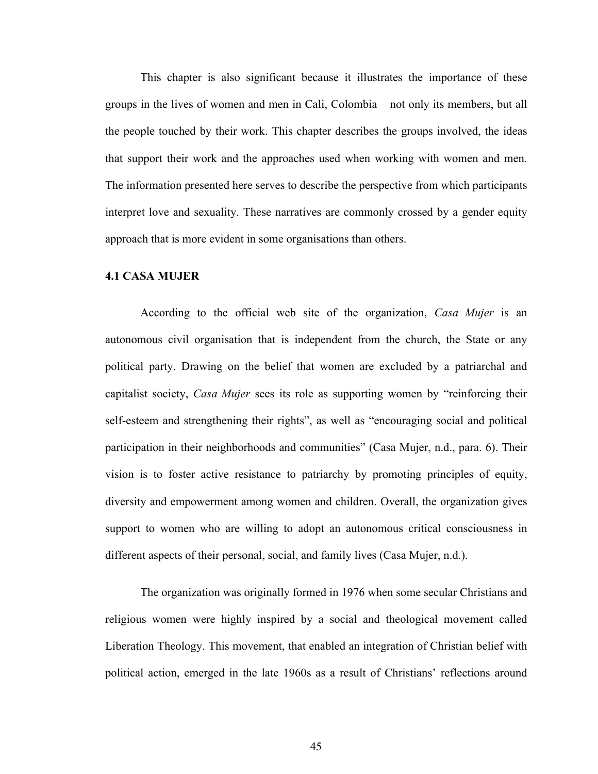This chapter is also significant because it illustrates the importance of these groups in the lives of women and men in Cali, Colombia – not only its members, but all the people touched by their work. This chapter describes the groups involved, the ideas that support their work and the approaches used when working with women and men. The information presented here serves to describe the perspective from which participants interpret love and sexuality. These narratives are commonly crossed by a gender equity approach that is more evident in some organisations than others.

### **4.1 CASA MUJER**

According to the official web site of the organization, *Casa Mujer* is an autonomous civil organisation that is independent from the church, the State or any political party. Drawing on the belief that women are excluded by a patriarchal and capitalist society, *Casa Mujer* sees its role as supporting women by "reinforcing their self-esteem and strengthening their rights", as well as "encouraging social and political participation in their neighborhoods and communities" (Casa Mujer, n.d., para. 6). Their vision is to foster active resistance to patriarchy by promoting principles of equity, diversity and empowerment among women and children. Overall, the organization gives support to women who are willing to adopt an autonomous critical consciousness in different aspects of their personal, social, and family lives (Casa Mujer, n.d.).

The organization was originally formed in 1976 when some secular Christians and religious women were highly inspired by a social and theological movement called Liberation Theology. This movement, that enabled an integration of Christian belief with political action, emerged in the late 1960s as a result of Christians' reflections around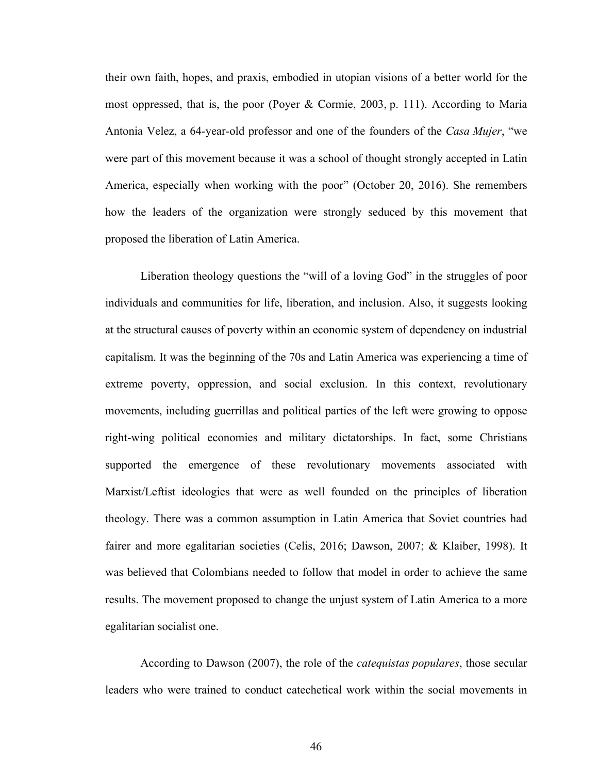their own faith, hopes, and praxis, embodied in utopian visions of a better world for the most oppressed, that is, the poor (Poyer & Cormie, 2003, p. 111). According to Maria Antonia Velez, a 64-year-old professor and one of the founders of the *Casa Mujer*, "we were part of this movement because it was a school of thought strongly accepted in Latin America, especially when working with the poor" (October 20, 2016). She remembers how the leaders of the organization were strongly seduced by this movement that proposed the liberation of Latin America.

Liberation theology questions the "will of a loving God" in the struggles of poor individuals and communities for life, liberation, and inclusion. Also, it suggests looking at the structural causes of poverty within an economic system of dependency on industrial capitalism. It was the beginning of the 70s and Latin America was experiencing a time of extreme poverty, oppression, and social exclusion. In this context, revolutionary movements, including guerrillas and political parties of the left were growing to oppose right-wing political economies and military dictatorships. In fact, some Christians supported the emergence of these revolutionary movements associated with Marxist/Leftist ideologies that were as well founded on the principles of liberation theology. There was a common assumption in Latin America that Soviet countries had fairer and more egalitarian societies (Celis, 2016; Dawson, 2007; & Klaiber, 1998). It was believed that Colombians needed to follow that model in order to achieve the same results. The movement proposed to change the unjust system of Latin America to a more egalitarian socialist one.

According to Dawson (2007), the role of the *catequistas populares*, those secular leaders who were trained to conduct catechetical work within the social movements in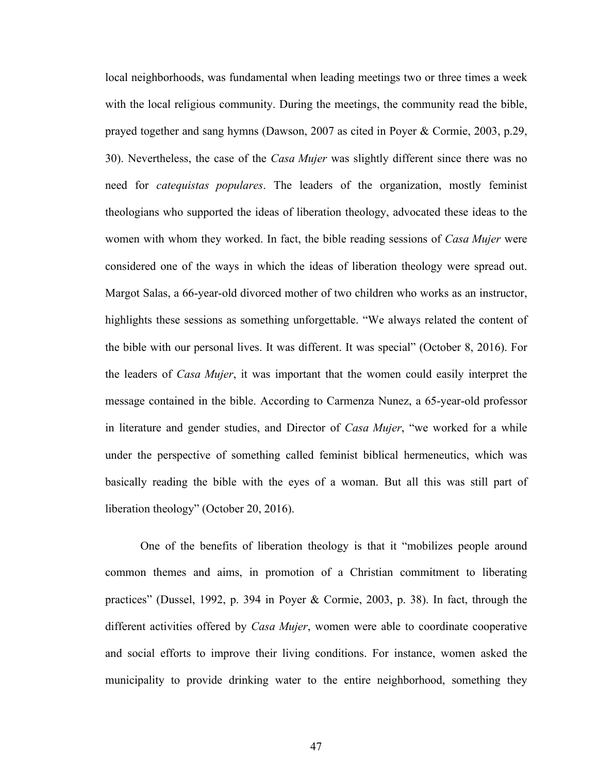local neighborhoods, was fundamental when leading meetings two or three times a week with the local religious community. During the meetings, the community read the bible, prayed together and sang hymns (Dawson, 2007 as cited in Poyer & Cormie, 2003, p.29, 30). Nevertheless, the case of the *Casa Mujer* was slightly different since there was no need for *catequistas populares*. The leaders of the organization, mostly feminist theologians who supported the ideas of liberation theology, advocated these ideas to the women with whom they worked. In fact, the bible reading sessions of *Casa Mujer* were considered one of the ways in which the ideas of liberation theology were spread out. Margot Salas, a 66-year-old divorced mother of two children who works as an instructor, highlights these sessions as something unforgettable. "We always related the content of the bible with our personal lives. It was different. It was special" (October 8, 2016). For the leaders of *Casa Mujer*, it was important that the women could easily interpret the message contained in the bible. According to Carmenza Nunez, a 65-year-old professor in literature and gender studies, and Director of *Casa Mujer*, "we worked for a while under the perspective of something called feminist biblical hermeneutics, which was basically reading the bible with the eyes of a woman. But all this was still part of liberation theology" (October 20, 2016).

One of the benefits of liberation theology is that it "mobilizes people around common themes and aims, in promotion of a Christian commitment to liberating practices" (Dussel, 1992, p. 394 in Poyer & Cormie, 2003, p. 38). In fact, through the different activities offered by *Casa Mujer*, women were able to coordinate cooperative and social efforts to improve their living conditions. For instance, women asked the municipality to provide drinking water to the entire neighborhood, something they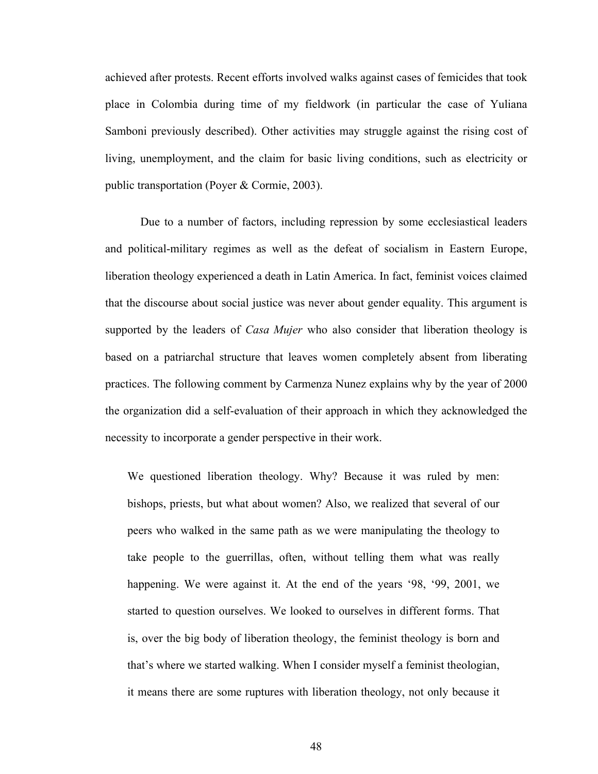achieved after protests. Recent efforts involved walks against cases of femicides that took place in Colombia during time of my fieldwork (in particular the case of Yuliana Samboni previously described). Other activities may struggle against the rising cost of living, unemployment, and the claim for basic living conditions, such as electricity or public transportation (Poyer & Cormie, 2003).

Due to a number of factors, including repression by some ecclesiastical leaders and political-military regimes as well as the defeat of socialism in Eastern Europe, liberation theology experienced a death in Latin America. In fact, feminist voices claimed that the discourse about social justice was never about gender equality. This argument is supported by the leaders of *Casa Mujer* who also consider that liberation theology is based on a patriarchal structure that leaves women completely absent from liberating practices. The following comment by Carmenza Nunez explains why by the year of 2000 the organization did a self-evaluation of their approach in which they acknowledged the necessity to incorporate a gender perspective in their work.

We questioned liberation theology. Why? Because it was ruled by men: bishops, priests, but what about women? Also, we realized that several of our peers who walked in the same path as we were manipulating the theology to take people to the guerrillas, often, without telling them what was really happening. We were against it. At the end of the years '98, '99, 2001, we started to question ourselves. We looked to ourselves in different forms. That is, over the big body of liberation theology, the feminist theology is born and that's where we started walking. When I consider myself a feminist theologian, it means there are some ruptures with liberation theology, not only because it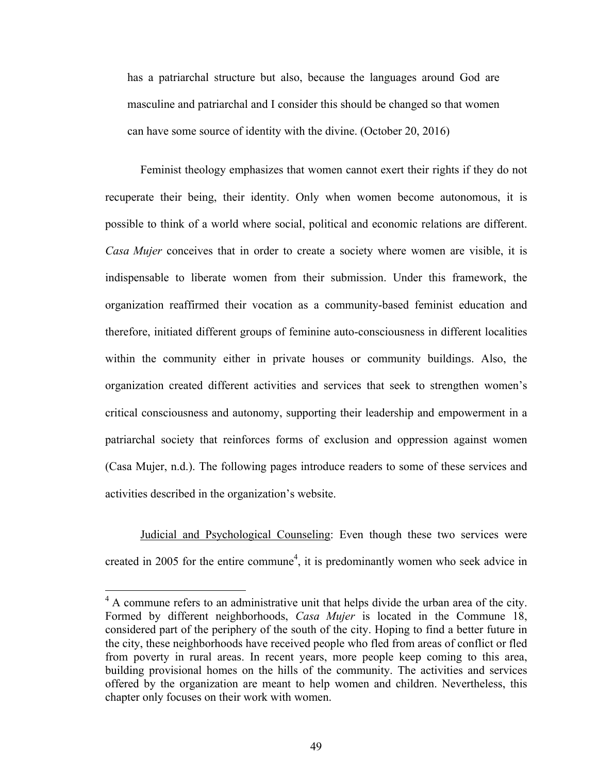has a patriarchal structure but also, because the languages around God are masculine and patriarchal and I consider this should be changed so that women can have some source of identity with the divine. (October 20, 2016)

Feminist theology emphasizes that women cannot exert their rights if they do not recuperate their being, their identity. Only when women become autonomous, it is possible to think of a world where social, political and economic relations are different. *Casa Mujer* conceives that in order to create a society where women are visible, it is indispensable to liberate women from their submission. Under this framework, the organization reaffirmed their vocation as a community-based feminist education and therefore, initiated different groups of feminine auto-consciousness in different localities within the community either in private houses or community buildings. Also, the organization created different activities and services that seek to strengthen women's critical consciousness and autonomy, supporting their leadership and empowerment in a patriarchal society that reinforces forms of exclusion and oppression against women (Casa Mujer, n.d.). The following pages introduce readers to some of these services and activities described in the organization's website.

Judicial and Psychological Counseling: Even though these two services were created in 2005 for the entire commune<sup>4</sup>, it is predominantly women who seek advice in

<sup>&</sup>lt;sup>4</sup> A commune refers to an administrative unit that helps divide the urban area of the city. Formed by different neighborhoods, *Casa Mujer* is located in the Commune 18, considered part of the periphery of the south of the city. Hoping to find a better future in the city, these neighborhoods have received people who fled from areas of conflict or fled from poverty in rural areas. In recent years, more people keep coming to this area, building provisional homes on the hills of the community. The activities and services offered by the organization are meant to help women and children. Nevertheless, this chapter only focuses on their work with women.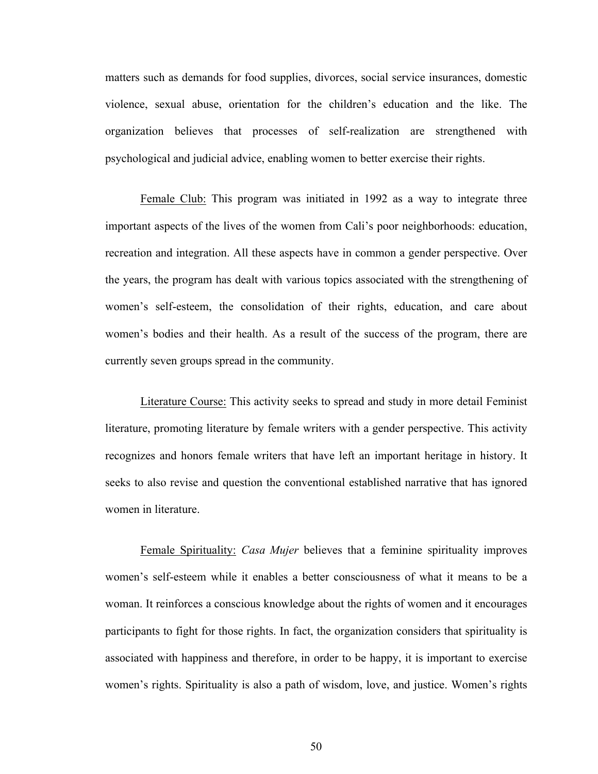matters such as demands for food supplies, divorces, social service insurances, domestic violence, sexual abuse, orientation for the children's education and the like. The organization believes that processes of self-realization are strengthened with psychological and judicial advice, enabling women to better exercise their rights.

Female Club: This program was initiated in 1992 as a way to integrate three important aspects of the lives of the women from Cali's poor neighborhoods: education, recreation and integration. All these aspects have in common a gender perspective. Over the years, the program has dealt with various topics associated with the strengthening of women's self-esteem, the consolidation of their rights, education, and care about women's bodies and their health. As a result of the success of the program, there are currently seven groups spread in the community.

Literature Course: This activity seeks to spread and study in more detail Feminist literature, promoting literature by female writers with a gender perspective. This activity recognizes and honors female writers that have left an important heritage in history. It seeks to also revise and question the conventional established narrative that has ignored women in literature.

Female Spirituality: *Casa Mujer* believes that a feminine spirituality improves women's self-esteem while it enables a better consciousness of what it means to be a woman. It reinforces a conscious knowledge about the rights of women and it encourages participants to fight for those rights. In fact, the organization considers that spirituality is associated with happiness and therefore, in order to be happy, it is important to exercise women's rights. Spirituality is also a path of wisdom, love, and justice. Women's rights

50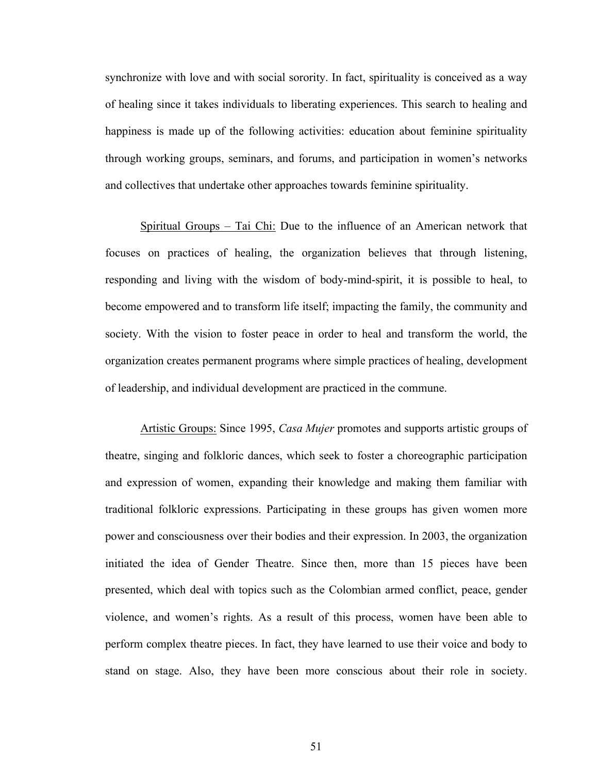synchronize with love and with social sorority. In fact, spirituality is conceived as a way of healing since it takes individuals to liberating experiences. This search to healing and happiness is made up of the following activities: education about feminine spirituality through working groups, seminars, and forums, and participation in women's networks and collectives that undertake other approaches towards feminine spirituality.

Spiritual Groups – Tai Chi: Due to the influence of an American network that focuses on practices of healing, the organization believes that through listening, responding and living with the wisdom of body-mind-spirit, it is possible to heal, to become empowered and to transform life itself; impacting the family, the community and society. With the vision to foster peace in order to heal and transform the world, the organization creates permanent programs where simple practices of healing, development of leadership, and individual development are practiced in the commune.

Artistic Groups: Since 1995, *Casa Mujer* promotes and supports artistic groups of theatre, singing and folkloric dances, which seek to foster a choreographic participation and expression of women, expanding their knowledge and making them familiar with traditional folkloric expressions. Participating in these groups has given women more power and consciousness over their bodies and their expression. In 2003, the organization initiated the idea of Gender Theatre. Since then, more than 15 pieces have been presented, which deal with topics such as the Colombian armed conflict, peace, gender violence, and women's rights. As a result of this process, women have been able to perform complex theatre pieces. In fact, they have learned to use their voice and body to stand on stage. Also, they have been more conscious about their role in society.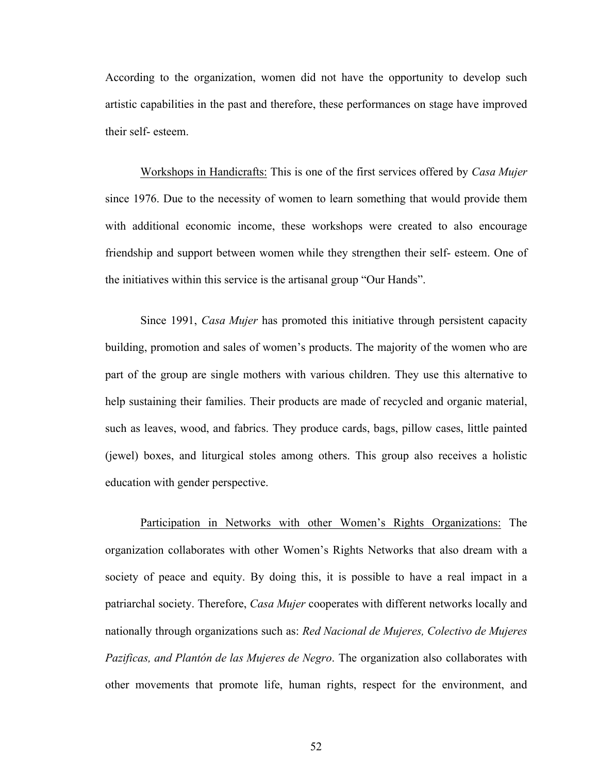According to the organization, women did not have the opportunity to develop such artistic capabilities in the past and therefore, these performances on stage have improved their self- esteem.

Workshops in Handicrafts: This is one of the first services offered by *Casa Mujer* since 1976. Due to the necessity of women to learn something that would provide them with additional economic income, these workshops were created to also encourage friendship and support between women while they strengthen their self- esteem. One of the initiatives within this service is the artisanal group "Our Hands".

Since 1991, *Casa Mujer* has promoted this initiative through persistent capacity building, promotion and sales of women's products. The majority of the women who are part of the group are single mothers with various children. They use this alternative to help sustaining their families. Their products are made of recycled and organic material, such as leaves, wood, and fabrics. They produce cards, bags, pillow cases, little painted (jewel) boxes, and liturgical stoles among others. This group also receives a holistic education with gender perspective.

Participation in Networks with other Women's Rights Organizations: The organization collaborates with other Women's Rights Networks that also dream with a society of peace and equity. By doing this, it is possible to have a real impact in a patriarchal society. Therefore, *Casa Mujer* cooperates with different networks locally and nationally through organizations such as: *Red Nacional de Mujeres, Colectivo de Mujeres Pazificas, and Plantón de las Mujeres de Negro*. The organization also collaborates with other movements that promote life, human rights, respect for the environment, and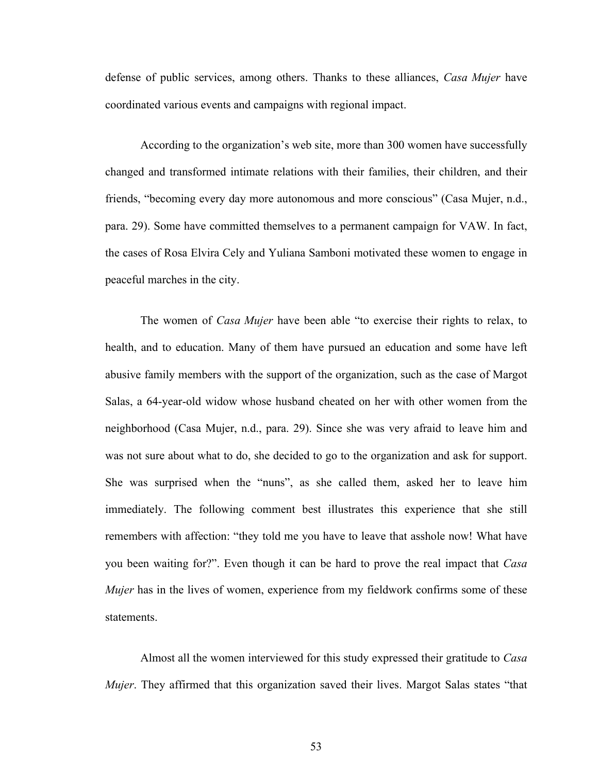defense of public services, among others. Thanks to these alliances, *Casa Mujer* have coordinated various events and campaigns with regional impact.

According to the organization's web site, more than 300 women have successfully changed and transformed intimate relations with their families, their children, and their friends, "becoming every day more autonomous and more conscious" (Casa Mujer, n.d., para. 29). Some have committed themselves to a permanent campaign for VAW. In fact, the cases of Rosa Elvira Cely and Yuliana Samboni motivated these women to engage in peaceful marches in the city.

The women of *Casa Mujer* have been able "to exercise their rights to relax, to health, and to education. Many of them have pursued an education and some have left abusive family members with the support of the organization, such as the case of Margot Salas, a 64-year-old widow whose husband cheated on her with other women from the neighborhood (Casa Mujer, n.d., para. 29). Since she was very afraid to leave him and was not sure about what to do, she decided to go to the organization and ask for support. She was surprised when the "nuns", as she called them, asked her to leave him immediately. The following comment best illustrates this experience that she still remembers with affection: "they told me you have to leave that asshole now! What have you been waiting for?". Even though it can be hard to prove the real impact that *Casa Mujer* has in the lives of women, experience from my fieldwork confirms some of these statements.

Almost all the women interviewed for this study expressed their gratitude to *Casa Mujer*. They affirmed that this organization saved their lives. Margot Salas states "that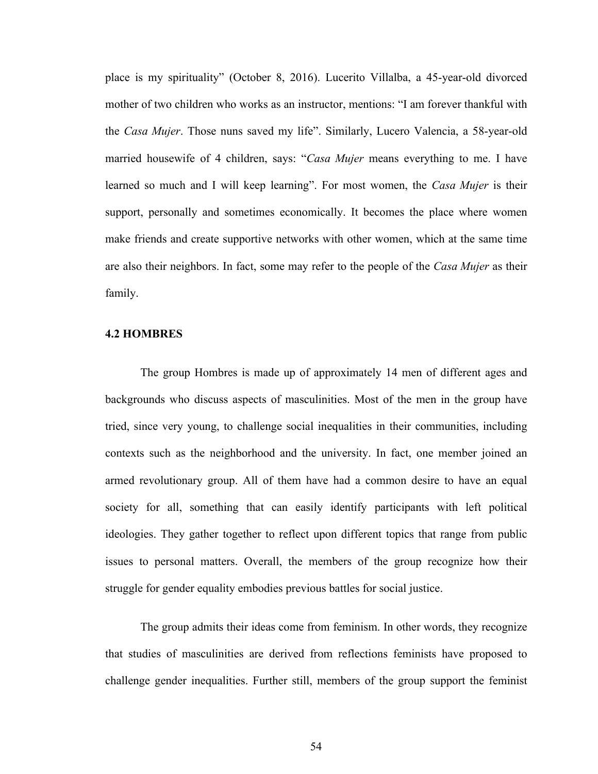place is my spirituality" (October 8, 2016). Lucerito Villalba, a 45-year-old divorced mother of two children who works as an instructor, mentions: "I am forever thankful with the *Casa Mujer*. Those nuns saved my life". Similarly, Lucero Valencia, a 58-year-old married housewife of 4 children, says: "*Casa Mujer* means everything to me. I have learned so much and I will keep learning". For most women, the *Casa Mujer* is their support, personally and sometimes economically. It becomes the place where women make friends and create supportive networks with other women, which at the same time are also their neighbors. In fact, some may refer to the people of the *Casa Mujer* as their family.

### **4.2 HOMBRES**

The group Hombres is made up of approximately 14 men of different ages and backgrounds who discuss aspects of masculinities. Most of the men in the group have tried, since very young, to challenge social inequalities in their communities, including contexts such as the neighborhood and the university. In fact, one member joined an armed revolutionary group. All of them have had a common desire to have an equal society for all, something that can easily identify participants with left political ideologies. They gather together to reflect upon different topics that range from public issues to personal matters. Overall, the members of the group recognize how their struggle for gender equality embodies previous battles for social justice.

The group admits their ideas come from feminism. In other words, they recognize that studies of masculinities are derived from reflections feminists have proposed to challenge gender inequalities. Further still, members of the group support the feminist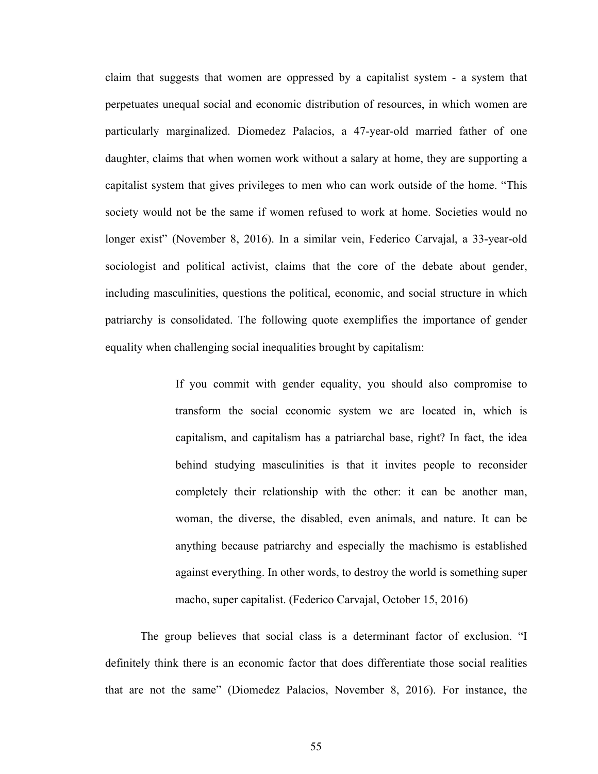claim that suggests that women are oppressed by a capitalist system - a system that perpetuates unequal social and economic distribution of resources, in which women are particularly marginalized. Diomedez Palacios, a 47-year-old married father of one daughter, claims that when women work without a salary at home, they are supporting a capitalist system that gives privileges to men who can work outside of the home. "This society would not be the same if women refused to work at home. Societies would no longer exist" (November 8, 2016). In a similar vein, Federico Carvajal, a 33-year-old sociologist and political activist, claims that the core of the debate about gender, including masculinities, questions the political, economic, and social structure in which patriarchy is consolidated. The following quote exemplifies the importance of gender equality when challenging social inequalities brought by capitalism:

> If you commit with gender equality, you should also compromise to transform the social economic system we are located in, which is capitalism, and capitalism has a patriarchal base, right? In fact, the idea behind studying masculinities is that it invites people to reconsider completely their relationship with the other: it can be another man, woman, the diverse, the disabled, even animals, and nature. It can be anything because patriarchy and especially the machismo is established against everything. In other words, to destroy the world is something super macho, super capitalist. (Federico Carvajal, October 15, 2016)

The group believes that social class is a determinant factor of exclusion. "I definitely think there is an economic factor that does differentiate those social realities that are not the same" (Diomedez Palacios, November 8, 2016). For instance, the

55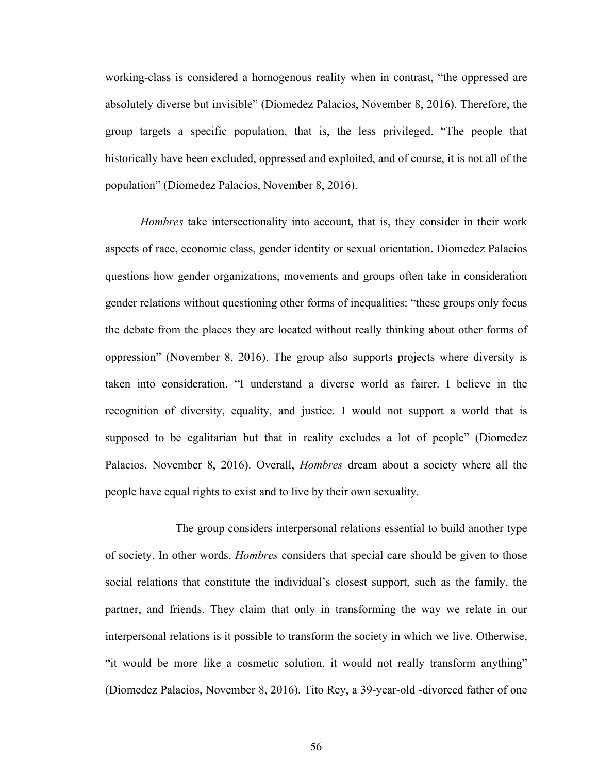working-class is considered a homogenous reality when in contrast, "the oppressed are absolutely diverse but invisible" (Diomedez Palacios, November 8, 2016). Therefore, the group targets a specific population, that is, the less privileged. "The people that historically have been excluded, oppressed and exploited, and of course, it is not all of the population" (Diomedez Palacios, November 8, 2016).

*Hombres* take intersectionality into account, that is, they consider in their work aspects of race, economic class, gender identity or sexual orientation. Diomedez Palacios questions how gender organizations, movements and groups often take in consideration gender relations without questioning other forms of inequalities: "these groups only focus the debate from the places they are located without really thinking about other forms of oppression" (November 8, 2016). The group also supports projects where diversity is taken into consideration. "I understand a diverse world as fairer. I believe in the recognition of diversity, equality, and justice. I would not support a world that is supposed to be egalitarian but that in reality excludes a lot of people" (Diomedez Palacios, November 8, 2016). Overall, *Hombres* dream about a society where all the people have equal rights to exist and to live by their own sexuality.

The group considers interpersonal relations essential to build another type of society. In other words, *Hombres* considers that special care should be given to those social relations that constitute the individual's closest support, such as the family, the partner, and friends. They claim that only in transforming the way we relate in our interpersonal relations is it possible to transform the society in which we live. Otherwise, "it would be more like a cosmetic solution, it would not really transform anything" (Diomedez Palacios, November 8, 2016). Tito Rey, a 39-year-old -divorced father of one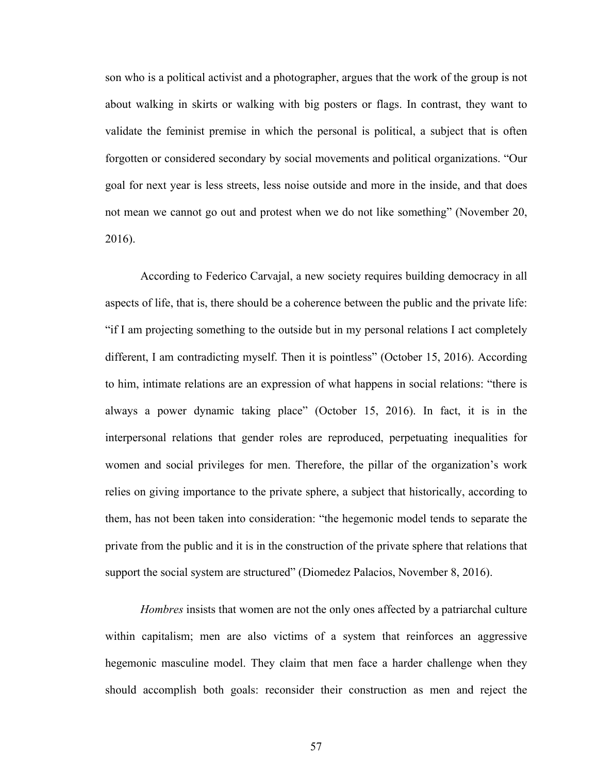son who is a political activist and a photographer, argues that the work of the group is not about walking in skirts or walking with big posters or flags. In contrast, they want to validate the feminist premise in which the personal is political, a subject that is often forgotten or considered secondary by social movements and political organizations. "Our goal for next year is less streets, less noise outside and more in the inside, and that does not mean we cannot go out and protest when we do not like something" (November 20, 2016).

According to Federico Carvajal, a new society requires building democracy in all aspects of life, that is, there should be a coherence between the public and the private life: "if I am projecting something to the outside but in my personal relations I act completely different, I am contradicting myself. Then it is pointless" (October 15, 2016). According to him, intimate relations are an expression of what happens in social relations: "there is always a power dynamic taking place" (October 15, 2016). In fact, it is in the interpersonal relations that gender roles are reproduced, perpetuating inequalities for women and social privileges for men. Therefore, the pillar of the organization's work relies on giving importance to the private sphere, a subject that historically, according to them, has not been taken into consideration: "the hegemonic model tends to separate the private from the public and it is in the construction of the private sphere that relations that support the social system are structured" (Diomedez Palacios, November 8, 2016).

*Hombres* insists that women are not the only ones affected by a patriarchal culture within capitalism; men are also victims of a system that reinforces an aggressive hegemonic masculine model. They claim that men face a harder challenge when they should accomplish both goals: reconsider their construction as men and reject the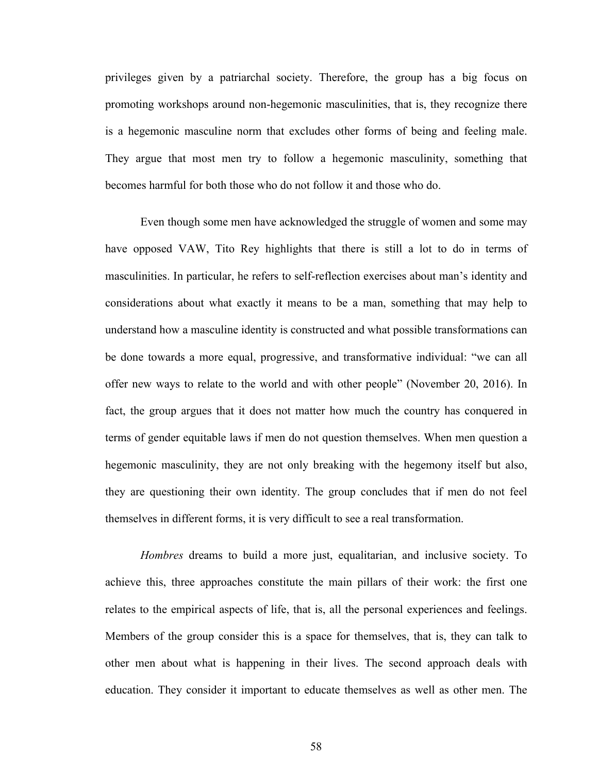privileges given by a patriarchal society. Therefore, the group has a big focus on promoting workshops around non-hegemonic masculinities, that is, they recognize there is a hegemonic masculine norm that excludes other forms of being and feeling male. They argue that most men try to follow a hegemonic masculinity, something that becomes harmful for both those who do not follow it and those who do.

Even though some men have acknowledged the struggle of women and some may have opposed VAW, Tito Rey highlights that there is still a lot to do in terms of masculinities. In particular, he refers to self-reflection exercises about man's identity and considerations about what exactly it means to be a man, something that may help to understand how a masculine identity is constructed and what possible transformations can be done towards a more equal, progressive, and transformative individual: "we can all offer new ways to relate to the world and with other people" (November 20, 2016). In fact, the group argues that it does not matter how much the country has conquered in terms of gender equitable laws if men do not question themselves. When men question a hegemonic masculinity, they are not only breaking with the hegemony itself but also, they are questioning their own identity. The group concludes that if men do not feel themselves in different forms, it is very difficult to see a real transformation.

*Hombres* dreams to build a more just, equalitarian, and inclusive society. To achieve this, three approaches constitute the main pillars of their work: the first one relates to the empirical aspects of life, that is, all the personal experiences and feelings. Members of the group consider this is a space for themselves, that is, they can talk to other men about what is happening in their lives. The second approach deals with education. They consider it important to educate themselves as well as other men. The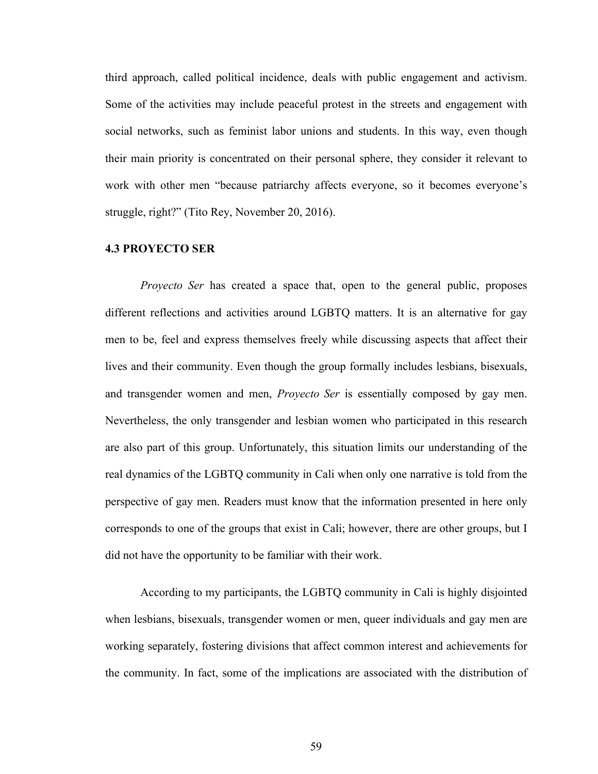third approach, called political incidence, deals with public engagement and activism. Some of the activities may include peaceful protest in the streets and engagement with social networks, such as feminist labor unions and students. In this way, even though their main priority is concentrated on their personal sphere, they consider it relevant to work with other men "because patriarchy affects everyone, so it becomes everyone's struggle, right?" (Tito Rey, November 20, 2016).

# **4.3 PROYECTO SER**

*Proyecto Ser* has created a space that, open to the general public, proposes different reflections and activities around LGBTQ matters. It is an alternative for gay men to be, feel and express themselves freely while discussing aspects that affect their lives and their community. Even though the group formally includes lesbians, bisexuals, and transgender women and men, *Proyecto Ser* is essentially composed by gay men. Nevertheless, the only transgender and lesbian women who participated in this research are also part of this group. Unfortunately, this situation limits our understanding of the real dynamics of the LGBTQ community in Cali when only one narrative is told from the perspective of gay men. Readers must know that the information presented in here only corresponds to one of the groups that exist in Cali; however, there are other groups, but I did not have the opportunity to be familiar with their work.

According to my participants, the LGBTQ community in Cali is highly disjointed when lesbians, bisexuals, transgender women or men, queer individuals and gay men are working separately, fostering divisions that affect common interest and achievements for the community. In fact, some of the implications are associated with the distribution of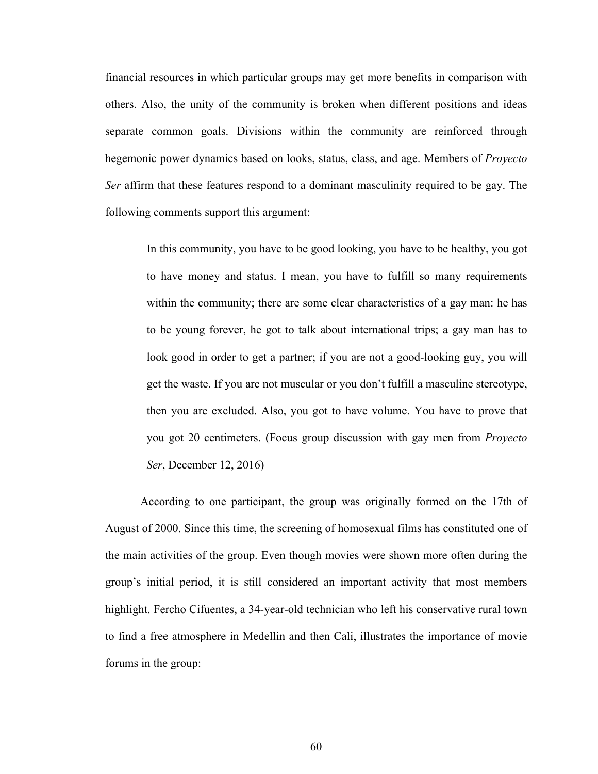financial resources in which particular groups may get more benefits in comparison with others. Also, the unity of the community is broken when different positions and ideas separate common goals. Divisions within the community are reinforced through hegemonic power dynamics based on looks, status, class, and age. Members of *Proyecto Ser* affirm that these features respond to a dominant masculinity required to be gay. The following comments support this argument:

In this community, you have to be good looking, you have to be healthy, you got to have money and status. I mean, you have to fulfill so many requirements within the community; there are some clear characteristics of a gay man: he has to be young forever, he got to talk about international trips; a gay man has to look good in order to get a partner; if you are not a good-looking guy, you will get the waste. If you are not muscular or you don't fulfill a masculine stereotype, then you are excluded. Also, you got to have volume. You have to prove that you got 20 centimeters. (Focus group discussion with gay men from *Proyecto Ser*, December 12, 2016)

According to one participant, the group was originally formed on the 17th of August of 2000. Since this time, the screening of homosexual films has constituted one of the main activities of the group. Even though movies were shown more often during the group's initial period, it is still considered an important activity that most members highlight. Fercho Cifuentes, a 34-year-old technician who left his conservative rural town to find a free atmosphere in Medellin and then Cali, illustrates the importance of movie forums in the group: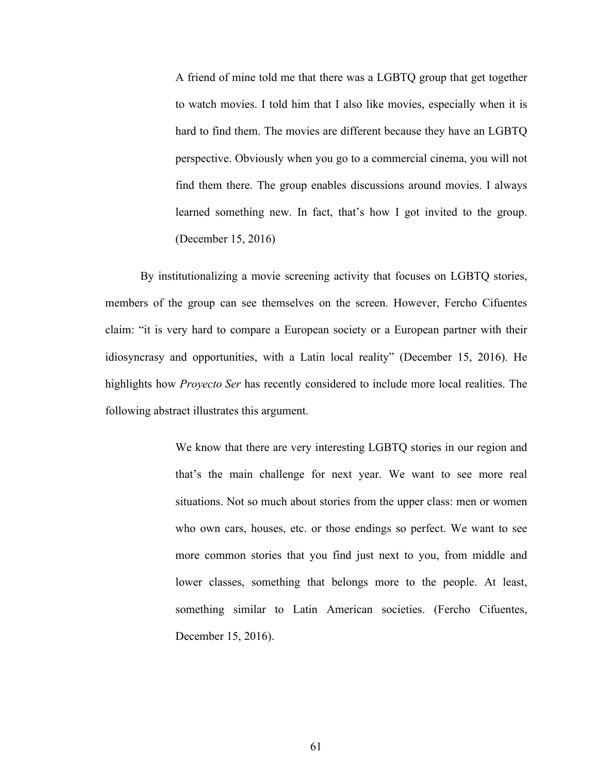A friend of mine told me that there was a LGBTQ group that get together to watch movies. I told him that I also like movies, especially when it is hard to find them. The movies are different because they have an LGBTQ perspective. Obviously when you go to a commercial cinema, you will not find them there. The group enables discussions around movies. I always learned something new. In fact, that's how I got invited to the group. (December 15, 2016)

By institutionalizing a movie screening activity that focuses on LGBTQ stories, members of the group can see themselves on the screen. However, Fercho Cifuentes claim: "it is very hard to compare a European society or a European partner with their idiosyncrasy and opportunities, with a Latin local reality" (December 15, 2016). He highlights how *Proyecto Ser* has recently considered to include more local realities. The following abstract illustrates this argument.

> We know that there are very interesting LGBTQ stories in our region and that's the main challenge for next year. We want to see more real situations. Not so much about stories from the upper class: men or women who own cars, houses, etc. or those endings so perfect. We want to see more common stories that you find just next to you, from middle and lower classes, something that belongs more to the people. At least, something similar to Latin American societies. (Fercho Cifuentes, December 15, 2016).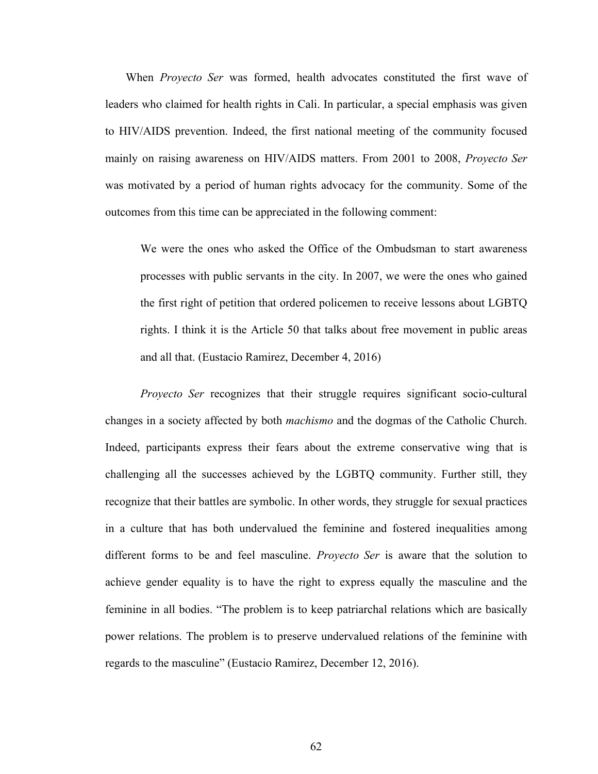When *Proyecto Ser* was formed, health advocates constituted the first wave of leaders who claimed for health rights in Cali. In particular, a special emphasis was given to HIV/AIDS prevention. Indeed, the first national meeting of the community focused mainly on raising awareness on HIV/AIDS matters. From 2001 to 2008, *Proyecto Ser* was motivated by a period of human rights advocacy for the community. Some of the outcomes from this time can be appreciated in the following comment:

We were the ones who asked the Office of the Ombudsman to start awareness processes with public servants in the city. In 2007, we were the ones who gained the first right of petition that ordered policemen to receive lessons about LGBTQ rights. I think it is the Article 50 that talks about free movement in public areas and all that. (Eustacio Ramirez, December 4, 2016)

*Proyecto Ser* recognizes that their struggle requires significant socio-cultural changes in a society affected by both *machismo* and the dogmas of the Catholic Church. Indeed, participants express their fears about the extreme conservative wing that is challenging all the successes achieved by the LGBTQ community. Further still, they recognize that their battles are symbolic. In other words, they struggle for sexual practices in a culture that has both undervalued the feminine and fostered inequalities among different forms to be and feel masculine. *Proyecto Ser* is aware that the solution to achieve gender equality is to have the right to express equally the masculine and the feminine in all bodies. "The problem is to keep patriarchal relations which are basically power relations. The problem is to preserve undervalued relations of the feminine with regards to the masculine" (Eustacio Ramirez, December 12, 2016).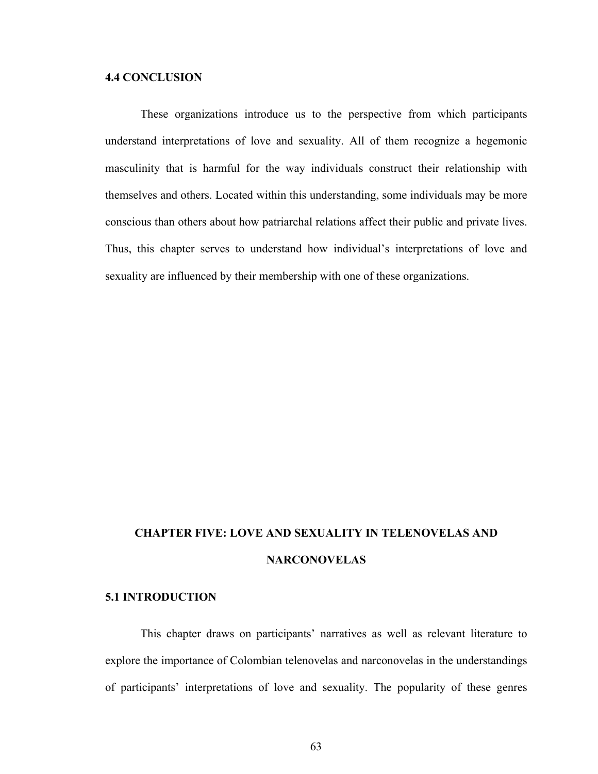### **4.4 CONCLUSION**

These organizations introduce us to the perspective from which participants understand interpretations of love and sexuality. All of them recognize a hegemonic masculinity that is harmful for the way individuals construct their relationship with themselves and others. Located within this understanding, some individuals may be more conscious than others about how patriarchal relations affect their public and private lives. Thus, this chapter serves to understand how individual's interpretations of love and sexuality are influenced by their membership with one of these organizations.

# **CHAPTER FIVE: LOVE AND SEXUALITY IN TELENOVELAS AND NARCONOVELAS**

## **5.1 INTRODUCTION**

This chapter draws on participants' narratives as well as relevant literature to explore the importance of Colombian telenovelas and narconovelas in the understandings of participants' interpretations of love and sexuality. The popularity of these genres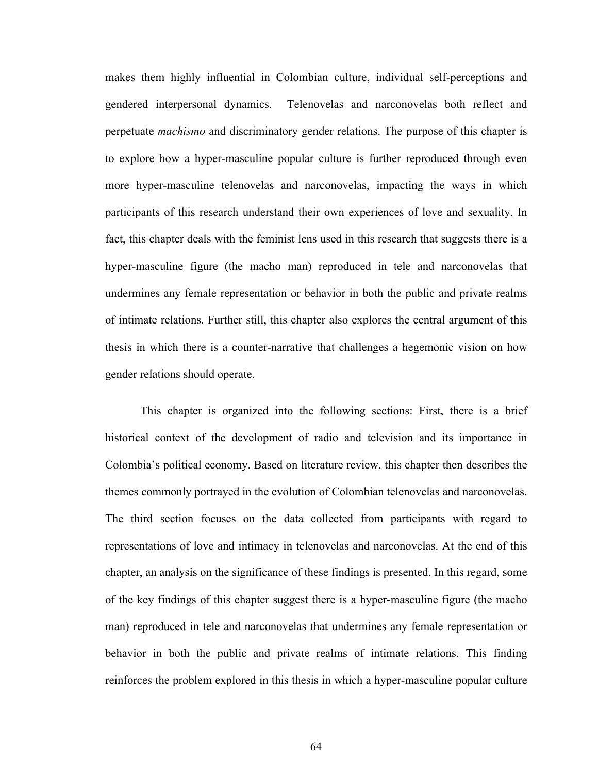makes them highly influential in Colombian culture, individual self-perceptions and gendered interpersonal dynamics. Telenovelas and narconovelas both reflect and perpetuate *machismo* and discriminatory gender relations. The purpose of this chapter is to explore how a hyper-masculine popular culture is further reproduced through even more hyper-masculine telenovelas and narconovelas, impacting the ways in which participants of this research understand their own experiences of love and sexuality. In fact, this chapter deals with the feminist lens used in this research that suggests there is a hyper-masculine figure (the macho man) reproduced in tele and narconovelas that undermines any female representation or behavior in both the public and private realms of intimate relations. Further still, this chapter also explores the central argument of this thesis in which there is a counter-narrative that challenges a hegemonic vision on how gender relations should operate.

This chapter is organized into the following sections: First, there is a brief historical context of the development of radio and television and its importance in Colombia's political economy. Based on literature review, this chapter then describes the themes commonly portrayed in the evolution of Colombian telenovelas and narconovelas. The third section focuses on the data collected from participants with regard to representations of love and intimacy in telenovelas and narconovelas. At the end of this chapter, an analysis on the significance of these findings is presented. In this regard, some of the key findings of this chapter suggest there is a hyper-masculine figure (the macho man) reproduced in tele and narconovelas that undermines any female representation or behavior in both the public and private realms of intimate relations. This finding reinforces the problem explored in this thesis in which a hyper-masculine popular culture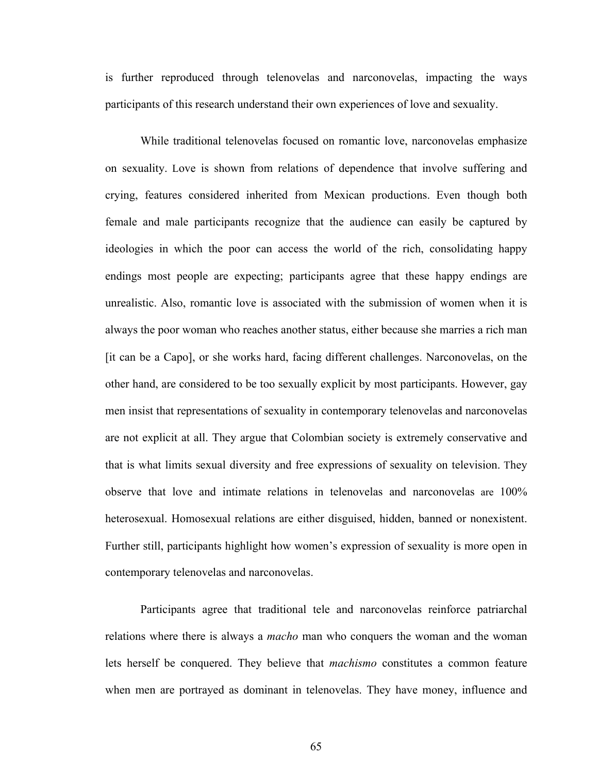is further reproduced through telenovelas and narconovelas, impacting the ways participants of this research understand their own experiences of love and sexuality.

While traditional telenovelas focused on romantic love, narconovelas emphasize on sexuality. Love is shown from relations of dependence that involve suffering and crying, features considered inherited from Mexican productions. Even though both female and male participants recognize that the audience can easily be captured by ideologies in which the poor can access the world of the rich, consolidating happy endings most people are expecting; participants agree that these happy endings are unrealistic. Also, romantic love is associated with the submission of women when it is always the poor woman who reaches another status, either because she marries a rich man [it can be a Capo], or she works hard, facing different challenges. Narconovelas, on the other hand, are considered to be too sexually explicit by most participants. However, gay men insist that representations of sexuality in contemporary telenovelas and narconovelas are not explicit at all. They argue that Colombian society is extremely conservative and that is what limits sexual diversity and free expressions of sexuality on television. They observe that love and intimate relations in telenovelas and narconovelas are 100% heterosexual. Homosexual relations are either disguised, hidden, banned or nonexistent. Further still, participants highlight how women's expression of sexuality is more open in contemporary telenovelas and narconovelas.

Participants agree that traditional tele and narconovelas reinforce patriarchal relations where there is always a *macho* man who conquers the woman and the woman lets herself be conquered. They believe that *machismo* constitutes a common feature when men are portrayed as dominant in telenovelas. They have money, influence and

65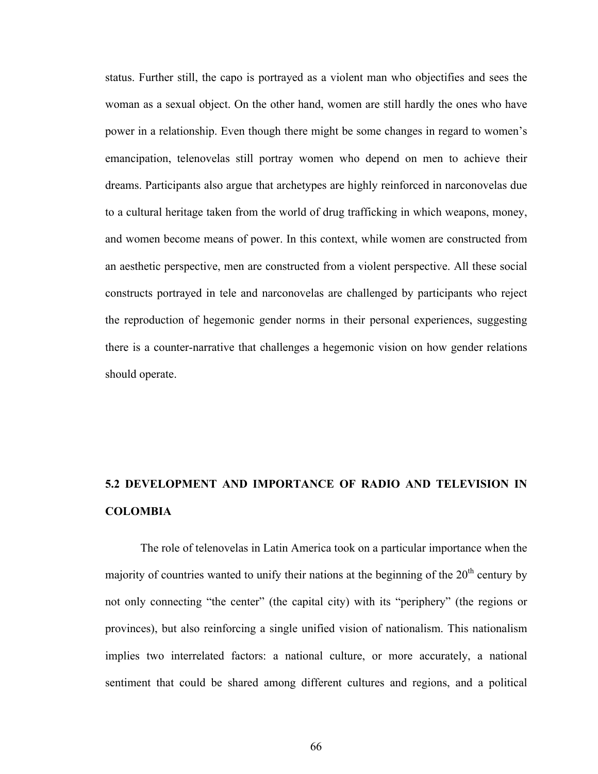status. Further still, the capo is portrayed as a violent man who objectifies and sees the woman as a sexual object. On the other hand, women are still hardly the ones who have power in a relationship. Even though there might be some changes in regard to women's emancipation, telenovelas still portray women who depend on men to achieve their dreams. Participants also argue that archetypes are highly reinforced in narconovelas due to a cultural heritage taken from the world of drug trafficking in which weapons, money, and women become means of power. In this context, while women are constructed from an aesthetic perspective, men are constructed from a violent perspective. All these social constructs portrayed in tele and narconovelas are challenged by participants who reject the reproduction of hegemonic gender norms in their personal experiences, suggesting there is a counter-narrative that challenges a hegemonic vision on how gender relations should operate.

# **5.2 DEVELOPMENT AND IMPORTANCE OF RADIO AND TELEVISION IN COLOMBIA**

The role of telenovelas in Latin America took on a particular importance when the majority of countries wanted to unify their nations at the beginning of the  $20<sup>th</sup>$  century by not only connecting "the center" (the capital city) with its "periphery" (the regions or provinces), but also reinforcing a single unified vision of nationalism. This nationalism implies two interrelated factors: a national culture, or more accurately, a national sentiment that could be shared among different cultures and regions, and a political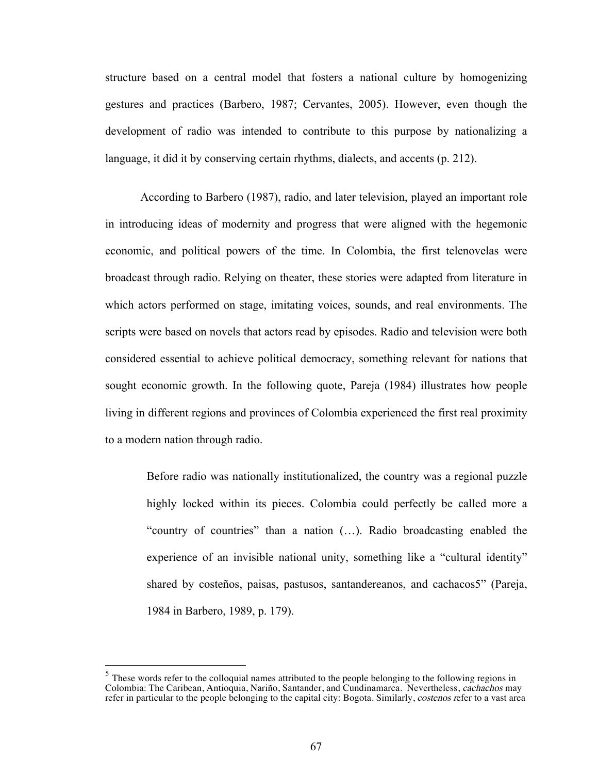structure based on a central model that fosters a national culture by homogenizing gestures and practices (Barbero, 1987; Cervantes, 2005). However, even though the development of radio was intended to contribute to this purpose by nationalizing a language, it did it by conserving certain rhythms, dialects, and accents (p. 212).

According to Barbero (1987), radio, and later television, played an important role in introducing ideas of modernity and progress that were aligned with the hegemonic economic, and political powers of the time. In Colombia, the first telenovelas were broadcast through radio. Relying on theater, these stories were adapted from literature in which actors performed on stage, imitating voices, sounds, and real environments. The scripts were based on novels that actors read by episodes. Radio and television were both considered essential to achieve political democracy, something relevant for nations that sought economic growth. In the following quote, Pareja (1984) illustrates how people living in different regions and provinces of Colombia experienced the first real proximity to a modern nation through radio.

Before radio was nationally institutionalized, the country was a regional puzzle highly locked within its pieces. Colombia could perfectly be called more a "country of countries" than a nation (…). Radio broadcasting enabled the experience of an invisible national unity, something like a "cultural identity" shared by costeños, paisas, pastusos, santandereanos, and cachacos5" (Pareja, 1984 in Barbero, 1989, p. 179).

 $<sup>5</sup>$  These words refer to the colloquial names attributed to the people belonging to the following regions in</sup> Colombia: The Caribean, Antioquia, Nariño, Santander, and Cundinamarca. Nevertheless, cachachos may refer in particular to the people belonging to the capital city: Bogota. Similarly, costenos refer to a vast area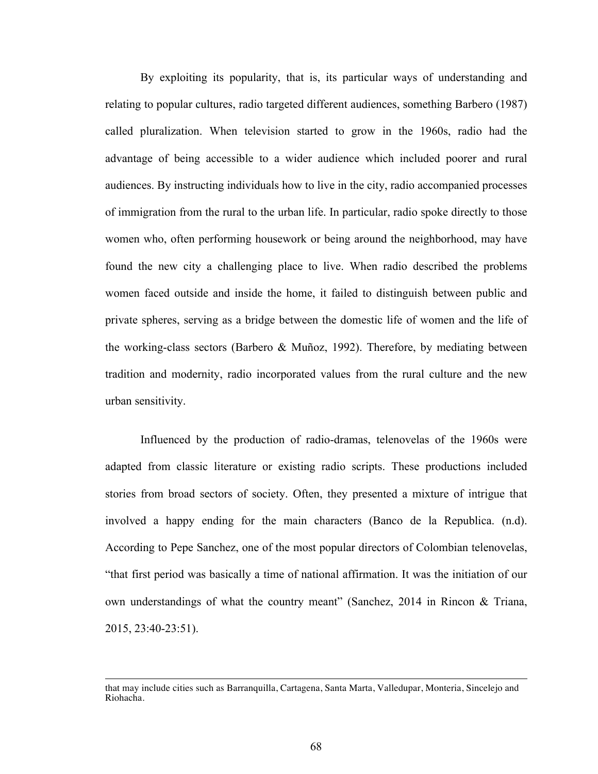By exploiting its popularity, that is, its particular ways of understanding and relating to popular cultures, radio targeted different audiences, something Barbero (1987) called pluralization. When television started to grow in the 1960s, radio had the advantage of being accessible to a wider audience which included poorer and rural audiences. By instructing individuals how to live in the city, radio accompanied processes of immigration from the rural to the urban life. In particular, radio spoke directly to those women who, often performing housework or being around the neighborhood, may have found the new city a challenging place to live. When radio described the problems women faced outside and inside the home, it failed to distinguish between public and private spheres, serving as a bridge between the domestic life of women and the life of the working-class sectors (Barbero & Muñoz, 1992). Therefore, by mediating between tradition and modernity, radio incorporated values from the rural culture and the new urban sensitivity.

Influenced by the production of radio-dramas, telenovelas of the 1960s were adapted from classic literature or existing radio scripts. These productions included stories from broad sectors of society. Often, they presented a mixture of intrigue that involved a happy ending for the main characters (Banco de la Republica. (n.d). According to Pepe Sanchez, one of the most popular directors of Colombian telenovelas, "that first period was basically a time of national affirmation. It was the initiation of our own understandings of what the country meant" (Sanchez, 2014 in Rincon & Triana, 2015, 23:40-23:51).

 

that may include cities such as Barranquilla, Cartagena, Santa Marta, Valledupar, Monteria, Sincelejo and Riohacha.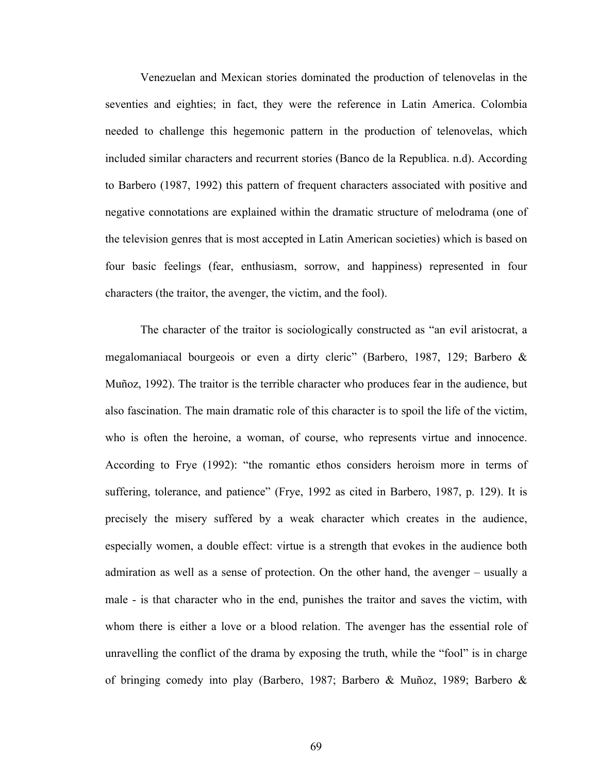Venezuelan and Mexican stories dominated the production of telenovelas in the seventies and eighties; in fact, they were the reference in Latin America. Colombia needed to challenge this hegemonic pattern in the production of telenovelas, which included similar characters and recurrent stories (Banco de la Republica. n.d). According to Barbero (1987, 1992) this pattern of frequent characters associated with positive and negative connotations are explained within the dramatic structure of melodrama (one of the television genres that is most accepted in Latin American societies) which is based on four basic feelings (fear, enthusiasm, sorrow, and happiness) represented in four characters (the traitor, the avenger, the victim, and the fool).

The character of the traitor is sociologically constructed as "an evil aristocrat, a megalomaniacal bourgeois or even a dirty cleric" (Barbero, 1987, 129; Barbero & Muñoz, 1992). The traitor is the terrible character who produces fear in the audience, but also fascination. The main dramatic role of this character is to spoil the life of the victim, who is often the heroine, a woman, of course, who represents virtue and innocence. According to Frye (1992): "the romantic ethos considers heroism more in terms of suffering, tolerance, and patience" (Frye, 1992 as cited in Barbero, 1987, p. 129). It is precisely the misery suffered by a weak character which creates in the audience, especially women, a double effect: virtue is a strength that evokes in the audience both admiration as well as a sense of protection. On the other hand, the avenger – usually a male - is that character who in the end, punishes the traitor and saves the victim, with whom there is either a love or a blood relation. The avenger has the essential role of unravelling the conflict of the drama by exposing the truth, while the "fool" is in charge of bringing comedy into play (Barbero, 1987; Barbero & Muñoz, 1989; Barbero &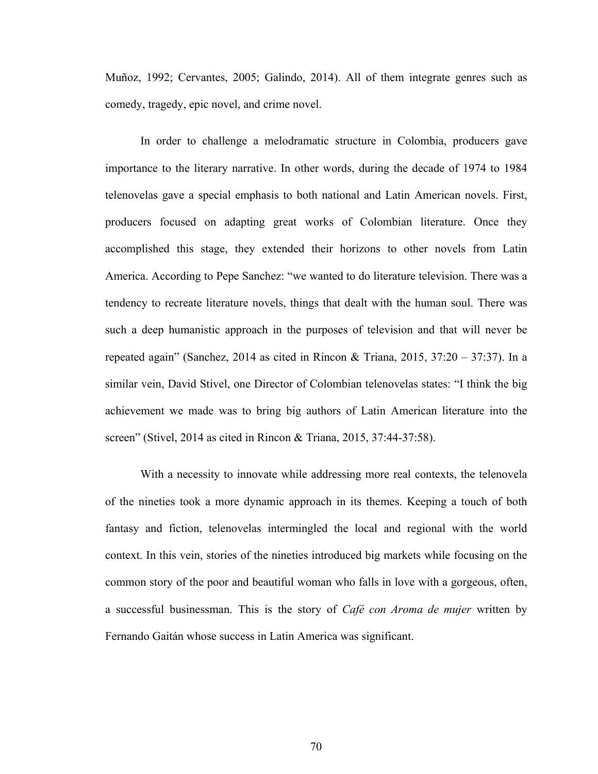Muñoz, 1992; Cervantes, 2005; Galindo, 2014). All of them integrate genres such as comedy, tragedy, epic novel, and crime novel.

In order to challenge a melodramatic structure in Colombia, producers gave importance to the literary narrative. In other words, during the decade of 1974 to 1984 telenovelas gave a special emphasis to both national and Latin American novels. First, producers focused on adapting great works of Colombian literature. Once they accomplished this stage, they extended their horizons to other novels from Latin America. According to Pepe Sanchez: "we wanted to do literature television. There was a tendency to recreate literature novels, things that dealt with the human soul. There was such a deep humanistic approach in the purposes of television and that will never be repeated again" (Sanchez, 2014 as cited in Rincon & Triana, 2015, 37:20 – 37:37). In a similar vein, David Stivel, one Director of Colombian telenovelas states: "I think the big achievement we made was to bring big authors of Latin American literature into the screen" (Stivel, 2014 as cited in Rincon & Triana, 2015, 37:44-37:58).

With a necessity to innovate while addressing more real contexts, the telenovela of the nineties took a more dynamic approach in its themes. Keeping a touch of both fantasy and fiction, telenovelas intermingled the local and regional with the world context. In this vein, stories of the nineties introduced big markets while focusing on the common story of the poor and beautiful woman who falls in love with a gorgeous, often, a successful businessman. This is the story of *Café con Aroma de mujer* written by Fernando Gaitán whose success in Latin America was significant.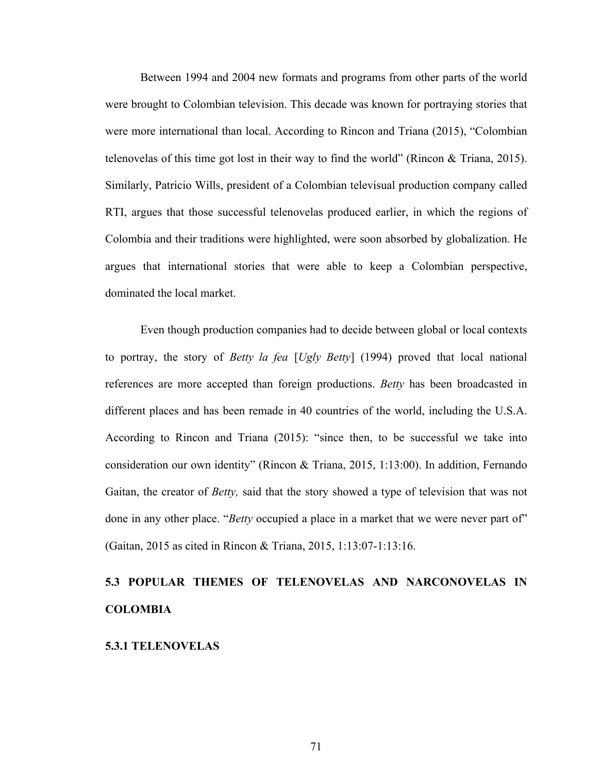Between 1994 and 2004 new formats and programs from other parts of the world were brought to Colombian television. This decade was known for portraying stories that were more international than local. According to Rincon and Triana (2015), "Colombian telenovelas of this time got lost in their way to find the world" (Rincon & Triana, 2015). Similarly, Patricio Wills, president of a Colombian televisual production company called RTI, argues that those successful telenovelas produced earlier, in which the regions of Colombia and their traditions were highlighted, were soon absorbed by globalization. He argues that international stories that were able to keep a Colombian perspective, dominated the local market.

Even though production companies had to decide between global or local contexts to portray, the story of *Betty la fea* [*Ugly Betty*] (1994) proved that local national references are more accepted than foreign productions. *Betty* has been broadcasted in different places and has been remade in 40 countries of the world, including the U.S.A. According to Rincon and Triana (2015): "since then, to be successful we take into consideration our own identity" (Rincon & Triana, 2015, 1:13:00). In addition, Fernando Gaitan, the creator of *Betty,* said that the story showed a type of television that was not done in any other place. "*Betty* occupied a place in a market that we were never part of" (Gaitan, 2015 as cited in Rincon & Triana, 2015, 1:13:07-1:13:16.

# **5.3 POPULAR THEMES OF TELENOVELAS AND NARCONOVELAS IN COLOMBIA**

#### **5.3.1 TELENOVELAS**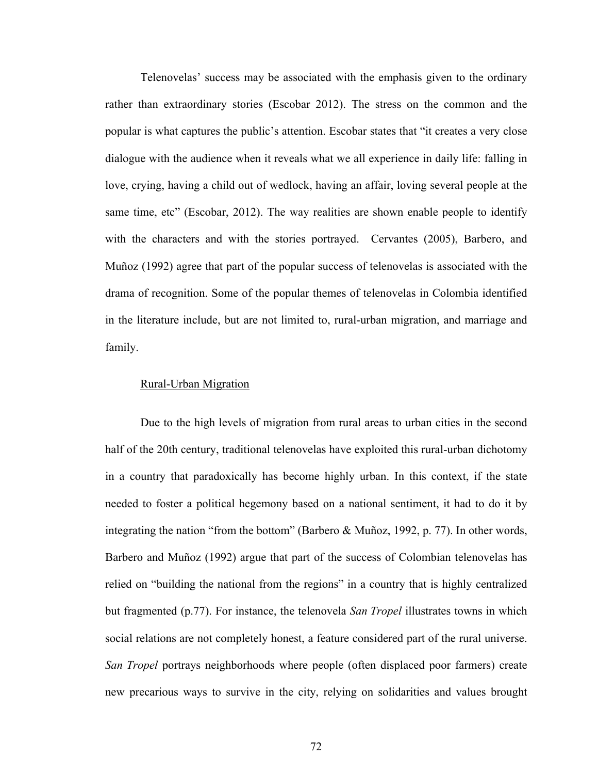Telenovelas' success may be associated with the emphasis given to the ordinary rather than extraordinary stories (Escobar 2012). The stress on the common and the popular is what captures the public's attention. Escobar states that "it creates a very close dialogue with the audience when it reveals what we all experience in daily life: falling in love, crying, having a child out of wedlock, having an affair, loving several people at the same time, etc" (Escobar, 2012). The way realities are shown enable people to identify with the characters and with the stories portrayed. Cervantes (2005), Barbero, and Muñoz (1992) agree that part of the popular success of telenovelas is associated with the drama of recognition. Some of the popular themes of telenovelas in Colombia identified in the literature include, but are not limited to, rural-urban migration, and marriage and family.

### Rural-Urban Migration

Due to the high levels of migration from rural areas to urban cities in the second half of the 20th century, traditional telenovelas have exploited this rural-urban dichotomy in a country that paradoxically has become highly urban. In this context, if the state needed to foster a political hegemony based on a national sentiment, it had to do it by integrating the nation "from the bottom" (Barbero & Muñoz, 1992, p. 77). In other words, Barbero and Muñoz (1992) argue that part of the success of Colombian telenovelas has relied on "building the national from the regions" in a country that is highly centralized but fragmented (p.77). For instance, the telenovela *San Tropel* illustrates towns in which social relations are not completely honest, a feature considered part of the rural universe. *San Tropel* portrays neighborhoods where people (often displaced poor farmers) create new precarious ways to survive in the city, relying on solidarities and values brought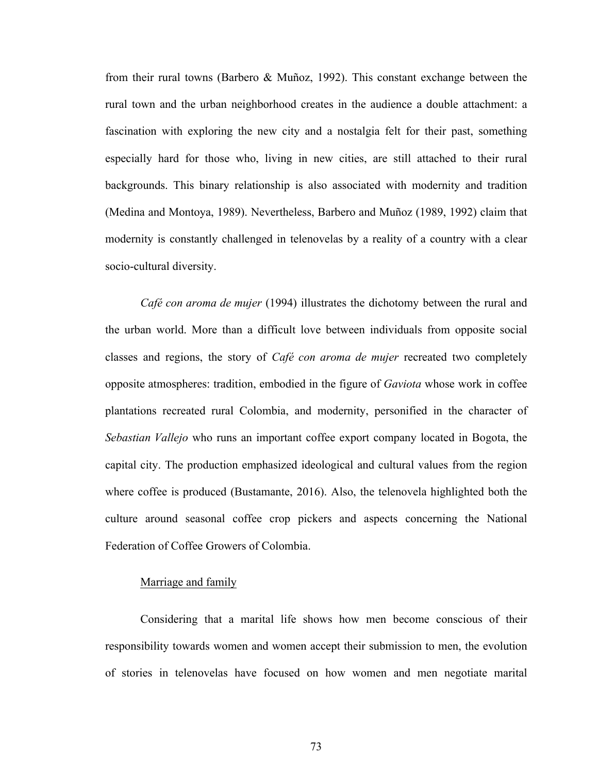from their rural towns (Barbero & Muñoz, 1992). This constant exchange between the rural town and the urban neighborhood creates in the audience a double attachment: a fascination with exploring the new city and a nostalgia felt for their past, something especially hard for those who, living in new cities, are still attached to their rural backgrounds. This binary relationship is also associated with modernity and tradition (Medina and Montoya, 1989). Nevertheless, Barbero and Muñoz (1989, 1992) claim that modernity is constantly challenged in telenovelas by a reality of a country with a clear socio-cultural diversity.

*Café con aroma de mujer* (1994) illustrates the dichotomy between the rural and the urban world. More than a difficult love between individuals from opposite social classes and regions, the story of *Café con aroma de mujer* recreated two completely opposite atmospheres: tradition, embodied in the figure of *Gaviota* whose work in coffee plantations recreated rural Colombia, and modernity, personified in the character of *Sebastian Vallejo* who runs an important coffee export company located in Bogota, the capital city. The production emphasized ideological and cultural values from the region where coffee is produced (Bustamante, 2016). Also, the telenovela highlighted both the culture around seasonal coffee crop pickers and aspects concerning the National Federation of Coffee Growers of Colombia.

# Marriage and family

Considering that a marital life shows how men become conscious of their responsibility towards women and women accept their submission to men, the evolution of stories in telenovelas have focused on how women and men negotiate marital

73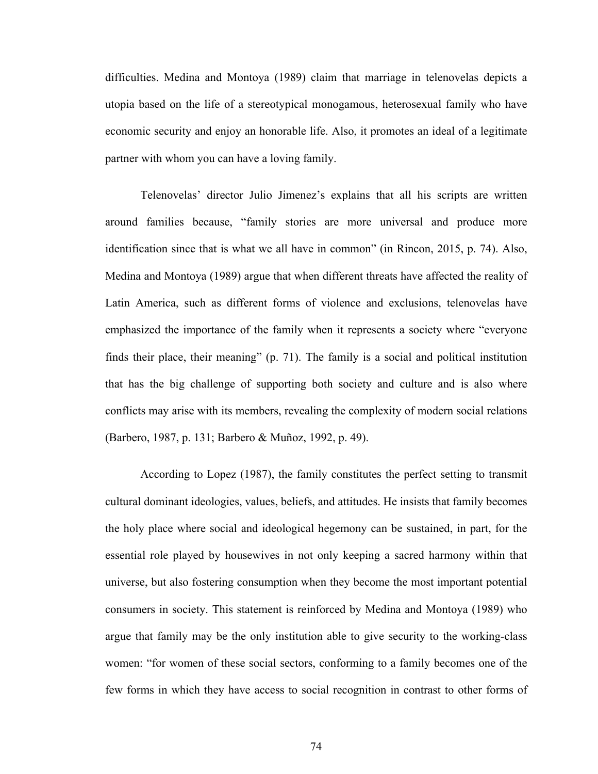difficulties. Medina and Montoya (1989) claim that marriage in telenovelas depicts a utopia based on the life of a stereotypical monogamous, heterosexual family who have economic security and enjoy an honorable life. Also, it promotes an ideal of a legitimate partner with whom you can have a loving family.

Telenovelas' director Julio Jimenez's explains that all his scripts are written around families because, "family stories are more universal and produce more identification since that is what we all have in common" (in Rincon, 2015, p. 74). Also, Medina and Montoya (1989) argue that when different threats have affected the reality of Latin America, such as different forms of violence and exclusions, telenovelas have emphasized the importance of the family when it represents a society where "everyone finds their place, their meaning" (p. 71). The family is a social and political institution that has the big challenge of supporting both society and culture and is also where conflicts may arise with its members, revealing the complexity of modern social relations (Barbero, 1987, p. 131; Barbero & Muñoz, 1992, p. 49).

According to Lopez (1987), the family constitutes the perfect setting to transmit cultural dominant ideologies, values, beliefs, and attitudes. He insists that family becomes the holy place where social and ideological hegemony can be sustained, in part, for the essential role played by housewives in not only keeping a sacred harmony within that universe, but also fostering consumption when they become the most important potential consumers in society. This statement is reinforced by Medina and Montoya (1989) who argue that family may be the only institution able to give security to the working-class women: "for women of these social sectors, conforming to a family becomes one of the few forms in which they have access to social recognition in contrast to other forms of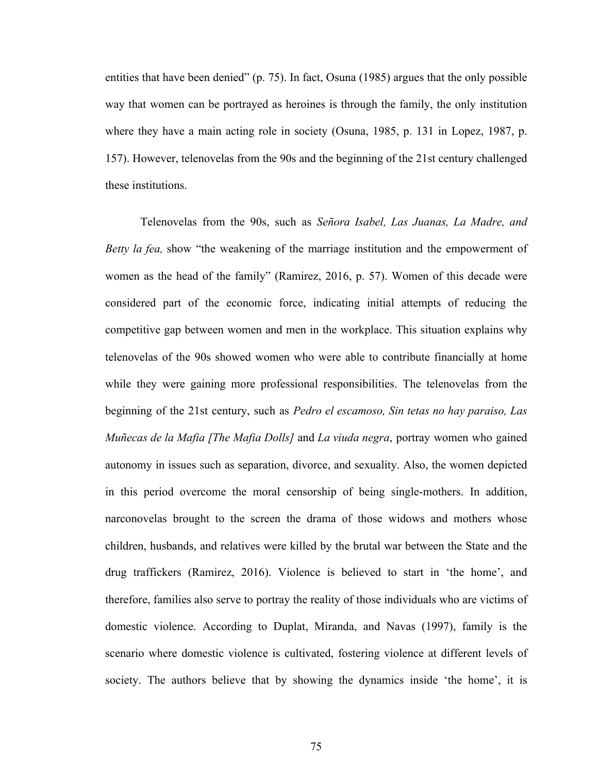entities that have been denied" (p. 75). In fact, Osuna (1985) argues that the only possible way that women can be portrayed as heroines is through the family, the only institution where they have a main acting role in society (Osuna, 1985, p. 131 in Lopez, 1987, p. 157). However, telenovelas from the 90s and the beginning of the 21st century challenged these institutions.

Telenovelas from the 90s, such as *Señora Isabel, Las Juanas, La Madre, and Betty la fea,* show "the weakening of the marriage institution and the empowerment of women as the head of the family" (Ramirez, 2016, p. 57). Women of this decade were considered part of the economic force, indicating initial attempts of reducing the competitive gap between women and men in the workplace. This situation explains why telenovelas of the 90s showed women who were able to contribute financially at home while they were gaining more professional responsibilities. The telenovelas from the beginning of the 21st century, such as *Pedro el escamoso, Sin tetas no hay paraiso, Las Muñecas de la Mafia [The Mafia Dolls]* and *La viuda negra*, portray women who gained autonomy in issues such as separation, divorce, and sexuality. Also, the women depicted in this period overcome the moral censorship of being single-mothers. In addition, narconovelas brought to the screen the drama of those widows and mothers whose children, husbands, and relatives were killed by the brutal war between the State and the drug traffickers (Ramirez, 2016). Violence is believed to start in 'the home', and therefore, families also serve to portray the reality of those individuals who are victims of domestic violence. According to Duplat, Miranda, and Navas (1997), family is the scenario where domestic violence is cultivated, fostering violence at different levels of society. The authors believe that by showing the dynamics inside 'the home', it is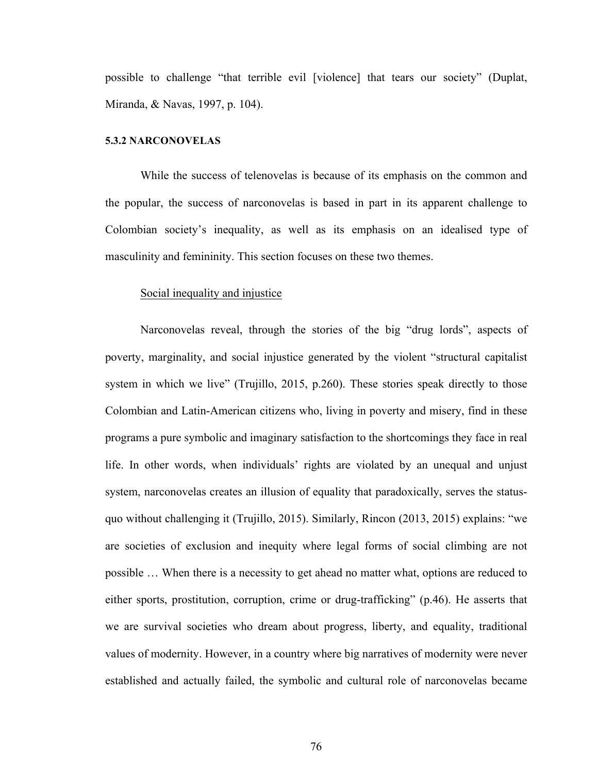possible to challenge "that terrible evil [violence] that tears our society" (Duplat, Miranda, & Navas, 1997, p. 104).

#### **5.3.2 NARCONOVELAS**

While the success of telenovelas is because of its emphasis on the common and the popular, the success of narconovelas is based in part in its apparent challenge to Colombian society's inequality, as well as its emphasis on an idealised type of masculinity and femininity. This section focuses on these two themes.

#### Social inequality and injustice

Narconovelas reveal, through the stories of the big "drug lords", aspects of poverty, marginality, and social injustice generated by the violent "structural capitalist system in which we live" (Trujillo, 2015, p.260). These stories speak directly to those Colombian and Latin-American citizens who, living in poverty and misery, find in these programs a pure symbolic and imaginary satisfaction to the shortcomings they face in real life. In other words, when individuals' rights are violated by an unequal and unjust system, narconovelas creates an illusion of equality that paradoxically, serves the statusquo without challenging it (Trujillo, 2015). Similarly, Rincon (2013, 2015) explains: "we are societies of exclusion and inequity where legal forms of social climbing are not possible … When there is a necessity to get ahead no matter what, options are reduced to either sports, prostitution, corruption, crime or drug-trafficking" (p.46). He asserts that we are survival societies who dream about progress, liberty, and equality, traditional values of modernity. However, in a country where big narratives of modernity were never established and actually failed, the symbolic and cultural role of narconovelas became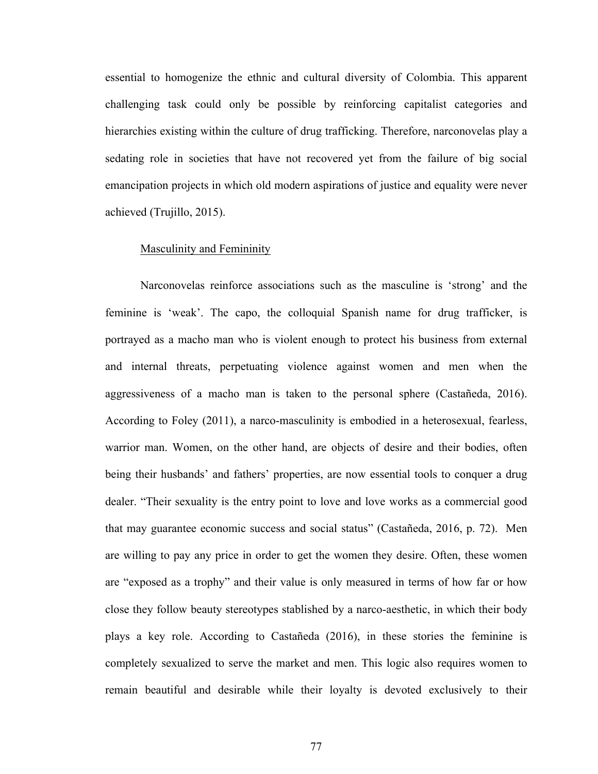essential to homogenize the ethnic and cultural diversity of Colombia. This apparent challenging task could only be possible by reinforcing capitalist categories and hierarchies existing within the culture of drug trafficking. Therefore, narconovelas play a sedating role in societies that have not recovered yet from the failure of big social emancipation projects in which old modern aspirations of justice and equality were never achieved (Trujillo, 2015).

#### Masculinity and Femininity

Narconovelas reinforce associations such as the masculine is 'strong' and the feminine is 'weak'. The capo, the colloquial Spanish name for drug trafficker, is portrayed as a macho man who is violent enough to protect his business from external and internal threats, perpetuating violence against women and men when the aggressiveness of a macho man is taken to the personal sphere (Castañeda, 2016). According to Foley (2011), a narco-masculinity is embodied in a heterosexual, fearless, warrior man. Women, on the other hand, are objects of desire and their bodies, often being their husbands' and fathers' properties, are now essential tools to conquer a drug dealer. "Their sexuality is the entry point to love and love works as a commercial good that may guarantee economic success and social status" (Castañeda, 2016, p. 72). Men are willing to pay any price in order to get the women they desire. Often, these women are "exposed as a trophy" and their value is only measured in terms of how far or how close they follow beauty stereotypes stablished by a narco-aesthetic, in which their body plays a key role. According to Castañeda (2016), in these stories the feminine is completely sexualized to serve the market and men. This logic also requires women to remain beautiful and desirable while their loyalty is devoted exclusively to their

77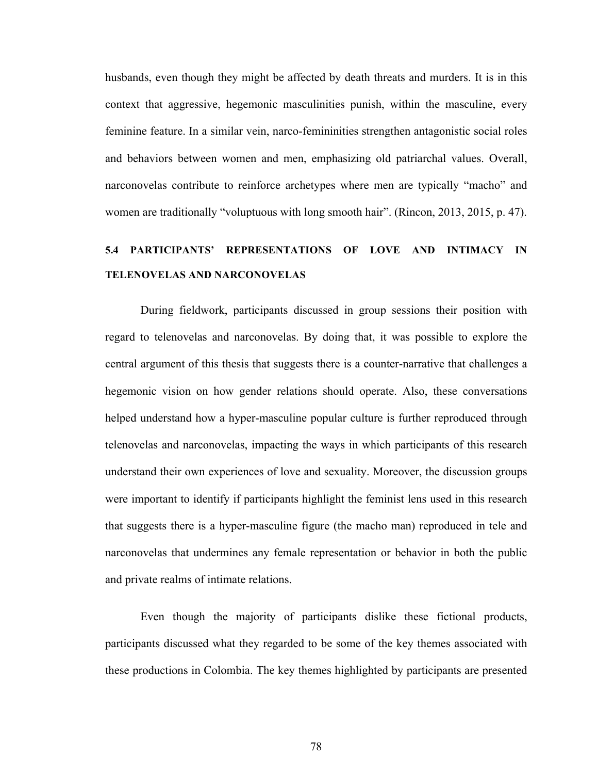husbands, even though they might be affected by death threats and murders. It is in this context that aggressive, hegemonic masculinities punish, within the masculine, every feminine feature. In a similar vein, narco-femininities strengthen antagonistic social roles and behaviors between women and men, emphasizing old patriarchal values. Overall, narconovelas contribute to reinforce archetypes where men are typically "macho" and women are traditionally "voluptuous with long smooth hair". (Rincon, 2013, 2015, p. 47).

# **5.4 PARTICIPANTS' REPRESENTATIONS OF LOVE AND INTIMACY IN TELENOVELAS AND NARCONOVELAS**

During fieldwork, participants discussed in group sessions their position with regard to telenovelas and narconovelas. By doing that, it was possible to explore the central argument of this thesis that suggests there is a counter-narrative that challenges a hegemonic vision on how gender relations should operate. Also, these conversations helped understand how a hyper-masculine popular culture is further reproduced through telenovelas and narconovelas, impacting the ways in which participants of this research understand their own experiences of love and sexuality. Moreover, the discussion groups were important to identify if participants highlight the feminist lens used in this research that suggests there is a hyper-masculine figure (the macho man) reproduced in tele and narconovelas that undermines any female representation or behavior in both the public and private realms of intimate relations.

Even though the majority of participants dislike these fictional products, participants discussed what they regarded to be some of the key themes associated with these productions in Colombia. The key themes highlighted by participants are presented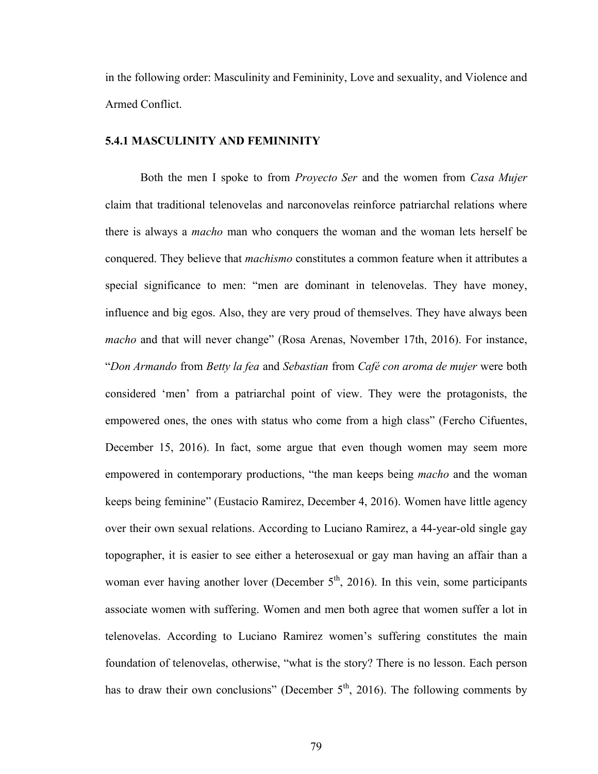in the following order: Masculinity and Femininity, Love and sexuality, and Violence and Armed Conflict.

# **5.4.1 MASCULINITY AND FEMININITY**

Both the men I spoke to from *Proyecto Ser* and the women from *Casa Mujer* claim that traditional telenovelas and narconovelas reinforce patriarchal relations where there is always a *macho* man who conquers the woman and the woman lets herself be conquered. They believe that *machismo* constitutes a common feature when it attributes a special significance to men: "men are dominant in telenovelas. They have money, influence and big egos. Also, they are very proud of themselves. They have always been *macho* and that will never change" (Rosa Arenas, November 17th, 2016). For instance, "*Don Armando* from *Betty la fea* and *Sebastian* from *Café con aroma de mujer* were both considered 'men' from a patriarchal point of view. They were the protagonists, the empowered ones, the ones with status who come from a high class" (Fercho Cifuentes, December 15, 2016). In fact, some argue that even though women may seem more empowered in contemporary productions, "the man keeps being *macho* and the woman keeps being feminine" (Eustacio Ramirez, December 4, 2016). Women have little agency over their own sexual relations. According to Luciano Ramirez, a 44-year-old single gay topographer, it is easier to see either a heterosexual or gay man having an affair than a woman ever having another lover (December  $5<sup>th</sup>$ , 2016). In this vein, some participants associate women with suffering. Women and men both agree that women suffer a lot in telenovelas. According to Luciano Ramirez women's suffering constitutes the main foundation of telenovelas, otherwise, "what is the story? There is no lesson. Each person has to draw their own conclusions" (December  $5<sup>th</sup>$ , 2016). The following comments by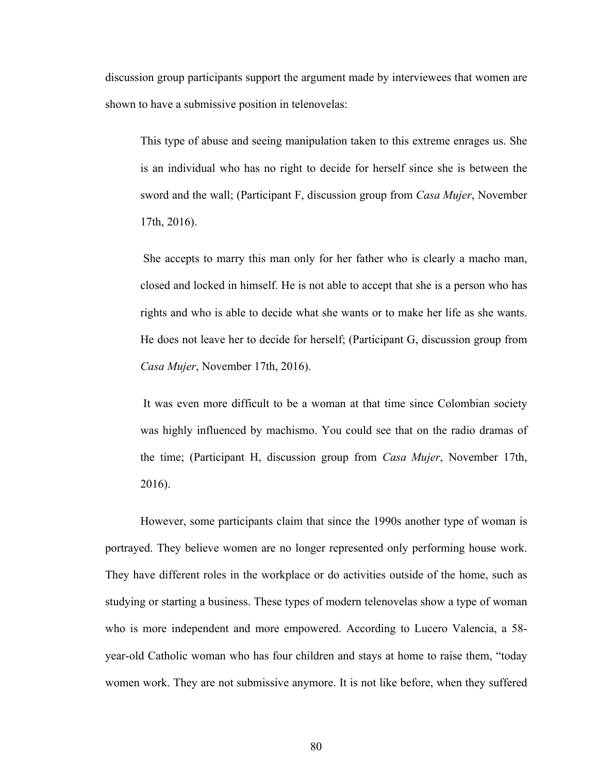discussion group participants support the argument made by interviewees that women are shown to have a submissive position in telenovelas:

This type of abuse and seeing manipulation taken to this extreme enrages us. She is an individual who has no right to decide for herself since she is between the sword and the wall; (Participant F, discussion group from *Casa Mujer*, November 17th, 2016).

She accepts to marry this man only for her father who is clearly a macho man, closed and locked in himself. He is not able to accept that she is a person who has rights and who is able to decide what she wants or to make her life as she wants. He does not leave her to decide for herself; (Participant G, discussion group from *Casa Mujer*, November 17th, 2016).

It was even more difficult to be a woman at that time since Colombian society was highly influenced by machismo. You could see that on the radio dramas of the time; (Participant H, discussion group from *Casa Mujer*, November 17th, 2016).

However, some participants claim that since the 1990s another type of woman is portrayed. They believe women are no longer represented only performing house work. They have different roles in the workplace or do activities outside of the home, such as studying or starting a business. These types of modern telenovelas show a type of woman who is more independent and more empowered. According to Lucero Valencia, a 58 year-old Catholic woman who has four children and stays at home to raise them, "today women work. They are not submissive anymore. It is not like before, when they suffered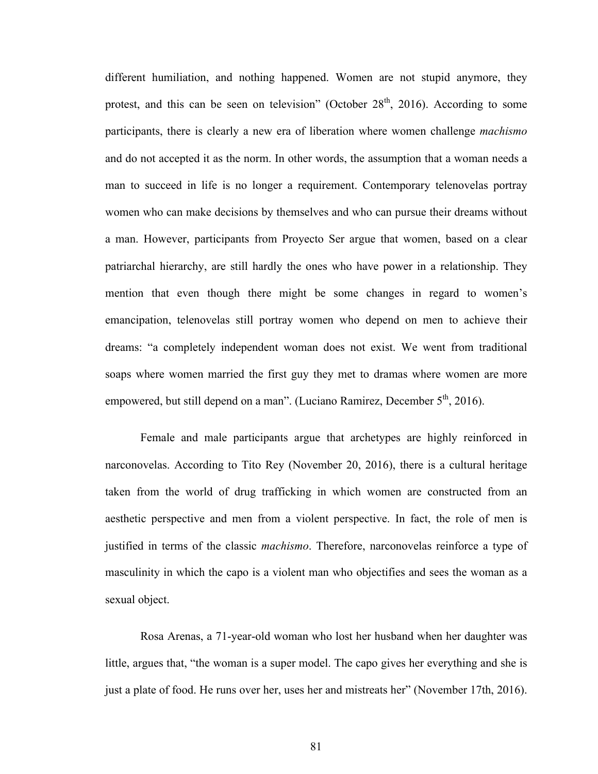different humiliation, and nothing happened. Women are not stupid anymore, they protest, and this can be seen on television" (October  $28<sup>th</sup>$ , 2016). According to some participants, there is clearly a new era of liberation where women challenge *machismo* and do not accepted it as the norm. In other words, the assumption that a woman needs a man to succeed in life is no longer a requirement. Contemporary telenovelas portray women who can make decisions by themselves and who can pursue their dreams without a man. However, participants from Proyecto Ser argue that women, based on a clear patriarchal hierarchy, are still hardly the ones who have power in a relationship. They mention that even though there might be some changes in regard to women's emancipation, telenovelas still portray women who depend on men to achieve their dreams: "a completely independent woman does not exist. We went from traditional soaps where women married the first guy they met to dramas where women are more empowered, but still depend on a man". (Luciano Ramirez, December  $5<sup>th</sup>$ , 2016).

Female and male participants argue that archetypes are highly reinforced in narconovelas. According to Tito Rey (November 20, 2016), there is a cultural heritage taken from the world of drug trafficking in which women are constructed from an aesthetic perspective and men from a violent perspective. In fact, the role of men is justified in terms of the classic *machismo*. Therefore, narconovelas reinforce a type of masculinity in which the capo is a violent man who objectifies and sees the woman as a sexual object.

Rosa Arenas, a 71-year-old woman who lost her husband when her daughter was little, argues that, "the woman is a super model. The capo gives her everything and she is just a plate of food. He runs over her, uses her and mistreats her" (November 17th, 2016).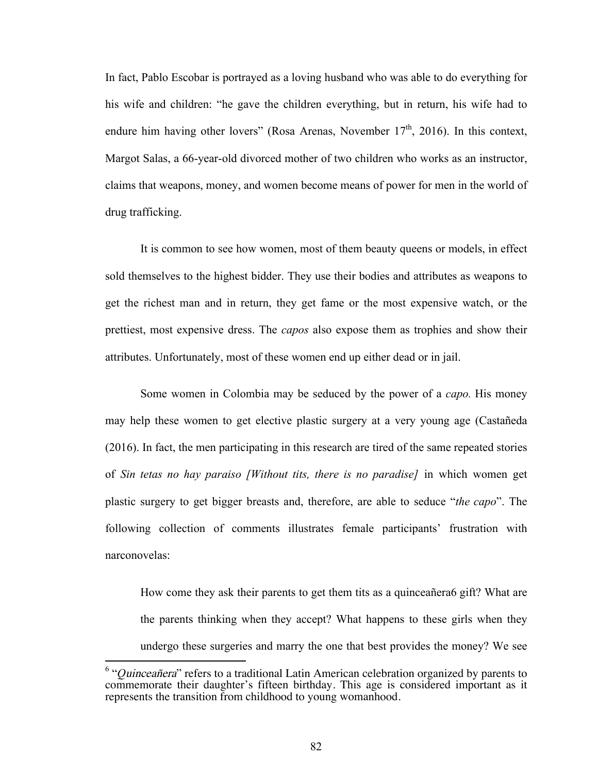In fact, Pablo Escobar is portrayed as a loving husband who was able to do everything for his wife and children: "he gave the children everything, but in return, his wife had to endure him having other lovers" (Rosa Arenas, November  $17<sup>th</sup>$ , 2016). In this context, Margot Salas, a 66-year-old divorced mother of two children who works as an instructor, claims that weapons, money, and women become means of power for men in the world of drug trafficking.

It is common to see how women, most of them beauty queens or models, in effect sold themselves to the highest bidder. They use their bodies and attributes as weapons to get the richest man and in return, they get fame or the most expensive watch, or the prettiest, most expensive dress. The *capos* also expose them as trophies and show their attributes. Unfortunately, most of these women end up either dead or in jail.

Some women in Colombia may be seduced by the power of a *capo.* His money may help these women to get elective plastic surgery at a very young age (Castañeda (2016). In fact, the men participating in this research are tired of the same repeated stories of *Sin tetas no hay paraiso [Without tits, there is no paradise]* in which women get plastic surgery to get bigger breasts and, therefore, are able to seduce "*the capo*". The following collection of comments illustrates female participants' frustration with narconovelas:

How come they ask their parents to get them tits as a quinceañera6 gift? What are the parents thinking when they accept? What happens to these girls when they undergo these surgeries and marry the one that best provides the money? We see

 <sup>6</sup> "*Q*uinceañera" refers to a traditional Latin American celebration organized by parents to commemorate their daughter's fifteen birthday. This age is considered important as it represents the transition from childhood to young womanhood.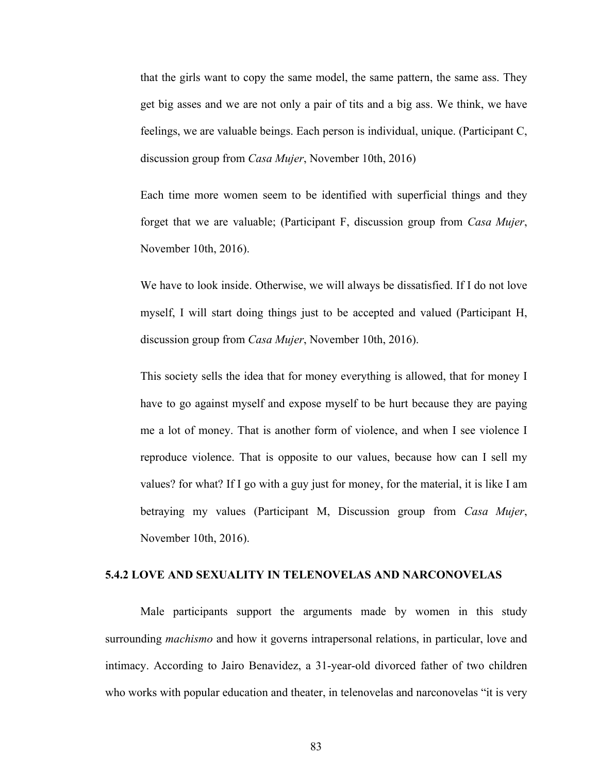that the girls want to copy the same model, the same pattern, the same ass. They get big asses and we are not only a pair of tits and a big ass. We think, we have feelings, we are valuable beings. Each person is individual, unique. (Participant C, discussion group from *Casa Mujer*, November 10th, 2016)

Each time more women seem to be identified with superficial things and they forget that we are valuable; (Participant F, discussion group from *Casa Mujer*, November 10th, 2016).

We have to look inside. Otherwise, we will always be dissatisfied. If I do not love myself, I will start doing things just to be accepted and valued (Participant H, discussion group from *Casa Mujer*, November 10th, 2016).

This society sells the idea that for money everything is allowed, that for money I have to go against myself and expose myself to be hurt because they are paying me a lot of money. That is another form of violence, and when I see violence I reproduce violence. That is opposite to our values, because how can I sell my values? for what? If I go with a guy just for money, for the material, it is like I am betraying my values (Participant M, Discussion group from *Casa Mujer*, November 10th, 2016).

#### **5.4.2 LOVE AND SEXUALITY IN TELENOVELAS AND NARCONOVELAS**

Male participants support the arguments made by women in this study surrounding *machismo* and how it governs intrapersonal relations, in particular, love and intimacy. According to Jairo Benavidez, a 31-year-old divorced father of two children who works with popular education and theater, in telenovelas and narconovelas "it is very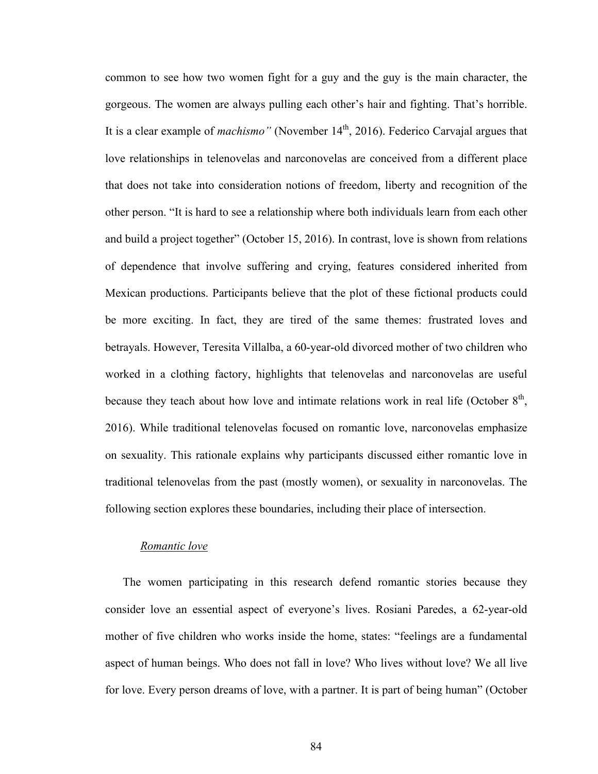common to see how two women fight for a guy and the guy is the main character, the gorgeous. The women are always pulling each other's hair and fighting. That's horrible. It is a clear example of *machismo*" (November 14<sup>th</sup>, 2016). Federico Carvajal argues that love relationships in telenovelas and narconovelas are conceived from a different place that does not take into consideration notions of freedom, liberty and recognition of the other person. "It is hard to see a relationship where both individuals learn from each other and build a project together" (October 15, 2016). In contrast, love is shown from relations of dependence that involve suffering and crying, features considered inherited from Mexican productions. Participants believe that the plot of these fictional products could be more exciting. In fact, they are tired of the same themes: frustrated loves and betrayals. However, Teresita Villalba, a 60-year-old divorced mother of two children who worked in a clothing factory, highlights that telenovelas and narconovelas are useful because they teach about how love and intimate relations work in real life (October  $8<sup>th</sup>$ , 2016). While traditional telenovelas focused on romantic love, narconovelas emphasize on sexuality. This rationale explains why participants discussed either romantic love in traditional telenovelas from the past (mostly women), or sexuality in narconovelas. The following section explores these boundaries, including their place of intersection.

#### *Romantic love*

The women participating in this research defend romantic stories because they consider love an essential aspect of everyone's lives. Rosiani Paredes, a 62-year-old mother of five children who works inside the home, states: "feelings are a fundamental aspect of human beings. Who does not fall in love? Who lives without love? We all live for love. Every person dreams of love, with a partner. It is part of being human" (October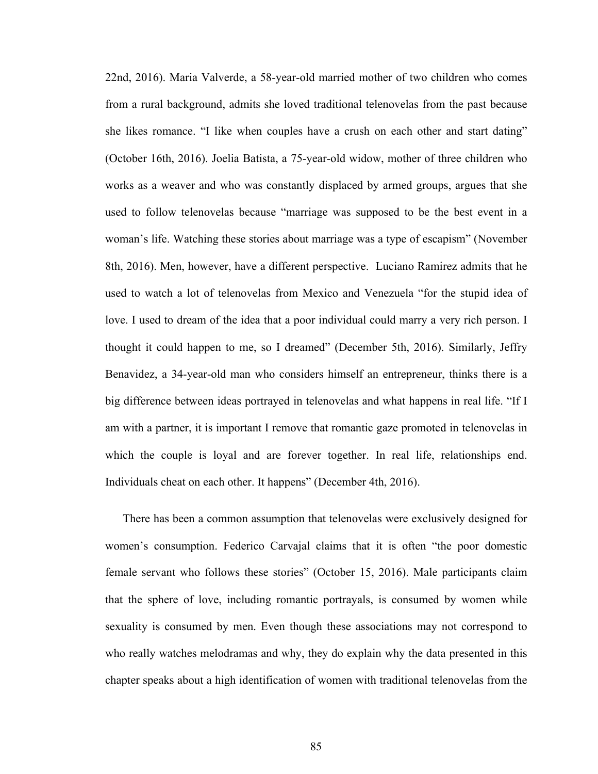22nd, 2016). Maria Valverde, a 58-year-old married mother of two children who comes from a rural background, admits she loved traditional telenovelas from the past because she likes romance. "I like when couples have a crush on each other and start dating" (October 16th, 2016). Joelia Batista, a 75-year-old widow, mother of three children who works as a weaver and who was constantly displaced by armed groups, argues that she used to follow telenovelas because "marriage was supposed to be the best event in a woman's life. Watching these stories about marriage was a type of escapism" (November 8th, 2016). Men, however, have a different perspective. Luciano Ramirez admits that he used to watch a lot of telenovelas from Mexico and Venezuela "for the stupid idea of love. I used to dream of the idea that a poor individual could marry a very rich person. I thought it could happen to me, so I dreamed" (December 5th, 2016). Similarly, Jeffry Benavidez, a 34-year-old man who considers himself an entrepreneur, thinks there is a big difference between ideas portrayed in telenovelas and what happens in real life. "If I am with a partner, it is important I remove that romantic gaze promoted in telenovelas in which the couple is loyal and are forever together. In real life, relationships end. Individuals cheat on each other. It happens" (December 4th, 2016).

There has been a common assumption that telenovelas were exclusively designed for women's consumption. Federico Carvajal claims that it is often "the poor domestic female servant who follows these stories" (October 15, 2016). Male participants claim that the sphere of love, including romantic portrayals, is consumed by women while sexuality is consumed by men. Even though these associations may not correspond to who really watches melodramas and why, they do explain why the data presented in this chapter speaks about a high identification of women with traditional telenovelas from the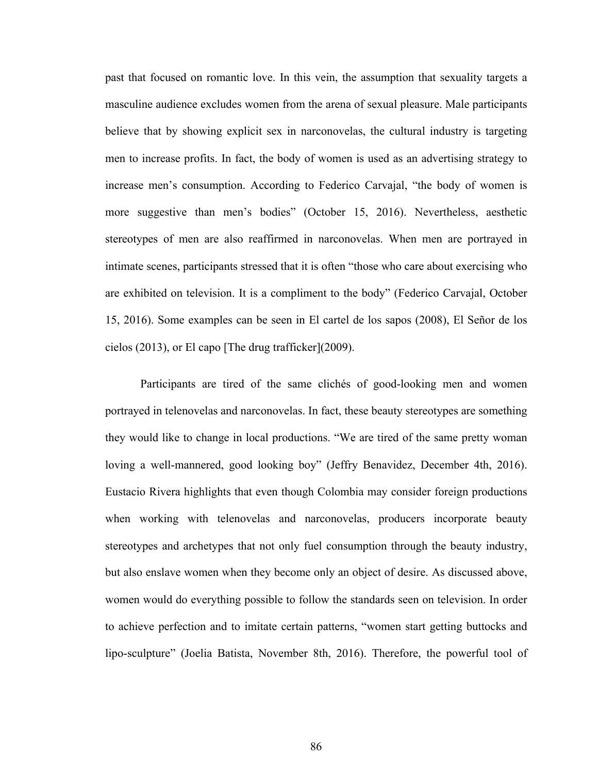past that focused on romantic love. In this vein, the assumption that sexuality targets a masculine audience excludes women from the arena of sexual pleasure. Male participants believe that by showing explicit sex in narconovelas, the cultural industry is targeting men to increase profits. In fact, the body of women is used as an advertising strategy to increase men's consumption. According to Federico Carvajal, "the body of women is more suggestive than men's bodies" (October 15, 2016). Nevertheless, aesthetic stereotypes of men are also reaffirmed in narconovelas. When men are portrayed in intimate scenes, participants stressed that it is often "those who care about exercising who are exhibited on television. It is a compliment to the body" (Federico Carvajal, October 15, 2016). Some examples can be seen in El cartel de los sapos (2008), El Señor de los cielos (2013), or El capo [The drug trafficker](2009).

Participants are tired of the same clichés of good-looking men and women portrayed in telenovelas and narconovelas. In fact, these beauty stereotypes are something they would like to change in local productions. "We are tired of the same pretty woman loving a well-mannered, good looking boy" (Jeffry Benavidez, December 4th, 2016). Eustacio Rivera highlights that even though Colombia may consider foreign productions when working with telenovelas and narconovelas, producers incorporate beauty stereotypes and archetypes that not only fuel consumption through the beauty industry, but also enslave women when they become only an object of desire. As discussed above, women would do everything possible to follow the standards seen on television. In order to achieve perfection and to imitate certain patterns, "women start getting buttocks and lipo-sculpture" (Joelia Batista, November 8th, 2016). Therefore, the powerful tool of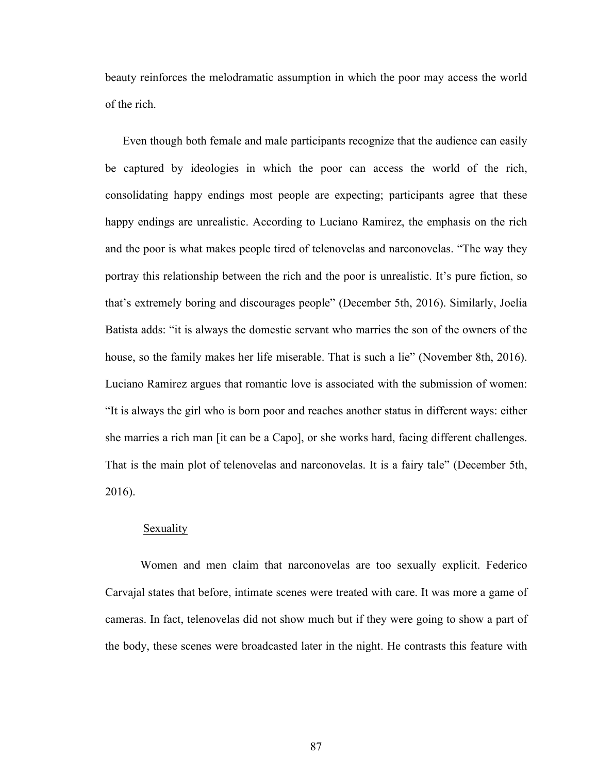beauty reinforces the melodramatic assumption in which the poor may access the world of the rich.

Even though both female and male participants recognize that the audience can easily be captured by ideologies in which the poor can access the world of the rich, consolidating happy endings most people are expecting; participants agree that these happy endings are unrealistic. According to Luciano Ramirez, the emphasis on the rich and the poor is what makes people tired of telenovelas and narconovelas. "The way they portray this relationship between the rich and the poor is unrealistic. It's pure fiction, so that's extremely boring and discourages people" (December 5th, 2016). Similarly, Joelia Batista adds: "it is always the domestic servant who marries the son of the owners of the house, so the family makes her life miserable. That is such a lie" (November 8th, 2016). Luciano Ramirez argues that romantic love is associated with the submission of women: "It is always the girl who is born poor and reaches another status in different ways: either she marries a rich man [it can be a Capo], or she works hard, facing different challenges. That is the main plot of telenovelas and narconovelas. It is a fairy tale" (December 5th, 2016).

### **Sexuality**

Women and men claim that narconovelas are too sexually explicit. Federico Carvajal states that before, intimate scenes were treated with care. It was more a game of cameras. In fact, telenovelas did not show much but if they were going to show a part of the body, these scenes were broadcasted later in the night. He contrasts this feature with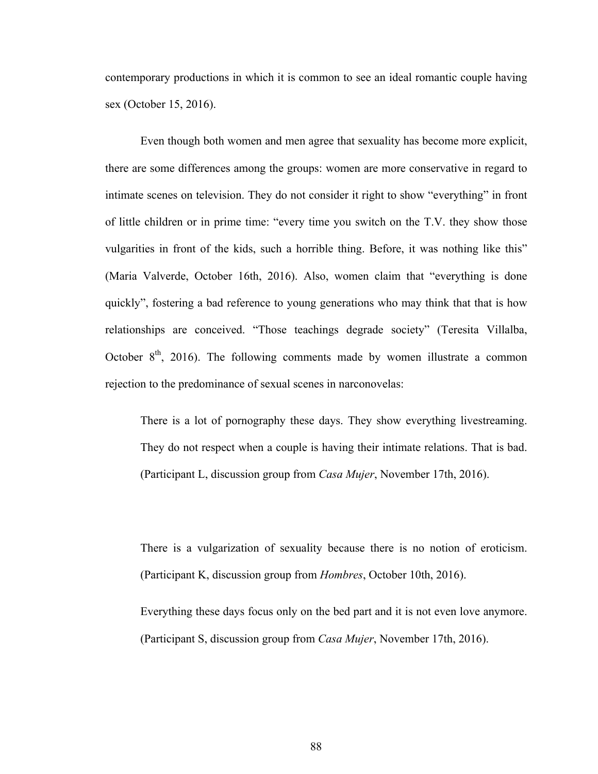contemporary productions in which it is common to see an ideal romantic couple having sex (October 15, 2016).

Even though both women and men agree that sexuality has become more explicit, there are some differences among the groups: women are more conservative in regard to intimate scenes on television. They do not consider it right to show "everything" in front of little children or in prime time: "every time you switch on the T.V. they show those vulgarities in front of the kids, such a horrible thing. Before, it was nothing like this" (Maria Valverde, October 16th, 2016). Also, women claim that "everything is done quickly", fostering a bad reference to young generations who may think that that is how relationships are conceived. "Those teachings degrade society" (Teresita Villalba, October  $8<sup>th</sup>$ , 2016). The following comments made by women illustrate a common rejection to the predominance of sexual scenes in narconovelas:

There is a lot of pornography these days. They show everything livestreaming. They do not respect when a couple is having their intimate relations. That is bad. (Participant L, discussion group from *Casa Mujer*, November 17th, 2016).

There is a vulgarization of sexuality because there is no notion of eroticism. (Participant K, discussion group from *Hombres*, October 10th, 2016).

Everything these days focus only on the bed part and it is not even love anymore. (Participant S, discussion group from *Casa Mujer*, November 17th, 2016).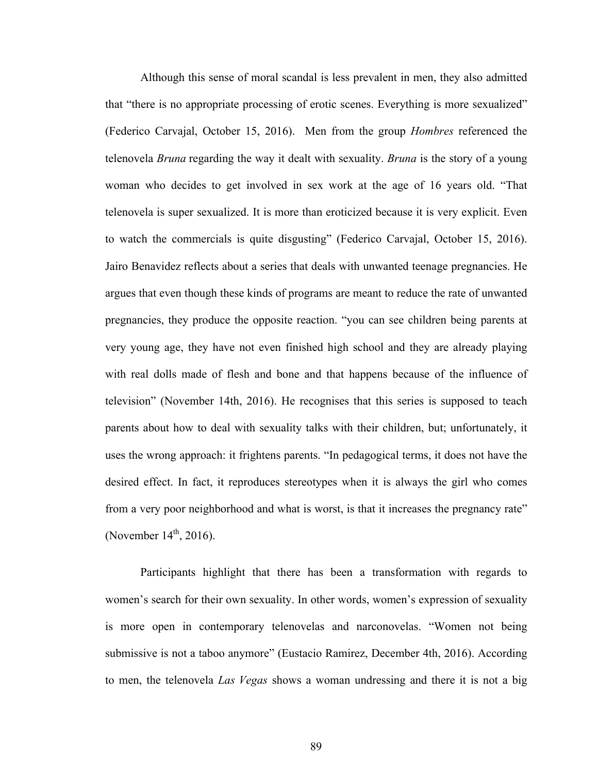Although this sense of moral scandal is less prevalent in men, they also admitted that "there is no appropriate processing of erotic scenes. Everything is more sexualized" (Federico Carvajal, October 15, 2016). Men from the group *Hombres* referenced the telenovela *Bruna* regarding the way it dealt with sexuality. *Bruna* is the story of a young woman who decides to get involved in sex work at the age of 16 years old. "That telenovela is super sexualized. It is more than eroticized because it is very explicit. Even to watch the commercials is quite disgusting" (Federico Carvajal, October 15, 2016). Jairo Benavidez reflects about a series that deals with unwanted teenage pregnancies. He argues that even though these kinds of programs are meant to reduce the rate of unwanted pregnancies, they produce the opposite reaction. "you can see children being parents at very young age, they have not even finished high school and they are already playing with real dolls made of flesh and bone and that happens because of the influence of television" (November 14th, 2016). He recognises that this series is supposed to teach parents about how to deal with sexuality talks with their children, but; unfortunately, it uses the wrong approach: it frightens parents. "In pedagogical terms, it does not have the desired effect. In fact, it reproduces stereotypes when it is always the girl who comes from a very poor neighborhood and what is worst, is that it increases the pregnancy rate" (November  $14^{th}$ , 2016).

Participants highlight that there has been a transformation with regards to women's search for their own sexuality. In other words, women's expression of sexuality is more open in contemporary telenovelas and narconovelas. "Women not being submissive is not a taboo anymore" (Eustacio Ramirez, December 4th, 2016). According to men, the telenovela *Las Vegas* shows a woman undressing and there it is not a big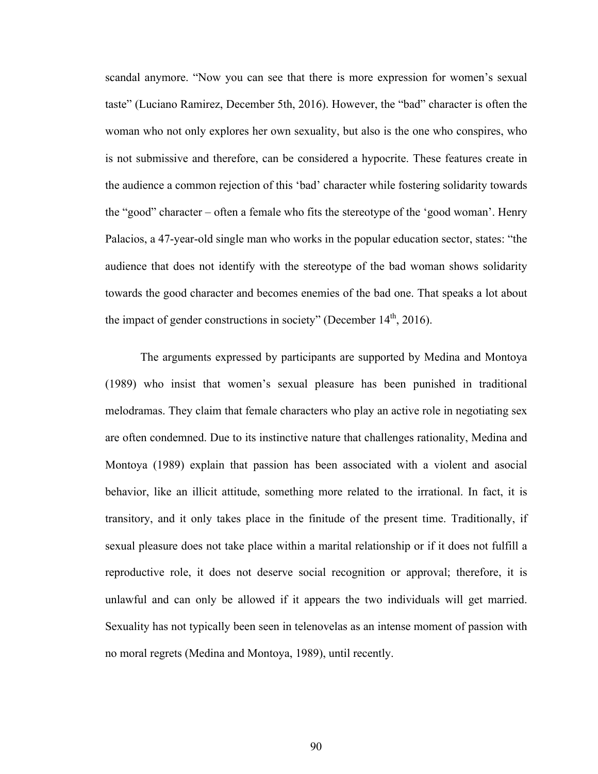scandal anymore. "Now you can see that there is more expression for women's sexual taste" (Luciano Ramirez, December 5th, 2016). However, the "bad" character is often the woman who not only explores her own sexuality, but also is the one who conspires, who is not submissive and therefore, can be considered a hypocrite. These features create in the audience a common rejection of this 'bad' character while fostering solidarity towards the "good" character – often a female who fits the stereotype of the 'good woman'. Henry Palacios, a 47-year-old single man who works in the popular education sector, states: "the audience that does not identify with the stereotype of the bad woman shows solidarity towards the good character and becomes enemies of the bad one. That speaks a lot about the impact of gender constructions in society" (December  $14<sup>th</sup>$ , 2016).

The arguments expressed by participants are supported by Medina and Montoya (1989) who insist that women's sexual pleasure has been punished in traditional melodramas. They claim that female characters who play an active role in negotiating sex are often condemned. Due to its instinctive nature that challenges rationality, Medina and Montoya (1989) explain that passion has been associated with a violent and asocial behavior, like an illicit attitude, something more related to the irrational. In fact, it is transitory, and it only takes place in the finitude of the present time. Traditionally, if sexual pleasure does not take place within a marital relationship or if it does not fulfill a reproductive role, it does not deserve social recognition or approval; therefore, it is unlawful and can only be allowed if it appears the two individuals will get married. Sexuality has not typically been seen in telenovelas as an intense moment of passion with no moral regrets (Medina and Montoya, 1989), until recently.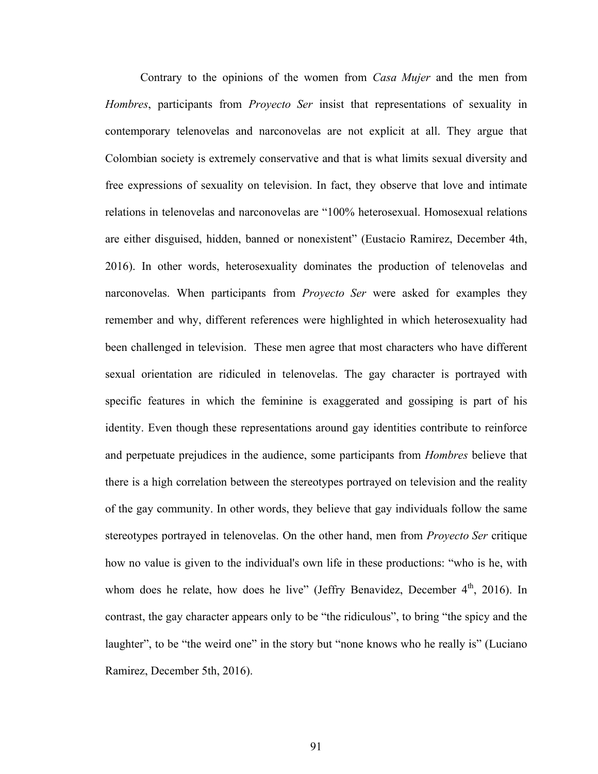Contrary to the opinions of the women from *Casa Mujer* and the men from *Hombres*, participants from *Proyecto Ser* insist that representations of sexuality in contemporary telenovelas and narconovelas are not explicit at all. They argue that Colombian society is extremely conservative and that is what limits sexual diversity and free expressions of sexuality on television. In fact, they observe that love and intimate relations in telenovelas and narconovelas are "100% heterosexual. Homosexual relations are either disguised, hidden, banned or nonexistent" (Eustacio Ramirez, December 4th, 2016). In other words, heterosexuality dominates the production of telenovelas and narconovelas. When participants from *Proyecto Ser* were asked for examples they remember and why, different references were highlighted in which heterosexuality had been challenged in television. These men agree that most characters who have different sexual orientation are ridiculed in telenovelas. The gay character is portrayed with specific features in which the feminine is exaggerated and gossiping is part of his identity. Even though these representations around gay identities contribute to reinforce and perpetuate prejudices in the audience, some participants from *Hombres* believe that there is a high correlation between the stereotypes portrayed on television and the reality of the gay community. In other words, they believe that gay individuals follow the same stereotypes portrayed in telenovelas. On the other hand, men from *Proyecto Ser* critique how no value is given to the individual's own life in these productions: "who is he, with whom does he relate, how does he live" (Jeffry Benavidez, December  $4<sup>th</sup>$ , 2016). In contrast, the gay character appears only to be "the ridiculous", to bring "the spicy and the laughter", to be "the weird one" in the story but "none knows who he really is" (Luciano Ramirez, December 5th, 2016).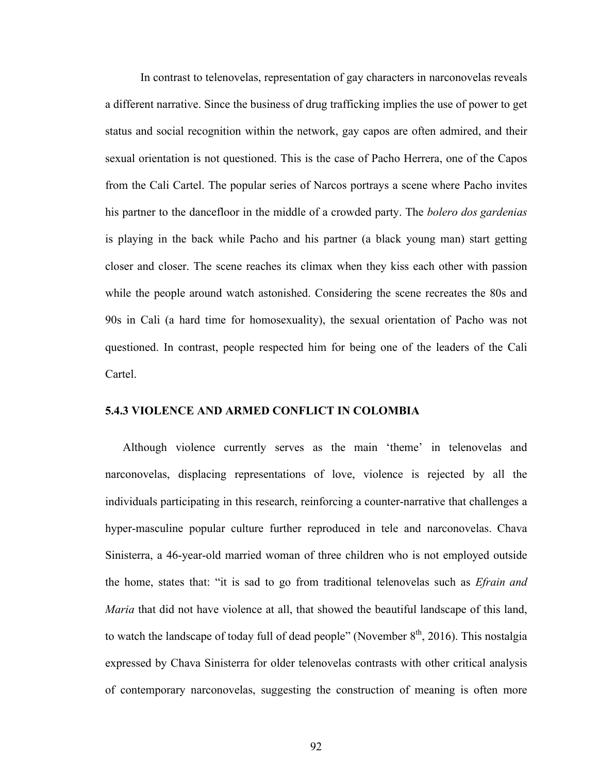In contrast to telenovelas, representation of gay characters in narconovelas reveals a different narrative. Since the business of drug trafficking implies the use of power to get status and social recognition within the network, gay capos are often admired, and their sexual orientation is not questioned. This is the case of Pacho Herrera, one of the Capos from the Cali Cartel. The popular series of Narcos portrays a scene where Pacho invites his partner to the dancefloor in the middle of a crowded party. The *bolero dos gardenias* is playing in the back while Pacho and his partner (a black young man) start getting closer and closer. The scene reaches its climax when they kiss each other with passion while the people around watch astonished. Considering the scene recreates the 80s and 90s in Cali (a hard time for homosexuality), the sexual orientation of Pacho was not questioned. In contrast, people respected him for being one of the leaders of the Cali Cartel.

# **5.4.3 VIOLENCE AND ARMED CONFLICT IN COLOMBIA**

Although violence currently serves as the main 'theme' in telenovelas and narconovelas, displacing representations of love, violence is rejected by all the individuals participating in this research, reinforcing a counter-narrative that challenges a hyper-masculine popular culture further reproduced in tele and narconovelas. Chava Sinisterra, a 46-year-old married woman of three children who is not employed outside the home, states that: "it is sad to go from traditional telenovelas such as *Efrain and Maria* that did not have violence at all, that showed the beautiful landscape of this land, to watch the landscape of today full of dead people" (November  $8<sup>th</sup>$ , 2016). This nostalgia expressed by Chava Sinisterra for older telenovelas contrasts with other critical analysis of contemporary narconovelas, suggesting the construction of meaning is often more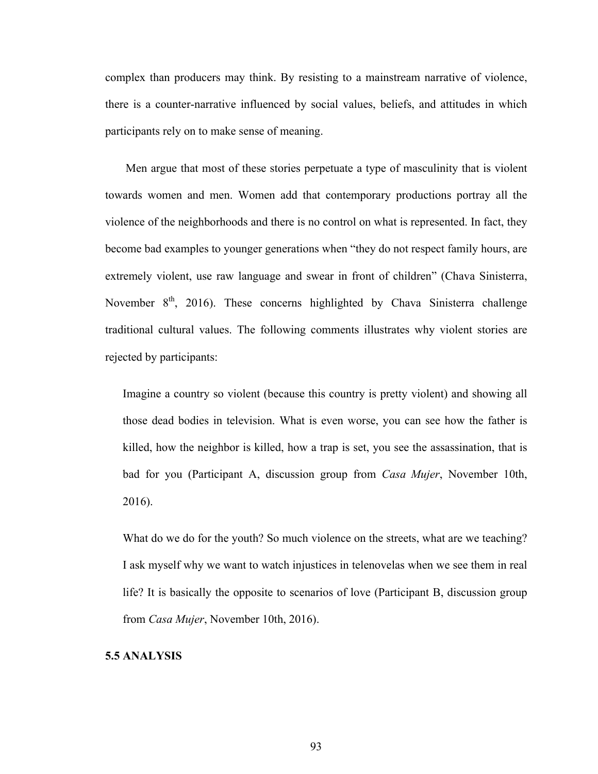complex than producers may think. By resisting to a mainstream narrative of violence, there is a counter-narrative influenced by social values, beliefs, and attitudes in which participants rely on to make sense of meaning.

Men argue that most of these stories perpetuate a type of masculinity that is violent towards women and men. Women add that contemporary productions portray all the violence of the neighborhoods and there is no control on what is represented. In fact, they become bad examples to younger generations when "they do not respect family hours, are extremely violent, use raw language and swear in front of children" (Chava Sinisterra, November  $8<sup>th</sup>$ , 2016). These concerns highlighted by Chava Sinisterra challenge traditional cultural values. The following comments illustrates why violent stories are rejected by participants:

Imagine a country so violent (because this country is pretty violent) and showing all those dead bodies in television. What is even worse, you can see how the father is killed, how the neighbor is killed, how a trap is set, you see the assassination, that is bad for you (Participant A, discussion group from *Casa Mujer*, November 10th, 2016).

What do we do for the youth? So much violence on the streets, what are we teaching? I ask myself why we want to watch injustices in telenovelas when we see them in real life? It is basically the opposite to scenarios of love (Participant B, discussion group from *Casa Mujer*, November 10th, 2016).

# **5.5 ANALYSIS**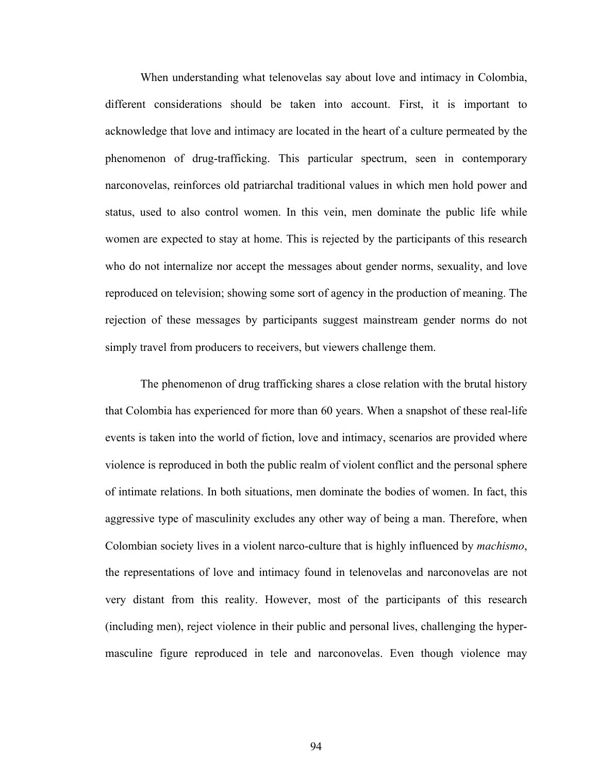When understanding what telenovelas say about love and intimacy in Colombia, different considerations should be taken into account. First, it is important to acknowledge that love and intimacy are located in the heart of a culture permeated by the phenomenon of drug-trafficking. This particular spectrum, seen in contemporary narconovelas, reinforces old patriarchal traditional values in which men hold power and status, used to also control women. In this vein, men dominate the public life while women are expected to stay at home. This is rejected by the participants of this research who do not internalize nor accept the messages about gender norms, sexuality, and love reproduced on television; showing some sort of agency in the production of meaning. The rejection of these messages by participants suggest mainstream gender norms do not simply travel from producers to receivers, but viewers challenge them.

The phenomenon of drug trafficking shares a close relation with the brutal history that Colombia has experienced for more than 60 years. When a snapshot of these real-life events is taken into the world of fiction, love and intimacy, scenarios are provided where violence is reproduced in both the public realm of violent conflict and the personal sphere of intimate relations. In both situations, men dominate the bodies of women. In fact, this aggressive type of masculinity excludes any other way of being a man. Therefore, when Colombian society lives in a violent narco-culture that is highly influenced by *machismo*, the representations of love and intimacy found in telenovelas and narconovelas are not very distant from this reality. However, most of the participants of this research (including men), reject violence in their public and personal lives, challenging the hypermasculine figure reproduced in tele and narconovelas. Even though violence may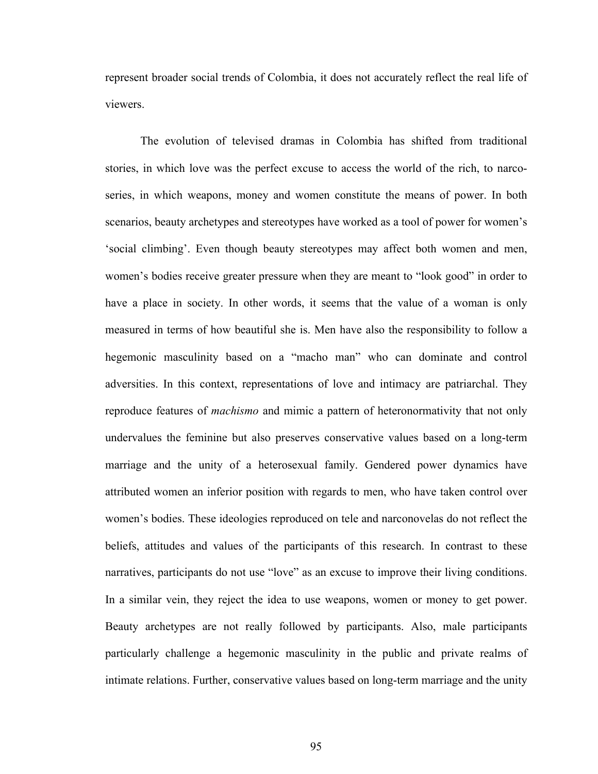represent broader social trends of Colombia, it does not accurately reflect the real life of viewers.

The evolution of televised dramas in Colombia has shifted from traditional stories, in which love was the perfect excuse to access the world of the rich, to narcoseries, in which weapons, money and women constitute the means of power. In both scenarios, beauty archetypes and stereotypes have worked as a tool of power for women's 'social climbing'. Even though beauty stereotypes may affect both women and men, women's bodies receive greater pressure when they are meant to "look good" in order to have a place in society. In other words, it seems that the value of a woman is only measured in terms of how beautiful she is. Men have also the responsibility to follow a hegemonic masculinity based on a "macho man" who can dominate and control adversities. In this context, representations of love and intimacy are patriarchal. They reproduce features of *machismo* and mimic a pattern of heteronormativity that not only undervalues the feminine but also preserves conservative values based on a long-term marriage and the unity of a heterosexual family. Gendered power dynamics have attributed women an inferior position with regards to men, who have taken control over women's bodies. These ideologies reproduced on tele and narconovelas do not reflect the beliefs, attitudes and values of the participants of this research. In contrast to these narratives, participants do not use "love" as an excuse to improve their living conditions. In a similar vein, they reject the idea to use weapons, women or money to get power. Beauty archetypes are not really followed by participants. Also, male participants particularly challenge a hegemonic masculinity in the public and private realms of intimate relations. Further, conservative values based on long-term marriage and the unity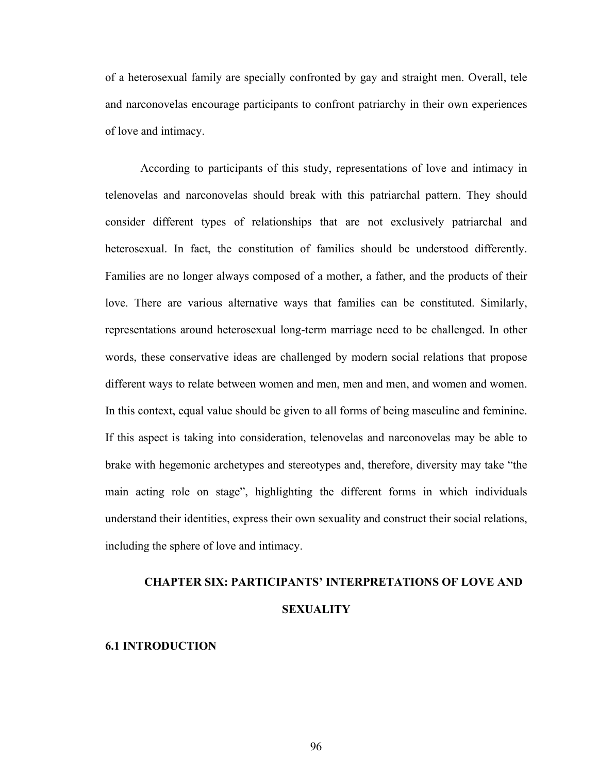of a heterosexual family are specially confronted by gay and straight men. Overall, tele and narconovelas encourage participants to confront patriarchy in their own experiences of love and intimacy.

According to participants of this study, representations of love and intimacy in telenovelas and narconovelas should break with this patriarchal pattern. They should consider different types of relationships that are not exclusively patriarchal and heterosexual. In fact, the constitution of families should be understood differently. Families are no longer always composed of a mother, a father, and the products of their love. There are various alternative ways that families can be constituted. Similarly, representations around heterosexual long-term marriage need to be challenged. In other words, these conservative ideas are challenged by modern social relations that propose different ways to relate between women and men, men and men, and women and women. In this context, equal value should be given to all forms of being masculine and feminine. If this aspect is taking into consideration, telenovelas and narconovelas may be able to brake with hegemonic archetypes and stereotypes and, therefore, diversity may take "the main acting role on stage", highlighting the different forms in which individuals understand their identities, express their own sexuality and construct their social relations, including the sphere of love and intimacy.

# **CHAPTER SIX: PARTICIPANTS' INTERPRETATIONS OF LOVE AND SEXUALITY**

# **6.1 INTRODUCTION**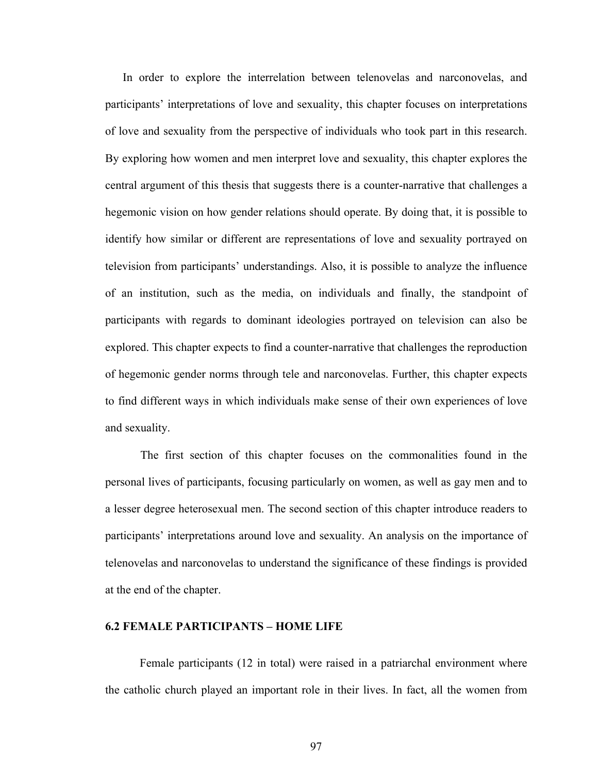In order to explore the interrelation between telenovelas and narconovelas, and participants' interpretations of love and sexuality, this chapter focuses on interpretations of love and sexuality from the perspective of individuals who took part in this research. By exploring how women and men interpret love and sexuality, this chapter explores the central argument of this thesis that suggests there is a counter-narrative that challenges a hegemonic vision on how gender relations should operate. By doing that, it is possible to identify how similar or different are representations of love and sexuality portrayed on television from participants' understandings. Also, it is possible to analyze the influence of an institution, such as the media, on individuals and finally, the standpoint of participants with regards to dominant ideologies portrayed on television can also be explored. This chapter expects to find a counter-narrative that challenges the reproduction of hegemonic gender norms through tele and narconovelas. Further, this chapter expects to find different ways in which individuals make sense of their own experiences of love and sexuality.

The first section of this chapter focuses on the commonalities found in the personal lives of participants, focusing particularly on women, as well as gay men and to a lesser degree heterosexual men. The second section of this chapter introduce readers to participants' interpretations around love and sexuality. An analysis on the importance of telenovelas and narconovelas to understand the significance of these findings is provided at the end of the chapter.

#### **6.2 FEMALE PARTICIPANTS – HOME LIFE**

Female participants (12 in total) were raised in a patriarchal environment where the catholic church played an important role in their lives. In fact, all the women from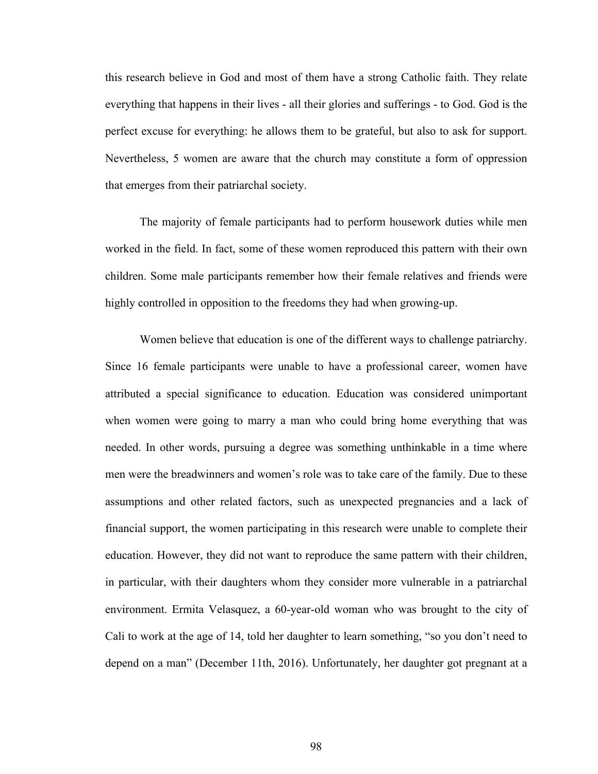this research believe in God and most of them have a strong Catholic faith. They relate everything that happens in their lives - all their glories and sufferings - to God. God is the perfect excuse for everything: he allows them to be grateful, but also to ask for support. Nevertheless, 5 women are aware that the church may constitute a form of oppression that emerges from their patriarchal society.

The majority of female participants had to perform housework duties while men worked in the field. In fact, some of these women reproduced this pattern with their own children. Some male participants remember how their female relatives and friends were highly controlled in opposition to the freedoms they had when growing-up.

Women believe that education is one of the different ways to challenge patriarchy. Since 16 female participants were unable to have a professional career, women have attributed a special significance to education. Education was considered unimportant when women were going to marry a man who could bring home everything that was needed. In other words, pursuing a degree was something unthinkable in a time where men were the breadwinners and women's role was to take care of the family. Due to these assumptions and other related factors, such as unexpected pregnancies and a lack of financial support, the women participating in this research were unable to complete their education. However, they did not want to reproduce the same pattern with their children, in particular, with their daughters whom they consider more vulnerable in a patriarchal environment. Ermita Velasquez, a 60-year-old woman who was brought to the city of Cali to work at the age of 14, told her daughter to learn something, "so you don't need to depend on a man" (December 11th, 2016). Unfortunately, her daughter got pregnant at a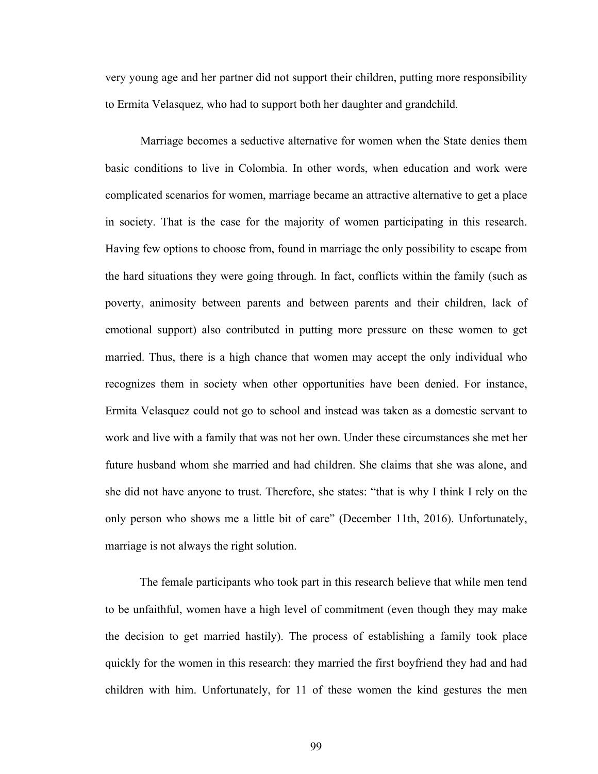very young age and her partner did not support their children, putting more responsibility to Ermita Velasquez, who had to support both her daughter and grandchild.

Marriage becomes a seductive alternative for women when the State denies them basic conditions to live in Colombia. In other words, when education and work were complicated scenarios for women, marriage became an attractive alternative to get a place in society. That is the case for the majority of women participating in this research. Having few options to choose from, found in marriage the only possibility to escape from the hard situations they were going through. In fact, conflicts within the family (such as poverty, animosity between parents and between parents and their children, lack of emotional support) also contributed in putting more pressure on these women to get married. Thus, there is a high chance that women may accept the only individual who recognizes them in society when other opportunities have been denied. For instance, Ermita Velasquez could not go to school and instead was taken as a domestic servant to work and live with a family that was not her own. Under these circumstances she met her future husband whom she married and had children. She claims that she was alone, and she did not have anyone to trust. Therefore, she states: "that is why I think I rely on the only person who shows me a little bit of care" (December 11th, 2016). Unfortunately, marriage is not always the right solution.

The female participants who took part in this research believe that while men tend to be unfaithful, women have a high level of commitment (even though they may make the decision to get married hastily). The process of establishing a family took place quickly for the women in this research: they married the first boyfriend they had and had children with him. Unfortunately, for 11 of these women the kind gestures the men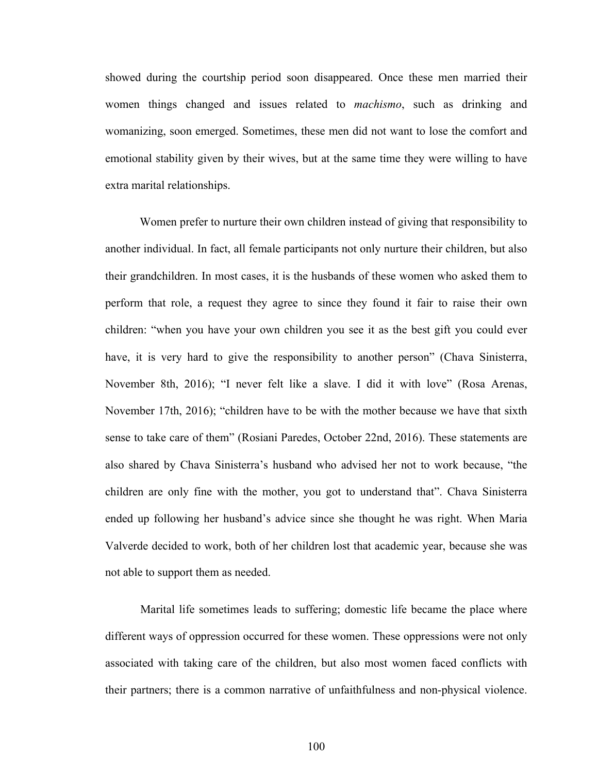showed during the courtship period soon disappeared. Once these men married their women things changed and issues related to *machismo*, such as drinking and womanizing, soon emerged. Sometimes, these men did not want to lose the comfort and emotional stability given by their wives, but at the same time they were willing to have extra marital relationships.

Women prefer to nurture their own children instead of giving that responsibility to another individual. In fact, all female participants not only nurture their children, but also their grandchildren. In most cases, it is the husbands of these women who asked them to perform that role, a request they agree to since they found it fair to raise their own children: "when you have your own children you see it as the best gift you could ever have, it is very hard to give the responsibility to another person" (Chava Sinisterra, November 8th, 2016); "I never felt like a slave. I did it with love" (Rosa Arenas, November 17th, 2016); "children have to be with the mother because we have that sixth sense to take care of them" (Rosiani Paredes, October 22nd, 2016). These statements are also shared by Chava Sinisterra's husband who advised her not to work because, "the children are only fine with the mother, you got to understand that". Chava Sinisterra ended up following her husband's advice since she thought he was right. When Maria Valverde decided to work, both of her children lost that academic year, because she was not able to support them as needed.

Marital life sometimes leads to suffering; domestic life became the place where different ways of oppression occurred for these women. These oppressions were not only associated with taking care of the children, but also most women faced conflicts with their partners; there is a common narrative of unfaithfulness and non-physical violence.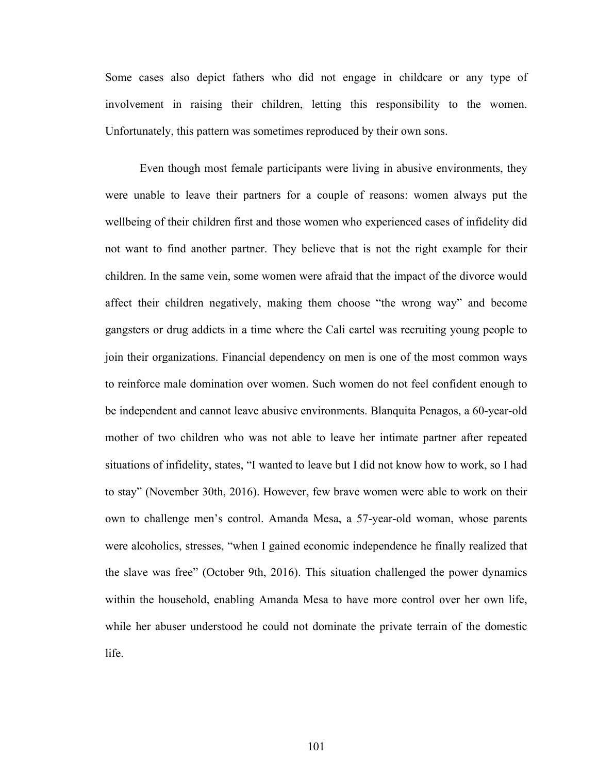Some cases also depict fathers who did not engage in childcare or any type of involvement in raising their children, letting this responsibility to the women. Unfortunately, this pattern was sometimes reproduced by their own sons.

Even though most female participants were living in abusive environments, they were unable to leave their partners for a couple of reasons: women always put the wellbeing of their children first and those women who experienced cases of infidelity did not want to find another partner. They believe that is not the right example for their children. In the same vein, some women were afraid that the impact of the divorce would affect their children negatively, making them choose "the wrong way" and become gangsters or drug addicts in a time where the Cali cartel was recruiting young people to join their organizations. Financial dependency on men is one of the most common ways to reinforce male domination over women. Such women do not feel confident enough to be independent and cannot leave abusive environments. Blanquita Penagos, a 60-year-old mother of two children who was not able to leave her intimate partner after repeated situations of infidelity, states, "I wanted to leave but I did not know how to work, so I had to stay" (November 30th, 2016). However, few brave women were able to work on their own to challenge men's control. Amanda Mesa, a 57-year-old woman, whose parents were alcoholics, stresses, "when I gained economic independence he finally realized that the slave was free" (October 9th, 2016). This situation challenged the power dynamics within the household, enabling Amanda Mesa to have more control over her own life, while her abuser understood he could not dominate the private terrain of the domestic life.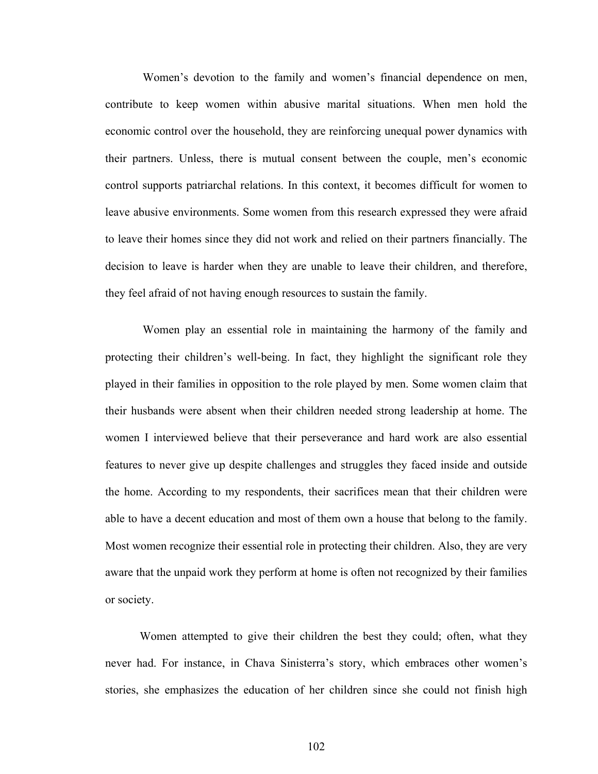Women's devotion to the family and women's financial dependence on men, contribute to keep women within abusive marital situations. When men hold the economic control over the household, they are reinforcing unequal power dynamics with their partners. Unless, there is mutual consent between the couple, men's economic control supports patriarchal relations. In this context, it becomes difficult for women to leave abusive environments. Some women from this research expressed they were afraid to leave their homes since they did not work and relied on their partners financially. The decision to leave is harder when they are unable to leave their children, and therefore, they feel afraid of not having enough resources to sustain the family.

Women play an essential role in maintaining the harmony of the family and protecting their children's well-being. In fact, they highlight the significant role they played in their families in opposition to the role played by men. Some women claim that their husbands were absent when their children needed strong leadership at home. The women I interviewed believe that their perseverance and hard work are also essential features to never give up despite challenges and struggles they faced inside and outside the home. According to my respondents, their sacrifices mean that their children were able to have a decent education and most of them own a house that belong to the family. Most women recognize their essential role in protecting their children. Also, they are very aware that the unpaid work they perform at home is often not recognized by their families or society.

Women attempted to give their children the best they could; often, what they never had. For instance, in Chava Sinisterra's story, which embraces other women's stories, she emphasizes the education of her children since she could not finish high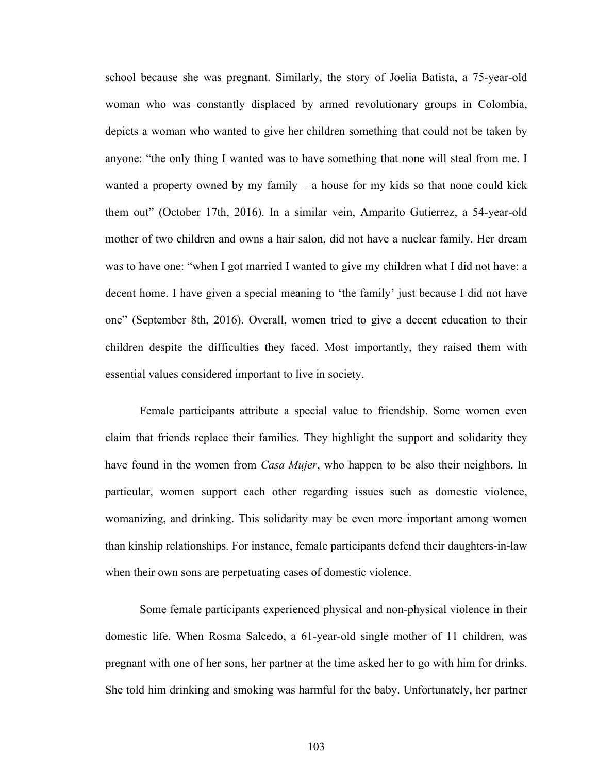school because she was pregnant. Similarly, the story of Joelia Batista, a 75-year-old woman who was constantly displaced by armed revolutionary groups in Colombia, depicts a woman who wanted to give her children something that could not be taken by anyone: "the only thing I wanted was to have something that none will steal from me. I wanted a property owned by my family – a house for my kids so that none could kick them out" (October 17th, 2016). In a similar vein, Amparito Gutierrez, a 54-year-old mother of two children and owns a hair salon, did not have a nuclear family. Her dream was to have one: "when I got married I wanted to give my children what I did not have: a decent home. I have given a special meaning to 'the family' just because I did not have one" (September 8th, 2016). Overall, women tried to give a decent education to their children despite the difficulties they faced. Most importantly, they raised them with essential values considered important to live in society.

Female participants attribute a special value to friendship. Some women even claim that friends replace their families. They highlight the support and solidarity they have found in the women from *Casa Mujer*, who happen to be also their neighbors. In particular, women support each other regarding issues such as domestic violence, womanizing, and drinking. This solidarity may be even more important among women than kinship relationships. For instance, female participants defend their daughters-in-law when their own sons are perpetuating cases of domestic violence.

Some female participants experienced physical and non-physical violence in their domestic life. When Rosma Salcedo, a 61-year-old single mother of 11 children, was pregnant with one of her sons, her partner at the time asked her to go with him for drinks. She told him drinking and smoking was harmful for the baby. Unfortunately, her partner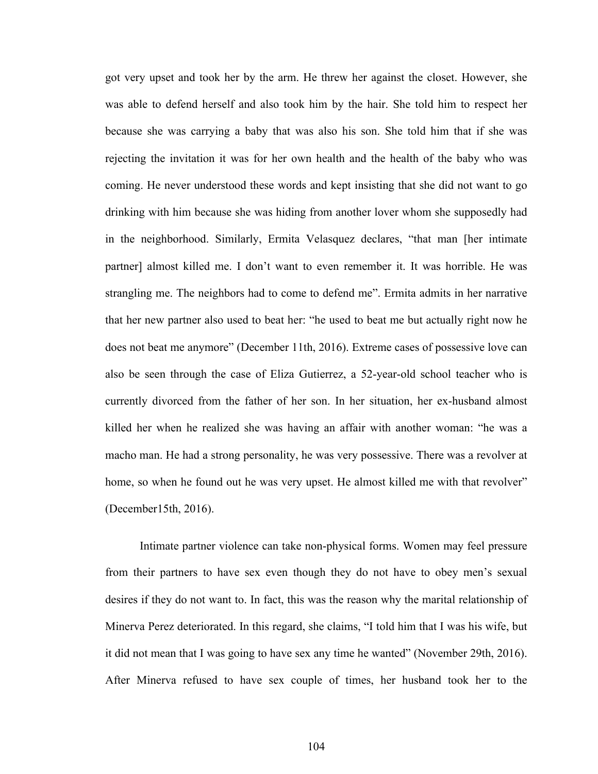got very upset and took her by the arm. He threw her against the closet. However, she was able to defend herself and also took him by the hair. She told him to respect her because she was carrying a baby that was also his son. She told him that if she was rejecting the invitation it was for her own health and the health of the baby who was coming. He never understood these words and kept insisting that she did not want to go drinking with him because she was hiding from another lover whom she supposedly had in the neighborhood. Similarly, Ermita Velasquez declares, "that man [her intimate partner] almost killed me. I don't want to even remember it. It was horrible. He was strangling me. The neighbors had to come to defend me". Ermita admits in her narrative that her new partner also used to beat her: "he used to beat me but actually right now he does not beat me anymore" (December 11th, 2016). Extreme cases of possessive love can also be seen through the case of Eliza Gutierrez, a 52-year-old school teacher who is currently divorced from the father of her son. In her situation, her ex-husband almost killed her when he realized she was having an affair with another woman: "he was a macho man. He had a strong personality, he was very possessive. There was a revolver at home, so when he found out he was very upset. He almost killed me with that revolver" (December15th, 2016).

Intimate partner violence can take non-physical forms. Women may feel pressure from their partners to have sex even though they do not have to obey men's sexual desires if they do not want to. In fact, this was the reason why the marital relationship of Minerva Perez deteriorated. In this regard, she claims, "I told him that I was his wife, but it did not mean that I was going to have sex any time he wanted" (November 29th, 2016). After Minerva refused to have sex couple of times, her husband took her to the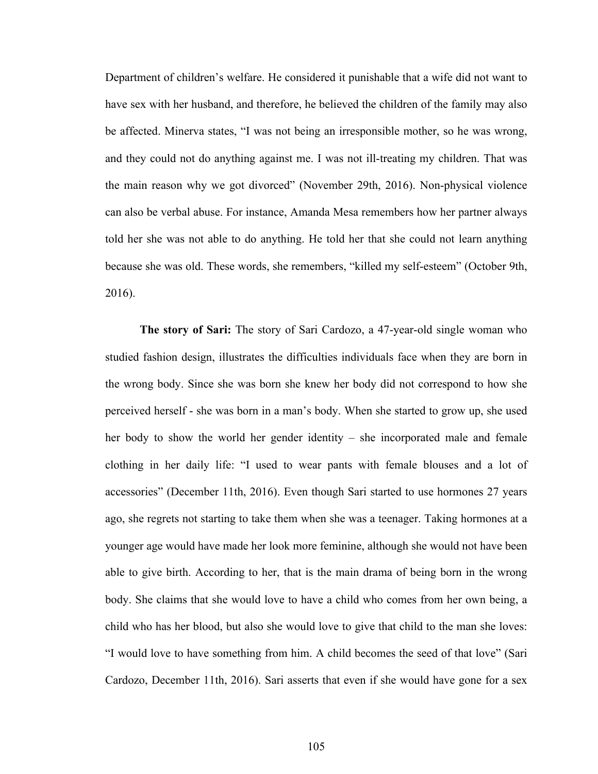Department of children's welfare. He considered it punishable that a wife did not want to have sex with her husband, and therefore, he believed the children of the family may also be affected. Minerva states, "I was not being an irresponsible mother, so he was wrong, and they could not do anything against me. I was not ill-treating my children. That was the main reason why we got divorced" (November 29th, 2016). Non-physical violence can also be verbal abuse. For instance, Amanda Mesa remembers how her partner always told her she was not able to do anything. He told her that she could not learn anything because she was old. These words, she remembers, "killed my self-esteem" (October 9th, 2016).

**The story of Sari:** The story of Sari Cardozo, a 47-year-old single woman who studied fashion design, illustrates the difficulties individuals face when they are born in the wrong body. Since she was born she knew her body did not correspond to how she perceived herself - she was born in a man's body. When she started to grow up, she used her body to show the world her gender identity – she incorporated male and female clothing in her daily life: "I used to wear pants with female blouses and a lot of accessories" (December 11th, 2016). Even though Sari started to use hormones 27 years ago, she regrets not starting to take them when she was a teenager. Taking hormones at a younger age would have made her look more feminine, although she would not have been able to give birth. According to her, that is the main drama of being born in the wrong body. She claims that she would love to have a child who comes from her own being, a child who has her blood, but also she would love to give that child to the man she loves: "I would love to have something from him. A child becomes the seed of that love" (Sari Cardozo, December 11th, 2016). Sari asserts that even if she would have gone for a sex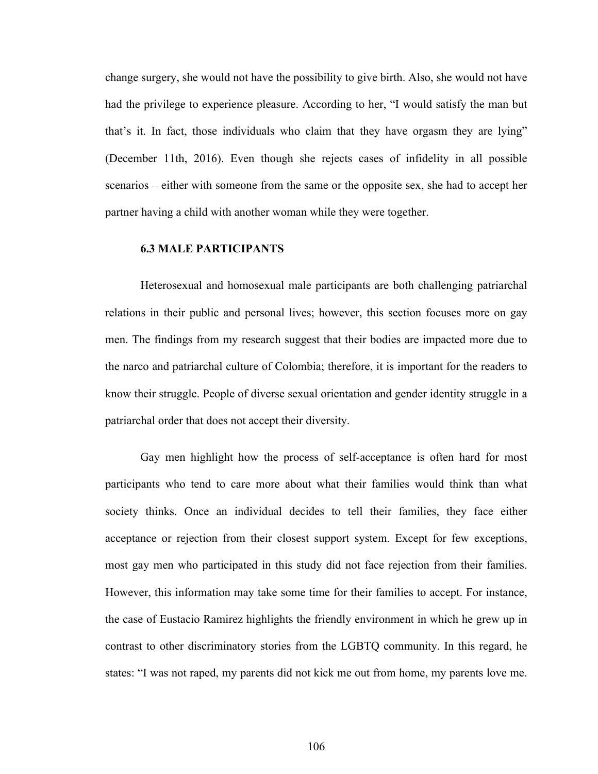change surgery, she would not have the possibility to give birth. Also, she would not have had the privilege to experience pleasure. According to her, "I would satisfy the man but that's it. In fact, those individuals who claim that they have orgasm they are lying" (December 11th, 2016). Even though she rejects cases of infidelity in all possible scenarios – either with someone from the same or the opposite sex, she had to accept her partner having a child with another woman while they were together.

### **6.3 MALE PARTICIPANTS**

Heterosexual and homosexual male participants are both challenging patriarchal relations in their public and personal lives; however, this section focuses more on gay men. The findings from my research suggest that their bodies are impacted more due to the narco and patriarchal culture of Colombia; therefore, it is important for the readers to know their struggle. People of diverse sexual orientation and gender identity struggle in a patriarchal order that does not accept their diversity.

Gay men highlight how the process of self-acceptance is often hard for most participants who tend to care more about what their families would think than what society thinks. Once an individual decides to tell their families, they face either acceptance or rejection from their closest support system. Except for few exceptions, most gay men who participated in this study did not face rejection from their families. However, this information may take some time for their families to accept. For instance, the case of Eustacio Ramirez highlights the friendly environment in which he grew up in contrast to other discriminatory stories from the LGBTQ community. In this regard, he states: "I was not raped, my parents did not kick me out from home, my parents love me.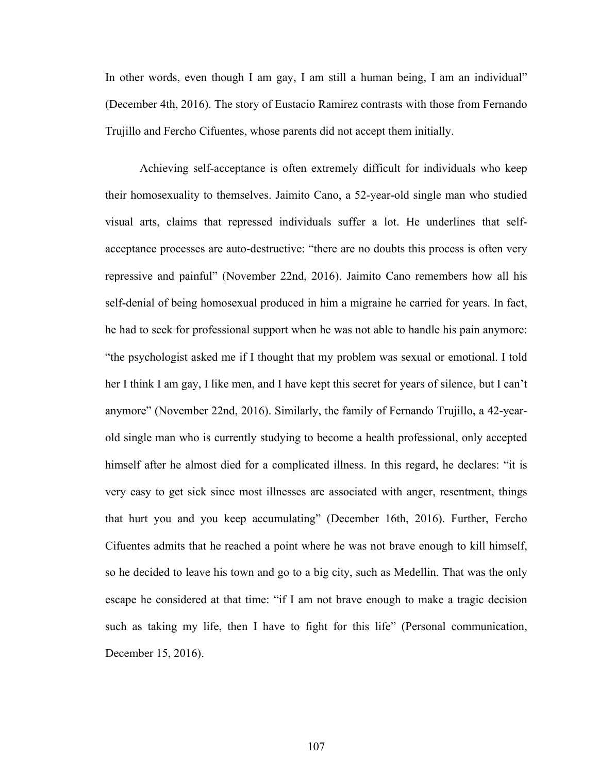In other words, even though I am gay, I am still a human being, I am an individual" (December 4th, 2016). The story of Eustacio Ramirez contrasts with those from Fernando Trujillo and Fercho Cifuentes, whose parents did not accept them initially.

Achieving self-acceptance is often extremely difficult for individuals who keep their homosexuality to themselves. Jaimito Cano, a 52-year-old single man who studied visual arts, claims that repressed individuals suffer a lot. He underlines that selfacceptance processes are auto-destructive: "there are no doubts this process is often very repressive and painful" (November 22nd, 2016). Jaimito Cano remembers how all his self-denial of being homosexual produced in him a migraine he carried for years. In fact, he had to seek for professional support when he was not able to handle his pain anymore: "the psychologist asked me if I thought that my problem was sexual or emotional. I told her I think I am gay, I like men, and I have kept this secret for years of silence, but I can't anymore" (November 22nd, 2016). Similarly, the family of Fernando Trujillo, a 42-yearold single man who is currently studying to become a health professional, only accepted himself after he almost died for a complicated illness. In this regard, he declares: "it is very easy to get sick since most illnesses are associated with anger, resentment, things that hurt you and you keep accumulating" (December 16th, 2016). Further, Fercho Cifuentes admits that he reached a point where he was not brave enough to kill himself, so he decided to leave his town and go to a big city, such as Medellin. That was the only escape he considered at that time: "if I am not brave enough to make a tragic decision such as taking my life, then I have to fight for this life" (Personal communication, December 15, 2016).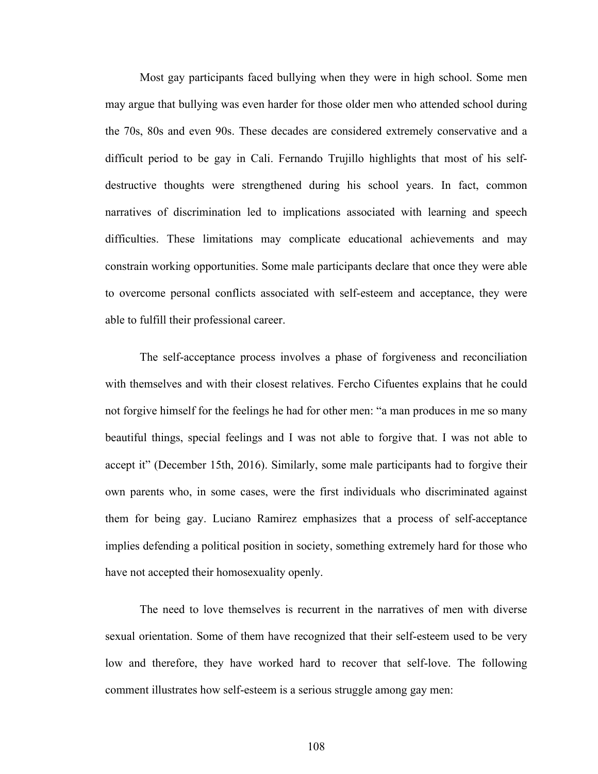Most gay participants faced bullying when they were in high school. Some men may argue that bullying was even harder for those older men who attended school during the 70s, 80s and even 90s. These decades are considered extremely conservative and a difficult period to be gay in Cali. Fernando Trujillo highlights that most of his selfdestructive thoughts were strengthened during his school years. In fact, common narratives of discrimination led to implications associated with learning and speech difficulties. These limitations may complicate educational achievements and may constrain working opportunities. Some male participants declare that once they were able to overcome personal conflicts associated with self-esteem and acceptance, they were able to fulfill their professional career.

The self-acceptance process involves a phase of forgiveness and reconciliation with themselves and with their closest relatives. Fercho Cifuentes explains that he could not forgive himself for the feelings he had for other men: "a man produces in me so many beautiful things, special feelings and I was not able to forgive that. I was not able to accept it" (December 15th, 2016). Similarly, some male participants had to forgive their own parents who, in some cases, were the first individuals who discriminated against them for being gay. Luciano Ramirez emphasizes that a process of self-acceptance implies defending a political position in society, something extremely hard for those who have not accepted their homosexuality openly.

The need to love themselves is recurrent in the narratives of men with diverse sexual orientation. Some of them have recognized that their self-esteem used to be very low and therefore, they have worked hard to recover that self-love. The following comment illustrates how self-esteem is a serious struggle among gay men: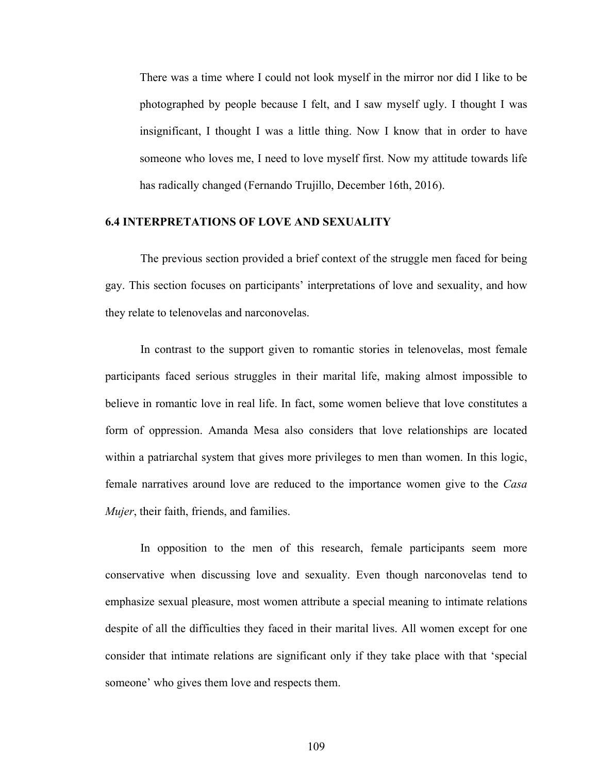There was a time where I could not look myself in the mirror nor did I like to be photographed by people because I felt, and I saw myself ugly. I thought I was insignificant, I thought I was a little thing. Now I know that in order to have someone who loves me, I need to love myself first. Now my attitude towards life has radically changed (Fernando Trujillo, December 16th, 2016).

### **6.4 INTERPRETATIONS OF LOVE AND SEXUALITY**

The previous section provided a brief context of the struggle men faced for being gay. This section focuses on participants' interpretations of love and sexuality, and how they relate to telenovelas and narconovelas.

In contrast to the support given to romantic stories in telenovelas, most female participants faced serious struggles in their marital life, making almost impossible to believe in romantic love in real life. In fact, some women believe that love constitutes a form of oppression. Amanda Mesa also considers that love relationships are located within a patriarchal system that gives more privileges to men than women. In this logic, female narratives around love are reduced to the importance women give to the *Casa Mujer*, their faith, friends, and families.

In opposition to the men of this research, female participants seem more conservative when discussing love and sexuality. Even though narconovelas tend to emphasize sexual pleasure, most women attribute a special meaning to intimate relations despite of all the difficulties they faced in their marital lives. All women except for one consider that intimate relations are significant only if they take place with that 'special someone' who gives them love and respects them.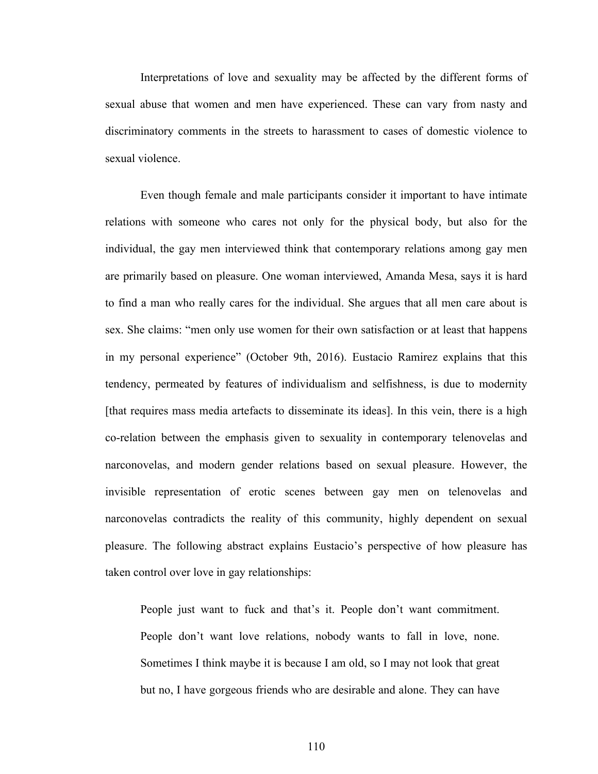Interpretations of love and sexuality may be affected by the different forms of sexual abuse that women and men have experienced. These can vary from nasty and discriminatory comments in the streets to harassment to cases of domestic violence to sexual violence.

Even though female and male participants consider it important to have intimate relations with someone who cares not only for the physical body, but also for the individual, the gay men interviewed think that contemporary relations among gay men are primarily based on pleasure. One woman interviewed, Amanda Mesa, says it is hard to find a man who really cares for the individual. She argues that all men care about is sex. She claims: "men only use women for their own satisfaction or at least that happens in my personal experience" (October 9th, 2016). Eustacio Ramirez explains that this tendency, permeated by features of individualism and selfishness, is due to modernity [that requires mass media artefacts to disseminate its ideas]. In this vein, there is a high co-relation between the emphasis given to sexuality in contemporary telenovelas and narconovelas, and modern gender relations based on sexual pleasure. However, the invisible representation of erotic scenes between gay men on telenovelas and narconovelas contradicts the reality of this community, highly dependent on sexual pleasure. The following abstract explains Eustacio's perspective of how pleasure has taken control over love in gay relationships:

People just want to fuck and that's it. People don't want commitment. People don't want love relations, nobody wants to fall in love, none. Sometimes I think maybe it is because I am old, so I may not look that great but no, I have gorgeous friends who are desirable and alone. They can have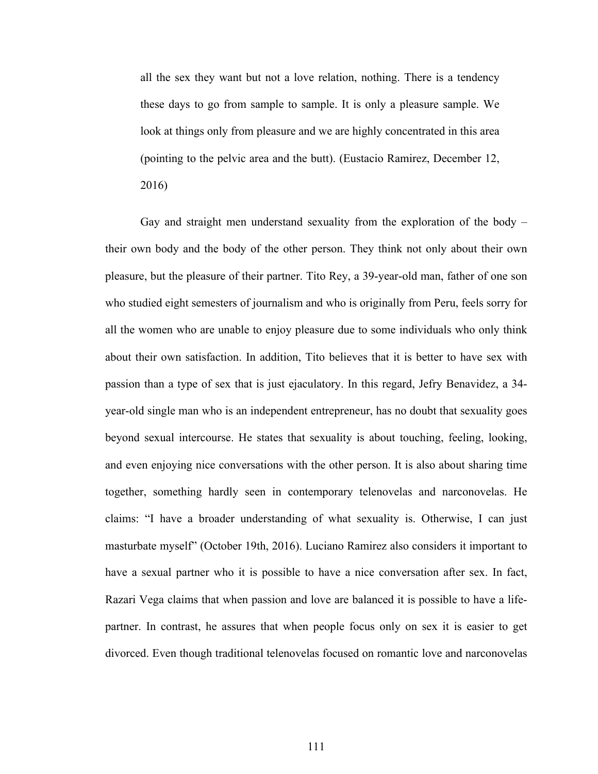all the sex they want but not a love relation, nothing. There is a tendency these days to go from sample to sample. It is only a pleasure sample. We look at things only from pleasure and we are highly concentrated in this area (pointing to the pelvic area and the butt). (Eustacio Ramirez, December 12, 2016)

Gay and straight men understand sexuality from the exploration of the body – their own body and the body of the other person. They think not only about their own pleasure, but the pleasure of their partner. Tito Rey, a 39-year-old man, father of one son who studied eight semesters of journalism and who is originally from Peru, feels sorry for all the women who are unable to enjoy pleasure due to some individuals who only think about their own satisfaction. In addition, Tito believes that it is better to have sex with passion than a type of sex that is just ejaculatory. In this regard, Jefry Benavidez, a 34 year-old single man who is an independent entrepreneur, has no doubt that sexuality goes beyond sexual intercourse. He states that sexuality is about touching, feeling, looking, and even enjoying nice conversations with the other person. It is also about sharing time together, something hardly seen in contemporary telenovelas and narconovelas. He claims: "I have a broader understanding of what sexuality is. Otherwise, I can just masturbate myself" (October 19th, 2016). Luciano Ramirez also considers it important to have a sexual partner who it is possible to have a nice conversation after sex. In fact, Razari Vega claims that when passion and love are balanced it is possible to have a lifepartner. In contrast, he assures that when people focus only on sex it is easier to get divorced. Even though traditional telenovelas focused on romantic love and narconovelas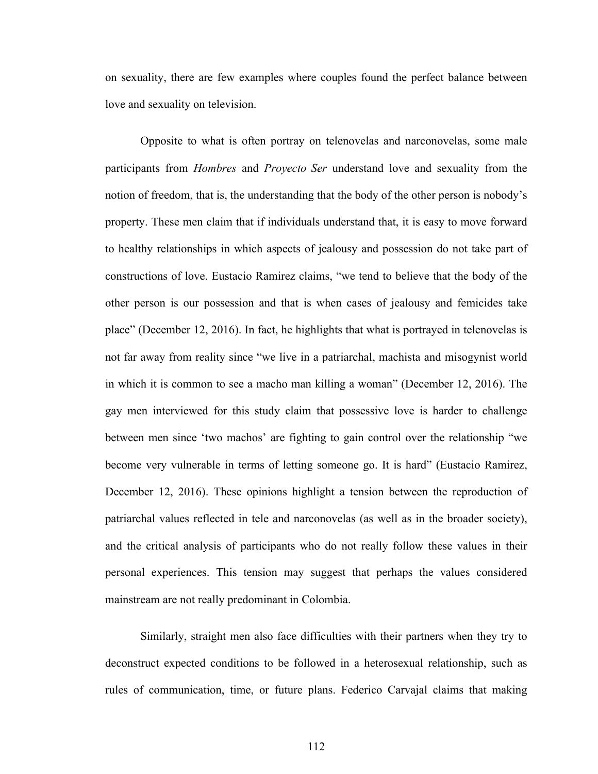on sexuality, there are few examples where couples found the perfect balance between love and sexuality on television.

Opposite to what is often portray on telenovelas and narconovelas, some male participants from *Hombres* and *Proyecto Ser* understand love and sexuality from the notion of freedom, that is, the understanding that the body of the other person is nobody's property. These men claim that if individuals understand that, it is easy to move forward to healthy relationships in which aspects of jealousy and possession do not take part of constructions of love. Eustacio Ramirez claims, "we tend to believe that the body of the other person is our possession and that is when cases of jealousy and femicides take place" (December 12, 2016). In fact, he highlights that what is portrayed in telenovelas is not far away from reality since "we live in a patriarchal, machista and misogynist world in which it is common to see a macho man killing a woman" (December 12, 2016). The gay men interviewed for this study claim that possessive love is harder to challenge between men since 'two machos' are fighting to gain control over the relationship "we become very vulnerable in terms of letting someone go. It is hard" (Eustacio Ramirez, December 12, 2016). These opinions highlight a tension between the reproduction of patriarchal values reflected in tele and narconovelas (as well as in the broader society), and the critical analysis of participants who do not really follow these values in their personal experiences. This tension may suggest that perhaps the values considered mainstream are not really predominant in Colombia.

Similarly, straight men also face difficulties with their partners when they try to deconstruct expected conditions to be followed in a heterosexual relationship, such as rules of communication, time, or future plans. Federico Carvajal claims that making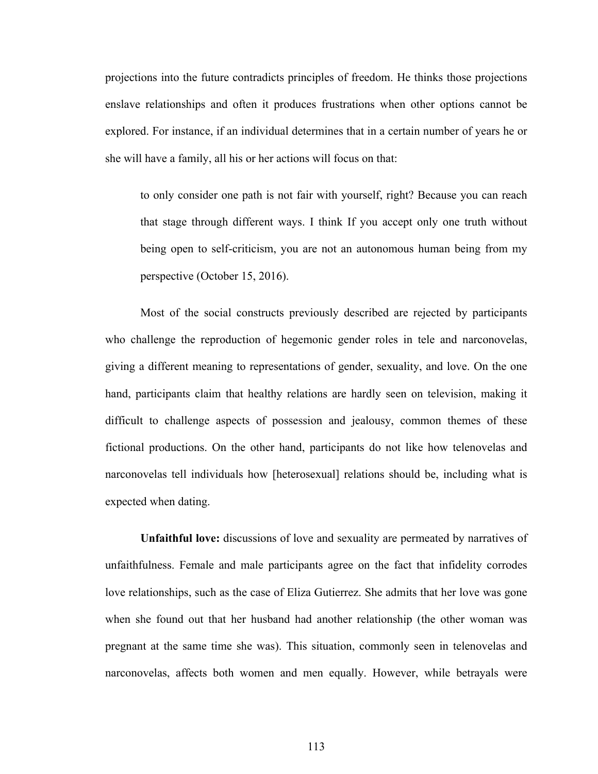projections into the future contradicts principles of freedom. He thinks those projections enslave relationships and often it produces frustrations when other options cannot be explored. For instance, if an individual determines that in a certain number of years he or she will have a family, all his or her actions will focus on that:

to only consider one path is not fair with yourself, right? Because you can reach that stage through different ways. I think If you accept only one truth without being open to self-criticism, you are not an autonomous human being from my perspective (October 15, 2016).

Most of the social constructs previously described are rejected by participants who challenge the reproduction of hegemonic gender roles in tele and narconovelas, giving a different meaning to representations of gender, sexuality, and love. On the one hand, participants claim that healthy relations are hardly seen on television, making it difficult to challenge aspects of possession and jealousy, common themes of these fictional productions. On the other hand, participants do not like how telenovelas and narconovelas tell individuals how [heterosexual] relations should be, including what is expected when dating.

**Unfaithful love:** discussions of love and sexuality are permeated by narratives of unfaithfulness. Female and male participants agree on the fact that infidelity corrodes love relationships, such as the case of Eliza Gutierrez. She admits that her love was gone when she found out that her husband had another relationship (the other woman was pregnant at the same time she was). This situation, commonly seen in telenovelas and narconovelas, affects both women and men equally. However, while betrayals were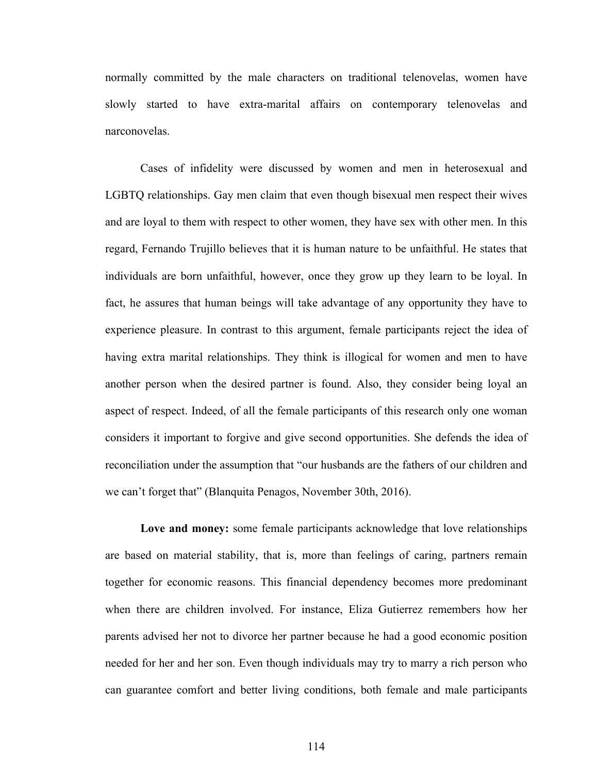normally committed by the male characters on traditional telenovelas, women have slowly started to have extra-marital affairs on contemporary telenovelas and narconovelas.

Cases of infidelity were discussed by women and men in heterosexual and LGBTQ relationships. Gay men claim that even though bisexual men respect their wives and are loyal to them with respect to other women, they have sex with other men. In this regard, Fernando Trujillo believes that it is human nature to be unfaithful. He states that individuals are born unfaithful, however, once they grow up they learn to be loyal. In fact, he assures that human beings will take advantage of any opportunity they have to experience pleasure. In contrast to this argument, female participants reject the idea of having extra marital relationships. They think is illogical for women and men to have another person when the desired partner is found. Also, they consider being loyal an aspect of respect. Indeed, of all the female participants of this research only one woman considers it important to forgive and give second opportunities. She defends the idea of reconciliation under the assumption that "our husbands are the fathers of our children and we can't forget that" (Blanquita Penagos, November 30th, 2016).

**Love and money:** some female participants acknowledge that love relationships are based on material stability, that is, more than feelings of caring, partners remain together for economic reasons. This financial dependency becomes more predominant when there are children involved. For instance, Eliza Gutierrez remembers how her parents advised her not to divorce her partner because he had a good economic position needed for her and her son. Even though individuals may try to marry a rich person who can guarantee comfort and better living conditions, both female and male participants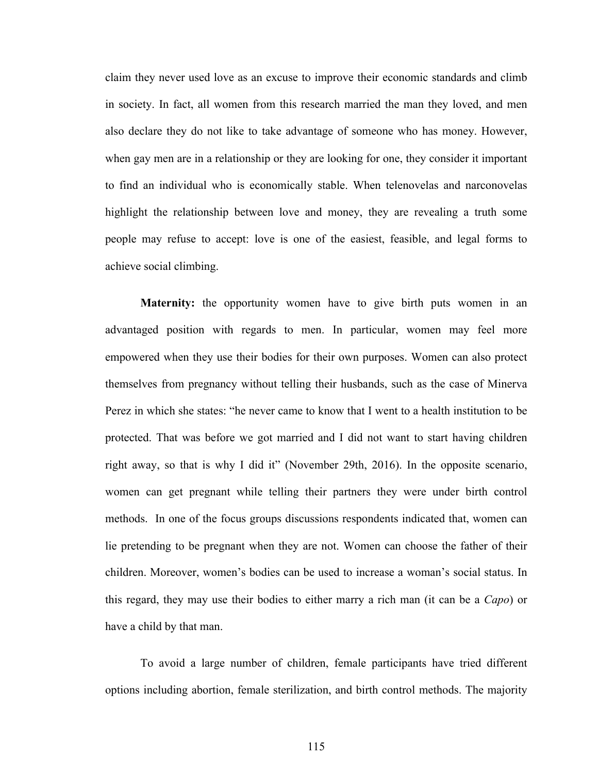claim they never used love as an excuse to improve their economic standards and climb in society. In fact, all women from this research married the man they loved, and men also declare they do not like to take advantage of someone who has money. However, when gay men are in a relationship or they are looking for one, they consider it important to find an individual who is economically stable. When telenovelas and narconovelas highlight the relationship between love and money, they are revealing a truth some people may refuse to accept: love is one of the easiest, feasible, and legal forms to achieve social climbing.

**Maternity:** the opportunity women have to give birth puts women in an advantaged position with regards to men. In particular, women may feel more empowered when they use their bodies for their own purposes. Women can also protect themselves from pregnancy without telling their husbands, such as the case of Minerva Perez in which she states: "he never came to know that I went to a health institution to be protected. That was before we got married and I did not want to start having children right away, so that is why I did it" (November 29th, 2016). In the opposite scenario, women can get pregnant while telling their partners they were under birth control methods. In one of the focus groups discussions respondents indicated that, women can lie pretending to be pregnant when they are not. Women can choose the father of their children. Moreover, women's bodies can be used to increase a woman's social status. In this regard, they may use their bodies to either marry a rich man (it can be a *Capo*) or have a child by that man.

To avoid a large number of children, female participants have tried different options including abortion, female sterilization, and birth control methods. The majority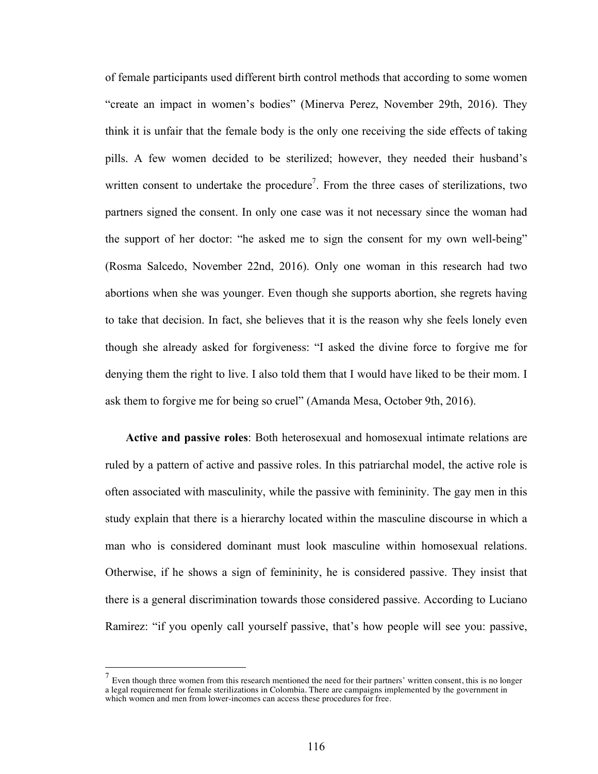of female participants used different birth control methods that according to some women "create an impact in women's bodies" (Minerva Perez, November 29th, 2016). They think it is unfair that the female body is the only one receiving the side effects of taking pills. A few women decided to be sterilized; however, they needed their husband's written consent to undertake the procedure<sup>7</sup>. From the three cases of sterilizations, two partners signed the consent. In only one case was it not necessary since the woman had the support of her doctor: "he asked me to sign the consent for my own well-being" (Rosma Salcedo, November 22nd, 2016). Only one woman in this research had two abortions when she was younger. Even though she supports abortion, she regrets having to take that decision. In fact, she believes that it is the reason why she feels lonely even though she already asked for forgiveness: "I asked the divine force to forgive me for denying them the right to live. I also told them that I would have liked to be their mom. I ask them to forgive me for being so cruel" (Amanda Mesa, October 9th, 2016).

**Active and passive roles**: Both heterosexual and homosexual intimate relations are ruled by a pattern of active and passive roles. In this patriarchal model, the active role is often associated with masculinity, while the passive with femininity. The gay men in this study explain that there is a hierarchy located within the masculine discourse in which a man who is considered dominant must look masculine within homosexual relations. Otherwise, if he shows a sign of femininity, he is considered passive. They insist that there is a general discrimination towards those considered passive. According to Luciano Ramirez: "if you openly call yourself passive, that's how people will see you: passive,

Even though three women from this research mentioned the need for their partners' written consent, this is no longer a legal requirement for female sterilizations in Colombia. There are campaigns implemented by the government in which women and men from lower-incomes can access these procedures for free.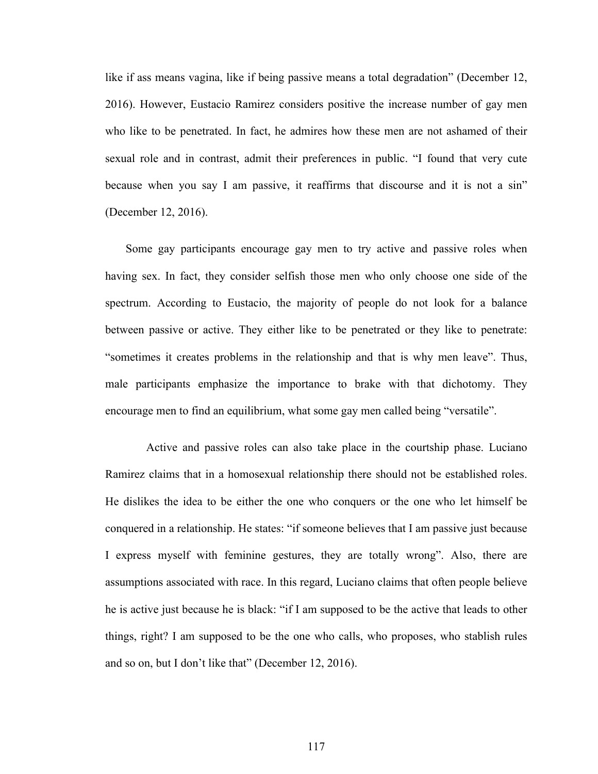like if ass means vagina, like if being passive means a total degradation" (December 12, 2016). However, Eustacio Ramirez considers positive the increase number of gay men who like to be penetrated. In fact, he admires how these men are not ashamed of their sexual role and in contrast, admit their preferences in public. "I found that very cute because when you say I am passive, it reaffirms that discourse and it is not a sin" (December 12, 2016).

Some gay participants encourage gay men to try active and passive roles when having sex. In fact, they consider selfish those men who only choose one side of the spectrum. According to Eustacio, the majority of people do not look for a balance between passive or active. They either like to be penetrated or they like to penetrate: "sometimes it creates problems in the relationship and that is why men leave". Thus, male participants emphasize the importance to brake with that dichotomy. They encourage men to find an equilibrium, what some gay men called being "versatile".

 Active and passive roles can also take place in the courtship phase. Luciano Ramirez claims that in a homosexual relationship there should not be established roles. He dislikes the idea to be either the one who conquers or the one who let himself be conquered in a relationship. He states: "if someone believes that I am passive just because I express myself with feminine gestures, they are totally wrong". Also, there are assumptions associated with race. In this regard, Luciano claims that often people believe he is active just because he is black: "if I am supposed to be the active that leads to other things, right? I am supposed to be the one who calls, who proposes, who stablish rules and so on, but I don't like that" (December 12, 2016).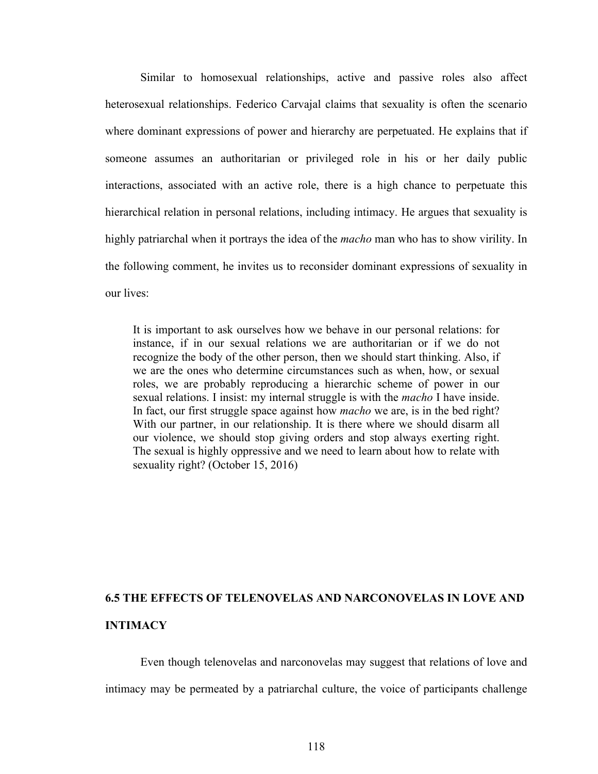Similar to homosexual relationships, active and passive roles also affect heterosexual relationships. Federico Carvajal claims that sexuality is often the scenario where dominant expressions of power and hierarchy are perpetuated. He explains that if someone assumes an authoritarian or privileged role in his or her daily public interactions, associated with an active role, there is a high chance to perpetuate this hierarchical relation in personal relations, including intimacy. He argues that sexuality is highly patriarchal when it portrays the idea of the *macho* man who has to show virility. In the following comment, he invites us to reconsider dominant expressions of sexuality in our lives:

It is important to ask ourselves how we behave in our personal relations: for instance, if in our sexual relations we are authoritarian or if we do not recognize the body of the other person, then we should start thinking. Also, if we are the ones who determine circumstances such as when, how, or sexual roles, we are probably reproducing a hierarchic scheme of power in our sexual relations. I insist: my internal struggle is with the *macho* I have inside. In fact, our first struggle space against how *macho* we are, is in the bed right? With our partner, in our relationship. It is there where we should disarm all our violence, we should stop giving orders and stop always exerting right. The sexual is highly oppressive and we need to learn about how to relate with sexuality right? (October 15, 2016)

# **6.5 THE EFFECTS OF TELENOVELAS AND NARCONOVELAS IN LOVE AND INTIMACY**

Even though telenovelas and narconovelas may suggest that relations of love and intimacy may be permeated by a patriarchal culture, the voice of participants challenge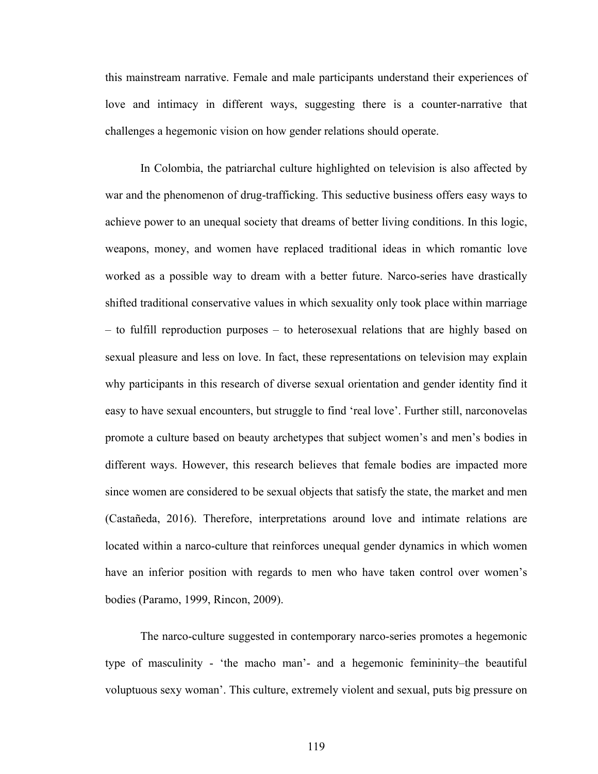this mainstream narrative. Female and male participants understand their experiences of love and intimacy in different ways, suggesting there is a counter-narrative that challenges a hegemonic vision on how gender relations should operate.

In Colombia, the patriarchal culture highlighted on television is also affected by war and the phenomenon of drug-trafficking. This seductive business offers easy ways to achieve power to an unequal society that dreams of better living conditions. In this logic, weapons, money, and women have replaced traditional ideas in which romantic love worked as a possible way to dream with a better future. Narco-series have drastically shifted traditional conservative values in which sexuality only took place within marriage – to fulfill reproduction purposes – to heterosexual relations that are highly based on sexual pleasure and less on love. In fact, these representations on television may explain why participants in this research of diverse sexual orientation and gender identity find it easy to have sexual encounters, but struggle to find 'real love'. Further still, narconovelas promote a culture based on beauty archetypes that subject women's and men's bodies in different ways. However, this research believes that female bodies are impacted more since women are considered to be sexual objects that satisfy the state, the market and men (Castañeda, 2016). Therefore, interpretations around love and intimate relations are located within a narco-culture that reinforces unequal gender dynamics in which women have an inferior position with regards to men who have taken control over women's bodies (Paramo, 1999, Rincon, 2009).

The narco-culture suggested in contemporary narco-series promotes a hegemonic type of masculinity - 'the macho man'- and a hegemonic femininity–the beautiful voluptuous sexy woman'. This culture, extremely violent and sexual, puts big pressure on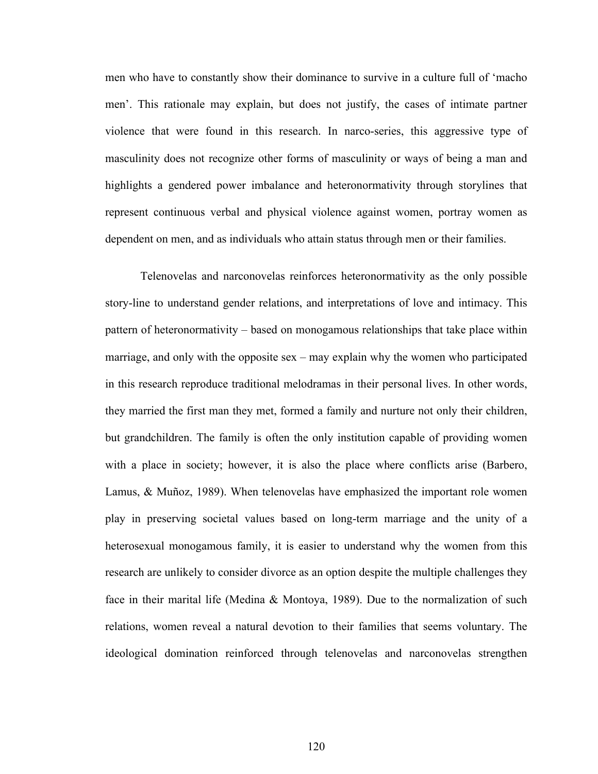men who have to constantly show their dominance to survive in a culture full of 'macho men'. This rationale may explain, but does not justify, the cases of intimate partner violence that were found in this research. In narco-series, this aggressive type of masculinity does not recognize other forms of masculinity or ways of being a man and highlights a gendered power imbalance and heteronormativity through storylines that represent continuous verbal and physical violence against women, portray women as dependent on men, and as individuals who attain status through men or their families.

Telenovelas and narconovelas reinforces heteronormativity as the only possible story-line to understand gender relations, and interpretations of love and intimacy. This pattern of heteronormativity – based on monogamous relationships that take place within marriage, and only with the opposite sex – may explain why the women who participated in this research reproduce traditional melodramas in their personal lives. In other words, they married the first man they met, formed a family and nurture not only their children, but grandchildren. The family is often the only institution capable of providing women with a place in society; however, it is also the place where conflicts arise (Barbero, Lamus, & Muñoz, 1989). When telenovelas have emphasized the important role women play in preserving societal values based on long-term marriage and the unity of a heterosexual monogamous family, it is easier to understand why the women from this research are unlikely to consider divorce as an option despite the multiple challenges they face in their marital life (Medina & Montoya, 1989). Due to the normalization of such relations, women reveal a natural devotion to their families that seems voluntary. The ideological domination reinforced through telenovelas and narconovelas strengthen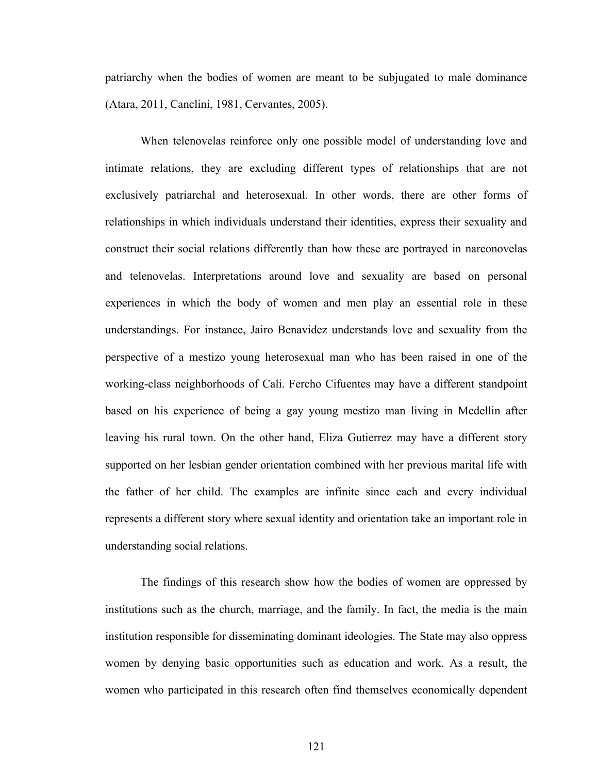patriarchy when the bodies of women are meant to be subjugated to male dominance (Atara, 2011, Canclini, 1981, Cervantes, 2005).

When telenovelas reinforce only one possible model of understanding love and intimate relations, they are excluding different types of relationships that are not exclusively patriarchal and heterosexual. In other words, there are other forms of relationships in which individuals understand their identities, express their sexuality and construct their social relations differently than how these are portrayed in narconovelas and telenovelas. Interpretations around love and sexuality are based on personal experiences in which the body of women and men play an essential role in these understandings. For instance, Jairo Benavidez understands love and sexuality from the perspective of a mestizo young heterosexual man who has been raised in one of the working-class neighborhoods of Cali. Fercho Cifuentes may have a different standpoint based on his experience of being a gay young mestizo man living in Medellin after leaving his rural town. On the other hand, Eliza Gutierrez may have a different story supported on her lesbian gender orientation combined with her previous marital life with the father of her child. The examples are infinite since each and every individual represents a different story where sexual identity and orientation take an important role in understanding social relations.

The findings of this research show how the bodies of women are oppressed by institutions such as the church, marriage, and the family. In fact, the media is the main institution responsible for disseminating dominant ideologies. The State may also oppress women by denying basic opportunities such as education and work. As a result, the women who participated in this research often find themselves economically dependent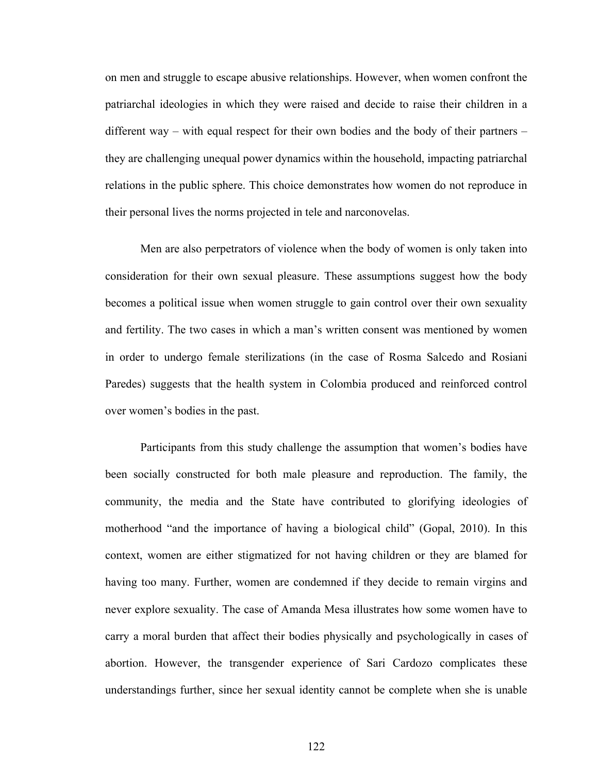on men and struggle to escape abusive relationships. However, when women confront the patriarchal ideologies in which they were raised and decide to raise their children in a different way – with equal respect for their own bodies and the body of their partners – they are challenging unequal power dynamics within the household, impacting patriarchal relations in the public sphere. This choice demonstrates how women do not reproduce in their personal lives the norms projected in tele and narconovelas.

Men are also perpetrators of violence when the body of women is only taken into consideration for their own sexual pleasure. These assumptions suggest how the body becomes a political issue when women struggle to gain control over their own sexuality and fertility. The two cases in which a man's written consent was mentioned by women in order to undergo female sterilizations (in the case of Rosma Salcedo and Rosiani Paredes) suggests that the health system in Colombia produced and reinforced control over women's bodies in the past.

Participants from this study challenge the assumption that women's bodies have been socially constructed for both male pleasure and reproduction. The family, the community, the media and the State have contributed to glorifying ideologies of motherhood "and the importance of having a biological child" (Gopal, 2010). In this context, women are either stigmatized for not having children or they are blamed for having too many. Further, women are condemned if they decide to remain virgins and never explore sexuality. The case of Amanda Mesa illustrates how some women have to carry a moral burden that affect their bodies physically and psychologically in cases of abortion. However, the transgender experience of Sari Cardozo complicates these understandings further, since her sexual identity cannot be complete when she is unable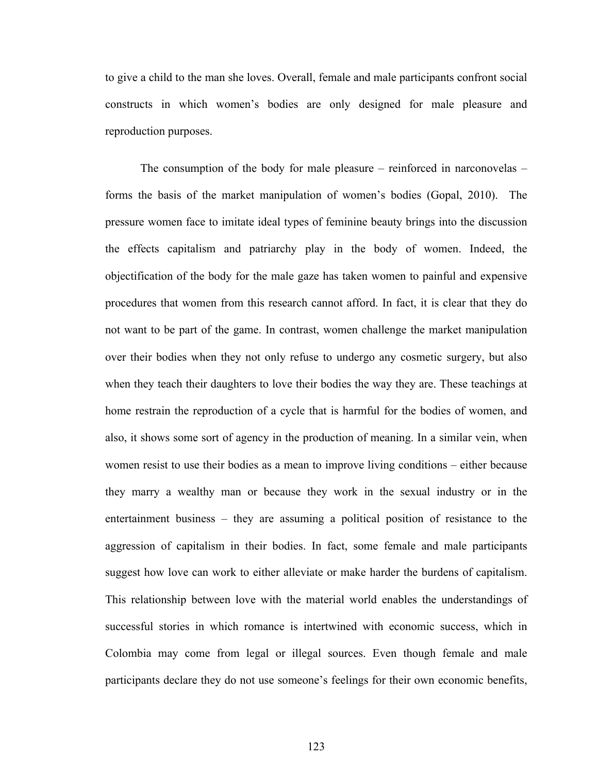to give a child to the man she loves. Overall, female and male participants confront social constructs in which women's bodies are only designed for male pleasure and reproduction purposes.

The consumption of the body for male pleasure – reinforced in narconovelas – forms the basis of the market manipulation of women's bodies (Gopal, 2010). The pressure women face to imitate ideal types of feminine beauty brings into the discussion the effects capitalism and patriarchy play in the body of women. Indeed, the objectification of the body for the male gaze has taken women to painful and expensive procedures that women from this research cannot afford. In fact, it is clear that they do not want to be part of the game. In contrast, women challenge the market manipulation over their bodies when they not only refuse to undergo any cosmetic surgery, but also when they teach their daughters to love their bodies the way they are. These teachings at home restrain the reproduction of a cycle that is harmful for the bodies of women, and also, it shows some sort of agency in the production of meaning. In a similar vein, when women resist to use their bodies as a mean to improve living conditions – either because they marry a wealthy man or because they work in the sexual industry or in the entertainment business – they are assuming a political position of resistance to the aggression of capitalism in their bodies. In fact, some female and male participants suggest how love can work to either alleviate or make harder the burdens of capitalism. This relationship between love with the material world enables the understandings of successful stories in which romance is intertwined with economic success, which in Colombia may come from legal or illegal sources. Even though female and male participants declare they do not use someone's feelings for their own economic benefits,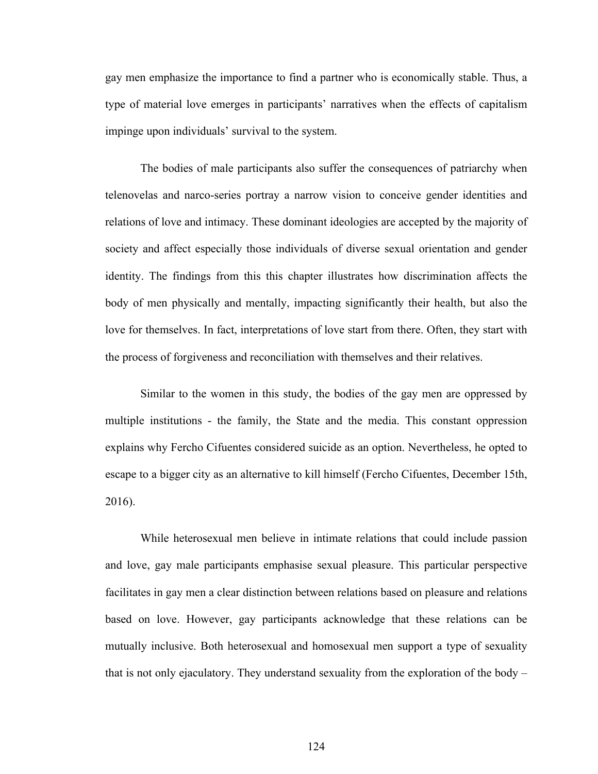gay men emphasize the importance to find a partner who is economically stable. Thus, a type of material love emerges in participants' narratives when the effects of capitalism impinge upon individuals' survival to the system.

The bodies of male participants also suffer the consequences of patriarchy when telenovelas and narco-series portray a narrow vision to conceive gender identities and relations of love and intimacy. These dominant ideologies are accepted by the majority of society and affect especially those individuals of diverse sexual orientation and gender identity. The findings from this this chapter illustrates how discrimination affects the body of men physically and mentally, impacting significantly their health, but also the love for themselves. In fact, interpretations of love start from there. Often, they start with the process of forgiveness and reconciliation with themselves and their relatives.

Similar to the women in this study, the bodies of the gay men are oppressed by multiple institutions - the family, the State and the media. This constant oppression explains why Fercho Cifuentes considered suicide as an option. Nevertheless, he opted to escape to a bigger city as an alternative to kill himself (Fercho Cifuentes, December 15th, 2016).

While heterosexual men believe in intimate relations that could include passion and love, gay male participants emphasise sexual pleasure. This particular perspective facilitates in gay men a clear distinction between relations based on pleasure and relations based on love. However, gay participants acknowledge that these relations can be mutually inclusive. Both heterosexual and homosexual men support a type of sexuality that is not only ejaculatory. They understand sexuality from the exploration of the body –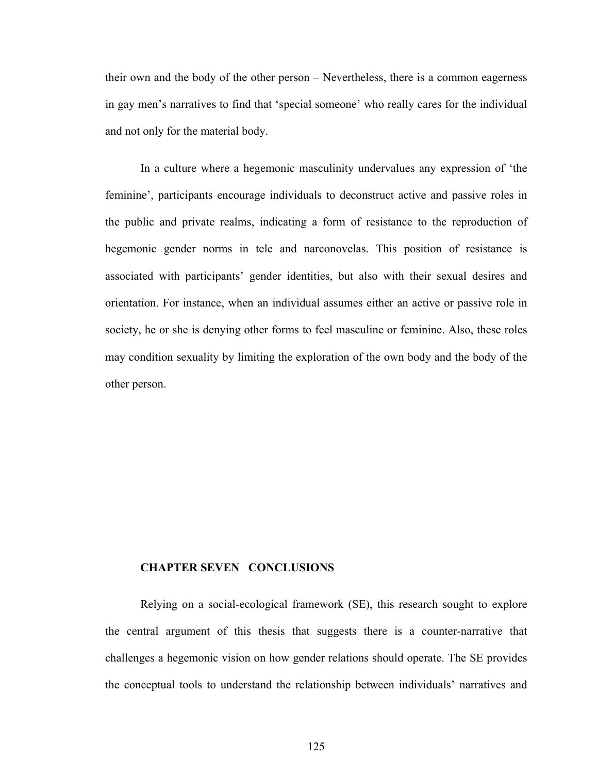their own and the body of the other person – Nevertheless, there is a common eagerness in gay men's narratives to find that 'special someone' who really cares for the individual and not only for the material body.

In a culture where a hegemonic masculinity undervalues any expression of 'the feminine', participants encourage individuals to deconstruct active and passive roles in the public and private realms, indicating a form of resistance to the reproduction of hegemonic gender norms in tele and narconovelas. This position of resistance is associated with participants' gender identities, but also with their sexual desires and orientation. For instance, when an individual assumes either an active or passive role in society, he or she is denying other forms to feel masculine or feminine. Also, these roles may condition sexuality by limiting the exploration of the own body and the body of the other person.

#### **CHAPTER SEVEN CONCLUSIONS**

Relying on a social-ecological framework (SE), this research sought to explore the central argument of this thesis that suggests there is a counter-narrative that challenges a hegemonic vision on how gender relations should operate. The SE provides the conceptual tools to understand the relationship between individuals' narratives and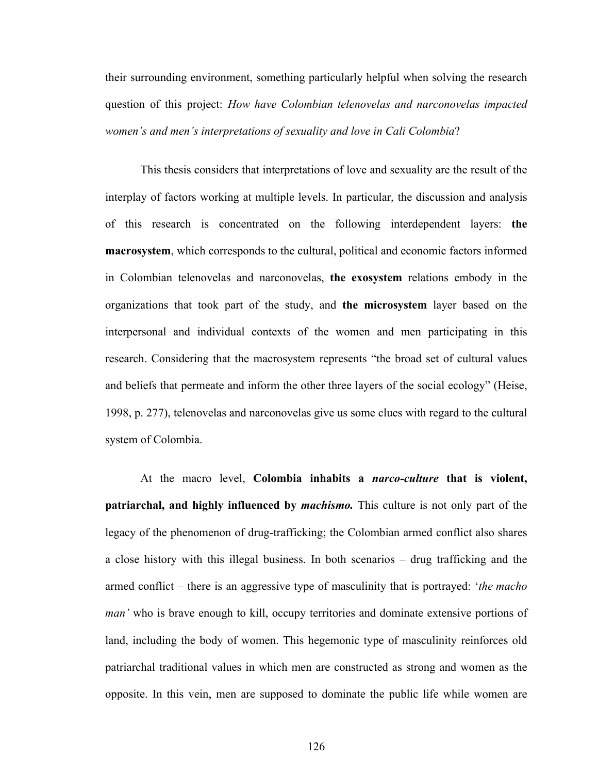their surrounding environment, something particularly helpful when solving the research question of this project: *How have Colombian telenovelas and narconovelas impacted women's and men's interpretations of sexuality and love in Cali Colombia*?

This thesis considers that interpretations of love and sexuality are the result of the interplay of factors working at multiple levels. In particular, the discussion and analysis of this research is concentrated on the following interdependent layers: **the macrosystem**, which corresponds to the cultural, political and economic factors informed in Colombian telenovelas and narconovelas, **the exosystem** relations embody in the organizations that took part of the study, and **the microsystem** layer based on the interpersonal and individual contexts of the women and men participating in this research. Considering that the macrosystem represents "the broad set of cultural values and beliefs that permeate and inform the other three layers of the social ecology" (Heise, 1998, p. 277), telenovelas and narconovelas give us some clues with regard to the cultural system of Colombia.

At the macro level, **Colombia inhabits a** *narco-culture* **that is violent, patriarchal, and highly influenced by** *machismo.* This culture is not only part of the legacy of the phenomenon of drug-trafficking; the Colombian armed conflict also shares a close history with this illegal business. In both scenarios – drug trafficking and the armed conflict – there is an aggressive type of masculinity that is portrayed: '*the macho man'* who is brave enough to kill, occupy territories and dominate extensive portions of land, including the body of women. This hegemonic type of masculinity reinforces old patriarchal traditional values in which men are constructed as strong and women as the opposite. In this vein, men are supposed to dominate the public life while women are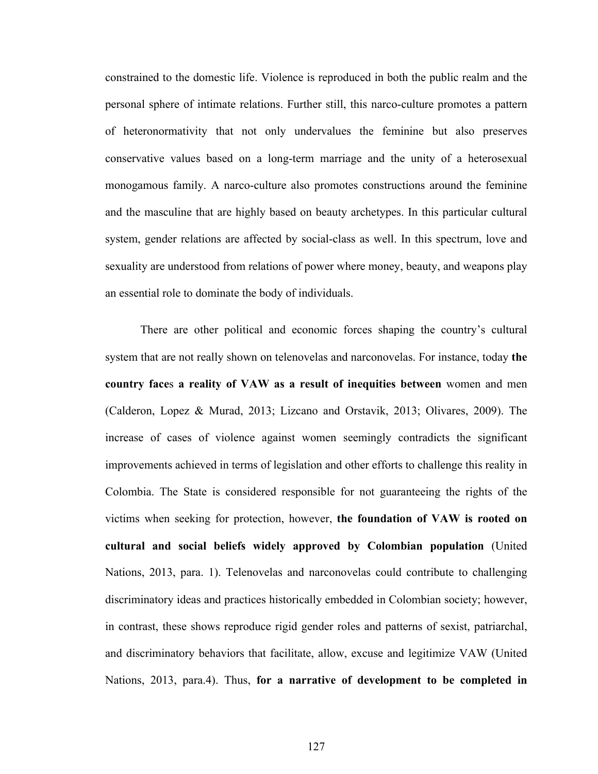constrained to the domestic life. Violence is reproduced in both the public realm and the personal sphere of intimate relations. Further still, this narco-culture promotes a pattern of heteronormativity that not only undervalues the feminine but also preserves conservative values based on a long-term marriage and the unity of a heterosexual monogamous family. A narco-culture also promotes constructions around the feminine and the masculine that are highly based on beauty archetypes. In this particular cultural system, gender relations are affected by social-class as well. In this spectrum, love and sexuality are understood from relations of power where money, beauty, and weapons play an essential role to dominate the body of individuals.

There are other political and economic forces shaping the country's cultural system that are not really shown on telenovelas and narconovelas. For instance, today **the country face**s **a reality of VAW as a result of inequities between** women and men (Calderon, Lopez & Murad, 2013; Lizcano and Orstavik, 2013; Olivares, 2009). The increase of cases of violence against women seemingly contradicts the significant improvements achieved in terms of legislation and other efforts to challenge this reality in Colombia. The State is considered responsible for not guaranteeing the rights of the victims when seeking for protection, however, **the foundation of VAW is rooted on cultural and social beliefs widely approved by Colombian population** (United Nations, 2013, para. 1). Telenovelas and narconovelas could contribute to challenging discriminatory ideas and practices historically embedded in Colombian society; however, in contrast, these shows reproduce rigid gender roles and patterns of sexist, patriarchal, and discriminatory behaviors that facilitate, allow, excuse and legitimize VAW (United Nations, 2013, para.4). Thus, **for a narrative of development to be completed in**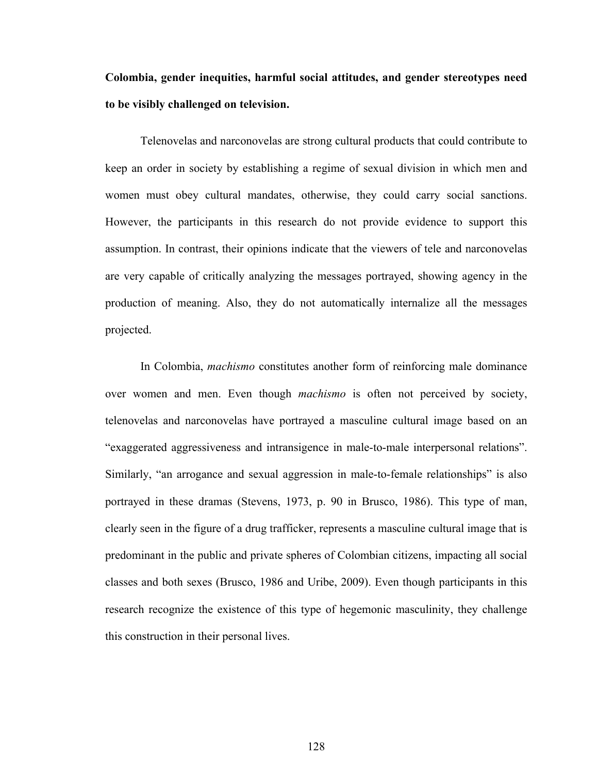**Colombia, gender inequities, harmful social attitudes, and gender stereotypes need to be visibly challenged on television.**

Telenovelas and narconovelas are strong cultural products that could contribute to keep an order in society by establishing a regime of sexual division in which men and women must obey cultural mandates, otherwise, they could carry social sanctions. However, the participants in this research do not provide evidence to support this assumption. In contrast, their opinions indicate that the viewers of tele and narconovelas are very capable of critically analyzing the messages portrayed, showing agency in the production of meaning. Also, they do not automatically internalize all the messages projected.

In Colombia, *machismo* constitutes another form of reinforcing male dominance over women and men. Even though *machismo* is often not perceived by society, telenovelas and narconovelas have portrayed a masculine cultural image based on an "exaggerated aggressiveness and intransigence in male-to-male interpersonal relations". Similarly, "an arrogance and sexual aggression in male-to-female relationships" is also portrayed in these dramas (Stevens, 1973, p. 90 in Brusco, 1986). This type of man, clearly seen in the figure of a drug trafficker, represents a masculine cultural image that is predominant in the public and private spheres of Colombian citizens, impacting all social classes and both sexes (Brusco, 1986 and Uribe, 2009). Even though participants in this research recognize the existence of this type of hegemonic masculinity, they challenge this construction in their personal lives.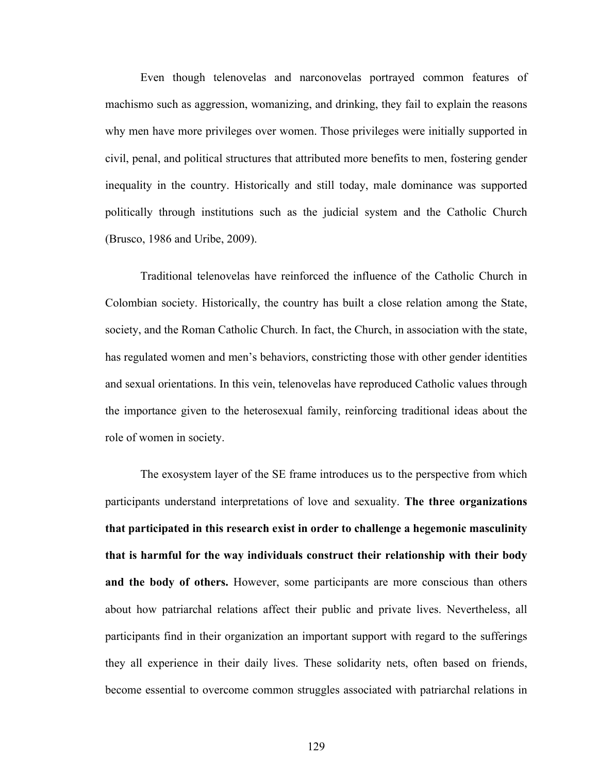Even though telenovelas and narconovelas portrayed common features of machismo such as aggression, womanizing, and drinking, they fail to explain the reasons why men have more privileges over women. Those privileges were initially supported in civil, penal, and political structures that attributed more benefits to men, fostering gender inequality in the country. Historically and still today, male dominance was supported politically through institutions such as the judicial system and the Catholic Church (Brusco, 1986 and Uribe, 2009).

Traditional telenovelas have reinforced the influence of the Catholic Church in Colombian society. Historically, the country has built a close relation among the State, society, and the Roman Catholic Church. In fact, the Church, in association with the state, has regulated women and men's behaviors, constricting those with other gender identities and sexual orientations. In this vein, telenovelas have reproduced Catholic values through the importance given to the heterosexual family, reinforcing traditional ideas about the role of women in society.

The exosystem layer of the SE frame introduces us to the perspective from which participants understand interpretations of love and sexuality. **The three organizations that participated in this research exist in order to challenge a hegemonic masculinity that is harmful for the way individuals construct their relationship with their body and the body of others.** However, some participants are more conscious than others about how patriarchal relations affect their public and private lives. Nevertheless, all participants find in their organization an important support with regard to the sufferings they all experience in their daily lives. These solidarity nets, often based on friends, become essential to overcome common struggles associated with patriarchal relations in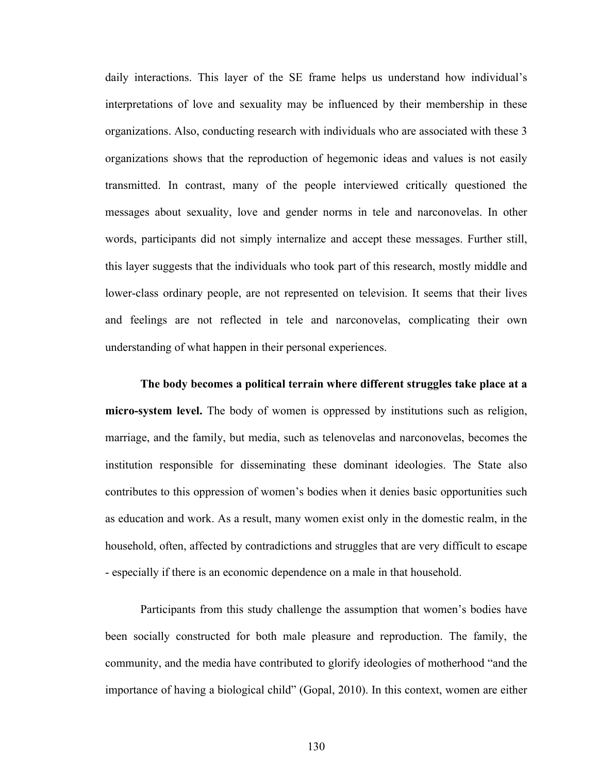daily interactions. This layer of the SE frame helps us understand how individual's interpretations of love and sexuality may be influenced by their membership in these organizations. Also, conducting research with individuals who are associated with these 3 organizations shows that the reproduction of hegemonic ideas and values is not easily transmitted. In contrast, many of the people interviewed critically questioned the messages about sexuality, love and gender norms in tele and narconovelas. In other words, participants did not simply internalize and accept these messages. Further still, this layer suggests that the individuals who took part of this research, mostly middle and lower-class ordinary people, are not represented on television. It seems that their lives and feelings are not reflected in tele and narconovelas, complicating their own understanding of what happen in their personal experiences.

**The body becomes a political terrain where different struggles take place at a micro-system level.** The body of women is oppressed by institutions such as religion, marriage, and the family, but media, such as telenovelas and narconovelas, becomes the institution responsible for disseminating these dominant ideologies. The State also contributes to this oppression of women's bodies when it denies basic opportunities such as education and work. As a result, many women exist only in the domestic realm, in the household, often, affected by contradictions and struggles that are very difficult to escape - especially if there is an economic dependence on a male in that household.

Participants from this study challenge the assumption that women's bodies have been socially constructed for both male pleasure and reproduction. The family, the community, and the media have contributed to glorify ideologies of motherhood "and the importance of having a biological child" (Gopal, 2010). In this context, women are either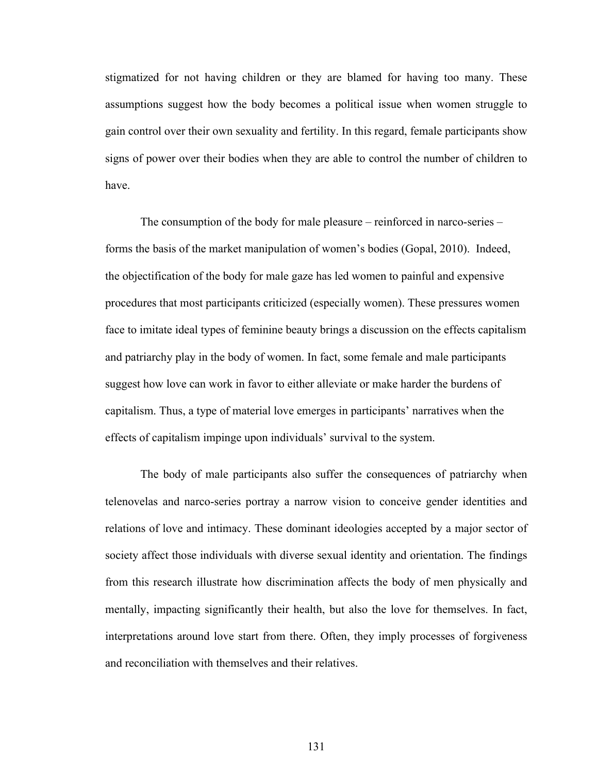stigmatized for not having children or they are blamed for having too many. These assumptions suggest how the body becomes a political issue when women struggle to gain control over their own sexuality and fertility. In this regard, female participants show signs of power over their bodies when they are able to control the number of children to have.

The consumption of the body for male pleasure – reinforced in narco-series – forms the basis of the market manipulation of women's bodies (Gopal, 2010). Indeed, the objectification of the body for male gaze has led women to painful and expensive procedures that most participants criticized (especially women). These pressures women face to imitate ideal types of feminine beauty brings a discussion on the effects capitalism and patriarchy play in the body of women. In fact, some female and male participants suggest how love can work in favor to either alleviate or make harder the burdens of capitalism. Thus, a type of material love emerges in participants' narratives when the effects of capitalism impinge upon individuals' survival to the system.

The body of male participants also suffer the consequences of patriarchy when telenovelas and narco-series portray a narrow vision to conceive gender identities and relations of love and intimacy. These dominant ideologies accepted by a major sector of society affect those individuals with diverse sexual identity and orientation. The findings from this research illustrate how discrimination affects the body of men physically and mentally, impacting significantly their health, but also the love for themselves. In fact, interpretations around love start from there. Often, they imply processes of forgiveness and reconciliation with themselves and their relatives.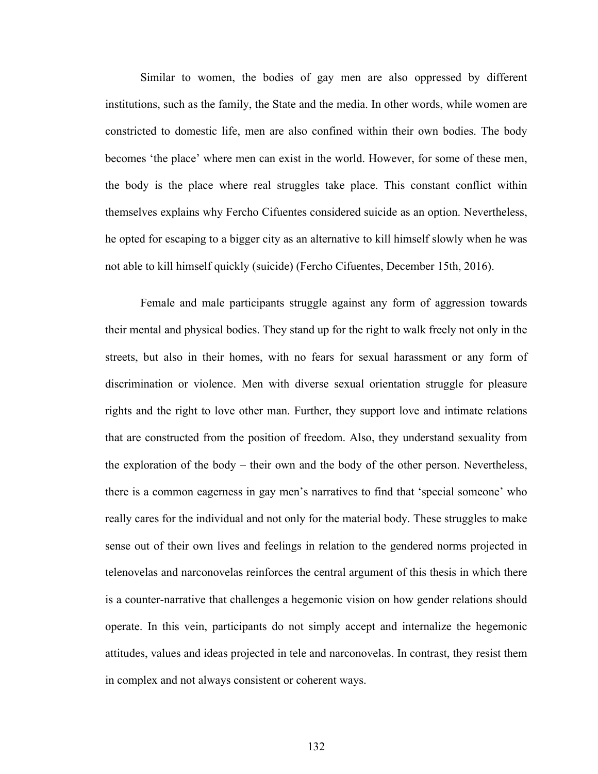Similar to women, the bodies of gay men are also oppressed by different institutions, such as the family, the State and the media. In other words, while women are constricted to domestic life, men are also confined within their own bodies. The body becomes 'the place' where men can exist in the world. However, for some of these men, the body is the place where real struggles take place. This constant conflict within themselves explains why Fercho Cifuentes considered suicide as an option. Nevertheless, he opted for escaping to a bigger city as an alternative to kill himself slowly when he was not able to kill himself quickly (suicide) (Fercho Cifuentes, December 15th, 2016).

Female and male participants struggle against any form of aggression towards their mental and physical bodies. They stand up for the right to walk freely not only in the streets, but also in their homes, with no fears for sexual harassment or any form of discrimination or violence. Men with diverse sexual orientation struggle for pleasure rights and the right to love other man. Further, they support love and intimate relations that are constructed from the position of freedom. Also, they understand sexuality from the exploration of the body – their own and the body of the other person. Nevertheless, there is a common eagerness in gay men's narratives to find that 'special someone' who really cares for the individual and not only for the material body. These struggles to make sense out of their own lives and feelings in relation to the gendered norms projected in telenovelas and narconovelas reinforces the central argument of this thesis in which there is a counter-narrative that challenges a hegemonic vision on how gender relations should operate. In this vein, participants do not simply accept and internalize the hegemonic attitudes, values and ideas projected in tele and narconovelas. In contrast, they resist them in complex and not always consistent or coherent ways.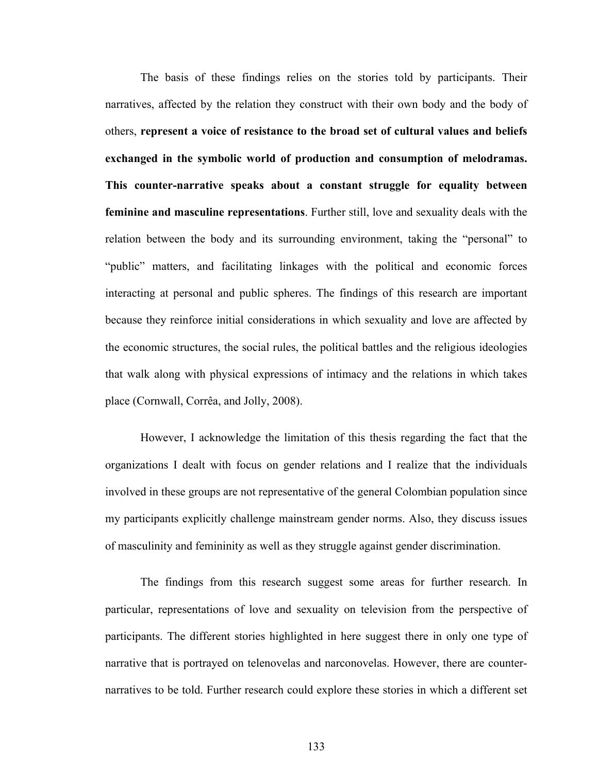The basis of these findings relies on the stories told by participants. Their narratives, affected by the relation they construct with their own body and the body of others, **represent a voice of resistance to the broad set of cultural values and beliefs exchanged in the symbolic world of production and consumption of melodramas. This counter-narrative speaks about a constant struggle for equality between feminine and masculine representations**. Further still, love and sexuality deals with the relation between the body and its surrounding environment, taking the "personal" to "public" matters, and facilitating linkages with the political and economic forces interacting at personal and public spheres. The findings of this research are important because they reinforce initial considerations in which sexuality and love are affected by the economic structures, the social rules, the political battles and the religious ideologies that walk along with physical expressions of intimacy and the relations in which takes place (Cornwall, Corrêa, and Jolly, 2008).

However, I acknowledge the limitation of this thesis regarding the fact that the organizations I dealt with focus on gender relations and I realize that the individuals involved in these groups are not representative of the general Colombian population since my participants explicitly challenge mainstream gender norms. Also, they discuss issues of masculinity and femininity as well as they struggle against gender discrimination.

The findings from this research suggest some areas for further research. In particular, representations of love and sexuality on television from the perspective of participants. The different stories highlighted in here suggest there in only one type of narrative that is portrayed on telenovelas and narconovelas. However, there are counternarratives to be told. Further research could explore these stories in which a different set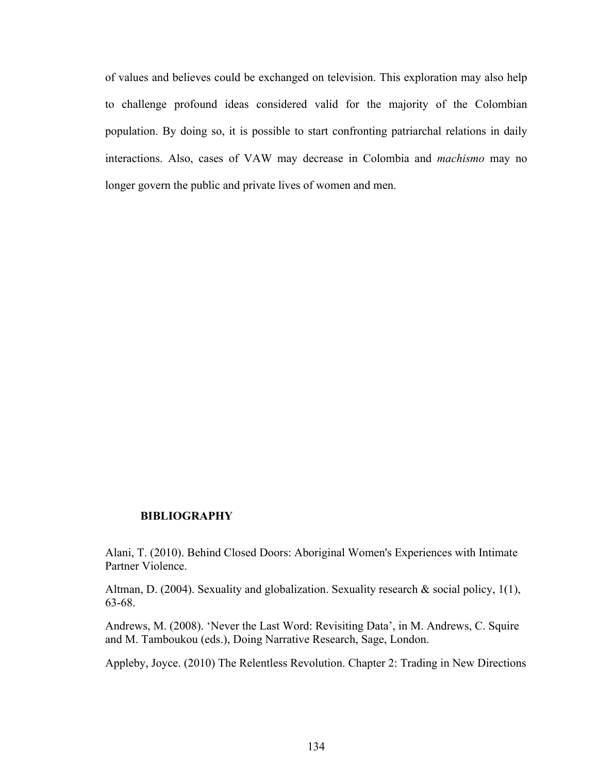of values and believes could be exchanged on television. This exploration may also help to challenge profound ideas considered valid for the majority of the Colombian population. By doing so, it is possible to start confronting patriarchal relations in daily interactions. Also, cases of VAW may decrease in Colombia and *machismo* may no longer govern the public and private lives of women and men.

## **BIBLIOGRAPHY**

Alani, T. (2010). Behind Closed Doors: Aboriginal Women's Experiences with Intimate Partner Violence.

Altman, D. (2004). Sexuality and globalization. Sexuality research & social policy, 1(1), 63-68.

Andrews, M. (2008). 'Never the Last Word: Revisiting Data', in M. Andrews, C. Squire and M. Tamboukou (eds.), Doing Narrative Research, Sage, London.

Appleby, Joyce. (2010) The Relentless Revolution. Chapter 2: Trading in New Directions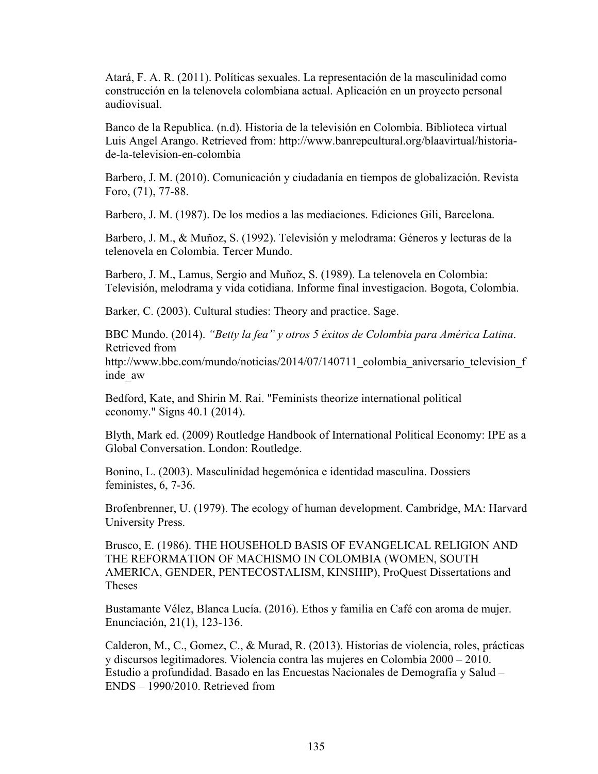Atará, F. A. R. (2011). Políticas sexuales. La representación de la masculinidad como construcción en la telenovela colombiana actual. Aplicación en un proyecto personal audiovisual.

Banco de la Republica. (n.d). Historia de la televisión en Colombia. Biblioteca virtual Luis Angel Arango. Retrieved from: http://www.banrepcultural.org/blaavirtual/historiade-la-television-en-colombia

Barbero, J. M. (2010). Comunicación y ciudadanía en tiempos de globalización. Revista Foro, (71), 77-88.

Barbero, J. M. (1987). De los medios a las mediaciones. Ediciones Gili, Barcelona.

Barbero, J. M., & Muñoz, S. (1992). Televisión y melodrama: Géneros y lecturas de la telenovela en Colombia. Tercer Mundo.

Barbero, J. M., Lamus, Sergio and Muñoz, S. (1989). La telenovela en Colombia: Televisión, melodrama y vida cotidiana. Informe final investigacion. Bogota, Colombia.

Barker, C. (2003). Cultural studies: Theory and practice. Sage.

BBC Mundo. (2014). *"Betty la fea" y otros 5 éxitos de Colombia para América Latina*. Retrieved from http://www.bbc.com/mundo/noticias/2014/07/140711\_colombia\_aniversario\_television\_f inde\_aw

Bedford, Kate, and Shirin M. Rai. "Feminists theorize international political economy." Signs 40.1 (2014).

Blyth, Mark ed. (2009) Routledge Handbook of International Political Economy: IPE as a Global Conversation. London: Routledge.

Bonino, L. (2003). Masculinidad hegemónica e identidad masculina. Dossiers feministes, 6, 7-36.

Brofenbrenner, U. (1979). The ecology of human development. Cambridge, MA: Harvard University Press.

Brusco, E. (1986). THE HOUSEHOLD BASIS OF EVANGELICAL RELIGION AND THE REFORMATION OF MACHISMO IN COLOMBIA (WOMEN, SOUTH AMERICA, GENDER, PENTECOSTALISM, KINSHIP), ProQuest Dissertations and Theses

Bustamante Vélez, Blanca Lucía. (2016). Ethos y familia en Café con aroma de mujer. Enunciación, 21(1), 123-136.

Calderon, M., C., Gomez, C., & Murad, R. (2013). Historias de violencia, roles, prácticas y discursos legitimadores. Violencia contra las mujeres en Colombia 2000 – 2010. Estudio a profundidad. Basado en las Encuestas Nacionales de Demografía y Salud – ENDS – 1990/2010. Retrieved from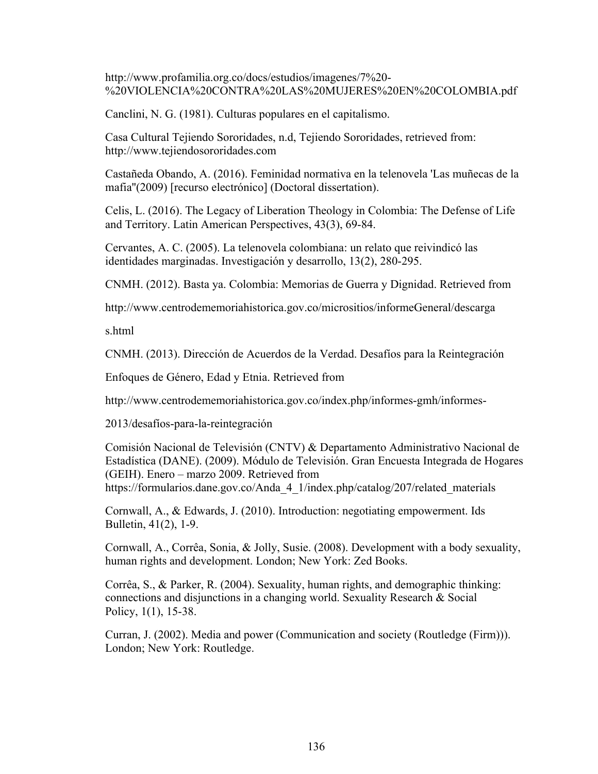http://www.profamilia.org.co/docs/estudios/imagenes/7%20- %20VIOLENCIA%20CONTRA%20LAS%20MUJERES%20EN%20COLOMBIA.pdf

Canclini, N. G. (1981). Culturas populares en el capitalismo.

Casa Cultural Tejiendo Sororidades, n.d, Tejiendo Sororidades, retrieved from: http://www.tejiendosororidades.com

Castañeda Obando, A. (2016). Feminidad normativa en la telenovela 'Las muñecas de la mafia''(2009) [recurso electrónico] (Doctoral dissertation).

Celis, L. (2016). The Legacy of Liberation Theology in Colombia: The Defense of Life and Territory. Latin American Perspectives, 43(3), 69-84.

Cervantes, A. C. (2005). La telenovela colombiana: un relato que reivindicó las identidades marginadas. Investigación y desarrollo, 13(2), 280-295.

CNMH. (2012). Basta ya. Colombia: Memorias de Guerra y Dignidad. Retrieved from

http://www.centrodememoriahistorica.gov.co/micrositios/informeGeneral/descarga

s.html

CNMH. (2013). Dirección de Acuerdos de la Verdad. Desafíos para la Reintegración

Enfoques de Género, Edad y Etnia. Retrieved from

http://www.centrodememoriahistorica.gov.co/index.php/informes-gmh/informes-

2013/desafíos-para-la-reintegración

Comisión Nacional de Televisión (CNTV) & Departamento Administrativo Nacional de Estadística (DANE). (2009). Módulo de Televisión. Gran Encuesta Integrada de Hogares (GEIH). Enero – marzo 2009. Retrieved from https://formularios.dane.gov.co/Anda\_4\_1/index.php/catalog/207/related\_materials

Cornwall, A., & Edwards, J. (2010). Introduction: negotiating empowerment. Ids Bulletin, 41(2), 1-9.

Cornwall, A., Corrêa, Sonia, & Jolly, Susie. (2008). Development with a body sexuality, human rights and development. London; New York: Zed Books.

Corrêa, S., & Parker, R. (2004). Sexuality, human rights, and demographic thinking: connections and disjunctions in a changing world. Sexuality Research & Social Policy, 1(1), 15-38.

Curran, J. (2002). Media and power (Communication and society (Routledge (Firm))). London; New York: Routledge.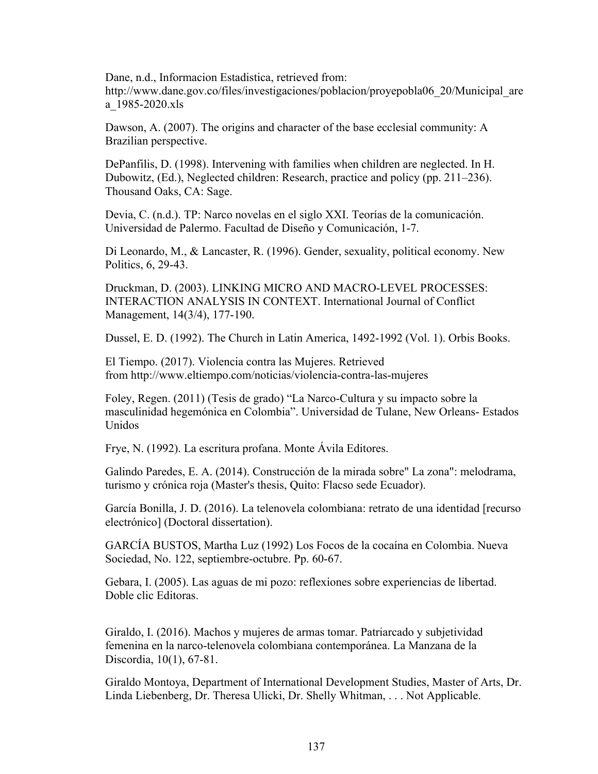Dane, n.d., Informacion Estadistica, retrieved from: http://www.dane.gov.co/files/investigaciones/poblacion/proyepobla06 20/Municipal are a\_1985-2020.xls

Dawson, A. (2007). The origins and character of the base ecclesial community: A Brazilian perspective.

DePanfilis, D. (1998). Intervening with families when children are neglected. In H. Dubowitz, (Ed.), Neglected children: Research, practice and policy (pp. 211–236). Thousand Oaks, CA: Sage.

Devia, C. (n.d.). TP: Narco novelas en el siglo XXI. Teorías de la comunicación. Universidad de Palermo. Facultad de Diseño y Comunicación, 1-7.

Di Leonardo, M., & Lancaster, R. (1996). Gender, sexuality, political economy. New Politics, 6, 29-43.

Druckman, D. (2003). LINKING MICRO AND MACRO-LEVEL PROCESSES: INTERACTION ANALYSIS IN CONTEXT. International Journal of Conflict Management, 14(3/4), 177-190.

Dussel, E. D. (1992). The Church in Latin America, 1492-1992 (Vol. 1). Orbis Books.

El Tiempo. (2017). Violencia contra las Mujeres. Retrieved from http://www.eltiempo.com/noticias/violencia-contra-las-mujeres

Foley, Regen. (2011) (Tesis de grado) "La Narco-Cultura y su impacto sobre la masculinidad hegemónica en Colombia". Universidad de Tulane, New Orleans- Estados Unidos

Frye, N. (1992). La escritura profana. Monte Ávila Editores.

Galindo Paredes, E. A. (2014). Construcción de la mirada sobre" La zona": melodrama, turismo y crónica roja (Master's thesis, Quito: Flacso sede Ecuador).

García Bonilla, J. D. (2016). La telenovela colombiana: retrato de una identidad [recurso electrónico] (Doctoral dissertation).

GARCÍA BUSTOS, Martha Luz (1992) Los Focos de la cocaína en Colombia. Nueva Sociedad, No. 122, septiembre-octubre. Pp. 60-67.

Gebara, I. (2005). Las aguas de mi pozo: reflexiones sobre experiencias de libertad. Doble clic Editoras.

Giraldo, I. (2016). Machos y mujeres de armas tomar. Patriarcado y subjetividad femenina en la narco-telenovela colombiana contemporánea. La Manzana de la Discordia, 10(1), 67-81.

Giraldo Montoya, Department of International Development Studies, Master of Arts, Dr. Linda Liebenberg, Dr. Theresa Ulicki, Dr. Shelly Whitman, . . . Not Applicable.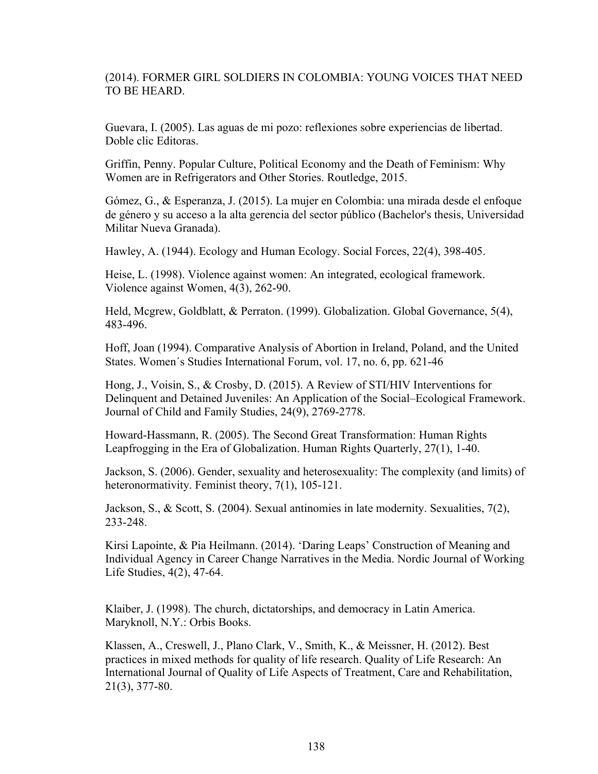## (2014). FORMER GIRL SOLDIERS IN COLOMBIA: YOUNG VOICES THAT NEED TO BE HEARD.

Guevara, I. (2005). Las aguas de mi pozo: reflexiones sobre experiencias de libertad. Doble clic Editoras.

Griffin, Penny. Popular Culture, Political Economy and the Death of Feminism: Why Women are in Refrigerators and Other Stories. Routledge, 2015.

Gómez, G., & Esperanza, J. (2015). La mujer en Colombia: una mirada desde el enfoque de género y su acceso a la alta gerencia del sector público (Bachelor's thesis, Universidad Militar Nueva Granada).

Hawley, A. (1944). Ecology and Human Ecology. Social Forces, 22(4), 398-405.

Heise, L. (1998). Violence against women: An integrated, ecological framework. Violence against Women, 4(3), 262-90.

Held, Mcgrew, Goldblatt, & Perraton. (1999). Globalization. Global Governance, 5(4), 483-496.

Hoff, Joan (1994). Comparative Analysis of Abortion in Ireland, Poland, and the United States. Women´s Studies International Forum, vol. 17, no. 6, pp. 621-46

Hong, J., Voisin, S., & Crosby, D. (2015). A Review of STI/HIV Interventions for Delinquent and Detained Juveniles: An Application of the Social–Ecological Framework. Journal of Child and Family Studies, 24(9), 2769-2778.

Howard-Hassmann, R. (2005). The Second Great Transformation: Human Rights Leapfrogging in the Era of Globalization. Human Rights Quarterly, 27(1), 1-40.

Jackson, S. (2006). Gender, sexuality and heterosexuality: The complexity (and limits) of heteronormativity. Feminist theory, 7(1), 105-121.

Jackson, S., & Scott, S. (2004). Sexual antinomies in late modernity. Sexualities, 7(2), 233-248.

Kirsi Lapointe, & Pia Heilmann. (2014). 'Daring Leaps' Construction of Meaning and Individual Agency in Career Change Narratives in the Media. Nordic Journal of Working Life Studies, 4(2), 47-64.

Klaiber, J. (1998). The church, dictatorships, and democracy in Latin America. Maryknoll, N.Y.: Orbis Books.

Klassen, A., Creswell, J., Plano Clark, V., Smith, K., & Meissner, H. (2012). Best practices in mixed methods for quality of life research. Quality of Life Research: An International Journal of Quality of Life Aspects of Treatment, Care and Rehabilitation, 21(3), 377-80.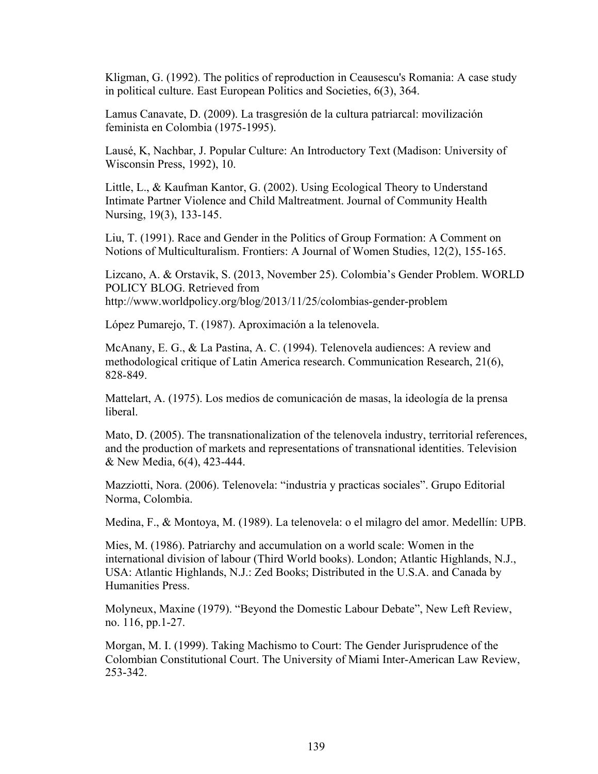Kligman, G. (1992). The politics of reproduction in Ceausescu's Romania: A case study in political culture. East European Politics and Societies, 6(3), 364.

Lamus Canavate, D. (2009). La trasgresión de la cultura patriarcal: movilización feminista en Colombia (1975-1995).

Lausé, K, Nachbar, J. Popular Culture: An Introductory Text (Madison: University of Wisconsin Press, 1992), 10.

Little, L., & Kaufman Kantor, G. (2002). Using Ecological Theory to Understand Intimate Partner Violence and Child Maltreatment. Journal of Community Health Nursing, 19(3), 133-145.

Liu, T. (1991). Race and Gender in the Politics of Group Formation: A Comment on Notions of Multiculturalism. Frontiers: A Journal of Women Studies, 12(2), 155-165.

Lizcano, A. & Orstavik, S. (2013, November 25). Colombia's Gender Problem. WORLD POLICY BLOG. Retrieved from http://www.worldpolicy.org/blog/2013/11/25/colombias-gender-problem

López Pumarejo, T. (1987). Aproximación a la telenovela.

McAnany, E. G., & La Pastina, A. C. (1994). Telenovela audiences: A review and methodological critique of Latin America research. Communication Research, 21(6), 828-849.

Mattelart, A. (1975). Los medios de comunicación de masas, la ideología de la prensa liberal.

Mato, D. (2005). The transnationalization of the telenovela industry, territorial references, and the production of markets and representations of transnational identities. Television & New Media, 6(4), 423-444.

Mazziotti, Nora. (2006). Telenovela: "industria y practicas sociales". Grupo Editorial Norma, Colombia.

Medina, F., & Montoya, M. (1989). La telenovela: o el milagro del amor. Medellín: UPB.

Mies, M. (1986). Patriarchy and accumulation on a world scale: Women in the international division of labour (Third World books). London; Atlantic Highlands, N.J., USA: Atlantic Highlands, N.J.: Zed Books; Distributed in the U.S.A. and Canada by Humanities Press.

Molyneux, Maxine (1979). "Beyond the Domestic Labour Debate", New Left Review, no. 116, pp.1-27.

Morgan, M. I. (1999). Taking Machismo to Court: The Gender Jurisprudence of the Colombian Constitutional Court. The University of Miami Inter-American Law Review, 253-342.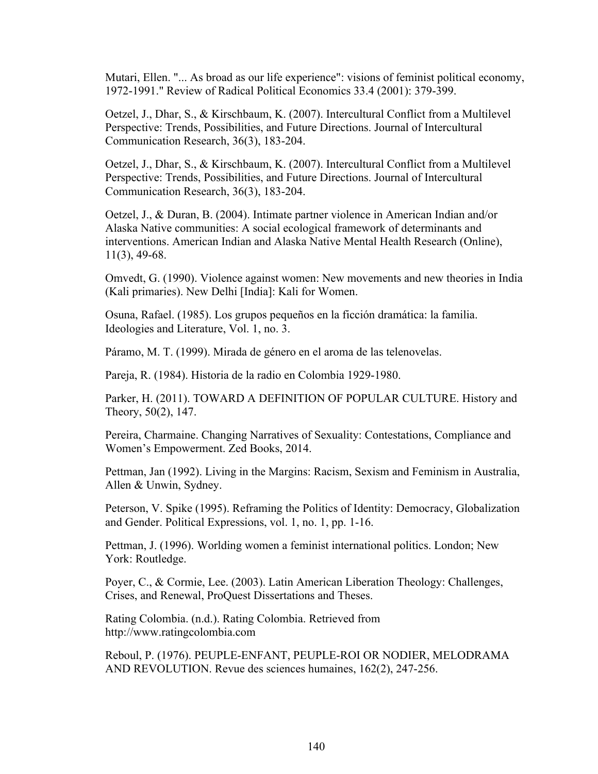Mutari, Ellen. "... As broad as our life experience": visions of feminist political economy, 1972-1991." Review of Radical Political Economics 33.4 (2001): 379-399.

Oetzel, J., Dhar, S., & Kirschbaum, K. (2007). Intercultural Conflict from a Multilevel Perspective: Trends, Possibilities, and Future Directions. Journal of Intercultural Communication Research, 36(3), 183-204.

Oetzel, J., Dhar, S., & Kirschbaum, K. (2007). Intercultural Conflict from a Multilevel Perspective: Trends, Possibilities, and Future Directions. Journal of Intercultural Communication Research, 36(3), 183-204.

Oetzel, J., & Duran, B. (2004). Intimate partner violence in American Indian and/or Alaska Native communities: A social ecological framework of determinants and interventions. American Indian and Alaska Native Mental Health Research (Online), 11(3), 49-68.

Omvedt, G. (1990). Violence against women: New movements and new theories in India (Kali primaries). New Delhi [India]: Kali for Women.

Osuna, Rafael. (1985). Los grupos pequeños en la ficción dramática: la familia. Ideologies and Literature, Vol. 1, no. 3.

Páramo, M. T. (1999). Mirada de género en el aroma de las telenovelas.

Pareja, R. (1984). Historia de la radio en Colombia 1929-1980.

Parker, H. (2011). TOWARD A DEFINITION OF POPULAR CULTURE. History and Theory, 50(2), 147.

Pereira, Charmaine. Changing Narratives of Sexuality: Contestations, Compliance and Women's Empowerment. Zed Books, 2014.

Pettman, Jan (1992). Living in the Margins: Racism, Sexism and Feminism in Australia, Allen & Unwin, Sydney.

Peterson, V. Spike (1995). Reframing the Politics of Identity: Democracy, Globalization and Gender. Political Expressions, vol. 1, no. 1, pp. 1-16.

Pettman, J. (1996). Worlding women a feminist international politics. London; New York: Routledge.

Poyer, C., & Cormie, Lee. (2003). Latin American Liberation Theology: Challenges, Crises, and Renewal, ProQuest Dissertations and Theses.

Rating Colombia. (n.d.). Rating Colombia. Retrieved from http://www.ratingcolombia.com

Reboul, P. (1976). PEUPLE-ENFANT, PEUPLE-ROI OR NODIER, MELODRAMA AND REVOLUTION. Revue des sciences humaines, 162(2), 247-256.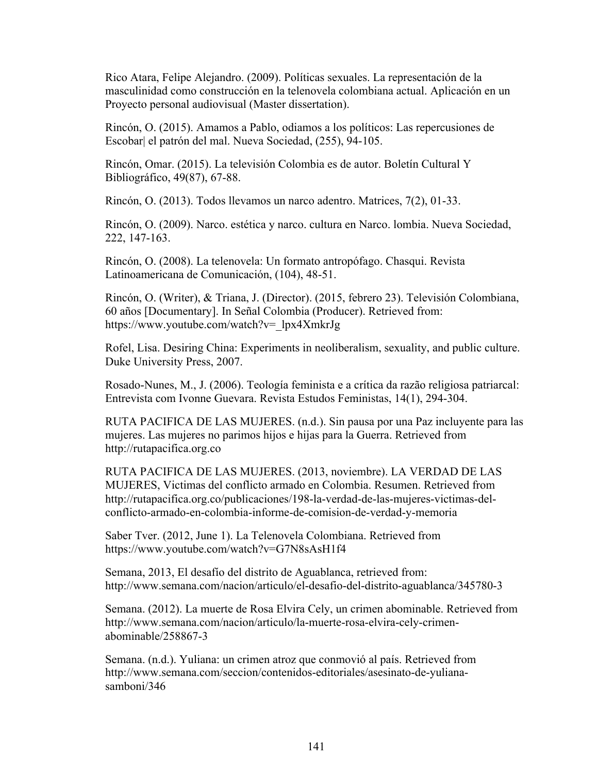Rico Atara, Felipe Alejandro. (2009). Políticas sexuales. La representación de la masculinidad como construcción en la telenovela colombiana actual. Aplicación en un Proyecto personal audiovisual (Master dissertation).

Rincón, O. (2015). Amamos a Pablo, odiamos a los políticos: Las repercusiones de Escobar| el patrón del mal. Nueva Sociedad, (255), 94-105.

Rincón, Omar. (2015). La televisión Colombia es de autor. Boletín Cultural Y Bibliográfico, 49(87), 67-88.

Rincón, O. (2013). Todos llevamos un narco adentro. Matrices, 7(2), 01-33.

Rincón, O. (2009). Narco. estética y narco. cultura en Narco. lombia. Nueva Sociedad, 222, 147-163.

Rincón, O. (2008). La telenovela: Un formato antropófago. Chasqui. Revista Latinoamericana de Comunicación, (104), 48-51.

Rincón, O. (Writer), & Triana, J. (Director). (2015, febrero 23). Televisión Colombiana, 60 años [Documentary]. In Señal Colombia (Producer). Retrieved from: https://www.youtube.com/watch?v=\_lpx4XmkrJg

Rofel, Lisa. Desiring China: Experiments in neoliberalism, sexuality, and public culture. Duke University Press, 2007.

Rosado-Nunes, M., J. (2006). Teología feminista e a crítica da razão religiosa patriarcal: Entrevista com Ivonne Guevara. Revista Estudos Feministas, 14(1), 294-304.

RUTA PACIFICA DE LAS MUJERES. (n.d.). Sin pausa por una Paz incluyente para las mujeres. Las mujeres no parimos hijos e hijas para la Guerra. Retrieved from http://rutapacifica.org.co

RUTA PACIFICA DE LAS MUJERES. (2013, noviembre). LA VERDAD DE LAS MUJERES, Victimas del conflicto armado en Colombia. Resumen. Retrieved from http://rutapacifica.org.co/publicaciones/198-la-verdad-de-las-mujeres-victimas-delconflicto-armado-en-colombia-informe-de-comision-de-verdad-y-memoria

Saber Tver. (2012, June 1). La Telenovela Colombiana. Retrieved from https://www.youtube.com/watch?v=G7N8sAsH1f4

Semana, 2013, El desafío del distrito de Aguablanca, retrieved from: http://www.semana.com/nacion/articulo/el-desafio-del-distrito-aguablanca/345780-3

Semana. (2012). La muerte de Rosa Elvira Cely, un crimen abominable. Retrieved from http://www.semana.com/nacion/articulo/la-muerte-rosa-elvira-cely-crimenabominable/258867-3

Semana. (n.d.). Yuliana: un crimen atroz que conmovió al país. Retrieved from http://www.semana.com/seccion/contenidos-editoriales/asesinato-de-yulianasamboni/346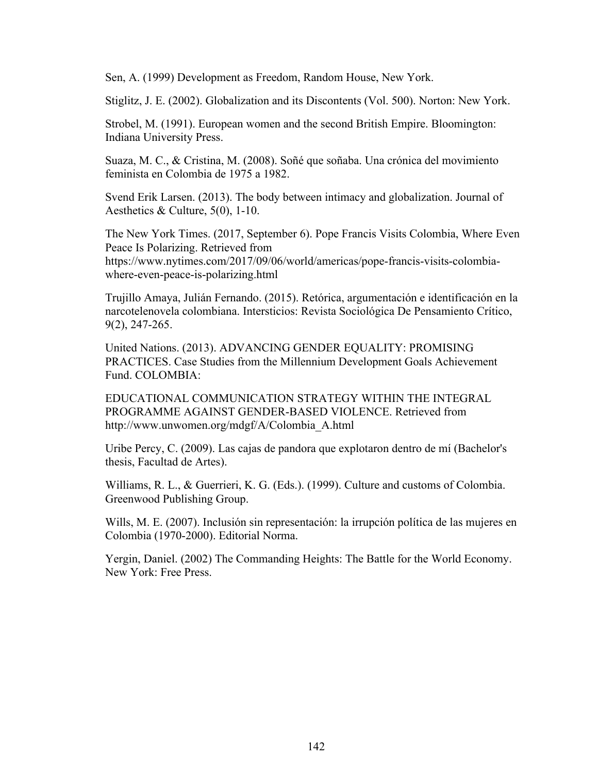Sen, A. (1999) Development as Freedom, Random House, New York.

Stiglitz, J. E. (2002). Globalization and its Discontents (Vol. 500). Norton: New York.

Strobel, M. (1991). European women and the second British Empire. Bloomington: Indiana University Press.

Suaza, M. C., & Cristina, M. (2008). Soñé que soñaba. Una crónica del movimiento feminista en Colombia de 1975 a 1982.

Svend Erik Larsen. (2013). The body between intimacy and globalization. Journal of Aesthetics & Culture, 5(0), 1-10.

The New York Times. (2017, September 6). Pope Francis Visits Colombia, Where Even Peace Is Polarizing. Retrieved from https://www.nytimes.com/2017/09/06/world/americas/pope-francis-visits-colombiawhere-even-peace-is-polarizing.html

Trujillo Amaya, Julián Fernando. (2015). Retórica, argumentación e identificación en la narcotelenovela colombiana. Intersticios: Revista Sociológica De Pensamiento Crítico, 9(2), 247-265.

United Nations. (2013). ADVANCING GENDER EQUALITY: PROMISING PRACTICES. Case Studies from the Millennium Development Goals Achievement Fund. COLOMBIA:

EDUCATIONAL COMMUNICATION STRATEGY WITHIN THE INTEGRAL PROGRAMME AGAINST GENDER-BASED VIOLENCE. Retrieved from http://www.unwomen.org/mdgf/A/Colombia\_A.html

Uribe Percy, C. (2009). Las cajas de pandora que explotaron dentro de mí (Bachelor's thesis, Facultad de Artes).

Williams, R. L., & Guerrieri, K. G. (Eds.). (1999). Culture and customs of Colombia. Greenwood Publishing Group.

Wills, M. E. (2007). Inclusión sin representación: la irrupción política de las mujeres en Colombia (1970-2000). Editorial Norma.

Yergin, Daniel. (2002) The Commanding Heights: The Battle for the World Economy. New York: Free Press.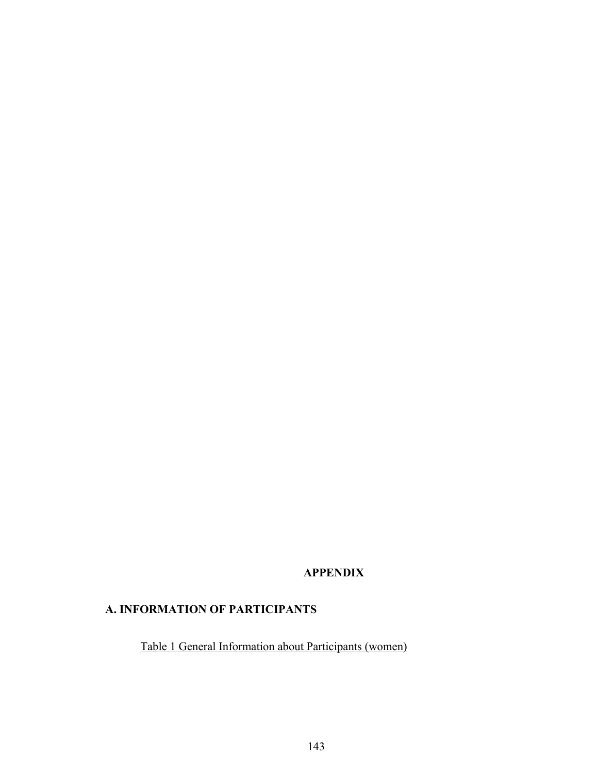## **APPENDIX**

## **A. INFORMATION OF PARTICIPANTS**

Table 1 General Information about Participants (women)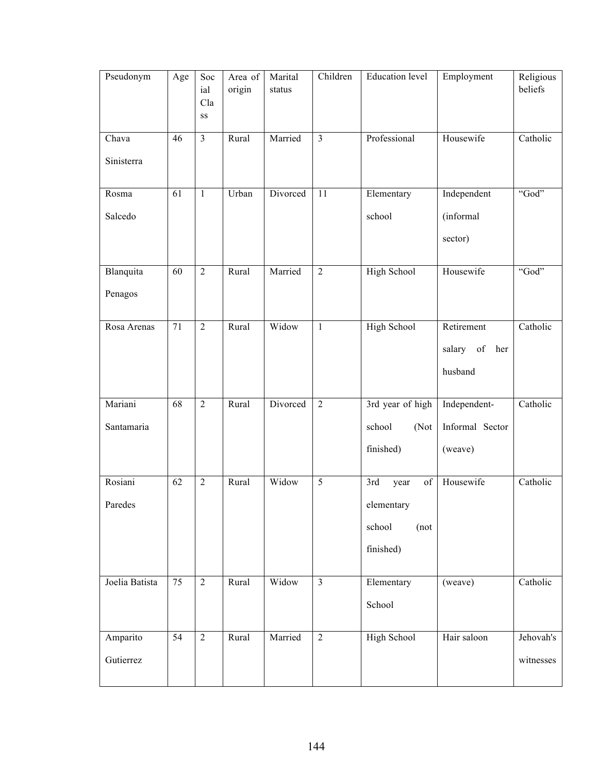| Pseudonym      | Age             | Soc<br>ial<br>Cla<br>SS | Area of<br>origin | Marital<br>status | Children       | <b>Education</b> level | Employment          | Religious<br>beliefs |
|----------------|-----------------|-------------------------|-------------------|-------------------|----------------|------------------------|---------------------|----------------------|
| Chava          | 46              | $\overline{3}$          | Rural             | Married           | $\overline{3}$ | Professional           | Housewife           | Catholic             |
| Sinisterra     |                 |                         |                   |                   |                |                        |                     |                      |
| Rosma          | 61              | $\mathbf{1}$            | Urban             | Divorced          | 11             | Elementary             | Independent         | "God"                |
| Salcedo        |                 |                         |                   |                   |                | school                 | (informal           |                      |
|                |                 |                         |                   |                   |                |                        | sector)             |                      |
| Blanquita      | 60              | $\overline{2}$          | Rural             | Married           | $\overline{2}$ | High School            | Housewife           | "God"                |
| Penagos        |                 |                         |                   |                   |                |                        |                     |                      |
| Rosa Arenas    | 71              | $\overline{2}$          | Rural             | Widow             | $\mathbf{1}$   | <b>High School</b>     | Retirement          | Catholic             |
|                |                 |                         |                   |                   |                |                        | salary<br>of<br>her |                      |
|                |                 |                         |                   |                   |                |                        | husband             |                      |
| Mariani        | 68              | $\sqrt{2}$              | Rural             | Divorced          | $\overline{2}$ | 3rd year of high       | Independent-        | Catholic             |
| Santamaria     |                 |                         |                   |                   |                | school<br>(Not         | Informal Sector     |                      |
|                |                 |                         |                   |                   |                | finished)              | (weave)             |                      |
| Rosiani        | 62              | $\sqrt{2}$              | Rural             | Widow             | 5              | 3rd<br>of<br>year      | Housewife           | Catholic             |
| Paredes        |                 |                         |                   |                   |                | elementary             |                     |                      |
|                |                 |                         |                   |                   |                | school<br>(not)        |                     |                      |
|                |                 |                         |                   |                   |                | finished)              |                     |                      |
| Joelia Batista | 75              | $\overline{2}$          | Rural             | Widow             | $\overline{3}$ | Elementary             | (weave)             | Catholic             |
|                |                 |                         |                   |                   |                | School                 |                     |                      |
| Amparito       | $\overline{54}$ | $\overline{2}$          | Rural             | Married           | $\overline{2}$ | <b>High School</b>     | Hair saloon         | Jehovah's            |
| Gutierrez      |                 |                         |                   |                   |                |                        |                     | witnesses            |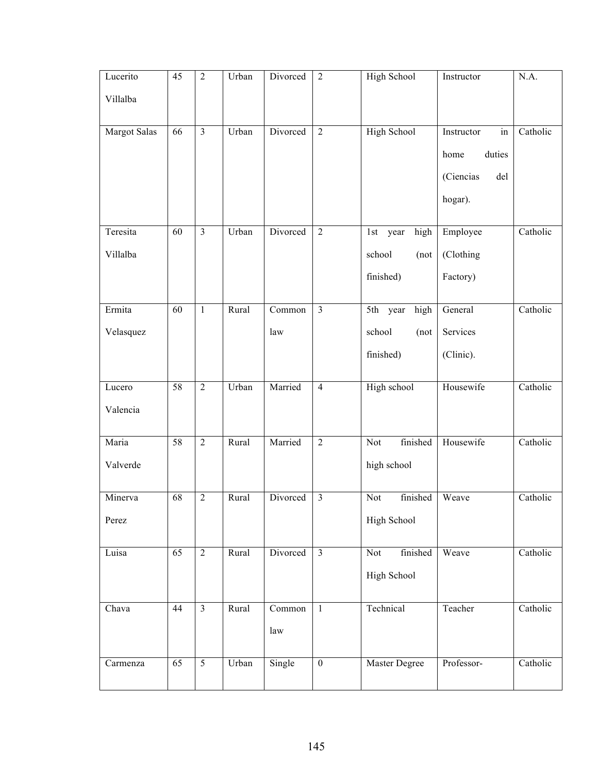| Lucerito     | 45              | $\overline{2}$ | Urban | Divorced | $\sqrt{2}$              | <b>High School</b>  | Instructor       | N.A.     |
|--------------|-----------------|----------------|-------|----------|-------------------------|---------------------|------------------|----------|
| Villalba     |                 |                |       |          |                         |                     |                  |          |
| Margot Salas | 66              | $\overline{3}$ | Urban | Divorced | $\overline{2}$          | <b>High School</b>  | Instructor<br>in | Catholic |
|              |                 |                |       |          |                         |                     | duties<br>home   |          |
|              |                 |                |       |          |                         |                     | (Ciencias<br>del |          |
|              |                 |                |       |          |                         |                     | hogar).          |          |
| Teresita     | 60              | $\overline{3}$ | Urban | Divorced | $\overline{2}$          | high<br>1st<br>year | Employee         | Catholic |
|              |                 |                |       |          |                         |                     |                  |          |
| Villalba     |                 |                |       |          |                         | school<br>(not      | (Clothing        |          |
|              |                 |                |       |          |                         | finished)           | Factory)         |          |
| Ermita       | 60              | $\mathbf{1}$   | Rural | Common   | $\overline{\mathbf{3}}$ | 5th year<br>high    | General          | Catholic |
| Velasquez    |                 |                |       | law      |                         | school<br>(not      | Services         |          |
|              |                 |                |       |          |                         | finished)           | (Clinic).        |          |
|              |                 |                |       |          |                         |                     |                  |          |
| Lucero       | 58              | $\overline{2}$ | Urban | Married  | $\overline{4}$          | High school         | Housewife        | Catholic |
| Valencia     |                 |                |       |          |                         |                     |                  |          |
| Maria        | 58              | $\overline{2}$ | Rural | Married  | $\overline{2}$          | finished<br>Not     | Housewife        | Catholic |
| Valverde     |                 |                |       |          |                         | high school         |                  |          |
| Minerva      | 68              | $\overline{2}$ | Rural | Divorced | $\overline{\mathbf{3}}$ | finished<br>Not     | Weave            | Catholic |
| Perez        |                 |                |       |          |                         | High School         |                  |          |
|              |                 |                |       |          |                         |                     |                  |          |
| Luisa        | $\overline{65}$ | $\sqrt{2}$     | Rural | Divorced | $\overline{\mathbf{3}}$ | finished<br>Not     | Weave            | Catholic |
|              |                 |                |       |          |                         | High School         |                  |          |
| Chava        | 44              | $\overline{3}$ | Rural | Common   | $\overline{1}$          | Technical           | Teacher          | Catholic |
|              |                 |                |       | law      |                         |                     |                  |          |
|              |                 |                |       |          |                         |                     |                  |          |
| Carmenza     | 65              | 5              | Urban | Single   | $\boldsymbol{0}$        | Master Degree       | Professor-       | Catholic |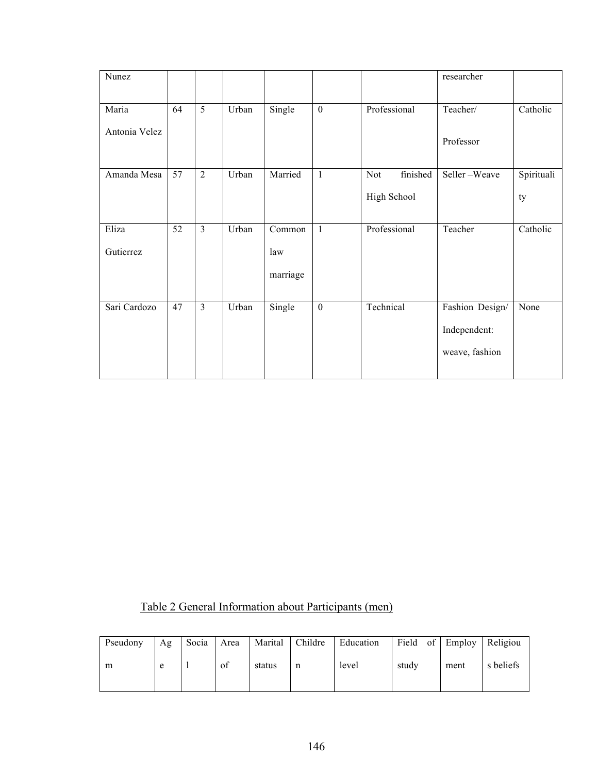| Nunez         |                 |                |       |          |                  |                 | researcher      |            |
|---------------|-----------------|----------------|-------|----------|------------------|-----------------|-----------------|------------|
| Maria         | 64              | 5              | Urban | Single   | $\boldsymbol{0}$ | Professional    | Teacher/        | Catholic   |
| Antonia Velez |                 |                |       |          |                  |                 |                 |            |
|               |                 |                |       |          |                  |                 | Professor       |            |
| Amanda Mesa   | $\overline{57}$ | $\overline{2}$ | Urban | Married  | $\mathbf{1}$     | finished<br>Not | Seller-Weave    | Spirituali |
|               |                 |                |       |          |                  | High School     |                 | ty         |
|               |                 |                |       |          |                  |                 |                 |            |
| Eliza         | 52              | $\overline{3}$ | Urban | Common   | $\mathbf{1}$     | Professional    | Teacher         | Catholic   |
| Gutierrez     |                 |                |       | law      |                  |                 |                 |            |
|               |                 |                |       | marriage |                  |                 |                 |            |
|               |                 |                |       |          |                  |                 |                 |            |
| Sari Cardozo  | 47              | $\overline{3}$ | Urban | Single   | $\boldsymbol{0}$ | Technical       | Fashion Design/ | None       |
|               |                 |                |       |          |                  |                 | Independent:    |            |
|               |                 |                |       |          |                  |                 | weave, fashion  |            |
|               |                 |                |       |          |                  |                 |                 |            |

| Table 2 General Information about Participants (men) |  |  |  |
|------------------------------------------------------|--|--|--|
|                                                      |  |  |  |

| Pseudony | Ag | Socia | Area | Marital | Childre | Education | Field of Employ Religiou |      |           |
|----------|----|-------|------|---------|---------|-----------|--------------------------|------|-----------|
| m        | e  |       | of   | status  | n       | level     | study                    | ment | s beliefs |
|          |    |       |      |         |         |           |                          |      |           |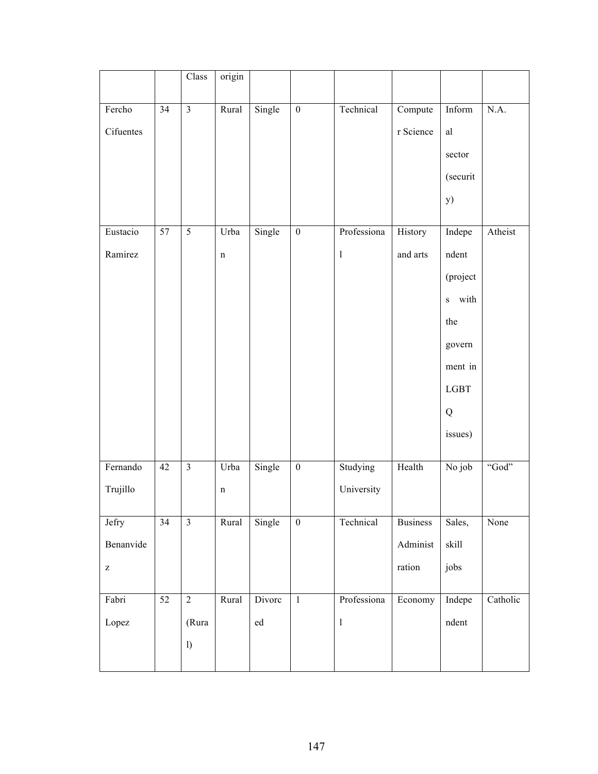|                                                |                 | Class                   | origin      |            |                  |              |                 |                               |          |
|------------------------------------------------|-----------------|-------------------------|-------------|------------|------------------|--------------|-----------------|-------------------------------|----------|
|                                                |                 |                         |             |            |                  |              |                 |                               |          |
| Fercho                                         | 34              | $\overline{\mathbf{3}}$ | Rural       | Single     | $\boldsymbol{0}$ | Technical    | Compute         | Inform                        | N.A.     |
| Cifuentes                                      |                 |                         |             |            |                  |              | r Science       | al                            |          |
|                                                |                 |                         |             |            |                  |              |                 | sector                        |          |
|                                                |                 |                         |             |            |                  |              |                 | (securit                      |          |
|                                                |                 |                         |             |            |                  |              |                 | <b>y</b> )                    |          |
| Eustacio                                       | 57              | 5                       | Urba        | Single     | $\boldsymbol{0}$ | Professiona  | History         | Indepe                        | Atheist  |
| Ramirez                                        |                 |                         | $\mathbf n$ |            |                  | $\mathbf{l}$ | and arts        | ndent                         |          |
|                                                |                 |                         |             |            |                  |              |                 | (project                      |          |
|                                                |                 |                         |             |            |                  |              |                 | with<br>$\bf S$               |          |
|                                                |                 |                         |             |            |                  |              |                 | the                           |          |
|                                                |                 |                         |             |            |                  |              |                 | govern                        |          |
|                                                |                 |                         |             |            |                  |              |                 | ment in                       |          |
|                                                |                 |                         |             |            |                  |              |                 | LGBT                          |          |
|                                                |                 |                         |             |            |                  |              |                 | Q                             |          |
|                                                |                 |                         |             |            |                  |              |                 | issues)                       |          |
|                                                |                 |                         |             |            |                  |              |                 |                               |          |
| Fernando                                       | 42              | $\overline{\mathbf{3}}$ | Urba        | Single     | $\boldsymbol{0}$ | Studying     | Health          | No job                        | "God"    |
| Trujillo                                       |                 |                         | n           |            |                  | University   |                 |                               |          |
| Jefry                                          | $\overline{34}$ | $\overline{\mathbf{3}}$ | Rural       | Single     | $\boldsymbol{0}$ | Technical    | <b>Business</b> | Sales,                        | None     |
| Benanvide                                      |                 |                         |             |            |                  |              | Administ        | skill                         |          |
|                                                |                 |                         |             |            |                  |              |                 |                               |          |
| $\mathbf{Z}% ^{t}\left( \mathbf{Z}_{1}\right)$ |                 |                         |             |            |                  |              | ration          | jobs                          |          |
| Fabri                                          | $\overline{52}$ | $\overline{2}$          | Rural       | Divorc     | $1\,$            | Professiona  | Economy         | Indepe                        | Catholic |
| Lopez                                          |                 | (Rura                   |             | ${\rm ed}$ |                  | $\bf{l}$     |                 | $\mathop{\rm ndent}\nolimits$ |          |
|                                                |                 | $\mathbf{I}$            |             |            |                  |              |                 |                               |          |
|                                                |                 |                         |             |            |                  |              |                 |                               |          |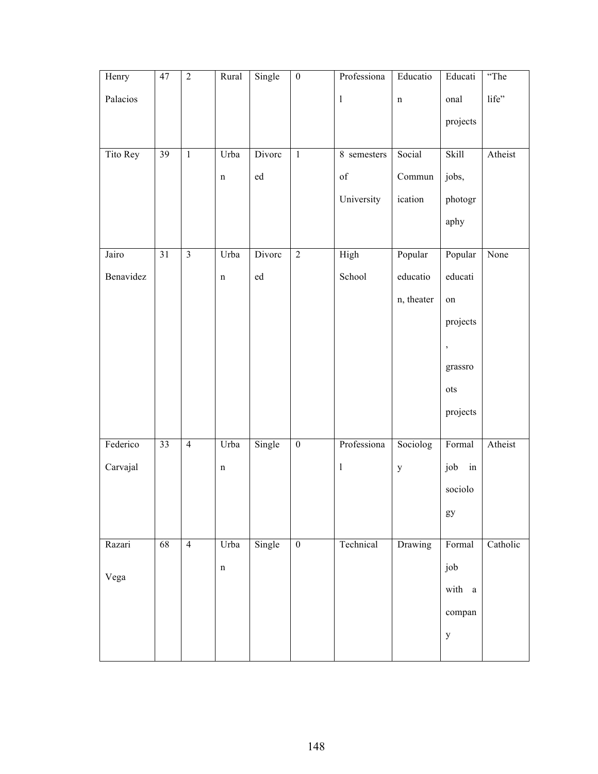| Henry     | 47              | $\sqrt{2}$              | Rural       | Single     | $\boldsymbol{0}$ | Professiona  | Educatio     | Educati                    | "The     |
|-----------|-----------------|-------------------------|-------------|------------|------------------|--------------|--------------|----------------------------|----------|
| Palacios  |                 |                         |             |            |                  | $\mathbf{1}$ | $\mathbf n$  | onal                       | life"    |
|           |                 |                         |             |            |                  |              |              | projects                   |          |
|           |                 |                         |             |            |                  |              |              |                            |          |
| Tito Rey  | 39              | $\,1\,$                 | Urba        | Divorc     | $\mathbf{1}$     | 8 semesters  | Social       | Skill                      | Atheist  |
|           |                 |                         | $\mathbf n$ | ${\rm ed}$ |                  | of           | Commun       | jobs,                      |          |
|           |                 |                         |             |            |                  | University   | ication      | photogr                    |          |
|           |                 |                         |             |            |                  |              |              | aphy                       |          |
|           |                 |                         |             |            |                  |              |              |                            |          |
| Jairo     | $\overline{31}$ | $\overline{\mathbf{3}}$ | Urba        | Divorc     | $\overline{2}$   | High         | Popular      | Popular                    | None     |
| Benavidez |                 |                         | $\mathbf n$ | ed         |                  | School       | educatio     | educati                    |          |
|           |                 |                         |             |            |                  |              | n, theater   | on                         |          |
|           |                 |                         |             |            |                  |              |              | projects                   |          |
|           |                 |                         |             |            |                  |              |              | $\overline{\phantom{a}}$   |          |
|           |                 |                         |             |            |                  |              |              | grassro                    |          |
|           |                 |                         |             |            |                  |              |              | ots                        |          |
|           |                 |                         |             |            |                  |              |              | projects                   |          |
|           |                 |                         |             |            |                  |              |              |                            |          |
| Federico  | 33              | $\overline{4}$          | Urba        | Single     | $\boldsymbol{0}$ | Professiona  | Sociolog     | Formal                     | Atheist  |
| Carvajal  |                 |                         | $\mathbf n$ |            |                  | $\bf{l}$     | $\mathbf{y}$ | job in                     |          |
|           |                 |                         |             |            |                  |              |              | sociolo                    |          |
|           |                 |                         |             |            |                  |              |              | $\mathop{\rm gy}\nolimits$ |          |
|           |                 |                         |             |            |                  |              |              |                            |          |
| Razari    | 68              | $\overline{4}$          | Urba        | Single     | $\overline{0}$   | Technical    | Drawing      | Formal                     | Catholic |
| Vega      |                 |                         | $\mathbf n$ |            |                  |              |              | job                        |          |
|           |                 |                         |             |            |                  |              |              | with a                     |          |
|           |                 |                         |             |            |                  |              |              | compan                     |          |
|           |                 |                         |             |            |                  |              |              | $\mathbf{y}$               |          |
|           |                 |                         |             |            |                  |              |              |                            |          |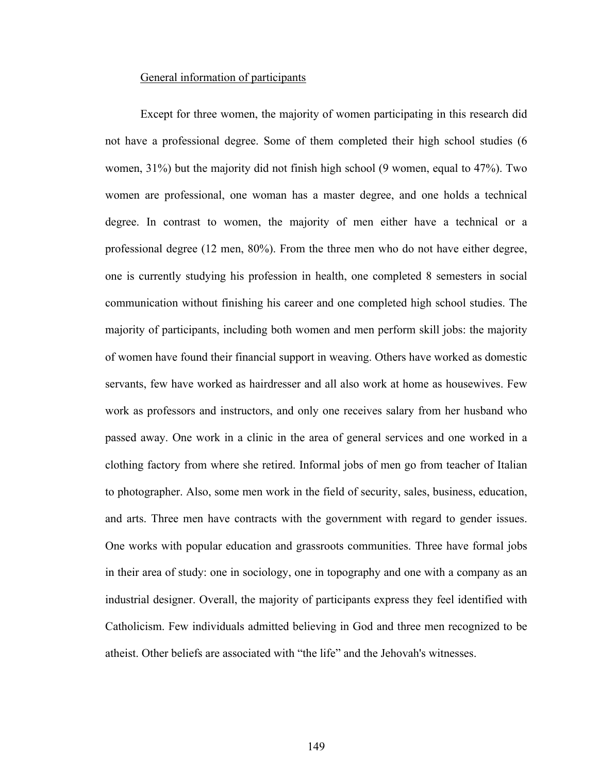## General information of participants

Except for three women, the majority of women participating in this research did not have a professional degree. Some of them completed their high school studies (6 women, 31%) but the majority did not finish high school (9 women, equal to 47%). Two women are professional, one woman has a master degree, and one holds a technical degree. In contrast to women, the majority of men either have a technical or a professional degree (12 men, 80%). From the three men who do not have either degree, one is currently studying his profession in health, one completed 8 semesters in social communication without finishing his career and one completed high school studies. The majority of participants, including both women and men perform skill jobs: the majority of women have found their financial support in weaving. Others have worked as domestic servants, few have worked as hairdresser and all also work at home as housewives. Few work as professors and instructors, and only one receives salary from her husband who passed away. One work in a clinic in the area of general services and one worked in a clothing factory from where she retired. Informal jobs of men go from teacher of Italian to photographer. Also, some men work in the field of security, sales, business, education, and arts. Three men have contracts with the government with regard to gender issues. One works with popular education and grassroots communities. Three have formal jobs in their area of study: one in sociology, one in topography and one with a company as an industrial designer. Overall, the majority of participants express they feel identified with Catholicism. Few individuals admitted believing in God and three men recognized to be atheist. Other beliefs are associated with "the life" and the Jehovah's witnesses.